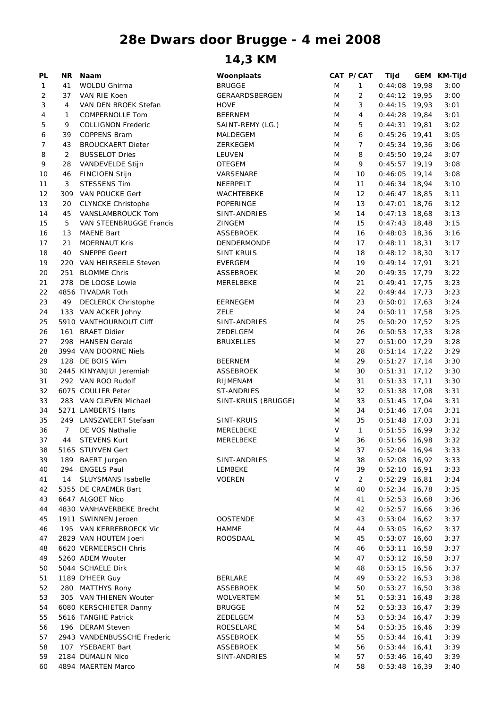## **28e Dwars door Brugge - 4 mei 2008**

## **14,3 KM**

| PL | ΝR             | <b>Naam</b>                 | Woonplaats            |   | CAT P/CAT      | Tijd            | GEM KM-Tijd |
|----|----------------|-----------------------------|-----------------------|---|----------------|-----------------|-------------|
| 1  | 41             | WOLDU Ghirma                | <b>BRUGGE</b>         | M | $\mathbf{1}$   | $0:44:08$ 19,98 | 3:00        |
| 2  | 37             | VAN RIE Koen                | <b>GERAARDSBERGEN</b> | M | 2              | $0:44:12$ 19,95 | 3:00        |
| 3  | 4              | VAN DEN BROEK Stefan        | <b>HOVE</b>           | M | 3              | $0:44:15$ 19,93 | 3:01        |
| 4  | 1              | <b>COMPERNOLLE Tom</b>      | <b>BEERNEM</b>        | M | 4              | $0:44:28$ 19,84 | 3:01        |
|    |                |                             |                       |   |                | $0:44:31$ 19,81 |             |
| 5  | 9              | <b>COLLIGNON Frederic</b>   | SAINT-REMY (LG.)      | M | 5              |                 | 3:02        |
| 6  | 39             | <b>COPPENS Bram</b>         | MALDEGEM              | M | 6              | $0:45:26$ 19,41 | 3:05        |
| 7  | 43             | <b>BROUCKAERT Dieter</b>    | ZERKEGEM              | M | $\overline{7}$ | $0:45:34$ 19,36 | 3:06        |
| 8  | $\overline{2}$ | <b>BUSSELOT Dries</b>       | LEUVEN                | M | 8              | $0:45:50$ 19,24 | 3:07        |
| 9  | 28             | VANDEVELDE Stijn            | <b>OTEGEM</b>         | M | 9              | $0:45:57$ 19,19 | 3:08        |
| 10 | 46             | <b>FINCIOEN Stijn</b>       | VARSENARE             | M | 10             | $0:46:05$ 19,14 | 3:08        |
| 11 | 3              | <b>STESSENS Tim</b>         | NEERPELT              | M | 11             | $0:46:34$ 18,94 | 3:10        |
| 12 | 309            | <b>VAN POUCKE Gert</b>      | WACHTEBEKE            | M | 12             | $0:46:47$ 18,85 | 3:11        |
| 13 | 20             | <b>CLYNCKE Christophe</b>   | POPERINGE             | M | 13             | $0:47:01$ 18,76 | 3:12        |
| 14 | 45             | VANSLAMBROUCK Tom           | SINT-ANDRIES          | M | 14             | $0:47:13$ 18,68 | 3:13        |
| 15 | 5              | VAN STEENBRUGGE Francis     | <b>ZINGEM</b>         | M | 15             | $0:47:43$ 18,48 | 3:15        |
| 16 | 13             | <b>MAENE Bart</b>           | <b>ASSEBROEK</b>      | M | 16             | $0:48:03$ 18,36 | 3:16        |
|    | 21             | <b>MOERNAUT Kris</b>        |                       | M | 17             | $0:48:11$ 18,31 | 3:17        |
| 17 |                |                             | DENDERMONDE           |   |                |                 |             |
| 18 | 40             | <b>SNEPPE Geert</b>         | <b>SINT KRUIS</b>     | M | 18             | $0:48:12$ 18,30 | 3:17        |
| 19 | 220            | VAN HEIRSEELE Steven        | <b>EVERGEM</b>        | M | 19             | $0:49:14$ 17,91 | 3:21        |
| 20 | 251            | <b>BLOMME Chris</b>         | <b>ASSEBROEK</b>      | M | 20             | $0:49:35$ 17,79 | 3:22        |
| 21 |                | 278 DE LOOSE Lowie          | MERELBEKE             | M | 21             | $0:49:41$ 17,75 | 3:23        |
| 22 |                | 4856 TIVADAR Toth           |                       | M | 22             | $0:49:44$ 17,73 | 3:23        |
| 23 | 49             | <b>DECLERCK Christophe</b>  | EERNEGEM              | M | 23             | $0:50:01$ 17,63 | 3:24        |
| 24 |                | 133 VAN ACKER Johny         | <b>ZELE</b>           | M | 24             | $0:50:11$ 17,58 | 3:25        |
| 25 |                | 5910 VANTHOURNOUT Cliff     | SINT-ANDRIES          | M | 25             | $0:50:20$ 17,52 | 3:25        |
| 26 |                | 161 BRAET Didier            | ZEDELGEM              | M | 26             | $0:50:53$ 17,33 | 3:28        |
| 27 |                | 298 HANSEN Gerald           | BRUXELLES             | M | 27             | $0:51:00$ 17,29 | 3:28        |
| 28 |                | 3994 VAN DOORNE Niels       |                       | M | 28             | $0:51:14$ 17,22 | 3:29        |
| 29 |                | 128 DE BOIS Wim             | <b>BEERNEM</b>        | M | 29             | $0:51:27$ 17,14 | 3:30        |
|    |                |                             |                       |   |                |                 |             |
| 30 |                | 2445 KINYANJUI Jeremiah     | <b>ASSEBROEK</b>      | M | 30             | $0:51:31$ 17,12 | 3:30        |
| 31 |                | 292 VAN ROO Rudolf          | RIJMENAM              | M | 31             | $0:51:33$ 17,11 | 3:30        |
| 32 |                | 6075 COULIER Peter          | ST-ANDRIES            | M | 32             | $0:51:38$ 17,08 | 3:31        |
| 33 |                | 283 VAN CLEVEN Michael      | SINT-KRUIS (BRUGGE)   | M | 33             | $0:51:45$ 17,04 | 3:31        |
| 34 |                | 5271 LAMBERTS Hans          |                       | M | 34             | $0:51:46$ 17,04 | 3:31        |
| 35 |                | 249 LANSZWEERT Stefaan      | SINT-KRUIS            | M | 35             | $0:51:48$ 17,03 | 3:31        |
| 36 | $\overline{7}$ | DE VOS Nathalie             | MERELBEKE             | V | $\mathbf{1}$   | $0:51:55$ 16,99 | 3:32        |
| 37 | 44             | <b>STEVENS Kurt</b>         | MERELBEKE             | M | 36             | $0:51:56$ 16,98 | 3:32        |
| 38 |                | 5165 STUYVEN Gert           |                       | M | 37             | $0:52:04$ 16,94 | 3:33        |
| 39 |                | 189 BAERT Jurgen            | SINT-ANDRIES          | M | 38             | $0:52:08$ 16,92 | 3:33        |
| 40 |                | 294 ENGELS Paul             | LEMBEKE               | M | 39             | $0:52:10$ 16,91 | 3:33        |
| 41 | 14             | <b>SLUYSMANS Isabelle</b>   | <b>VOEREN</b>         | V | $\overline{2}$ | $0:52:29$ 16,81 | 3:34        |
| 42 |                | 5355 DE CRAEMER Bart        |                       | M | 40             | $0:52:34$ 16,78 | 3:35        |
|    |                | 6647 ALGOET Nico            |                       | M | 41             |                 |             |
| 43 |                |                             |                       |   |                | $0:52:53$ 16,68 | 3:36        |
| 44 |                | 4830 VANHAVERBEKE Brecht    |                       | M | 42             | $0:52:57$ 16,66 | 3:36        |
| 45 |                | 1911 SWINNEN Jeroen         | <b>OOSTENDE</b>       | M | 43             | $0:53:04$ 16,62 | 3:37        |
| 46 |                | 195 VAN KERREBROECK Vic     | <b>HAMME</b>          | M | 44             | $0:53:05$ 16,62 | 3:37        |
| 47 |                | 2829 VAN HOUTEM Joeri       | ROOSDAAL              | M | 45             | $0:53:07$ 16,60 | 3:37        |
| 48 |                | 6620 VERMEERSCH Chris       |                       | M | 46             | $0:53:11$ 16,58 | 3:37        |
| 49 |                | 5260 ADEM Wouter            |                       | M | 47             | $0:53:12$ 16,58 | 3:37        |
| 50 |                | 5044 SCHAELE Dirk           |                       | M | 48             | $0:53:15$ 16,56 | 3:37        |
| 51 |                | 1189 D'HEER Guy             | <b>BERLARE</b>        | M | 49             | $0:53:22$ 16,53 | 3:38        |
| 52 |                | 280 MATTHYS Rony            | <b>ASSEBROEK</b>      | M | 50             | $0:53:27$ 16,50 | 3:38        |
| 53 |                | 305 VAN THIENEN Wouter      | WOLVERTEM             | M | 51             | $0:53:31$ 16,48 | 3:38        |
| 54 |                | 6080 KERSCHIETER Danny      | <b>BRUGGE</b>         | M | 52             | $0:53:33$ 16,47 | 3:39        |
|    |                | 5616 TANGHE Patrick         | ZEDELGEM              | M | 53             | $0:53:34$ 16,47 |             |
| 55 |                |                             |                       |   |                |                 | 3:39        |
| 56 |                | 196 DERAM Steven            | ROESELARE             | M | 54             | $0:53:35$ 16,46 | 3:39        |
| 57 |                | 2943 VANDENBUSSCHE Frederic | ASSEBROEK             | M | 55             | $0:53:44$ 16,41 | 3:39        |
| 58 |                | 107 YSEBAERT Bart           | <b>ASSEBROEK</b>      | M | 56             | $0:53:44$ 16,41 | 3:39        |
| 59 |                | 2184 DUMALIN Nico           | SINT-ANDRIES          | M | 57             | $0:53:46$ 16,40 | 3:39        |
| 60 |                | 4894 MAERTEN Marco          |                       | M | 58             | $0:53:48$ 16,39 | 3:40        |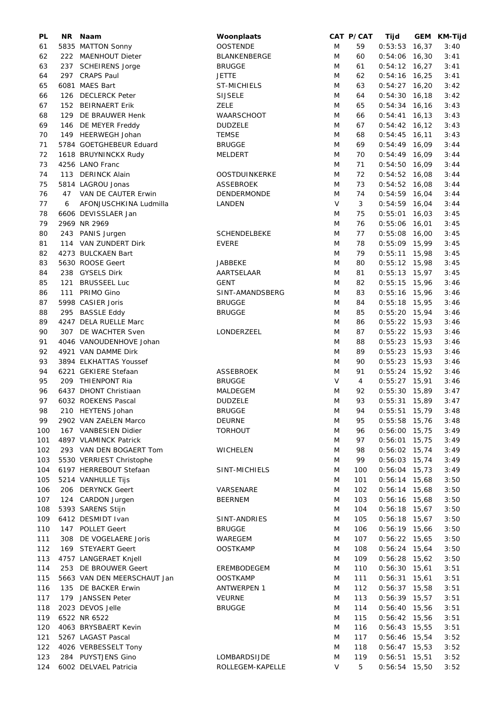| PL  | NR. | Naam                        | Woonplaats           |        | CAT P/CAT | Tijd            | GEM KM-Tijd |
|-----|-----|-----------------------------|----------------------|--------|-----------|-----------------|-------------|
| 61  |     | 5835 MATTON Sonny           | <b>OOSTENDE</b>      | M      | 59        | $0:53:53$ 16,37 | 3:40        |
| 62  |     | 222 MAENHOUT Dieter         | <b>BLANKENBERGE</b>  | M      | 60        | $0:54:06$ 16,30 | 3:41        |
| 63  |     | 237 SCHEIRENS Jorge         | <b>BRUGGE</b>        | M      | 61        | $0:54:12$ 16,27 | 3:41        |
| 64  |     | 297 CRAPS Paul              | <b>JETTE</b>         | M      | 62        | $0:54:16$ 16,25 | 3:41        |
| 65  |     | 6081 MAES Bart              | <b>ST-MICHIELS</b>   | M      | 63        | $0:54:27$ 16,20 | 3:42        |
|     | 126 | <b>DECLERCK Peter</b>       | <b>SIJSELE</b>       | M      | 64        | $0:54:30$ 16,18 | 3:42        |
| 66  |     |                             |                      |        |           |                 |             |
| 67  | 152 | <b>BEIRNAERT Erik</b>       | <b>ZELE</b>          | M      | 65        | $0:54:34$ 16,16 | 3:43        |
| 68  | 129 | DE BRAUWER Henk             | WAARSCHOOT           | M      | 66        | $0:54:41$ 16,13 | 3:43        |
| 69  |     | 146 DE MEYER Freddy         | <b>DUDZELE</b>       | M      | 67        | $0:54:42$ 16,12 | 3:43        |
| 70  |     | 149 HEERWEGH Johan          | <b>TEMSE</b>         | M      | 68        | $0:54:45$ 16,11 | 3:43        |
| 71  |     | 5784 GOETGHEBEUR Eduard     | <b>BRUGGE</b>        | M      | 69        | $0:54:49$ 16,09 | 3:44        |
| 72  |     | 1618 BRUYNINCKX Rudy        | <b>MELDERT</b>       | M      | 70        | $0:54:49$ 16,09 | 3:44        |
| 73  |     | 4256 LANO Franc             |                      | M      | 71        | $0:54:50$ 16,09 | 3:44        |
| 74  |     | 113 DERINCK Alain           | <b>OOSTDUINKERKE</b> | M      | 72        | $0:54:52$ 16,08 | 3:44        |
| 75  |     | 5814 LAGROU Jonas           | <b>ASSEBROEK</b>     | M      | 73        | $0:54:52$ 16,08 | 3:44        |
|     |     |                             |                      |        |           |                 |             |
| 76  | 47  | VAN DE CAUTER Erwin         | <b>DENDERMONDE</b>   | M      | 74        | $0:54:59$ 16,04 | 3:44        |
| 77  | 6   | AFONJUSCHKINA Ludmilla      | LANDEN               | $\vee$ | 3         | $0:54:59$ 16,04 | 3:44        |
| 78  |     | 6606 DEVISSLAER Jan         |                      | M      | 75        | $0:55:01$ 16,03 | 3:45        |
| 79  |     | 2969 NR 2969                |                      | M      | 76        | $0:55:06$ 16,01 | 3:45        |
| 80  |     | 243 PANIS Jurgen            | <b>SCHENDELBEKE</b>  | M      | 77        | $0:55:08$ 16,00 | 3:45        |
| 81  |     | 114 VAN ZUNDERT Dirk        | <b>EVERE</b>         | M      | 78        | $0:55:09$ 15,99 | 3:45        |
| 82  |     | 4273 BULCKAEN Bart          |                      | M      | 79        | $0:55:11$ 15,98 | 3:45        |
| 83  |     | 5630 ROOSE Geert            | <b>JABBEKE</b>       | M      | 80        | $0:55:12$ 15,98 | 3:45        |
|     |     | 238 GYSELS Dirk             |                      | M      |           | $0:55:13$ 15,97 |             |
| 84  |     |                             | AARTSELAAR           |        | 81        |                 | 3:45        |
| 85  | 121 | <b>BRUSSEEL Luc</b>         | <b>GENT</b>          | M      | 82        | $0:55:15$ 15,96 | 3:46        |
| 86  |     | 111 PRIMO Gino              | SINT-AMANDSBERG      | M      | 83        | $0:55:16$ 15,96 | 3:46        |
| 87  |     | 5998 CASIER Joris           | <b>BRUGGE</b>        | M      | 84        | $0:55:18$ 15,95 | 3:46        |
| 88  |     | 295 BASSLE Eddy             | <b>BRUGGE</b>        | M      | 85        | $0:55:20$ 15,94 | 3:46        |
| 89  |     | 4247 DELA RUELLE Marc       |                      | M      | 86        | $0:55:22$ 15,93 | 3:46        |
| 90  |     | 307 DE WACHTER Sven         | LONDERZEEL           | M      | 87        | $0:55:22$ 15,93 | 3:46        |
| 91  |     | 4046 VANOUDENHOVE Johan     |                      | M      | 88        | $0:55:23$ 15,93 | 3:46        |
| 92  |     | 4921 VAN DAMME Dirk         |                      | M      | 89        | $0:55:23$ 15,93 | 3:46        |
|     |     |                             |                      |        |           |                 |             |
| 93  |     | 3894 ELKHATTAS Youssef      |                      | M      | 90        | $0:55:23$ 15,93 | 3:46        |
| 94  |     | 6221 GEKIERE Stefaan        | <b>ASSEBROEK</b>     | M      | 91        | $0:55:24$ 15,92 | 3:46        |
| 95  |     | 209 THIENPONT Ria           | <b>BRUGGE</b>        | V      | 4         | $0:55:27$ 15,91 | 3:46        |
| 96  |     | 6437 DHONT Christiaan       | MALDEGEM             | M      | 92        | $0:55:30$ 15,89 | 3:47        |
| 97  |     | 6032 ROEKENS Pascal         | <b>DUDZELE</b>       | M      | 93        | $0:55:31$ 15,89 | 3:47        |
| 98  |     | 210 HEYTENS Johan           | <b>BRUGGE</b>        | M      | 94        | $0:55:51$ 15,79 | 3:48        |
| 99  |     | 2902 VAN ZAELEN Marco       | <b>DEURNE</b>        | M      | 95        | $0:55:58$ 15,76 | 3:48        |
| 100 |     | 167 VANBESIEN Didier        | <b>TORHOUT</b>       | M      | 96        | $0:56:00$ 15,75 | 3:49        |
| 101 |     | 4897 VLAMINCK Patrick       |                      | M      | 97        | $0:56:01$ 15,75 | 3:49        |
|     |     | 293 VAN DEN BOGAERT Tom     |                      | M      | 98        | $0:56:02$ 15,74 |             |
| 102 |     |                             | <b>WICHELEN</b>      |        |           |                 | 3:49        |
| 103 |     | 5530 VERRIEST Christophe    |                      | M      | 99        | $0:56:03$ 15,74 | 3:49        |
| 104 |     | 6197 HERREBOUT Stefaan      | SINT-MICHIELS        | M      | 100       | $0:56:04$ 15,73 | 3:49        |
| 105 |     | 5214 VANHULLE Tijs          |                      | M      | 101       | $0:56:14$ 15,68 | 3:50        |
| 106 |     | 206 DERYNCK Geert           | VARSENARE            | M      | 102       | $0:56:14$ 15,68 | 3:50        |
| 107 |     | 124 CARDON Jurgen           | <b>BEERNEM</b>       | M      | 103       | 0:56:16 15,68   | 3:50        |
| 108 |     | 5393 SARENS Stijn           |                      | M      | 104       | $0:56:18$ 15,67 | 3:50        |
| 109 |     | 6412 DESMIDT Ivan           | SINT-ANDRIES         | M      | 105       | $0:56:18$ 15,67 | 3:50        |
|     |     |                             |                      |        |           |                 |             |
| 110 |     | 147 POLLET Geert            | <b>BRUGGE</b>        | M      | 106       | $0:56:19$ 15,66 | 3:50        |
| 111 |     | 308 DE VOGELAERE Joris      | WAREGEM              | M      | 107       | $0:56:22$ 15,65 | 3:50        |
| 112 |     | 169 STEYAERT Geert          | <b>OOSTKAMP</b>      | M      | 108       | $0:56:24$ 15,64 | 3:50        |
| 113 |     | 4757 LANGERAET Knjell       |                      | M      | 109       | $0:56:28$ 15,62 | 3:50        |
| 114 |     | 253 DE BROUWER Geert        | EREMBODEGEM          | M      | 110       | $0:56:30$ 15,61 | 3:51        |
| 115 |     | 5663 VAN DEN MEERSCHAUT Jan | <b>OOSTKAMP</b>      | M      | 111       | $0:56:31$ 15,61 | 3:51        |
| 116 |     | 135 DE BACKER Erwin         | ANTWERPEN 1          | M      | 112       | $0:56:37$ 15,58 | 3:51        |
| 117 |     | 179 JANSSEN Peter           | <b>VEURNE</b>        | M      | 113       | $0:56:39$ 15,57 | 3:51        |
| 118 |     | 2023 DEVOS Jelle            | <b>BRUGGE</b>        | M      | 114       | $0:56:40$ 15,56 | 3:51        |
|     |     |                             |                      |        |           |                 |             |
| 119 |     | 6522 NR 6522                |                      | M      | 115       | $0:56:42$ 15,56 | 3:51        |
| 120 |     | 4063 BRYSBAERT Kevin        |                      | M      | 116       | $0:56:43$ 15,55 | 3:51        |
| 121 |     | 5267 LAGAST Pascal          |                      | M      | 117       | $0:56:46$ 15,54 | 3:52        |
| 122 |     | 4026 VERBESSELT Tony        |                      | M      | 118       | $0:56:47$ 15,53 | 3:52        |
| 123 |     | 284 PUYSTJENS Gino          | LOMBARDSIJDE         | M      | 119       | $0:56:51$ 15,51 | 3:52        |
| 124 |     | 6002 DELVAEL Patricia       | ROLLEGEM-KAPELLE     | V      | 5         | $0:56:54$ 15,50 | 3:52        |
|     |     |                             |                      |        |           |                 |             |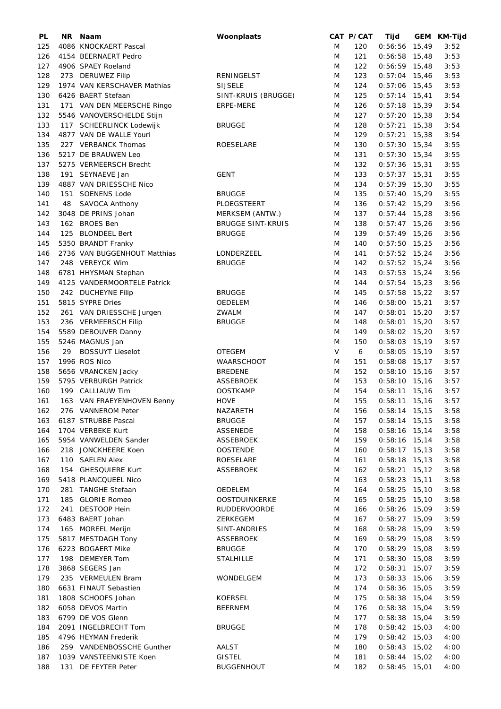| PL  | NR. | Naam                                  | Woonplaats               |        | CAT P/CAT        | Tijd            |       | GEM KM-Tijd |
|-----|-----|---------------------------------------|--------------------------|--------|------------------|-----------------|-------|-------------|
| 125 |     | 4086 KNOCKAERT Pascal                 |                          | M      | 120              | $0:56:56$ 15,49 |       | 3:52        |
| 126 |     | 4154 BEERNAERT Pedro                  |                          | M      | 121              | $0:56:58$ 15,48 |       | 3:53        |
| 127 |     | 4906 SPAEY Roeland                    |                          | M      | 122              | $0:56:59$ 15,48 |       | 3:53        |
| 128 |     | 273 DERUWEZ Filip                     | RENINGELST               | M      | 123              | $0:57:04$ 15,46 |       | 3:53        |
| 129 |     | 1974 VAN KERSCHAVER Mathias           | <b>SIJSELE</b>           | M      | 124              | $0:57:06$ 15,45 |       | 3:53        |
| 130 |     | 6426 BAERT Stefaan                    | SINT-KRUIS (BRUGGE)      | M      | 125              | $0:57:14$ 15,41 |       | 3:54        |
| 131 |     | 171 VAN DEN MEERSCHE Ringo            | ERPE-MERE                | M      | 126              | $0:57:18$ 15,39 |       | 3:54        |
| 132 |     | 5546 VANOVERSCHELDE Stijn             |                          | M      | 127              | $0:57:20$ 15,38 |       | 3:54        |
| 133 |     | 117 SCHEERLINCK Lodewijk              | <b>BRUGGE</b>            | M      | 128              | $0:57:21$ 15,38 |       | 3:54        |
| 134 |     | 4877 VAN DE WALLE Youri               |                          | M      | 129              | $0:57:21$ 15,38 |       | 3:54        |
| 135 |     | 227 VERBANCK Thomas                   | ROESELARE                | M      | 130              | $0:57:30$ 15,34 |       | 3:55        |
| 136 |     | 5217 DE BRAUWEN Leo                   |                          | M      | 131              | $0:57:30$ 15,34 |       | 3:55        |
| 137 |     | 5275 VERMEERSCH Brecht                |                          | M      | 132              | $0:57:36$ 15,31 |       | 3:55        |
| 138 |     | 191 SEYNAEVE Jan                      | GENT                     | M      | 133              | $0:57:37$ 15,31 |       | 3:55        |
| 139 |     | 4887 VAN DRIESSCHE Nico               |                          | M      | 134              | $0:57:39$ 15,30 |       | 3:55        |
| 140 | 151 | <b>SOENENS Lode</b>                   | <b>BRUGGE</b>            | M      | 135              | $0:57:40$ 15,29 |       | 3:55        |
| 141 | 48  |                                       | PLOEGSTEERT              | M      | 136              | $0:57:42$ 15,29 |       | 3:56        |
| 142 |     | SAVOCA Anthony<br>3048 DE PRINS Johan |                          | M      | 137              | $0:57:44$ 15,28 |       | 3:56        |
|     |     | 162 BROES Ben                         | MERKSEM (ANTW.)          |        |                  |                 |       |             |
| 143 |     |                                       | <b>BRUGGE SINT-KRUIS</b> | M      | 138              | $0:57:47$ 15,26 |       | 3:56        |
| 144 | 125 | <b>BLONDEEL Bert</b>                  | <b>BRUGGE</b>            | M      | 139              | $0:57:49$ 15,26 |       | 3:56        |
| 145 |     | 5350 BRANDT Franky                    |                          | M      | 140              | $0:57:50$ 15,25 |       | 3:56        |
| 146 |     | 2736 VAN BUGGENHOUT Matthias          | LONDERZEEL               | M      | 141              | $0:57:52$ 15,24 |       | 3:56        |
| 147 |     | 248 VEREYCK Wim                       | <b>BRUGGE</b>            | M      | 142              | $0:57:52$ 15,24 |       | 3:56        |
| 148 |     | 6781 HHYSMAN Stephan                  |                          | M      | 143              | $0:57:53$ 15,24 |       | 3:56        |
| 149 |     | 4125 VANDERMOORTELE Patrick           |                          | M      | 144              | $0:57:54$ 15,23 |       | 3:56        |
| 150 |     | 242 DUCHEYNE Filip                    | <b>BRUGGE</b>            | M      | 145              | $0:57:58$ 15,22 |       | 3:57        |
| 151 |     | 5815 SYPRE Dries                      | OEDELEM                  | M      | 146              | $0:58:00$ 15,21 |       | 3:57        |
| 152 |     | 261 VAN DRIESSCHE Jurgen              | ZWALM                    | M      | 147              | $0:58:01$ 15,20 |       | 3:57        |
| 153 |     | 236 VERMEERSCH Filip                  | <b>BRUGGE</b>            | M      | 148              | $0:58:01$ 15,20 |       | 3:57        |
| 154 |     | 5589 DEBOUVER Danny                   |                          | M      | 149              | $0:58:02$ 15,20 |       | 3:57        |
| 155 |     | 5246 MAGNUS Jan                       |                          | M      | 150              | $0:58:03$ 15,19 |       | 3:57        |
| 156 | 29  | <b>BOSSUYT Lieselot</b>               | <b>OTEGEM</b>            | $\vee$ | $\boldsymbol{6}$ | $0:58:05$ 15,19 |       | 3:57        |
| 157 |     | 1996 ROS Nico                         | WAARSCHOOT               | M      | 151              | $0:58:08$ 15,17 |       | 3:57        |
| 158 |     | 5656 VRANCKEN Jacky                   | <b>BREDENE</b>           | M      | 152              | $0:58:10$ 15,16 |       | 3:57        |
| 159 |     | 5795 VERBURGH Patrick                 | <b>ASSEBROEK</b>         | M      | 153              | $0:58:10$ 15,16 |       | 3:57        |
| 160 |     | 199 CALLIAUW Tim                      | <b>OOSTKAMP</b>          | M      | 154              | $0:58:11$ 15,16 |       | 3:57        |
| 161 |     | 163 VAN FRAEYENHOVEN Benny            | <b>HOVE</b>              | M      | 155              | $0:58:11$ 15,16 |       | 3:57        |
| 162 |     | 276 VANNEROM Peter                    | NAZARETH                 | M      | 156              | $0:58:14$ 15,15 |       | 3:58        |
| 163 |     | 6187 STRUBBE Pascal                   | <b>BRUGGE</b>            | M      | 157              | $0:58:14$ 15,15 |       | 3:58        |
| 164 |     | 1704 VERBEKE Kurt                     | ASSENEDE                 | M      | 158              | $0:58:16$ 15,14 |       | 3:58        |
| 165 |     | 5954 VANWELDEN Sander                 | <b>ASSEBROEK</b>         | M      | 159              | $0:58:16$ 15,14 |       | 3:58        |
| 166 |     | 218 JONCKHEERE Koen                   | <b>OOSTENDE</b>          | M      | 160              | $0:58:17$ 15,13 |       | 3:58        |
| 167 |     | 110 SAELEN Alex                       | ROESELARE                | M      | 161              | $0:58:18$ 15,13 |       | 3:58        |
| 168 |     | 154 GHESQUIERE Kurt                   | <b>ASSEBROEK</b>         | M      | 162              | $0:58:21$ 15,12 |       | 3:58        |
| 169 |     | 5418 PLANCQUEEL Nico                  |                          | M      | 163              | 0:58:23         | 15,11 | 3:58        |
| 170 |     | 281 TANGHE Stefaan                    | OEDELEM                  | M      | 164              | 0:58:25         | 15,10 | 3:58        |
| 171 |     | 185 GLORIE Romeo                      | OOSTDUINKERKE            | M      | 165              | $0:58:25$ 15,10 |       | 3:58        |
| 172 |     | 241 DESTOOP Hein                      | <b>RUDDERVOORDE</b>      | M      | 166              | 0:58:26         | 15,09 | 3:59        |
| 173 |     | 6483 BAERT Johan                      | ZERKEGEM                 | M      | 167              | $0:58:27$ 15,09 |       | 3:59        |
| 174 |     | 165 MOREEL Merijn                     | SINT-ANDRIES             | M      | 168              | 0:58:28         | 15,09 | 3:59        |
| 175 |     | 5817 MESTDAGH Tony                    | <b>ASSEBROEK</b>         | M      | 169              | $0:58:29$ 15,08 |       | 3:59        |
| 176 |     | 6223 BOGAERT Mike                     | <b>BRUGGE</b>            | M      | 170              | $0:58:29$ 15,08 |       | 3:59        |
| 177 |     | 198 DEMEYER Tom                       | <b>STALHILLE</b>         | M      | 171              | $0:58:30$ 15,08 |       | 3:59        |
| 178 |     | 3868 SEGERS Jan                       |                          | M      | 172              | $0:58:31$ 15,07 |       | 3:59        |
| 179 |     | 235 VERMEULEN Bram                    | WONDELGEM                | M      | 173              | $0:58:33$ 15,06 |       | 3:59        |
| 180 |     | 6631 FINAUT Sebastien                 |                          |        | 174              | $0:58:36$ 15,05 |       | 3:59        |
|     |     |                                       |                          | M      |                  |                 |       |             |
| 181 |     | 1808 SCHOOFS Johan                    | <b>KOERSEL</b>           | M      | 175              | $0:58:38$ 15,04 |       | 3:59        |
| 182 |     | 6058 DEVOS Martin                     | <b>BEERNEM</b>           | M      | 176              | $0:58:38$ 15,04 |       | 3:59        |
| 183 |     | 6799 DE VOS Glenn                     |                          | M      | 177              | $0:58:38$ 15,04 |       | 3:59        |
| 184 |     | 2091 INGELBRECHT Tom                  | <b>BRUGGE</b>            | M      | 178              | $0:58:42$ 15,03 |       | 4:00        |
| 185 |     | 4796 HEYMAN Frederik                  |                          | M      | 179              | $0:58:42$ 15,03 |       | 4:00        |
| 186 |     | 259 VANDENBOSSCHE Gunther             | AALST                    | M      | 180              | $0:58:43$ 15,02 |       | 4:00        |
| 187 |     | 1039 VANSTEENKISTE Koen               | <b>GISTEL</b>            | M      | 181              | $0:58:44$ 15,02 |       | 4:00        |
| 188 |     | 131 DE FEYTER Peter                   | <b>BUGGENHOUT</b>        | M      | 182              | $0:58:45$ 15,01 |       | 4:00        |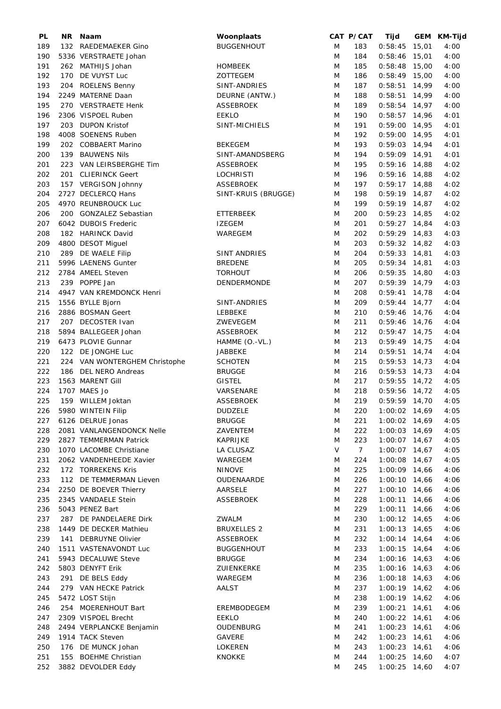| PL  | NR. | Naam                                     | Woonplaats                |        | CAT P/CAT   | Tijd            | GEM KM-Tijd |
|-----|-----|------------------------------------------|---------------------------|--------|-------------|-----------------|-------------|
| 189 |     | 132 RAEDEMAEKER Gino                     | <b>BUGGENHOUT</b>         | M      | 183         | $0:58:45$ 15,01 | 4:00        |
| 190 |     | 5336 VERSTRAETE Johan                    |                           | M      | 184         | $0:58:46$ 15,01 | 4:00        |
| 191 |     | 262 MATHIJS Johan                        | <b>HOMBEEK</b>            | M      | 185         | $0:58:48$ 15,00 | 4:00        |
| 192 |     | 170 DE VUYST Luc                         | ZOTTEGEM                  | M      | 186         | $0:58:49$ 15,00 | 4:00        |
| 193 |     | 204 ROELENS Benny                        | SINT-ANDRIES              | M      | 187         | $0:58:51$ 14,99 | 4:00        |
| 194 |     | 2249 MATERNE Daan                        | DEURNE (ANTW.)            | M      | 188         | $0:58:51$ 14,99 | 4:00        |
| 195 |     | 270 VERSTRAETE Henk                      | ASSEBROEK                 | M      | 189         | $0:58:54$ 14,97 | 4:00        |
| 196 |     | 2306 VISPOEL Ruben                       | <b>EEKLO</b>              | M      | 190         | $0:58:57$ 14,96 | 4:01        |
| 197 |     |                                          |                           |        |             | $0:59:00$ 14,95 |             |
|     |     | 203 DUPON Kristof                        | SINT-MICHIELS             | M      | 191         |                 | 4:01        |
| 198 |     | 4008 SOENENS Ruben                       |                           | M      | 192         | $0:59:00$ 14,95 | 4:01        |
| 199 |     | 202 COBBAERT Marino                      | <b>BEKEGEM</b>            | M      | 193         | $0:59:03$ 14,94 | 4:01        |
| 200 |     | 139 BAUWENS Nils                         | SINT-AMANDSBERG           | M      | 194         | $0:59:09$ 14,91 | 4:01        |
| 201 |     | 223 VAN LEIRSBERGHE Tim                  | ASSEBROEK                 | M      | 195         | $0:59:16$ 14,88 | 4:02        |
| 202 |     | 201 CLIERINCK Geert                      | <b>LOCHRISTI</b>          | M      | 196         | $0:59:16$ 14,88 | 4:02        |
| 203 |     | 157 VERGISON Johnny                      | <b>ASSEBROEK</b>          | M      | 197         | $0:59:17$ 14,88 | 4:02        |
| 204 |     | 2727 DECLERCQ Hans                       | SINT-KRUIS (BRUGGE)       | M      | 198         | $0:59:19$ 14,87 | 4:02        |
| 205 |     | 4970 REUNBROUCK Luc                      |                           | M      | 199         | $0:59:19$ 14,87 | 4:02        |
| 206 |     | 200 GONZALEZ Sebastian                   | ETTERBEEK                 | M      | 200         | $0:59:23$ 14,85 | 4:02        |
| 207 |     | 6042 DUBOIS Frederic                     | <b>IZEGEM</b>             | M      | 201         | $0:59:27$ 14,84 | 4:03        |
| 208 |     | 182 HARINCK David                        | WAREGEM                   | M      | 202         | $0:59:29$ 14,83 | 4:03        |
| 209 |     | 4800 DESOT Miguel                        |                           | M      | 203         | $0:59:32$ 14,82 | 4:03        |
| 210 |     | 289 DE WAELE Filip                       | SINT ANDRIES              | M      | 204         | $0:59:33$ 14,81 | 4:03        |
| 211 |     | 5996 LAENENS Gunter                      | <b>BREDENE</b>            | M      | 205         | $0:59:34$ 14,81 | 4:03        |
| 212 |     | 2784 AMEEL Steven                        | <b>TORHOUT</b>            | M      | 206         | $0:59:35$ 14,80 | 4:03        |
| 213 |     | 239 POPPE Jan                            | DENDERMONDE               | M      | 207         | $0:59:39$ 14,79 | 4:03        |
| 214 |     | 4947 VAN KREMDONCK Henri                 |                           | M      | 208         | $0:59:41$ 14,78 | 4:04        |
| 215 |     | 1556 BYLLE Bjorn                         | SINT-ANDRIES              | M      | 209         | $0:59:44$ 14,77 | 4:04        |
| 216 |     | 2886 BOSMAN Geert                        | LEBBEKE                   | M      | 210         | $0:59:46$ 14,76 | 4:04        |
| 217 |     | 207 DECOSTER Ivan                        | ZWEVEGEM                  | M      | 211         | $0:59:46$ 14,76 | 4:04        |
| 218 |     | 5894 BALLEGEER Johan                     | <b>ASSEBROEK</b>          | M      | 212         | $0:59:47$ 14,75 | 4:04        |
| 219 |     | 6473 PLOVIE Gunnar                       |                           |        | 213         | $0:59:49$ 14,75 | 4:04        |
| 220 |     | 122 DE JONGHE Luc                        | HAMME (O.-VL.)<br>JABBEKE | M<br>M | 214         | $0:59:51$ 14,74 | 4:04        |
| 221 |     | 224 VAN WONTERGHEM Christophe            | <b>SCHOTEN</b>            | M      | 215         | $0:59:53$ 14,73 | 4:04        |
|     |     |                                          |                           |        |             | $0:59:53$ 14,73 |             |
| 222 |     | 186 DEL NERO Andreas<br>1563 MARENT Gill | <b>BRUGGE</b>             | M      | 216         | $0:59:55$ 14,72 | 4:04        |
| 223 |     |                                          | <b>GISTEL</b>             | M      | 217         |                 | 4:05        |
| 224 |     | 1707 MAES Jo                             | VARSENARE                 | M      | 218         | $0:59:56$ 14,72 | 4:05        |
| 225 |     | 159 WILLEM Joktan                        | <b>ASSEBROEK</b>          | M      | 219         | $0:59:59$ 14,70 | 4:05        |
| 226 |     | 5980 WINTEIN Filip                       | <b>DUDZELE</b>            | M      | 220         | 1:00:02 14,69   | 4:05        |
| 227 |     | 6126 DELRUE Jonas                        | <b>BRUGGE</b>             | M      | 221         | $1:00:02$ 14,69 | 4:05        |
| 228 |     | 2081 VANLANGENDONCK Nelle                | ZAVENTEM                  | M      | 222         | $1:00:03$ 14,69 | 4:05        |
| 229 |     | 2827 TEMMERMAN Patrick                   | KAPRIJKE                  | M      | 223         | $1:00:07$ 14,67 | 4:05        |
| 230 |     | 1070 LACOMBE Christiane                  | LA CLUSAZ                 | V      | $7^{\circ}$ | $1:00:07$ 14,67 | 4:05        |
| 231 |     | 2062 VANDENHEEDE Xavier                  | WAREGEM                   | M      | 224         | 1:00:08 14,67   | 4:05        |
| 232 |     | 172 TORREKENS Kris                       | <b>NINOVE</b>             | M      | 225         | $1:00:09$ 14,66 | 4:06        |
| 233 |     | 112 DE TEMMERMAN Lieven                  | OUDENAARDE                | M      | 226         | $1:00:10$ 14,66 | 4:06        |
| 234 |     | 2250 DE BOEVER Thierry                   | AARSELE                   | M      | 227         | $1:00:10$ 14,66 | 4:06        |
| 235 |     | 2345 VANDAELE Stein                      | ASSEBROEK                 | M      | 228         | $1:00:11$ 14,66 | 4:06        |
| 236 |     | 5043 PENEZ Bart                          |                           | M      | 229         | $1:00:11$ 14,66 | 4:06        |
| 237 |     | 287 DE PANDELAERE Dirk                   | <b>ZWALM</b>              | M      | 230         | $1:00:12$ 14,65 | 4:06        |
| 238 |     | 1449 DE DECKER Mathieu                   | <b>BRUXELLES 2</b>        | M      | 231         | $1:00:13$ 14,65 | 4:06        |
| 239 |     | 141 DEBRUYNE Olivier                     | ASSEBROEK                 | M      | 232         | $1:00:14$ 14,64 | 4:06        |
| 240 |     | 1511 VASTENAVONDT Luc                    | <b>BUGGENHOUT</b>         | M      | 233         | $1:00:15$ 14,64 | 4:06        |
| 241 |     | 5943 DECALUWE Steve                      | <b>BRUGGE</b>             | M      | 234         | $1:00:16$ 14,63 | 4:06        |
| 242 |     | 5803 DENYFT Erik                         | ZUIENKERKE                | M      | 235         | $1:00:16$ 14,63 | 4:06        |
| 243 |     | 291 DE BELS Eddy                         | WAREGEM                   | M      | 236         | $1:00:18$ 14,63 | 4:06        |
| 244 |     | 279 VAN HECKE Patrick                    | AALST                     | M      | 237         | $1:00:19$ 14,62 | 4:06        |
| 245 |     | 5472 LOST Stijn                          |                           | M      | 238         | $1:00:19$ 14,62 | 4:06        |
| 246 |     | 254 MOERENHOUT Bart                      | EREMBODEGEM               | M      | 239         | $1:00:21$ 14,61 | 4:06        |
| 247 |     | 2309 VISPOEL Brecht                      | <b>EEKLO</b>              | M      | 240         | $1:00:22$ 14,61 | 4:06        |
| 248 |     | 2494 VERPLANCKE Benjamin                 | OUDENBURG                 | M      | 241         | $1:00:23$ 14,61 | 4:06        |
| 249 |     | 1914 TACK Steven                         | GAVERE                    | M      | 242         | $1:00:23$ 14,61 | 4:06        |
| 250 |     | 176 DE MUNCK Johan                       | LOKEREN                   | M      | 243         | $1:00:23$ 14,61 | 4:06        |
| 251 |     | 155 BOEHME Christian                     | KNOKKE                    | M      | 244         | $1:00:25$ 14,60 | 4:07        |
| 252 |     | 3882 DEVOLDER Eddy                       |                           | M      | 245         | 1:00:25 14,60   | 4:07        |
|     |     |                                          |                           |        |             |                 |             |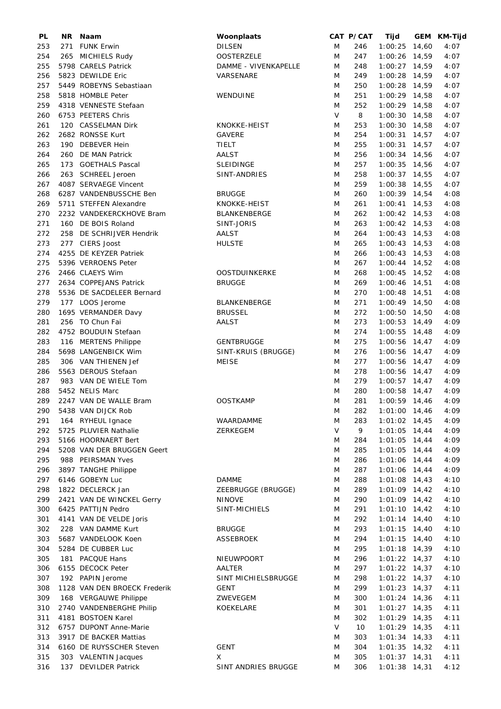| PL  | NR. | Naam                         | Woonplaats           |   | CAT P/CAT | Tijd            | GEM KM-Tijd |
|-----|-----|------------------------------|----------------------|---|-----------|-----------------|-------------|
| 253 | 271 | <b>FUNK Erwin</b>            | <b>DILSEN</b>        | M | 246       | $1:00:25$ 14,60 | 4:07        |
| 254 |     | 265 MICHIELS Rudy            | <b>OOSTERZELE</b>    | M | 247       | 1:00:26 14,59   | 4:07        |
| 255 |     | 5798 CARELS Patrick          | DAMME - VIVENKAPELLE | M | 248       | $1:00:27$ 14,59 | 4:07        |
| 256 |     | 5823 DEWILDE Eric            | VARSENARE            | M | 249       | 1:00:28 14,59   | 4:07        |
| 257 |     | 5449 ROBEYNS Sebastiaan      |                      | M | 250       | $1:00:28$ 14,59 | 4:07        |
| 258 |     | 5818 HOMBLE Peter            | WENDUINE             | M | 251       | $1:00:29$ 14,58 | 4:07        |
| 259 |     | 4318 VENNESTE Stefaan        |                      | M | 252       | $1:00:29$ 14,58 | 4:07        |
| 260 |     | 6753 PEETERS Chris           |                      | V | 8         | $1:00:30$ 14,58 | 4:07        |
|     |     |                              | KNOKKE-HEIST         |   |           |                 |             |
| 261 |     | 120 CASSELMAN Dirk           |                      | M | 253       | $1:00:30$ 14,58 | 4:07        |
| 262 |     | 2682 RONSSE Kurt             | <b>GAVERE</b>        | M | 254       | $1:00:31$ 14,57 | 4:07        |
| 263 |     | 190 DEBEVER Hein             | TIELT                | M | 255       | $1:00:31$ 14,57 | 4:07        |
| 264 |     | 260 DE MAN Patrick           | AALST                | M | 256       | $1:00:34$ 14,56 | 4:07        |
| 265 |     | 173 GOETHALS Pascal          | <b>SLEIDINGE</b>     | M | 257       | $1:00:35$ 14,56 | 4:07        |
| 266 |     | 263 SCHREEL Jeroen           | SINT-ANDRIES         | M | 258       | $1:00:37$ 14,55 | 4:07        |
| 267 |     | 4087 SERVAEGE Vincent        |                      | M | 259       | $1:00:38$ 14,55 | 4:07        |
| 268 |     | 6287 VANDENBUSSCHE Ben       | <b>BRUGGE</b>        | M | 260       | $1:00:39$ 14,54 | 4:08        |
| 269 |     | 5711 STEFFEN Alexandre       | KNOKKE-HEIST         | M | 261       | $1:00:41$ 14,53 | 4:08        |
| 270 |     | 2232 VANDEKERCKHOVE Bram     | <b>BLANKENBERGE</b>  | M | 262       | $1:00:42$ 14,53 | 4:08        |
| 271 |     | 160 DE BOIS Roland           | SINT-JORIS           | M | 263       | $1:00:42$ 14,53 | 4:08        |
| 272 |     | 258 DE SCHRIJVER Hendrik     | <b>AALST</b>         | M | 264       | $1:00:43$ 14,53 | 4:08        |
| 273 |     | 277 CIERS Joost              | <b>HULSTE</b>        | M | 265       | $1:00:43$ 14,53 | 4:08        |
| 274 |     | 4255 DE KEYZER Patriek       |                      | M | 266       | $1:00:43$ 14,53 | 4:08        |
| 275 |     | 5396 VERROENS Peter          |                      | M | 267       | $1:00:44$ 14,52 | 4:08        |
|     |     |                              |                      |   |           |                 |             |
| 276 |     | 2466 CLAEYS Wim              | <b>OOSTDUINKERKE</b> | M | 268       | $1:00:45$ 14,52 | 4:08        |
| 277 |     | 2634 COPPEJANS Patrick       | <b>BRUGGE</b>        | M | 269       | $1:00:46$ 14,51 | 4:08        |
| 278 |     | 5536 DE SACDELEER Bernard    |                      | M | 270       | $1:00:48$ 14,51 | 4:08        |
| 279 |     | 177 LOOS Jerome              | BLANKENBERGE         | M | 271       | $1:00:49$ 14,50 | 4:08        |
| 280 |     | 1695 VERMANDER Davy          | <b>BRUSSEL</b>       | M | 272       | $1:00:50$ 14,50 | 4:08        |
| 281 |     | 256 TO Chun Fai              | <b>AALST</b>         | M | 273       | $1:00:53$ 14,49 | 4:09        |
| 282 |     | 4752 BOUDUIN Stefaan         |                      | M | 274       | $1:00:55$ 14,48 | 4:09        |
| 283 |     | 116 MERTENS Philippe         | <b>GENTBRUGGE</b>    | M | 275       | $1:00:56$ 14,47 | 4:09        |
| 284 |     | 5698 LANGENBICK Wim          | SINT-KRUIS (BRUGGE)  | M | 276       | $1:00:56$ 14,47 | 4:09        |
| 285 |     | 306 VAN THIENEN Jef          | <b>MEISE</b>         | M | 277       | $1:00:56$ 14,47 | 4:09        |
| 286 |     | 5563 DEROUS Stefaan          |                      | M | 278       | $1:00:56$ 14,47 | 4:09        |
| 287 |     | 983 VAN DE WIELE Tom         |                      | M | 279       | $1:00:57$ 14,47 | 4:09        |
| 288 |     | 5452 NELIS Marc              |                      | M | 280       | $1:00:58$ 14,47 | 4:09        |
| 289 |     | 2247 VAN DE WALLE Bram       | <b>OOSTKAMP</b>      | M | 281       | 1:00:59 14,46   | 4:09        |
| 290 |     | 5438 VAN DIJCK Rob           |                      | M | 282       | $1:01:00$ 14,46 | 4:09        |
| 291 |     | 164 RYHEUL Ignace            | WAARDAMME            | M | 283       | $1:01:02$ 14,45 | 4:09        |
| 292 |     | 5725 PLUVIER Nathalie        | ZERKEGEM             | V | 9         | $1:01:05$ 14,44 | 4:09        |
|     |     |                              |                      |   |           |                 |             |
| 293 |     | 5166 HOORNAERT Bert          |                      | M | 284       | $1:01:05$ 14,44 | 4:09        |
| 294 |     | 5208 VAN DER BRUGGEN Geert   |                      | M | 285       | $1:01:05$ 14,44 | 4:09        |
| 295 |     | 988 PEIRSMAN Yves            |                      | M | 286       | $1:01:06$ 14,44 | 4:09        |
| 296 |     | 3897 TANGHE Philippe         |                      | M | 287       | $1:01:06$ 14,44 | 4:09        |
| 297 |     | 6146 GOBEYN Luc              | <b>DAMME</b>         | M | 288       | $1:01:08$ 14,43 | 4:10        |
| 298 |     | 1822 DECLERCK Jan            | ZEEBRUGGE (BRUGGE)   | M | 289       | $1:01:09$ 14,42 | 4:10        |
| 299 |     | 2421 VAN DE WINCKEL Gerry    | <b>NINOVE</b>        | M | 290       | $1:01:09$ 14,42 | 4:10        |
| 300 |     | 6425 PATTIJN Pedro           | SINT-MICHIELS        | M | 291       | $1:01:10$ 14,42 | 4:10        |
| 301 |     | 4141 VAN DE VELDE Joris      |                      | M | 292       | $1:01:14$ 14,40 | 4:10        |
| 302 |     | 228 VAN DAMME Kurt           | <b>BRUGGE</b>        | M | 293       | $1:01:15$ 14,40 | 4:10        |
| 303 |     | 5687 VANDELOOK Koen          | ASSEBROEK            | M | 294       | $1:01:15$ 14,40 | 4:10        |
| 304 |     | 5284 DE CUBBER Luc           |                      | M | 295       | $1:01:18$ 14,39 | 4:10        |
| 305 |     | 181 PACQUE Hans              | NIEUWPOORT           | M | 296       | $1:01:22$ 14,37 | 4:10        |
| 306 |     | 6155 DECOCK Peter            | AALTER               | M | 297       | $1:01:22$ 14,37 | 4:10        |
| 307 |     | 192 PAPIN Jerome             | SINT MICHIELSBRUGGE  | M | 298       | $1:01:22$ 14,37 | 4:10        |
| 308 |     | 1128 VAN DEN BROECK Frederik | <b>GENT</b>          | M | 299       | $1:01:23$ 14,37 | 4:11        |
| 309 |     | 168 VERGAUWE Philippe        | ZWEVEGEM             | M | 300       | $1:01:24$ 14,36 | 4:11        |
| 310 |     | 2740 VANDENBERGHE Philip     | KOEKELARE            | M | 301       | $1:01:27$ 14,35 | 4:11        |
| 311 |     | 4181 BOSTOEN Karel           |                      | M | 302       | $1:01:29$ 14,35 |             |
|     |     |                              |                      |   |           |                 | 4:11        |
| 312 |     | 6757 DUPONT Anne-Marie       |                      | V | 10        | $1:01:29$ 14,35 | 4:11        |
| 313 |     | 3917 DE BACKER Mattias       |                      | M | 303       | $1:01:34$ 14,33 | 4:11        |
| 314 |     | 6160 DE RUYSSCHER Steven     | <b>GENT</b>          | M | 304       | $1:01:35$ 14,32 | 4:11        |
| 315 |     | 303 VALENTIN Jacques         | Χ                    | M | 305       | $1:01:37$ 14,31 | 4:11        |
| 316 | 137 | <b>DEVILDER Patrick</b>      | SINT ANDRIES BRUGGE  | Μ | 306       | $1:01:38$ 14,31 | 4:12        |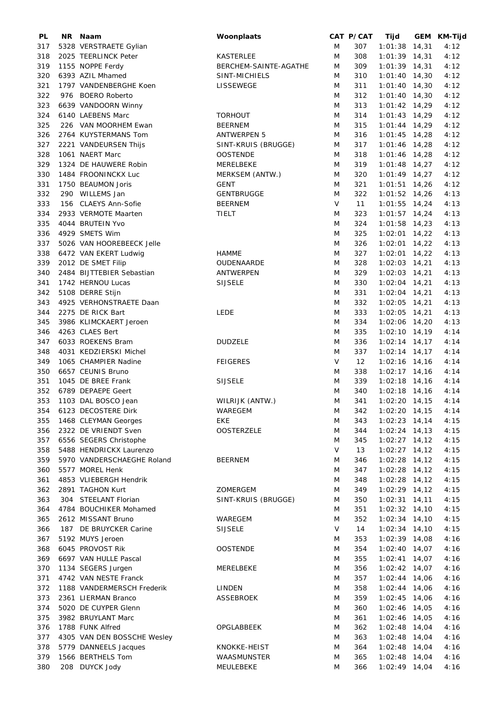| PL  | NR Naam                     | Woonplaats            |        | CAT P/CAT | Tijd            | GEM KM-Tijd |
|-----|-----------------------------|-----------------------|--------|-----------|-----------------|-------------|
| 317 | 5328 VERSTRAETE Gylian      |                       | M      | 307       | $1:01:38$ 14,31 | 4:12        |
| 318 | 2025 TEERLINCK Peter        | <b>KASTERLEE</b>      | M      | 308       | $1:01:39$ 14,31 | 4:12        |
| 319 | 1155 NOPPE Ferdy            | BERCHEM-SAINTE-AGATHE | M      | 309       | $1:01:39$ 14,31 | 4:12        |
| 320 | 6393 AZIL Mhamed            | SINT-MICHIELS         | M      | 310       | $1:01:40$ 14,30 | 4:12        |
| 321 | 1797 VANDENBERGHE Koen      | LISSEWEGE             | M      | 311       | $1:01:40$ 14,30 | 4:12        |
| 322 | 976 BOERO Roberto           |                       | M      | 312       | $1:01:40$ 14,30 | 4:12        |
|     |                             |                       |        |           |                 |             |
| 323 | 6639 VANDOORN Winny         |                       | M      | 313       | $1:01:42$ 14,29 | 4:12        |
| 324 | 6140 LAEBENS Marc           | <b>TORHOUT</b>        | M      | 314       | $1:01:43$ 14,29 | 4:12        |
| 325 | 226 VAN MOORHEM Ewan        | <b>BEERNEM</b>        | M      | 315       | $1:01:44$ 14,29 | 4:12        |
| 326 | 2764 KUYSTERMANS Tom        | <b>ANTWERPEN 5</b>    | M      | 316       | $1:01:45$ 14,28 | 4:12        |
| 327 | 2221 VANDEURSEN Thijs       | SINT-KRUIS (BRUGGE)   | M      | 317       | $1:01:46$ 14,28 | 4:12        |
| 328 | 1061 NAERT Marc             | <b>OOSTENDE</b>       | M      | 318       | $1:01:46$ 14,28 | 4:12        |
| 329 | 1324 DE HAUWERE Robin       | MERELBEKE             | M      | 319       | $1:01:48$ 14,27 | 4:12        |
| 330 | 1484 FROONINCKX Luc         | MERKSEM (ANTW.)       | M      | 320       | $1:01:49$ 14,27 | 4:12        |
| 331 | 1750 BEAUMON Joris          | <b>GENT</b>           | M      | 321       | $1:01:51$ 14,26 | 4:12        |
| 332 | 290 WILLEMS Jan             | <b>GENTBRUGGE</b>     | M      | 322       | $1:01:52$ 14,26 | 4:13        |
| 333 | 156 CLAEYS Ann-Sofie        | <b>BEERNEM</b>        | V      | 11        | $1:01:55$ 14,24 | 4:13        |
| 334 | 2933 VERMOTE Maarten        | <b>TIELT</b>          | M      | 323       | $1:01:57$ 14,24 | 4:13        |
| 335 | 4044 BRUTEIN Yvo            |                       | M      | 324       | $1:01:58$ 14,23 | 4:13        |
|     | 4929 SMETS Wim              |                       | M      |           |                 |             |
| 336 |                             |                       |        | 325       | $1:02:01$ 14,22 | 4:13        |
| 337 | 5026 VAN HOOREBEECK Jelle   |                       | M      | 326       | $1:02:01$ 14,22 | 4:13        |
| 338 | 6472 VAN EKERT Ludwig       | <b>HAMME</b>          | M      | 327       | $1:02:01$ 14,22 | 4:13        |
| 339 | 2012 DE SMET Filip          | <b>OUDENAARDE</b>     | M      | 328       | $1:02:03$ 14,21 | 4:13        |
| 340 | 2484 BIJTTEBIER Sebastian   | ANTWERPEN             | M      | 329       | $1:02:03$ 14,21 | 4:13        |
| 341 | 1742 HERNOU Lucas           | <b>SIJSELE</b>        | M      | 330       | $1:02:04$ 14,21 | 4:13        |
| 342 | 5108 DERRE Stijn            |                       | M      | 331       | $1:02:04$ 14,21 | 4:13        |
| 343 | 4925 VERHONSTRAETE Daan     |                       | M      | 332       | $1:02:05$ 14,21 | 4:13        |
| 344 | 2275 DE RICK Bart           | <b>LEDE</b>           | M      | 333       | $1:02:05$ 14,21 | 4:13        |
| 345 | 3986 KLIMCKAERT Jeroen      |                       | M      | 334       | 1:02:06 14,20   | 4:13        |
| 346 | 4263 CLAES Bert             |                       | M      | 335       | $1:02:10$ 14,19 | 4:14        |
| 347 | 6033 ROEKENS Bram           | <b>DUDZELE</b>        | M      | 336       | $1:02:14$ 14,17 | 4:14        |
| 348 | 4031 KEDZIERSKI Michel      |                       | M      | 337       |                 | 4:14        |
|     |                             |                       |        |           | $1:02:14$ 14,17 |             |
| 349 | 1065 CHAMPIER Nadine        | <b>FEIGERES</b>       | V      | 12        | $1:02:16$ 14,16 | 4:14        |
| 350 | 6657 CEUNIS Bruno           |                       | M      | 338       | $1:02:17$ 14,16 | 4:14        |
| 351 | 1045 DE BREE Frank          | <b>SIJSELE</b>        | M      | 339       | $1:02:18$ 14,16 | 4:14        |
| 352 | 6789 DEPAEPE Geert          |                       | M      | 340       | $1:02:18$ 14,16 | 4:14        |
| 353 | 1103 DAL BOSCO Jean         | WILRIJK (ANTW.)       | M      | 341       | $1:02:20$ 14,15 | 4:14        |
|     | 354 6123 DECOSTERE Dirk     | WAREGEM               | M      | 342       | 1:02:20 14,15   | 4:14        |
| 355 | 1468 CLEYMAN Georges        | EKE                   | Μ      | 343       | $1:02:23$ 14,14 | 4:15        |
| 356 | 2322 DE VRIENDT Sven        | <b>OOSTERZELE</b>     | M      | 344       | $1:02:24$ 14,13 | 4:15        |
| 357 | 6556 SEGERS Christophe      |                       | M      | 345       | $1:02:27$ 14,12 | 4:15        |
| 358 | 5488 HENDRICKX Laurenzo     |                       | V      | 13        | $1:02:27$ 14,12 | 4:15        |
| 359 | 5970 VANDERSCHAEGHE Roland  | <b>BEERNEM</b>        | Μ      | 346       | $1:02:28$ 14,12 | 4:15        |
| 360 | 5577 MOREL Henk             |                       | M      | 347       | $1:02:28$ 14,12 | 4:15        |
| 361 | 4853 VLIEBERGH Hendrik      |                       | M      | 348       | $1:02:28$ 14,12 | 4:15        |
| 362 | 2891 TAGHON Kurt            | ZOMERGEM              | M      | 349       | $1:02:29$ 14,12 | 4:15        |
| 363 | 304 STEELANT Florian        | SINT-KRUIS (BRUGGE)   | M      | 350       | $1:02:31$ 14,11 |             |
|     |                             |                       |        |           |                 | 4:15        |
| 364 | 4784 BOUCHIKER Mohamed      |                       | Μ      | 351       | $1:02:32$ 14,10 | 4:15        |
| 365 | 2612 MISSANT Bruno          | WAREGEM               | M      | 352       | $1:02:34$ 14,10 | 4:15        |
| 366 | 187 DE BRUYCKER Carine      | <b>SIJSELE</b>        | $\vee$ | 14        | $1:02:34$ 14,10 | 4:15        |
| 367 | 5192 MUYS Jeroen            |                       | Μ      | 353       | $1:02:39$ 14,08 | 4:16        |
| 368 | 6045 PROVOST Rik            | <b>OOSTENDE</b>       | M      | 354       | $1:02:40$ 14,07 | 4:16        |
| 369 | 6697 VAN HULLE Pascal       |                       | M      | 355       | $1:02:41$ 14,07 | 4:16        |
| 370 | 1134 SEGERS Jurgen          | MERELBEKE             | M      | 356       | $1:02:42$ 14,07 | 4:16        |
| 371 | 4742 VAN NESTE Franck       |                       | Μ      | 357       | $1:02:44$ 14,06 | 4:16        |
| 372 | 1188 VANDERMERSCH Frederik  | LINDEN                | M      | 358       | $1:02:44$ 14,06 | 4:16        |
| 373 | 2361 LIERMAN Branco         | <b>ASSEBROEK</b>      | M      | 359       | $1:02:45$ 14,06 | 4:16        |
| 374 | 5020 DE CUYPER Glenn        |                       | M      | 360       | 1:02:46 14,05   | 4:16        |
| 375 | 3982 BRUYLANT Marc          |                       | M      | 361       | $1:02:46$ 14,05 | 4:16        |
| 376 | 1788 FUNK Alfred            | OPGLABBEEK            | M      | 362       | $1:02:48$ 14,04 | 4:16        |
|     |                             |                       |        |           |                 |             |
| 377 | 4305 VAN DEN BOSSCHE Wesley |                       | Μ      | 363       | $1:02:48$ 14,04 | 4:16        |
| 378 | 5779 DANNEELS Jacques       | KNOKKE-HEIST          | M      | 364       | $1:02:48$ 14,04 | 4:16        |
| 379 | 1566 BERTHELS Tom           | WAASMUNSTER           | M      | 365       | $1:02:48$ 14,04 | 4:16        |
| 380 | 208 DUYCK Jody              | MEULEBEKE             | M      | 366       | $1:02:49$ 14,04 | 4:16        |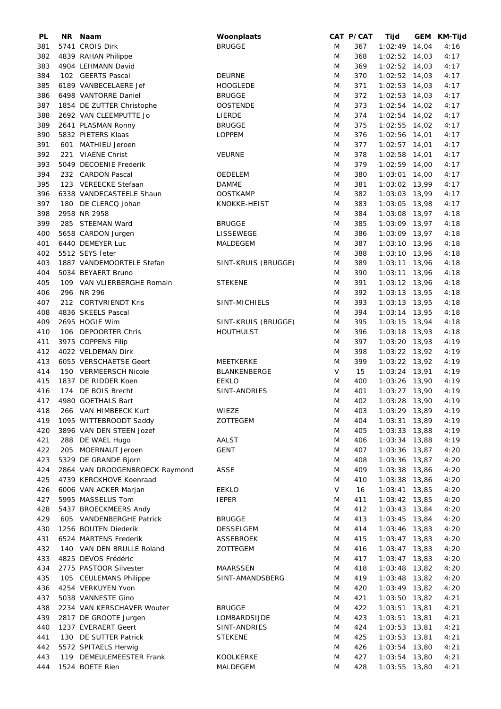| PL  | NR. | Naam                           | Woonplaats          |   | CAT P/CAT | Tijd            |       | GEM KM-Tijd |
|-----|-----|--------------------------------|---------------------|---|-----------|-----------------|-------|-------------|
| 381 |     | 5741 CROIS Dirk                | <b>BRUGGE</b>       | M | 367       | $1:02:49$ 14,04 |       | 4:16        |
| 382 |     | 4839 RAHAN Philippe            |                     | M | 368       | $1:02:52$ 14,03 |       | 4:17        |
| 383 |     | 4904 LEHMANN David             |                     | M | 369       | $1:02:52$ 14,03 |       | 4:17        |
| 384 |     | 102 GEERTS Pascal              | <b>DEURNE</b>       | M | 370       | $1:02:52$ 14,03 |       | 4:17        |
| 385 |     | 6189 VANBECELAERE Jef          | <b>HOOGLEDE</b>     | M | 371       | $1:02:53$ 14,03 |       | 4:17        |
| 386 |     | 6498 VANTORRE Daniel           | <b>BRUGGE</b>       | M | 372       | $1:02:53$ 14,03 |       | 4:17        |
| 387 |     | 1854 DE ZUTTER Christophe      | <b>OOSTENDE</b>     | M | 373       | $1:02:54$ 14,02 |       | 4:17        |
| 388 |     | 2692 VAN CLEEMPUTTE Jo         | LIERDE              | M | 374       | $1:02:54$ 14,02 |       | 4:17        |
| 389 |     | 2641 PLASMAN Ronny             | <b>BRUGGE</b>       | M | 375       | 1:02:55 14,02   |       | 4:17        |
| 390 |     | 5832 PIETERS Klaas             | <b>LOPPEM</b>       | M | 376       | $1:02:56$ 14,01 |       | 4:17        |
| 391 |     | 601 MATHIEU Jeroen             |                     | M | 377       | $1:02:57$ 14,01 |       | 4:17        |
| 392 |     | 221 VIAENE Christ              | <b>VEURNE</b>       | M | 378       | 1:02:58 14,01   |       | 4:17        |
| 393 |     | 5049 DECOENIE Frederik         |                     | M | 379       | $1:02:59$ 14,00 |       | 4:17        |
| 394 |     | 232 CARDON Pascal              | OEDELEM             | M | 380       | $1:03:01$ 14,00 |       | 4:17        |
| 395 |     | 123 VEREECKE Stefaan           | <b>DAMME</b>        | M | 381       | 1:03:02 13,99   |       | 4:17        |
| 396 |     | 6338 VANDECASTEELE Shaun       | <b>OOSTKAMP</b>     | M | 382       | 1:03:03 13,99   |       | 4:17        |
| 397 |     | 180 DE CLERCQ Johan            | KNOKKE-HEIST        | M | 383       | 1:03:05 13,98   |       | 4:17        |
| 398 |     | 2958 NR 2958                   |                     | M | 384       | 1:03:08 13,97   |       | 4:18        |
| 399 |     | 285 STEEMAN Ward               |                     |   |           |                 |       |             |
|     |     |                                | <b>BRUGGE</b>       | M | 385       | 1:03:09 13,97   |       | 4:18        |
| 400 |     | 5658 CARDON Jurgen             | LISSEWEGE           | M | 386       | 1:03:09 13,97   |       | 4:18        |
| 401 |     | 6440 DEMEYER Luc               | MALDEGEM            | M | 387       | 1:03:10 13,96   |       | 4:18        |
| 402 |     | 5512 SEYS leter                |                     | M | 388       | 1:03:10 13,96   |       | 4:18        |
| 403 |     | 1887 VANDEMOORTELE Stefan      | SINT-KRUIS (BRUGGE) | M | 389       | 1:03:11 13,96   |       | 4:18        |
| 404 |     | 5034 BEYAERT Bruno             |                     | M | 390       | 1:03:11 13,96   |       | 4:18        |
| 405 |     | 109 VAN VLIERBERGHE Romain     | <b>STEKENE</b>      | M | 391       | 1:03:12 13,96   |       | 4:18        |
| 406 |     | 296 NR 296                     |                     | M | 392       | $1:03:13$ 13,95 |       | 4:18        |
| 407 |     | 212 CORTVRIENDT Kris           | SINT-MICHIELS       | M | 393       | $1:03:13$ 13,95 |       | 4:18        |
| 408 |     | 4836 SKEELS Pascal             |                     | M | 394       | 1:03:14 13,95   |       | 4:18        |
| 409 |     | 2695 HOGIE Wim                 | SINT-KRUIS (BRUGGE) | M | 395       | $1:03:15$ 13,94 |       | 4:18        |
| 410 |     | 106 DEPOORTER Chris            | <b>HOUTHULST</b>    | M | 396       | $1:03:18$ 13,93 |       | 4:18        |
| 411 |     | 3975 COPPENS Filip             |                     | M | 397       | $1:03:20$ 13,93 |       | 4:19        |
| 412 |     | 4022 VELDEMAN Dirk             |                     | M | 398       | 1:03:22 13,92   |       | 4:19        |
| 413 |     | 6055 VERSCHAETSE Geert         | MEETKERKE           | M | 399       | 1:03:22 13,92   |       | 4:19        |
| 414 |     | 150 VERMEERSCH Nicole          | BLANKENBERGE        | V | 15        | $1:03:24$ 13,91 |       | 4:19        |
| 415 |     | 1837 DE RIDDER Koen            | <b>EEKLO</b>        | M | 400       | 1:03:26 13,90   |       | 4:19        |
| 416 |     | 174 DE BOIS Brecht             | SINT-ANDRIES        | M | 401       | $1:03:27$ 13,90 |       | 4:19        |
| 417 |     | 4980 GOETHALS Bart             |                     | M | 402       | 1:03:28 13,90   |       | 4:19        |
| 418 |     | 266 VAN HIMBEECK Kurt          | WIEZE               | M | 403       | 1:03:29 13,89   |       | 4:19        |
| 419 |     | 1095 WITTEBROODT Saddy         | ZOTTEGEM            | Μ | 404       | $1:03:31$ 13,89 |       | 4:19        |
| 420 |     | 3896 VAN DEN STEEN Jozef       |                     | M | 405       | $1:03:33$ 13,88 |       | 4:19        |
| 421 |     | 288 DE WAEL Hugo               | AALST               | M | 406       | $1:03:34$ 13,88 |       | 4:19        |
| 422 |     | 205 MOERNAUT Jeroen            | <b>GENT</b>         | M | 407       | $1:03:36$ 13,87 |       | 4:20        |
| 423 |     | 5329 DE GRANDE Bjorn           |                     | M | 408       | $1:03:36$ 13,87 |       | 4:20        |
| 424 |     | 2864 VAN DROOGENBROECK Raymond | ASSE                | M | 409       | 1:03:38 13,86   |       | 4:20        |
| 425 |     | 4739 KERCKHOVE Koenraad        |                     | M | 410       | 1:03:38 13,86   |       | 4:20        |
| 426 |     | 6006 VAN ACKER Marjan          | <b>EEKLO</b>        | V | 16        | $1:03:41$ 13,85 |       | 4:20        |
| 427 |     | 5995 MASSELUS Tom              | <b>IEPER</b>        | M | 411       | $1:03:42$ 13,85 |       | 4:20        |
| 428 |     | 5437 BROECKMEERS Andy          |                     | Μ | 412       | 1:03:43 13,84   |       | 4:20        |
| 429 |     | 605 VANDENBERGHE Patrick       | <b>BRUGGE</b>       | M | 413       | $1:03:45$ 13,84 |       | 4:20        |
| 430 |     | 1256 BOUTEN Diederik           | <b>DESSELGEM</b>    | M | 414       | 1:03:46 13,83   |       | 4:20        |
| 431 |     | 6524 MARTENS Frederik          | <b>ASSEBROEK</b>    | M | 415       | $1:03:47$ 13,83 |       | 4:20        |
| 432 |     | 140 VAN DEN BRULLE Roland      | ZOTTEGEM            | M | 416       | $1:03:47$ 13,83 |       | 4:20        |
| 433 |     | 4825 DEVOS Frédéric            |                     | M | 417       | $1:03:47$ 13,83 |       | 4:20        |
| 434 |     | 2775 PASTOOR Silvester         | <b>MAARSSEN</b>     | M | 418       | $1:03:48$ 13,82 |       | 4:20        |
| 435 |     | 105 CEULEMANS Philippe         | SINT-AMANDSBERG     | M | 419       | $1:03:48$ 13,82 |       | 4:20        |
| 436 |     | 4254 VERKUYEN Yvon             |                     | M | 420       | $1:03:49$ 13,82 |       | 4:20        |
|     |     |                                |                     |   |           |                 |       |             |
| 437 |     | 5038 VANNESTE Gino             |                     | M | 421       | 1:03:50 13,82   |       | 4:21        |
| 438 |     | 2234 VAN KERSCHAVER Wouter     | <b>BRUGGE</b>       | M | 422       | $1:03:51$ 13,81 |       | 4:21        |
| 439 |     | 2817 DE GROOTE Jurgen          | LOMBARDSIJDE        | M | 423       | 1:03:51         | 13,81 | 4:21        |
| 440 |     | 1237 EVERAERT Geert            | SINT-ANDRIES        | M | 424       | $1:03:53$ 13,81 |       | 4:21        |
| 441 |     | 130 DE SUTTER Patrick          | <b>STEKENE</b>      | M | 425       | $1:03:53$ 13,81 |       | 4:21        |
| 442 |     | 5572 SPITAELS Herwig           |                     | M | 426       | 1:03:54 13,80   |       | 4:21        |
| 443 |     | 119 DEMEULEMEESTER Frank       | KOOLKERKE           | M | 427       | $1:03:54$ 13,80 |       | 4:21        |
| 444 |     | 1524 BOETE Rien                | MALDEGEM            | M | 428       | 1:03:55 13,80   |       | 4:21        |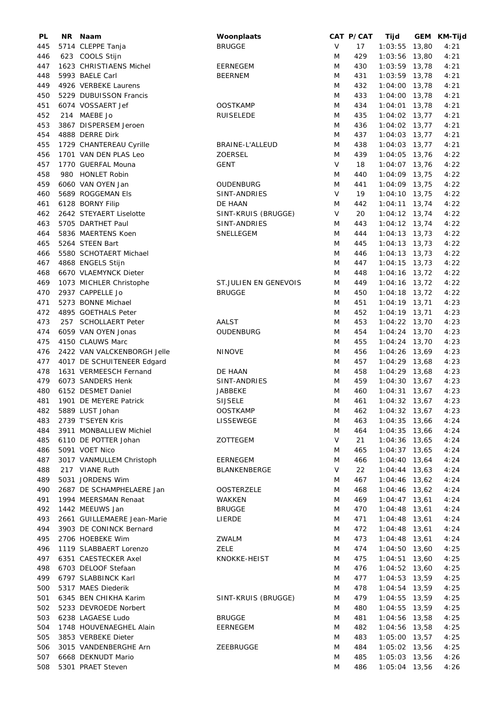| PL  | NR Naam                     | Woonplaats            |        | CAT P/CAT | Tijd            | GEM KM-Tijd |
|-----|-----------------------------|-----------------------|--------|-----------|-----------------|-------------|
| 445 | 5714 CLEPPE Tanja           | <b>BRUGGE</b>         | $\vee$ | 17        | $1:03:55$ 13,80 | 4:21        |
| 446 | 623 COOLS Stijn             |                       | M      | 429       | 1:03:56 13,80   | 4:21        |
| 447 | 1623 CHRISTIAENS Michel     | <b>EERNEGEM</b>       | M      | 430       | 1:03:59 13,78   | 4:21        |
| 448 | 5993 BAELE Carl             | <b>BEERNEM</b>        | M      | 431       | 1:03:59 13,78   | 4:21        |
| 449 | 4926 VERBEKE Laurens        |                       | M      | 432       | 1:04:00 13,78   | 4:21        |
| 450 | 5229 DUBUISSON Francis      |                       | M      | 433       | 1:04:00 13,78   | 4:21        |
| 451 | 6074 VOSSAERT Jef           | <b>OOSTKAMP</b>       | M      | 434       | $1:04:01$ 13,78 | 4:21        |
| 452 | 214 MAEBE Jo                | <b>RUISELEDE</b>      | M      | 435       | $1:04:02$ 13,77 | 4:21        |
| 453 | 3867 DISPERSEM Jeroen       |                       | M      | 436       | 1:04:02 13,77   | 4:21        |
| 454 | 4888 DERRE Dirk             |                       | M      | 437       | $1:04:03$ 13,77 | 4:21        |
| 455 | 1729 CHANTEREAU Cyrille     | BRAINE-L'ALLEUD       | M      | 438       | $1:04:03$ 13,77 | 4:21        |
| 456 | 1701 VAN DEN PLAS Leo       | <b>ZOERSEL</b>        | M      | 439       | 1:04:05 13,76   | 4:22        |
| 457 | 1770 GUERFAL Mouna          | <b>GENT</b>           | V      | 18        | 1:04:07 13,76   | 4:22        |
| 458 | 980 HONLET Robin            |                       | M      | 440       | 1:04:09 13,75   | 4:22        |
| 459 | 6060 VAN OYEN Jan           | <b>OUDENBURG</b>      | M      | 441       | 1:04:09 13,75   | 4:22        |
| 460 | 5689 ROGGEMAN Els           | SINT-ANDRIES          | $\vee$ | 19        | $1:04:10$ 13,75 | 4:22        |
| 461 | 6128 BORNY Filip            | DE HAAN               | M      | 442       | $1:04:11$ 13,74 | 4:22        |
| 462 | 2642 STEYAERT Liselotte     |                       | V      | 20        | $1:04:12$ 13,74 | 4:22        |
|     | 5705 DARTHET Paul           | SINT-KRUIS (BRUGGE)   | M      |           |                 | 4:22        |
| 463 |                             | SINT-ANDRIES          |        | 443       | $1:04:12$ 13,74 |             |
| 464 | 5836 MAERTENS Koen          | <b>SNELLEGEM</b>      | M      | 444       | $1:04:13$ 13,73 | 4:22        |
| 465 | 5264 STEEN Bart             |                       | M      | 445       | $1:04:13$ 13,73 | 4:22        |
| 466 | 5580 SCHOTAERT Michael      |                       | M      | 446       | $1:04:13$ 13,73 | 4:22        |
| 467 | 4868 ENGELS Stijn           |                       | M      | 447       | $1:04:15$ 13,73 | 4:22        |
| 468 | 6670 VLAEMYNCK Dieter       |                       | M      | 448       | $1:04:16$ 13,72 | 4:22        |
| 469 | 1073 MICHLER Christophe     | ST.JULIEN EN GENEVOIS | M      | 449       | $1:04:16$ 13,72 | 4:22        |
| 470 | 2937 CAPPELLE Jo            | <b>BRUGGE</b>         | Μ      | 450       | $1:04:18$ 13,72 | 4:22        |
| 471 | 5273 BONNE Michael          |                       | M      | 451       | $1:04:19$ 13,71 | 4:23        |
| 472 | 4895 GOETHALS Peter         |                       | M      | 452       | $1:04:19$ 13,71 | 4:23        |
| 473 | 257 SCHOLLAERT Peter        | <b>AALST</b>          | M      | 453       | 1:04:22 13,70   | 4:23        |
| 474 | 6059 VAN OYEN Jonas         | <b>OUDENBURG</b>      | M      | 454       | 1:04:24 13,70   | 4:23        |
| 475 | 4150 CLAUWS Marc            |                       | M      | 455       | $1:04:24$ 13,70 | 4:23        |
| 476 | 2422 VAN VALCKENBORGH Jelle | <b>NINOVE</b>         | M      | 456       | 1:04:26 13,69   | 4:23        |
| 477 | 4017 DE SCHUITENEER Edgard  |                       | M      | 457       | $1:04:29$ 13,68 | 4:23        |
| 478 | 1631 VERMEESCH Fernand      | DE HAAN               | M      | 458       | $1:04:29$ 13,68 | 4:23        |
| 479 | 6073 SANDERS Henk           | SINT-ANDRIES          | M      | 459       | $1:04:30$ 13,67 | 4:23        |
| 480 | 6152 DESMET Daniel          | JABBEKE               | M      | 460       | $1:04:31$ 13,67 | 4:23        |
| 481 | 1901 DE MEYERE Patrick      | <b>SIJSELE</b>        | M      | 461       | $1:04:32$ 13,67 | 4:23        |
| 482 | 5889 LUST Johan             | <b>OOSTKAMP</b>       | M      | 462       | $1:04:32$ 13,67 | 4:23        |
| 483 | 2739 T'SEYEN Kris           | LISSEWEGE             | M      | 463       | $1:04:35$ 13,66 | 4:24        |
| 484 | 3911 MONBALLIEW Michiel     |                       | M      | 464       | $1:04:35$ 13,66 | 4:24        |
| 485 | 6110 DE POTTER Johan        | ZOTTEGEM              | V      | 21        | $1:04:36$ 13,65 | 4:24        |
| 486 | 5091 VOET Nico              |                       | M      | 465       | $1:04:37$ 13,65 | 4:24        |
| 487 | 3017 VANMULLEM Christoph    | EERNEGEM              | M      | 466       | $1:04:40$ 13,64 | 4:24        |
| 488 | 217 VIANE Ruth              | BLANKENBERGE          | V      | 22        | $1:04:44$ 13,63 | 4:24        |
| 489 | 5031 JORDENS Wim            |                       | M      | 467       | $1:04:46$ 13,62 | 4:24        |
| 490 | 2687 DE SCHAMPHELAERE Jan   | <b>OOSTERZELE</b>     | M      | 468       | $1:04:46$ 13,62 | 4:24        |
| 491 | 1994 MEERSMAN Renaat        | WAKKEN                | M      | 469       | $1:04:47$ 13,61 | 4:24        |
| 492 | 1442 MEEUWS Jan             | <b>BRUGGE</b>         | M      | 470       | $1:04:48$ 13,61 | 4:24        |
| 493 | 2661 GUILLEMAERE Jean-Marie | LIERDE                | M      | 471       | $1:04:48$ 13,61 | 4:24        |
| 494 | 3903 DE CONINCK Bernard     |                       | M      | 472       | $1:04:48$ 13,61 | 4:24        |
| 495 | 2706 HOEBEKE Wim            | ZWALM                 | M      | 473       | $1:04:48$ 13,61 | 4:24        |
| 496 | 1119 SLABBAERT Lorenzo      | ZELE                  | M      | 474       | $1:04:50$ 13,60 | 4:25        |
| 497 | 6351 CAESTECKER Axel        | KNOKKE-HEIST          | M      | 475       | $1:04:51$ 13,60 | 4:25        |
| 498 | 6703 DELOOF Stefaan         |                       | M      | 476       | $1:04:52$ 13,60 | 4:25        |
| 499 | 6797 SLABBINCK Karl         |                       | M      | 477       | $1:04:53$ 13,59 | 4:25        |
|     | 5317 MAES Diederik          |                       |        | 478       | $1:04:54$ 13,59 |             |
| 500 | 6345 BEN CHIKHA Karim       |                       | M      | 479       |                 | 4:25        |
| 501 |                             | SINT-KRUIS (BRUGGE)   | M      |           | $1:04:55$ 13,59 | 4:25        |
| 502 | 5233 DEVROEDE Norbert       |                       | M      | 480       | $1:04:55$ 13,59 | 4:25        |
| 503 | 6238 LAGAESE Ludo           | <b>BRUGGE</b>         | M      | 481       | $1:04:56$ 13,58 | 4:25        |
| 504 | 1748 HOUVENAEGHEL Alain     | EERNEGEM              | M      | 482       | $1:04:56$ 13,58 | 4:25        |
| 505 | 3853 VERBEKE Dieter         |                       | M      | 483       | $1:05:00$ 13,57 | 4:25        |
| 506 | 3015 VANDENBERGHE Arn       | ZEEBRUGGE             | M      | 484       | 1:05:02 13,56   | 4:25        |
| 507 | 6668 DEKNUDT Mario          |                       | M      | 485       | $1:05:03$ 13,56 | 4:26        |
| 508 | 5301 PRAET Steven           |                       | M      | 486       | $1:05:04$ 13,56 | 4:26        |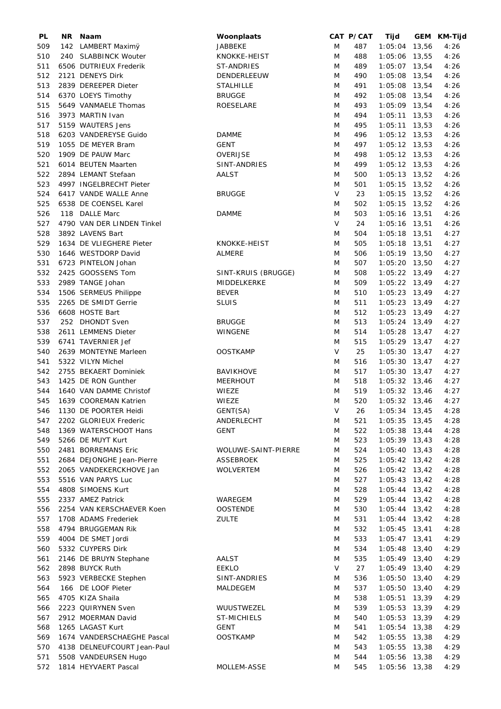| PL  | NR Naam                     | Woonplaats          |   | CAT P/CAT | Tijd            | GEM KM-Tijd |
|-----|-----------------------------|---------------------|---|-----------|-----------------|-------------|
| 509 | 142 LAMBERT Maximÿ          | JABBEKE             | M | 487       | 1:05:04 13,56   | 4:26        |
| 510 | 240 SLABBINCK Wouter        | KNOKKE-HEIST        | M | 488       | 1:05:06 13,55   | 4:26        |
| 511 | 6506 DUTRIEUX Frederik      | ST-ANDRIES          | M | 489       | 1:05:07 13,54   | 4:26        |
| 512 | 2121 DENEYS Dirk            | DENDERLEEUW         | M | 490       | 1:05:08 13,54   | 4:26        |
| 513 | 2839 DEREEPER Dieter        | <b>STALHILLE</b>    | M | 491       | 1:05:08 13,54   | 4:26        |
| 514 | 6370 LOEYS Timothy          | <b>BRUGGE</b>       | M | 492       | $1:05:08$ 13,54 | 4:26        |
|     |                             |                     |   |           |                 |             |
| 515 | 5649 VANMAELE Thomas        | ROESELARE           | M | 493       | 1:05:09 13,54   | 4:26        |
| 516 | 3973 MARTIN Ivan            |                     | M | 494       | $1:05:11$ 13,53 | 4:26        |
| 517 | 5159 WAUTERS Jens           |                     | M | 495       | $1:05:11$ 13,53 | 4:26        |
| 518 | 6203 VANDEREYSE Guido       | <b>DAMME</b>        | M | 496       | $1:05:12$ 13,53 | 4:26        |
| 519 | 1055 DE MEYER Bram          | <b>GENT</b>         | M | 497       | $1:05:12$ 13,53 | 4:26        |
| 520 | 1909 DE PAUW Marc           | OVERIJSE            | M | 498       | $1:05:12$ 13,53 | 4:26        |
| 521 | 6014 BEUTEN Maarten         | SINT-ANDRIES        | M | 499       | $1:05:12$ 13,53 | 4:26        |
| 522 | 2894 LEMANT Stefaan         | <b>AALST</b>        | M | 500       | $1:05:13$ 13,52 | 4:26        |
| 523 | 4997 INGELBRECHT Pieter     |                     | M | 501       | $1:05:15$ 13,52 | 4:26        |
| 524 | 6417 VANDE WALLE Anne       | <b>BRUGGE</b>       | V | 23        | $1:05:15$ 13,52 | 4:26        |
| 525 | 6538 DE COENSEL Karel       |                     | M | 502       | $1:05:15$ 13,52 | 4:26        |
| 526 | 118 DALLE Marc              | <b>DAMME</b>        | M | 503       | $1:05:16$ 13,51 | 4:26        |
|     |                             |                     |   |           |                 |             |
| 527 | 4790 VAN DER LINDEN Tinkel  |                     | V | 24        | $1:05:16$ 13,51 | 4:26        |
| 528 | 3892 LAVENS Bart            |                     | M | 504       | $1:05:18$ 13,51 | 4:27        |
| 529 | 1634 DE VLIEGHERE Pieter    | KNOKKE-HEIST        | M | 505       | $1:05:18$ 13,51 | 4:27        |
| 530 | 1646 WESTDORP David         | ALMERE              | M | 506       | 1:05:19 13,50   | 4:27        |
| 531 | 6723 PINTELON Johan         |                     | M | 507       | $1:05:20$ 13,50 | 4:27        |
| 532 | 2425 GOOSSENS Tom           | SINT-KRUIS (BRUGGE) | M | 508       | $1:05:22$ 13,49 | 4:27        |
| 533 | 2989 TANGE Johan            | MIDDELKERKE         | M | 509       | $1:05:22$ 13,49 | 4:27        |
| 534 | 1506 SERMEUS Philippe       | <b>BEVER</b>        | M | 510       | $1:05:23$ 13,49 | 4:27        |
| 535 | 2265 DE SMIDT Gerrie        | <b>SLUIS</b>        | M | 511       | $1:05:23$ 13,49 | 4:27        |
| 536 | 6608 HOSTE Bart             |                     | M | 512       | $1:05:23$ 13,49 | 4:27        |
| 537 | 252 DHONDT Sven             | <b>BRUGGE</b>       | M | 513       | $1:05:24$ 13,49 | 4:27        |
|     |                             |                     |   |           |                 |             |
| 538 | 2611 LEMMENS Dieter         | WINGENE             | M | 514       | $1:05:28$ 13,47 | 4:27        |
| 539 | 6741 TAVERNIER Jef          |                     | M | 515       | $1:05:29$ 13,47 | 4:27        |
| 540 | 2639 MONTEYNE Marleen       | <b>OOSTKAMP</b>     | V | 25        | $1:05:30$ 13,47 | 4:27        |
| 541 | 5322 VILYN Michel           |                     | M | 516       | $1:05:30$ 13,47 | 4:27        |
| 542 | 2755 BEKAERT Dominiek       | <b>BAVIKHOVE</b>    | M | 517       | $1:05:30$ 13,47 | 4:27        |
| 543 | 1425 DE RON Gunther         | <b>MEERHOUT</b>     | M | 518       | 1:05:32 13,46   | 4:27        |
| 544 | 1640 VAN DAMME Christof     | WIEZE               | M | 519       | $1:05:32$ 13,46 | 4:27        |
| 545 | 1639 COOREMAN Katrien       | WIEZE               | M | 520       | $1:05:32$ 13,46 | 4:27        |
|     | 546 1130 DE POORTER Heidi   | GENT(SA)            | V | 26        | 1:05:34 13,45   | 4:28        |
| 547 | 2202 GLORIEUX Frederic      | ANDERLECHT          | M | 521       | $1:05:35$ 13,45 | 4:28        |
| 548 | 1369 WATERSCHOOT Hans       | <b>GENT</b>         | M | 522       | $1:05:38$ 13,44 | 4:28        |
| 549 | 5266 DE MUYT Kurt           |                     | M | 523       | $1:05:39$ 13,43 | 4:28        |
| 550 | 2481 BORREMANS Eric         | WOLUWE-SAINT-PIERRE | M | 524       | $1:05:40$ 13,43 | 4:28        |
|     | 2684 DEJONGHE Jean-Pierre   |                     |   |           |                 |             |
| 551 |                             | ASSEBROEK           | M | 525       | $1:05:42$ 13,42 | 4:28        |
| 552 | 2065 VANDEKERCKHOVE Jan     | <b>WOLVERTEM</b>    | M | 526       | $1:05:42$ 13,42 | 4:28        |
| 553 | 5516 VAN PARYS Luc          |                     | M | 527       | $1:05:43$ 13,42 | 4:28        |
| 554 | 4808 SIMOENS Kurt           |                     | M | 528       | $1:05:44$ 13,42 | 4:28        |
| 555 | 2337 AMEZ Patrick           | WAREGEM             | M | 529       | $1:05:44$ 13,42 | 4:28        |
| 556 | 2254 VAN KERSCHAEVER Koen   | <b>OOSTENDE</b>     | M | 530       | $1:05:44$ 13,42 | 4:28        |
| 557 | 1708 ADAMS Frederiek        | ZULTE               | M | 531       | $1:05:44$ 13,42 | 4:28        |
| 558 | 4794 BRUGGEMAN Rik          |                     | M | 532       | $1:05:45$ 13,41 | 4:28        |
| 559 | 4004 DE SMET Jordi          |                     | M | 533       | $1:05:47$ 13,41 | 4:29        |
| 560 | 5332 CUYPERS Dirk           |                     | M | 534       | $1:05:48$ 13,40 | 4:29        |
| 561 | 2146 DE BRUYN Stephane      | AALST               | M | 535       | $1:05:49$ 13,40 | 4:29        |
| 562 | 2898 BUYCK Ruth             | <b>EEKLO</b>        | V | 27        | $1:05:49$ 13,40 | 4:29        |
| 563 | 5923 VERBECKE Stephen       |                     |   | 536       | $1:05:50$ 13,40 |             |
|     |                             | SINT-ANDRIES        | M |           |                 | 4:29        |
| 564 | 166 DE LOOF Pieter          | MALDEGEM            | M | 537       | $1:05:50$ 13,40 | 4:29        |
| 565 | 4705 KIZA Shaila            |                     | M | 538       | $1:05:51$ 13,39 | 4:29        |
| 566 | 2223 QUIRYNEN Sven          | WUUSTWEZEL          | M | 539       | $1:05:53$ 13,39 | 4:29        |
| 567 | 2912 MOERMAN David          | <b>ST-MICHIELS</b>  | M | 540       | $1:05:53$ 13,39 | 4:29        |
| 568 | 1265 LAGAST Kurt            | <b>GENT</b>         | Μ | 541       | $1:05:54$ 13,38 | 4:29        |
| 569 | 1674 VANDERSCHAEGHE Pascal  | <b>OOSTKAMP</b>     | M | 542       | 1:05:55 13,38   | 4:29        |
| 570 | 4138 DELNEUFCOURT Jean-Paul |                     | M | 543       | 1:05:55 13,38   | 4:29        |
| 571 | 5508 VANDEURSEN Hugo        |                     | M | 544       | $1:05:56$ 13,38 | 4:29        |
| 572 | 1814 HEYVAERT Pascal        | MOLLEM-ASSE         | M | 545       | $1:05:56$ 13,38 | 4:29        |
|     |                             |                     |   |           |                 |             |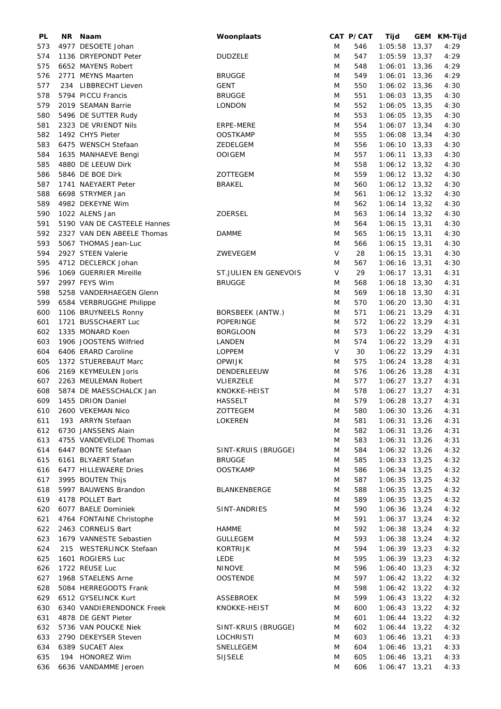| PL  | NR. | Naam                        | Woonplaats                   |   | CAT P/CAT | Tijd            | GEM KM-Tijd  |
|-----|-----|-----------------------------|------------------------------|---|-----------|-----------------|--------------|
| 573 |     | 4977 DESOETE Johan          |                              | M | 546       | $1:05:58$ 13,37 | 4:29         |
| 574 |     | 1136 DRYEPONDT Peter        | <b>DUDZELE</b>               | M | 547       | $1:05:59$ 13,37 | 4:29         |
| 575 |     | 6652 MAYENS Robert          |                              | M | 548       | $1:06:01$ 13,36 | 4:29         |
| 576 |     | 2771 MEYNS Maarten          | <b>BRUGGE</b>                | M | 549       | $1:06:01$ 13,36 | 4:29         |
| 577 |     | 234 LIBBRECHT Lieven        | <b>GENT</b>                  | M | 550       | 1:06:02 13,36   | 4:30         |
| 578 |     | 5794 PICCU Francis          | <b>BRUGGE</b>                | M | 551       | $1:06:03$ 13,35 | 4:30         |
| 579 |     | 2019 SEAMAN Barrie          | LONDON                       | M | 552       | $1:06:05$ 13,35 | 4:30         |
| 580 |     | 5496 DE SUTTER Rudy         |                              | M | 553       | 1:06:05 13,35   | 4:30         |
| 581 |     | 2323 DE VRIENDT Nils        | ERPE-MERE                    | M | 554       | $1:06:07$ 13,34 | 4:30         |
| 582 |     | 1492 CHYS Pieter            | <b>OOSTKAMP</b>              | M | 555       | 1:06:08 13,34   | 4:30         |
| 583 |     | 6475 WENSCH Stefaan         | ZEDELGEM                     | M | 556       | 1:06:10 13,33   | 4:30         |
| 584 |     | 1635 MANHAEVE Bengi         | <b>OOIGEM</b>                | M | 557       | $1:06:11$ 13,33 | 4:30         |
| 585 |     | 4880 DE LEEUW Dirk          |                              | M | 558       | $1:06:12$ 13,32 | 4:30         |
| 586 |     | 5846 DE BOE Dirk            | ZOTTEGEM                     | M | 559       | $1:06:12$ 13,32 | 4:30         |
| 587 |     | 1741 NAEYAERT Peter         | <b>BRAKEL</b>                | M | 560       | $1:06:12$ 13,32 | 4:30         |
| 588 |     | 6698 STRYMER Jan            |                              | M | 561       | $1:06:12$ 13,32 |              |
| 589 |     | 4982 DEKEYNE Wim            |                              | M | 562       | $1:06:14$ 13,32 | 4:30<br>4:30 |
|     |     | 1022 ALENS Jan              |                              |   |           |                 |              |
| 590 |     |                             | <b>ZOERSEL</b>               | M | 563       | 1:06:14 13,32   | 4:30         |
| 591 |     | 5190 VAN DE CASTEELE Hannes |                              | M | 564       | $1:06:15$ 13,31 | 4:30         |
| 592 |     | 2327 VAN DEN ABEELE Thomas  | <b>DAMME</b>                 | M | 565       | $1:06:15$ 13,31 | 4:30         |
| 593 |     | 5067 THOMAS Jean-Luc        |                              | M | 566       | $1:06:15$ 13,31 | 4:30         |
| 594 |     | 2927 STEEN Valerie          | ZWEVEGEM                     | V | 28        | $1:06:15$ 13,31 | 4:30         |
| 595 |     | 4712 DECLERCK Johan         |                              | M | 567       | 1:06:16 13,31   | 4:30         |
| 596 |     | 1069 GUERRIER Mireille      | <b>ST.JULIEN EN GENEVOIS</b> | V | 29        | $1:06:17$ 13,31 | 4:31         |
| 597 |     | 2997 FEYS Wim               | <b>BRUGGE</b>                | M | 568       | $1:06:18$ 13,30 | 4:31         |
| 598 |     | 5258 VANDERHAEGEN Glenn     |                              | M | 569       | $1:06:18$ 13,30 | 4:31         |
| 599 |     | 6584 VERBRUGGHE Philippe    |                              | M | 570       | $1:06:20$ 13,30 | 4:31         |
| 600 |     | 1106 BRUYNEELS Ronny        | BORSBEEK (ANTW.)             | M | 571       | 1:06:21 13,29   | 4:31         |
| 601 |     | 1721 BUSSCHAERT Luc         | POPERINGE                    | M | 572       | 1:06:22 13,29   | 4:31         |
| 602 |     | 1335 MONARD Koen            | <b>BORGLOON</b>              | M | 573       | 1:06:22 13,29   | 4:31         |
| 603 |     | 1906 JOOSTENS Wilfried      | LANDEN                       | M | 574       | $1:06:22$ 13,29 | 4:31         |
| 604 |     | 6406 ERARD Caroline         | <b>LOPPEM</b>                | V | 30        | 1:06:22 13,29   | 4:31         |
| 605 |     | 1372 STUEREBAUT Marc        | <b>OPWIJK</b>                | M | 575       | 1:06:24 13,28   | 4:31         |
| 606 |     | 2169 KEYMEULEN Joris        | DENDERLEEUW                  | M | 576       | 1:06:26 13,28   | 4:31         |
| 607 |     | 2263 MEULEMAN Robert        | VLIERZELE                    | M | 577       | $1:06:27$ 13,27 | 4:31         |
| 608 |     | 5874 DE MAESSCHALCK Jan     | KNOKKE-HEIST                 | M | 578       | 1:06:27 13,27   | 4:31         |
| 609 |     | 1455 DRION Daniel           | <b>HASSELT</b>               | M | 579       | $1:06:28$ 13,27 | 4:31         |
| 610 |     | 2600 VEKEMAN Nico           | ZOTTEGEM                     | M | 580       | $1:06:30$ 13,26 | 4:31         |
| 611 |     | 193 ARRYN Stefaan           | LOKEREN                      | M | 581       | $1:06:31$ 13,26 | 4:31         |
| 612 |     | 6730 JANSSENS Alain         |                              | M | 582       | $1:06:31$ 13,26 | 4:31         |
| 613 |     | 4755 VANDEVELDE Thomas      |                              | M | 583       | $1:06:31$ 13,26 | 4:31         |
| 614 |     | 6447 BONTE Stefaan          | SINT-KRUIS (BRUGGE)          | M | 584       | $1:06:32$ 13,26 | 4:32         |
| 615 |     | 6161 BLYAERT Stefan         | <b>BRUGGE</b>                | M | 585       | $1:06:33$ 13,25 | 4:32         |
| 616 |     | 6477 HILLEWAERE Dries       | <b>OOSTKAMP</b>              | M | 586       | $1:06:34$ 13,25 | 4:32         |
| 617 |     | 3995 BOUTEN Thijs           |                              | M | 587       | $1:06:35$ 13,25 | 4:32         |
| 618 |     | 5997 BAUWENS Brandon        | BLANKENBERGE                 | M | 588       | $1:06:35$ 13,25 | 4:32         |
| 619 |     | 4178 POLLET Bart            |                              | M | 589       | $1:06:35$ 13,25 | 4:32         |
| 620 |     | 6077 BAELE Dominiek         | SINT-ANDRIES                 | M | 590       | $1:06:36$ 13,24 | 4:32         |
| 621 |     | 4764 FONTAINE Christophe    |                              | M | 591       | $1:06:37$ 13,24 | 4:32         |
| 622 |     | 2463 CORNELIS Bart          | <b>HAMME</b>                 | M | 592       | 1:06:38 13,24   | 4:32         |
| 623 |     | 1679 VANNESTE Sebastien     | <b>GULLEGEM</b>              | M | 593       | 1:06:38 13,24   | 4:32         |
| 624 |     | 215 WESTERLINCK Stefaan     | KORTRIJK                     | M | 594       | $1:06:39$ 13,23 | 4:32         |
| 625 |     | 1601 ROGIERS Luc            | LEDE                         | M | 595       | $1:06:39$ 13,23 | 4:32         |
|     |     | 1722 REUSE Luc              | <b>NINOVE</b>                |   | 596       | $1:06:40$ 13,23 |              |
| 626 |     |                             |                              | M |           |                 | 4:32         |
| 627 |     | 1968 STAELENS Arne          | <b>OOSTENDE</b>              | M | 597       | $1:06:42$ 13,22 | 4:32         |
| 628 |     | 5084 HERREGODTS Frank       |                              | M | 598       | $1:06:42$ 13,22 | 4:32         |
| 629 |     | 6512 GYSELINCK Kurt         | <b>ASSEBROEK</b>             | M | 599       | $1:06:43$ 13,22 | 4:32         |
| 630 |     | 6340 VANDIERENDONCK Freek   | KNOKKE-HEIST                 | M | 600       | $1:06:43$ 13,22 | 4:32         |
| 631 |     | 4878 DE GENT Pieter         |                              | M | 601       | $1:06:44$ 13,22 | 4:32         |
| 632 |     | 5736 VAN POUCKE Niek        | SINT-KRUIS (BRUGGE)          | M | 602       | $1:06:44$ 13,22 | 4:32         |
| 633 |     | 2790 DEKEYSER Steven        | <b>LOCHRISTI</b>             | M | 603       | $1:06:46$ 13,21 | 4:33         |
| 634 |     | 6389 SUCAET Alex            | SNELLEGEM                    | M | 604       | $1:06:46$ 13,21 | 4:33         |
| 635 |     | 194 HONOREZ Wim             | <b>SIJSELE</b>               | M | 605       | $1:06:46$ 13,21 | 4:33         |
| 636 |     | 6636 VANDAMME Jeroen        |                              | M | 606       | $1:06:47$ 13,21 | 4:33         |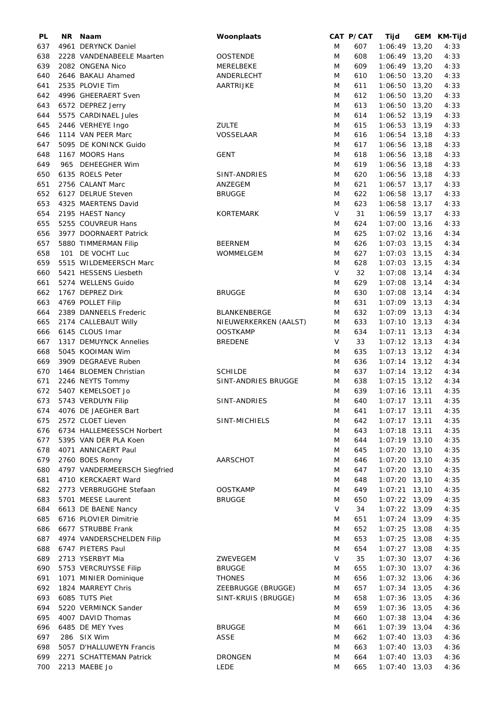| PL  | ΝR | Naam                         | Woonplaats            |        | CAT P/CAT | Tijd            |       | GEM KM-Tijd |
|-----|----|------------------------------|-----------------------|--------|-----------|-----------------|-------|-------------|
| 637 |    | 4961 DERYNCK Daniel          |                       | M      | 607       | $1:06:49$ 13,20 |       | 4:33        |
| 638 |    | 2228 VANDENABEELE Maarten    | <b>OOSTENDE</b>       | M      | 608       | $1:06:49$ 13,20 |       | 4:33        |
| 639 |    | 2082 ONGENA Nico             | MERELBEKE             | M      | 609       | $1:06:49$ 13,20 |       | 4:33        |
| 640 |    | 2646 BAKALI Ahamed           | ANDERLECHT            | M      | 610       | $1:06:50$ 13,20 |       | 4:33        |
| 641 |    | 2535 PLOVIE Tim              | AARTRIJKE             | M      | 611       | $1:06:50$ 13,20 |       | 4:33        |
| 642 |    | 4996 GHEERAERT Sven          |                       | M      | 612       | 1:06:50 13,20   |       | 4:33        |
|     |    |                              |                       |        |           |                 |       |             |
| 643 |    | 6572 DEPREZ Jerry            |                       | M      | 613       | $1:06:50$ 13,20 |       | 4:33        |
| 644 |    | 5575 CARDINAEL Jules         |                       | M      | 614       | 1:06:52 13,19   |       | 4:33        |
| 645 |    | 2446 VERHEYE Ingo            | <b>ZULTE</b>          | M      | 615       | 1:06:53 13,19   |       | 4:33        |
| 646 |    | 1114 VAN PEER Marc           | VOSSELAAR             | M      | 616       | $1:06:54$ 13,18 |       | 4:33        |
| 647 |    | 5095 DE KONINCK Guido        |                       | M      | 617       | 1:06:56 13,18   |       | 4:33        |
| 648 |    | 1167 MOORS Hans              | <b>GENT</b>           | M      | 618       | 1:06:56 13,18   |       | 4:33        |
| 649 |    | 965 DEHEEGHER Wim            |                       | M      | 619       | 1:06:56 13,18   |       | 4:33        |
| 650 |    | 6135 ROELS Peter             | SINT-ANDRIES          | M      | 620       | 1:06:56 13,18   |       | 4:33        |
| 651 |    | 2756 CALANT Marc             | ANZEGEM               | M      | 621       | $1:06:57$ 13,17 |       | 4:33        |
| 652 |    | 6127 DELRUE Steven           | <b>BRUGGE</b>         | M      | 622       | $1:06:58$ 13,17 |       | 4:33        |
| 653 |    | 4325 MAERTENS David          |                       | M      | 623       | $1:06:58$ 13,17 |       | 4:33        |
|     |    |                              |                       | V      |           |                 |       |             |
| 654 |    | 2195 HAEST Nancy             | <b>KORTEMARK</b>      |        | 31        | $1:06:59$ 13,17 |       | 4:33        |
| 655 |    | 5255 COUVREUR Hans           |                       | M      | 624       | $1:07:00$ 13,16 |       | 4:33        |
| 656 |    | 3977 DOORNAERT Patrick       |                       | M      | 625       | $1:07:02$ 13,16 |       | 4:34        |
| 657 |    | 5880 TIMMERMAN Filip         | <b>BEERNEM</b>        | M      | 626       | $1:07:03$ 13,15 |       | 4:34        |
| 658 |    | 101 DE VOCHT Luc             | WOMMELGEM             | M      | 627       | $1:07:03$ 13,15 |       | 4:34        |
| 659 |    | 5515 WILDEMEERSCH Marc       |                       | M      | 628       | $1:07:03$ 13,15 |       | 4:34        |
| 660 |    | 5421 HESSENS Liesbeth        |                       | V      | 32        | $1:07:08$ 13,14 |       | 4:34        |
| 661 |    | 5274 WELLENS Guido           |                       | M      | 629       | $1:07:08$ 13,14 |       | 4:34        |
| 662 |    | 1767 DEPREZ Dirk             | <b>BRUGGE</b>         | M      | 630       | $1:07:08$ 13,14 |       | 4:34        |
| 663 |    | 4769 POLLET Filip            |                       | M      | 631       | $1:07:09$ 13,13 |       | 4:34        |
| 664 |    | 2389 DANNEELS Frederic       | BLANKENBERGE          | M      | 632       | $1:07:09$ 13,13 |       | 4:34        |
|     |    |                              |                       |        |           |                 |       |             |
| 665 |    | 2174 CALLEBAUT Willy         | NIEUWERKERKEN (AALST) | M      | 633       | $1:07:10$ 13,13 |       | 4:34        |
| 666 |    | 6145 CLOUS Imar              | <b>OOSTKAMP</b>       | M      | 634       | $1:07:11$ 13,13 |       | 4:34        |
| 667 |    | 1317 DEMUYNCK Annelies       | <b>BREDENE</b>        | $\vee$ | 33        | $1:07:12$ 13,13 |       | 4:34        |
| 668 |    | 5045 KOOIMAN Wim             |                       | M      | 635       | $1:07:13$ 13,12 |       | 4:34        |
| 669 |    | 3909 DEGRAEVE Ruben          |                       | M      | 636       | $1:07:14$ 13,12 |       | 4:34        |
| 670 |    | 1464 BLOEMEN Christian       | <b>SCHILDE</b>        | M      | 637       | $1:07:14$ 13,12 |       | 4:34        |
| 671 |    | 2246 NEYTS Tommy             | SINT-ANDRIES BRUGGE   | M      | 638       | $1:07:15$ 13,12 |       | 4:34        |
| 672 |    | 5407 KEMELSOET Jo            |                       | M      | 639       | $1:07:16$ 13,11 |       | 4:35        |
| 673 |    | 5743 VERDUYN Filip           | SINT-ANDRIES          | M      | 640       | $1:07:17$ 13,11 |       | 4:35        |
| 674 |    | 4076 DE JAEGHER Bart         |                       | M      | 641       | $1:07:17$ 13,11 |       | 4:35        |
| 675 |    | 2572 CLOET Lieven            | SINT-MICHIELS         | M      | 642       | $1:07:17$ 13,11 |       | 4:35        |
|     |    | 6734 HALLEMEESSCH Norbert    |                       |        |           |                 |       |             |
| 676 |    |                              |                       | M      | 643       | $1:07:18$ 13,11 |       | 4:35        |
| 677 |    | 5395 VAN DER PLA Koen        |                       | M      | 644       | $1:07:19$ 13,10 |       | 4:35        |
| 678 |    | 4071 ANNICAERT Paul          |                       | M      | 645       | $1:07:20$ 13,10 |       | 4:35        |
| 679 |    | 2760 BOES Ronny              | AARSCHOT              | M      | 646       | $1:07:20$ 13,10 |       | 4:35        |
| 680 |    | 4797 VANDERMEERSCH Siegfried |                       | M      | 647       | $1:07:20$ 13,10 |       | 4:35        |
| 681 |    | 4710 KERCKAERT Ward          |                       | M      | 648       | $1:07:20$ 13,10 |       | 4:35        |
| 682 |    | 2773 VERBRUGGHE Stefaan      | <b>OOSTKAMP</b>       | M      | 649       | 1:07:21         | 13,10 | 4:35        |
| 683 |    | 5701 MEESE Laurent           | <b>BRUGGE</b>         | M      | 650       | $1:07:22$ 13,09 |       | 4:35        |
| 684 |    | 6613 DE BAENE Nancy          |                       | V      | 34        | 1:07:22 13,09   |       | 4:35        |
| 685 |    | 6716 PLOVIER Dimitrie        |                       | M      | 651       | 1:07:24         | 13,09 | 4:35        |
| 686 |    | 6677 STRUBBE Frank           |                       | M      | 652       | $1:07:25$ 13,08 |       | 4:35        |
|     |    |                              |                       |        |           |                 |       |             |
| 687 |    | 4974 VANDERSCHELDEN Filip    |                       | M      | 653       | $1:07:25$ 13,08 |       | 4:35        |
| 688 |    | 6747 PIETERS Paul            |                       | M      | 654       | $1:07:27$ 13,08 |       | 4:35        |
| 689 |    | 2713 YSERBYT Mia             | ZWEVEGEM              | V      | 35        | 1:07:30 13,07   |       | 4:36        |
| 690 |    | 5753 VERCRUYSSE Filip        | <b>BRUGGE</b>         | M      | 655       | $1:07:30$ 13,07 |       | 4:36        |
| 691 |    | 1071 MINIER Dominique        | <b>THONES</b>         | M      | 656       | $1:07:32$ 13,06 |       | 4:36        |
| 692 |    | 1824 MARREYT Chris           | ZEEBRUGGE (BRUGGE)    | M      | 657       | $1:07:34$ 13,05 |       | 4:36        |
| 693 |    | 6085 TUTS Piet               | SINT-KRUIS (BRUGGE)   | M      | 658       | $1:07:36$ 13,05 |       | 4:36        |
| 694 |    | 5220 VERMINCK Sander         |                       | M      | 659       | 1:07:36 13,05   |       | 4:36        |
| 695 |    | 4007 DAVID Thomas            |                       | M      | 660       | $1:07:38$ 13,04 |       | 4:36        |
| 696 |    | 6485 DE MEY Yves             | <b>BRUGGE</b>         | M      | 661       | $1:07:39$ 13,04 |       | 4:36        |
| 697 |    | 286 SIX Wim                  | <b>ASSE</b>           | M      | 662       | $1:07:40$ 13,03 |       | 4:36        |
| 698 |    | 5057 D'HALLUWEYN Francis     |                       |        | 663       |                 |       |             |
|     |    |                              |                       | M      |           | $1:07:40$ 13,03 |       | 4:36        |
| 699 |    | 2271 SCHATTEMAN Patrick      | <b>DRONGEN</b>        | M      | 664       | $1:07:40$ 13,03 |       | 4:36        |
| 700 |    | 2213 MAEBE Jo                | <b>LEDE</b>           | M      | 665       | 1:07:40 13,03   |       | 4:36        |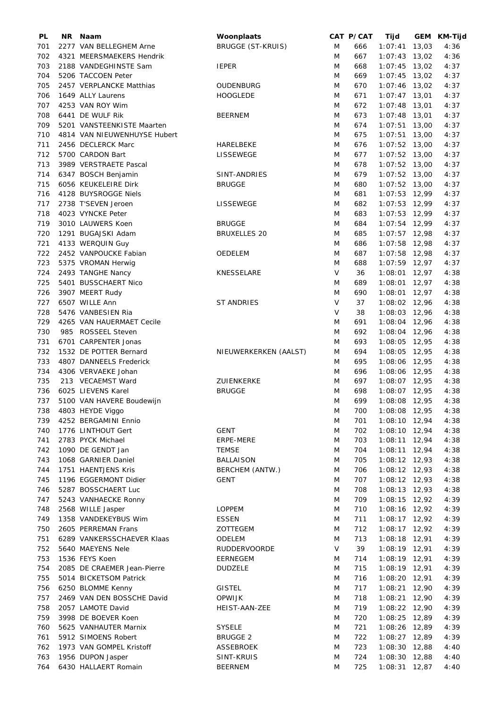| PL  | NR Naam                      | Woonplaats               |   | CAT P/CAT | Tijd                               |       | GEM KM-Tijd |
|-----|------------------------------|--------------------------|---|-----------|------------------------------------|-------|-------------|
| 701 | 2277 VAN BELLEGHEM Arne      | <b>BRUGGE (ST-KRUIS)</b> | M | 666       | 1:07:41                            | 13,03 | 4:36        |
| 702 | 4321 MEERSMAEKERS Hendrik    |                          | M | 667       | $1:07:43$ 13,02                    |       | 4:36        |
| 703 | 2188 VANDEGHINSTE Sam        | <b>IEPER</b>             | M | 668       | $1:07:45$ 13,02                    |       | 4:37        |
| 704 | 5206 TACCOEN Peter           |                          | M | 669       | $1:07:45$ 13,02                    |       | 4:37        |
| 705 | 2457 VERPLANCKE Matthias     | <b>OUDENBURG</b>         | M | 670       | $1:07:46$ 13,02                    |       | 4:37        |
| 706 | 1649 ALLY Laurens            | <b>HOOGLEDE</b>          | M | 671       | $1:07:47$ 13,01                    |       | 4:37        |
| 707 | 4253 VAN ROY Wim             |                          | M | 672       | $1:07:48$ 13,01                    |       | 4:37        |
| 708 | 6441 DE WULF Rik             | <b>BEERNEM</b>           | M | 673       | $1:07:48$ 13,01                    |       | 4:37        |
| 709 | 5201 VANSTEENKISTE Maarten   |                          | M | 674       | $1:07:51$ 13,00                    |       | 4:37        |
| 710 | 4814 VAN NIEUWENHUYSE Hubert |                          | M | 675       | $1:07:51$ 13,00                    |       | 4:37        |
| 711 | 2456 DECLERCK Marc           | HARELBEKE                | M | 676       | $1:07:52$ 13,00                    |       | 4:37        |
| 712 | 5700 CARDON Bart             | LISSEWEGE                | M | 677       | $1:07:52$ 13,00                    |       | 4:37        |
| 713 | 3989 VERSTRAETE Pascal       |                          | M | 678       | $1:07:52$ 13,00                    |       | 4:37        |
| 714 |                              | SINT-ANDRIES             | M | 679       | $1:07:52$ 13,00                    |       | 4:37        |
|     | 6347 BOSCH Benjamin          |                          |   |           |                                    |       |             |
| 715 | 6056 KEUKELEIRE Dirk         | <b>BRUGGE</b>            | M | 680       | $1:07:52$ 13,00                    |       | 4:37        |
| 716 | 4128 BUYSROGGE Niels         |                          | M | 681       | $1:07:53$ 12,99                    |       | 4:37        |
| 717 | 2738 T'SEVEN Jeroen          | LISSEWEGE                | M | 682       | $1:07:53$ 12,99                    |       | 4:37        |
| 718 | 4023 VYNCKE Peter            |                          | M | 683       | $1:07:53$ 12,99                    |       | 4:37        |
| 719 | 3010 LAUWERS Koen            | <b>BRUGGE</b>            | M | 684       | $1:07:54$ 12,99                    |       | 4:37        |
| 720 | 1291 BUGAJSKI Adam           | <b>BRUXELLES 20</b>      | M | 685       | $1:07:57$ 12,98                    |       | 4:37        |
| 721 | 4133 WERQUIN Guy             |                          | M | 686       | 1:07:58 12,98                      |       | 4:37        |
| 722 | 2452 VANPOUCKE Fabian        | OEDELEM                  | M | 687       | 1:07:58 12,98                      |       | 4:37        |
| 723 | 5375 VROMAN Herwig           |                          | M | 688       | $1:07:59$ 12,97                    |       | 4:37        |
| 724 | 2493 TANGHE Nancy            | KNESSELARE               | V | 36        | 1:08:01 12,97                      |       | 4:38        |
| 725 | 5401 BUSSCHAERT Nico         |                          | M | 689       | $1:08:01$ 12,97                    |       | 4:38        |
| 726 | 3907 MEERT Rudy              |                          | M | 690       | $1:08:01$ 12,97                    |       | 4:38        |
| 727 | 6507 WILLE Ann               | <b>ST ANDRIES</b>        | V | 37        | 1:08:02 12,96                      |       | 4:38        |
| 728 | 5476 VANBESIEN Ria           |                          | V | 38        | 1:08:03 12,96                      |       | 4:38        |
| 729 | 4265 VAN HAUERMAET Cecile    |                          | M | 691       | 1:08:04 12,96                      |       | 4:38        |
| 730 | 985 ROSSEEL Steven           |                          | M | 692       | 1:08:04 12,96                      |       | 4:38        |
| 731 | 6701 CARPENTER Jonas         |                          | M | 693       | 1:08:05 12,95                      |       | 4:38        |
| 732 | 1532 DE POTTER Bernard       | NIEUWERKERKEN (AALST)    | M | 694       | 1:08:05 12,95                      |       | 4:38        |
| 733 | 4807 DANNEELS Frederick      |                          | M | 695       | 1:08:06 12,95                      |       | 4:38        |
| 734 | 4306 VERVAEKE Johan          |                          | M | 696       | 1:08:06 12,95                      |       | 4:38        |
| 735 | 213 VECAEMST Ward            | ZUIENKERKE               | M | 697       | 1:08:07 12,95                      |       | 4:38        |
| 736 | 6025 LIEVENS Karel           | <b>BRUGGE</b>            | M | 698       | 1:08:07 12,95                      |       | 4:38        |
| 737 | 5100 VAN HAVERE Boudewijn    |                          | M | 699       | 1:08:08 12,95                      |       | 4:38        |
| 738 | 4803 HEYDE Viggo             |                          | M | 700       | 1:08:08 12,95                      |       | 4:38        |
|     | 4252 BERGAMINI Ennio         |                          |   |           |                                    |       |             |
| 739 |                              |                          | M | 701       | $1:08:10$ 12,94<br>$1:08:10$ 12,94 |       | 4:38        |
| 740 | 1776 LINTHOUT Gert           | <b>GENT</b>              | M | 702       |                                    |       | 4:38        |
| 741 | 2783 PYCK Michael            | ERPE-MERE                | M | 703       | $1:08:11$ 12,94                    |       | 4:38        |
| 742 | 1090 DE GENDT Jan            | <b>TEMSE</b>             | M | 704       | $1:08:11$ 12,94                    |       | 4:38        |
| 743 | 1068 GARNIER Daniel          | BALLAISON                | M | 705       | $1:08:12$ 12,93                    |       | 4:38        |
| 744 | 1751 HAENTJENS Kris          | BERCHEM (ANTW.)          | M | 706       | $1:08:12$ 12,93                    |       | 4:38        |
| 745 | 1196 EGGERMONT Didier        | <b>GENT</b>              | M | 707       | $1:08:12$ 12,93                    |       | 4:38        |
| 746 | 5287 BOSSCHAERT Luc          |                          | M | 708       | $1:08:13$ 12,93                    |       | 4:38        |
| 747 | 5243 VANHAECKE Ronny         |                          | M | 709       | $1:08:15$ 12,92                    |       | 4:39        |
| 748 | 2568 WILLE Jasper            | <b>LOPPEM</b>            | M | 710       | $1:08:16$ 12,92                    |       | 4:39        |
| 749 | 1358 VANDEKEYBUS Wim         | <b>ESSEN</b>             | M | 711       | $1:08:17$ 12,92                    |       | 4:39        |
| 750 | 2605 PERREMAN Frans          | ZOTTEGEM                 | M | 712       | $1:08:17$ 12,92                    |       | 4:39        |
| 751 | 6289 VANKERSSCHAEVER Klaas   | ODELEM                   | M | 713       | 1:08:18 12,91                      |       | 4:39        |
| 752 | 5640 MAEYENS Nele            | <b>RUDDERVOORDE</b>      | V | 39        | 1:08:19 12,91                      |       | 4:39        |
| 753 | 1536 FEYS Koen               | EERNEGEM                 | M | 714       | 1:08:19 12,91                      |       | 4:39        |
| 754 | 2085 DE CRAEMER Jean-Pierre  | <b>DUDZELE</b>           | M | 715       | 1:08:19 12,91                      |       | 4:39        |
| 755 | 5014 BICKETSOM Patrick       |                          | M | 716       | 1:08:20 12,91                      |       | 4:39        |
| 756 | 6250 BLOMME Kenny            | <b>GISTEL</b>            | M | 717       | 1:08:21 12,90                      |       | 4:39        |
| 757 | 2469 VAN DEN BOSSCHE David   | <b>OPWIJK</b>            | M | 718       | 1:08:21 12,90                      |       | 4:39        |
| 758 | 2057 LAMOTE David            | HEIST-AAN-ZEE            | M | 719       | $1:08:22$ 12,90                    |       | 4:39        |
| 759 | 3998 DE BOEVER Koen          |                          | M | 720       | 1:08:25 12,89                      |       | 4:39        |
| 760 | 5625 VANHAUTER Marnix        | <b>SYSELE</b>            | M | 721       | 1:08:26 12,89                      |       | 4:39        |
| 761 | 5912 SIMOENS Robert          | <b>BRUGGE 2</b>          | M | 722       | 1:08:27 12,89                      |       | 4:39        |
| 762 | 1973 VAN GOMPEL Kristoff     | ASSEBROEK                | M | 723       | 1:08:30 12,88                      |       | 4:40        |
| 763 | 1956 DUPON Jasper            | SINT-KRUIS               | M | 724       | $1:08:30$ 12,88                    |       | 4:40        |
| 764 | 6430 HALLAERT Romain         | <b>BEERNEM</b>           | M | 725       | $1:08:31$ 12,87                    |       | 4:40        |
|     |                              |                          |   |           |                                    |       |             |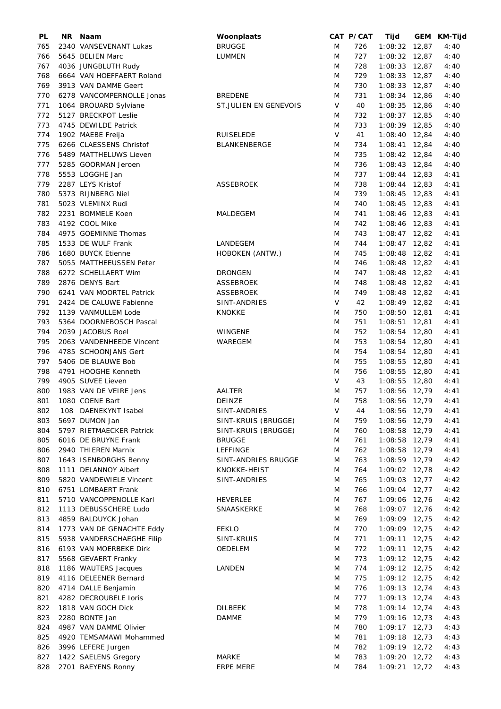| PL  | NR Naam                                  | Woonplaats            |     | CAT P/CAT | Tijd                               | GEM KM-Tijd |
|-----|------------------------------------------|-----------------------|-----|-----------|------------------------------------|-------------|
| 765 | 2340 VANSEVENANT Lukas                   | <b>BRUGGE</b>         | M   | 726       | $1:08:32$ 12,87                    | 4:40        |
| 766 | 5645 BELIEN Marc                         | LUMMEN                | M   | 727       | $1:08:32$ 12,87                    | 4:40        |
| 767 | 4036 JUNGBLUTH Rudy                      |                       | M   | 728       | $1:08:33$ 12,87                    | 4:40        |
| 768 | 6664 VAN HOEFFAERT Roland                |                       | M   | 729       | $1:08:33$ 12,87                    | 4:40        |
| 769 | 3913 VAN DAMME Geert                     |                       | M   | 730       | $1:08:33$ 12,87                    | 4:40        |
| 770 | 6278 VANCOMPERNOLLE Jonas                | <b>BREDENE</b>        | M   | 731       | $1:08:34$ 12,86                    | 4:40        |
| 771 | 1064 BROUARD Sylviane                    | ST.JULIEN EN GENEVOIS | V   | 40        | $1:08:35$ 12,86                    | 4:40        |
| 772 | 5127 BRECKPOT Leslie                     |                       | M   | 732       | $1:08:37$ 12,85                    | 4:40        |
| 773 | 4745 DEWILDE Patrick                     |                       | M   | 733       | 1:08:39 12,85                      | 4:40        |
| 774 | 1902 MAEBE Freija                        | <b>RUISELEDE</b>      | V   | 41        | $1:08:40$ 12,84                    | 4:40        |
| 775 | 6266 CLAESSENS Christof                  | BLANKENBERGE          | M   | 734       | $1:08:41$ 12,84                    | 4:40        |
| 776 | 5489 MATTHELUWS Lieven                   |                       | M   | 735       | $1:08:42$ 12,84                    | 4:40        |
| 777 | 5285 GOORMAN Jeroen                      |                       | M   | 736       | $1:08:43$ 12,84                    | 4:40        |
| 778 | 5553 LOGGHE Jan                          |                       | M   | 737       | $1:08:44$ 12,83                    | 4:41        |
| 779 | 2287 LEYS Kristof                        | ASSEBROEK             | M   | 738       | $1:08:44$ 12,83                    | 4:41        |
| 780 | 5373 RIJNBERG Niel                       |                       | M   | 739       | $1:08:45$ 12,83                    | 4:41        |
| 781 | 5023 VLEMINX Rudi                        |                       | M   | 740       | $1:08:45$ 12,83                    | 4:41        |
|     |                                          | MALDEGEM              |     |           |                                    |             |
| 782 | 2231 BOMMELE Koen                        |                       | M   | 741       | $1:08:46$ 12,83<br>$1:08:46$ 12,83 | 4:41        |
| 783 | 4192 COOL Mike                           |                       | M   | 742       |                                    | 4:41        |
| 784 | 4975 GOEMINNE Thomas                     |                       | M   | 743       | $1:08:47$ 12,82                    | 4:41        |
| 785 | 1533 DE WULF Frank                       | LANDEGEM              | M   | 744       | $1:08:47$ 12,82                    | 4:41        |
| 786 | 1680 BUYCK Etienne                       | HOBOKEN (ANTW.)       | M   | 745       | $1:08:48$ 12,82                    | 4:41        |
| 787 | 5055 MATTHEEUSSEN Peter                  |                       | M   | 746       | $1:08:48$ 12,82                    | 4:41        |
| 788 | 6272 SCHELLAERT Wim                      | <b>DRONGEN</b>        | M   | 747       | $1:08:48$ 12,82                    | 4:41        |
| 789 | 2876 DENYS Bart                          | ASSEBROEK             | M   | 748       | $1:08:48$ 12,82                    | 4:41        |
| 790 | 6241 VAN MOORTEL Patrick                 | <b>ASSEBROEK</b>      | M   | 749       | $1:08:48$ 12,82                    | 4:41        |
| 791 | 2424 DE CALUWE Fabienne                  | SINT-ANDRIES          | V   | 42        | $1:08:49$ 12,82                    | 4:41        |
| 792 | 1139 VANMULLEM Lode                      | KNOKKE                | M   | 750       | $1:08:50$ 12,81                    | 4:41        |
| 793 | 5364 DOORNEBOSCH Pascal                  |                       | M   | 751       | $1:08:51$ 12,81                    | 4:41        |
| 794 | 2039 JACOBUS Roel                        | WINGENE               | M   | 752       | 1:08:54 12,80                      | 4:41        |
| 795 | 2063 VANDENHEEDE Vincent                 | WAREGEM               | M   | 753       | 1:08:54 12,80                      | 4:41        |
| 796 | 4785 SCHOONJANS Gert                     |                       | M   | 754       | 1:08:54 12,80                      | 4:41        |
| 797 | 5406 DE BLAUWE Bob                       |                       | M   | 755       | 1:08:55 12,80                      | 4:41        |
| 798 | 4791 HOOGHE Kenneth                      |                       | M   | 756       | $1:08:55$ 12,80                    | 4:41        |
| 799 | 4905 SUVEE Lieven                        |                       | V   | 43        | $1:08:55$ 12,80                    | 4:41        |
| 800 | 1983 VAN DE VEIRE Jens                   | AALTER                | M   | 757       | 1:08:56 12,79                      | 4:41        |
| 801 | 1080 COENE Bart                          | DEINZE                | M   | 758       | 1:08:56 12,79                      | 4:41        |
| 802 | 108 DAENEKYNT Isabel                     | SINT-ANDRIES          | V – | 44        | 1:08:56 12,79                      | 4:41        |
| 803 | 5697 DUMON Jan                           | SINT-KRUIS (BRUGGE)   | M   | 759       | 1:08:56 12,79                      | 4:41        |
| 804 | 5797 RIETMAECKER Patrick                 | SINT-KRUIS (BRUGGE)   | M   | 760       | 1:08:58 12,79                      | 4:41        |
| 805 | 6016 DE BRUYNE Frank                     | <b>BRUGGE</b>         | M   | 761       | 1:08:58 12,79                      | 4:41        |
| 806 | 2940 THIEREN Marnix                      | <b>LEFFINGE</b>       | M   | 762       | $1:08:58$ 12,79                    | 4:41        |
| 807 | 1643 ISENBORGHS Benny                    | SINT-ANDRIES BRUGGE   | M   | 763       | $1:08:59$ 12,79                    | 4:42        |
| 808 | 1111 DELANNOY Albert                     | KNOKKE-HEIST          | M   | 764       | $1:09:02$ 12,78                    | 4:42        |
| 809 | 5820 VANDEWIELE Vincent                  | SINT-ANDRIES          | M   | 765       | $1:09:03$ 12,77                    | 4:42        |
| 810 | 6751 LOMBAERT Frank                      |                       | M   | 766       | $1:09:04$ 12,77                    | 4:42        |
| 811 | 5710 VANCOPPENOLLE Karl                  | <b>HEVERLEE</b>       | M   | 767       | 1:09:06 12,76                      | 4:42        |
| 812 | 1113 DEBUSSCHERE Ludo                    | SNAASKERKE            | M   | 768       | 1:09:07 12,76                      | 4:42        |
| 813 | 4859 BALDUYCK Johan                      |                       | M   | 769       | 1:09:09 12,75                      | 4:42        |
| 814 | 1773 VAN DE GENACHTE Eddy                | <b>EEKLO</b>          | M   | 770       | 1:09:09 12,75                      | 4:42        |
| 815 | 5938 VANDERSCHAEGHE Filip                | SINT-KRUIS            | M   | 771       | $1:09:11$ $12,75$                  | 4:42        |
| 816 | 6193 VAN MOERBEKE Dirk                   | OEDELEM               | M   | 772       | $1:09:11$ $12,75$                  | 4:42        |
| 817 | 5568 GEVAERT Franky                      |                       | M   | 773       | $1:09:12$ 12,75                    | 4:42        |
| 818 | 1186 WAUTERS Jacques                     | LANDEN                | M   | 774       | $1:09:12$ 12,75                    | 4:42        |
| 819 | 4116 DELEENER Bernard                    |                       | M   | 775       | $1:09:12$ 12,75                    | 4:42        |
| 820 | 4714 DALLE Benjamin                      |                       | M   | 776       | $1:09:13$ 12,74                    | 4:43        |
|     | 4282 DECROUBELE loris                    |                       | M   | 777       | $1:09:13$ 12,74                    |             |
| 821 |                                          |                       |     |           |                                    | 4:43        |
| 822 | 1818 VAN GOCH Dick                       | <b>DILBEEK</b>        | M   | 778       | $1:09:14$ 12,74                    | 4:43        |
| 823 | 2280 BONTE Jan<br>4987 VAN DAMME Olivier | <b>DAMME</b>          | M   | 779       | $1:09:16$ 12,73                    | 4:43        |
| 824 |                                          |                       | M   | 780       | $1:09:17$ 12,73                    | 4:43        |
| 825 | 4920 TEMSAMAWI Mohammed                  |                       | M   | 781       | 1:09:18 12,73                      | 4:43        |
| 826 | 3996 LEFERE Jurgen                       |                       | M   | 782       | 1:09:19 12,72                      | 4:43        |
| 827 | 1422 SAELENS Gregory                     | MARKE                 | M   | 783       | 1:09:20 12,72                      | 4:43        |
| 828 | 2701 BAEYENS Ronny                       | <b>ERPE MERE</b>      | M   | 784       | 1:09:21 12,72                      | 4:43        |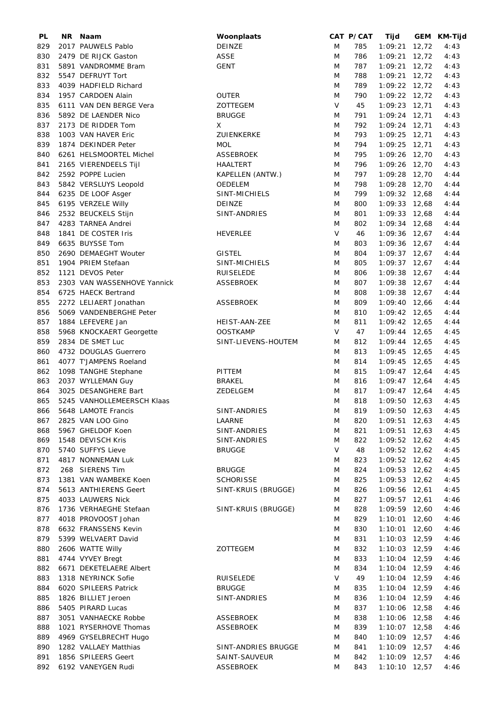| PL  | NR. | Naam                        | Woonplaats          |   | CAT P/CAT | Tijd              | GEM KM-Tijd |
|-----|-----|-----------------------------|---------------------|---|-----------|-------------------|-------------|
| 829 |     | 2017 PAUWELS Pablo          | DEINZE              | M | 785       | $1:09:21$ 12,72   | 4:43        |
| 830 |     | 2479 DE RIJCK Gaston        | <b>ASSE</b>         | M | 786       | $1:09:21$ 12,72   | 4:43        |
| 831 |     | 5891 VANDROMME Bram         | <b>GENT</b>         | M | 787       | $1:09:21$ 12,72   | 4:43        |
| 832 |     | 5547 DEFRUYT Tort           |                     | M | 788       | 1:09:21 12,72     | 4:43        |
|     |     |                             |                     |   |           |                   |             |
| 833 |     | 4039 HADFIELD Richard       |                     | M | 789       | 1:09:22 12,72     | 4:43        |
| 834 |     | 1957 CARDOEN Alain          | <b>OUTER</b>        | M | 790       | 1:09:22 12,72     | 4:43        |
| 835 |     | 6111 VAN DEN BERGE Vera     | ZOTTEGEM            | V | 45        | 1:09:23 12,71     | 4:43        |
| 836 |     | 5892 DE LAENDER Nico        | <b>BRUGGE</b>       | M | 791       | 1:09:24 12,71     | 4:43        |
| 837 |     | 2173 DE RIDDER Tom          | Χ                   | M | 792       | 1:09:24 12,71     | 4:43        |
| 838 |     | 1003 VAN HAVER Eric         | ZUIENKERKE          | M | 793       | $1:09:25$ 12,71   | 4:43        |
| 839 |     | 1874 DEKINDER Peter         | <b>MOL</b>          | M | 794       | $1:09:25$ 12,71   | 4:43        |
| 840 |     | 6261 HELSMOORTEL Michel     | ASSEBROEK           | M | 795       | 1:09:26 12,70     | 4:43        |
| 841 |     | 2165 VIERENDEELS Tijl       | HAALTERT            | M | 796       | 1:09:26 12,70     | 4:43        |
| 842 |     | 2592 POPPE Lucien           | KAPELLEN (ANTW.)    | M | 797       | 1:09:28 12,70     | 4:44        |
|     |     |                             |                     |   |           |                   |             |
| 843 |     | 5842 VERSLUYS Leopold       | <b>OEDELEM</b>      | M | 798       | 1:09:28 12,70     | 4:44        |
| 844 |     | 6235 DE LOOF Asger          | SINT-MICHIELS       | M | 799       | $1:09:32$ 12,68   | 4:44        |
| 845 |     | 6195 VERZELE Willy          | DEINZE              | M | 800       | $1:09:33$ 12,68   | 4:44        |
| 846 |     | 2532 BEUCKELS Stijn         | SINT-ANDRIES        | M | 801       | $1:09:33$ 12,68   | 4:44        |
| 847 |     | 4283 TARNEA Andrei          |                     | M | 802       | $1:09:34$ 12,68   | 4:44        |
| 848 |     | 1841 DE COSTER Iris         | <b>HEVERLEE</b>     | V | 46        | $1:09:36$ 12,67   | 4:44        |
| 849 |     | 6635 BUYSSE Tom             |                     | M | 803       | $1:09:36$ 12,67   | 4:44        |
| 850 |     | 2690 DEMAEGHT Wouter        | <b>GISTEL</b>       | M | 804       | $1:09:37$ 12,67   | 4:44        |
| 851 |     | 1904 PRIEM Stefaan          | SINT-MICHIELS       | M | 805       | $1:09:37$ 12,67   | 4:44        |
|     |     |                             |                     |   |           |                   |             |
| 852 |     | 1121 DEVOS Peter            | <b>RUISELEDE</b>    | M | 806       | $1:09:38$ 12,67   | 4:44        |
| 853 |     | 2303 VAN WASSENHOVE Yannick | ASSEBROEK           | M | 807       | $1:09:38$ 12,67   | 4:44        |
| 854 |     | 6725 HAECK Bertrand         |                     | M | 808       | $1:09:38$ 12,67   | 4:44        |
| 855 |     | 2272 LELIAERT Jonathan      | ASSEBROEK           | M | 809       | 1:09:40 12,66     | 4:44        |
| 856 |     | 5069 VANDENBERGHE Peter     |                     | M | 810       | 1:09:42 12,65     | 4:44        |
| 857 |     | 1884 LEFEVERE Jan           | HEIST-AAN-ZEE       | M | 811       | $1:09:42$ 12,65   | 4:44        |
| 858 |     | 5968 KNOCKAERT Georgette    | <b>OOSTKAMP</b>     | V | 47        | $1:09:44$ 12,65   | 4:45        |
| 859 |     | 2834 DE SMET Luc            | SINT-LIEVENS-HOUTEM | M | 812       | $1:09:44$ 12,65   | 4:45        |
|     |     |                             |                     |   |           |                   |             |
| 860 |     | 4732 DOUGLAS Guerrero       |                     | M | 813       | $1:09:45$ 12,65   | 4:45        |
| 861 |     | 4077 T'JAMPENS Roeland      |                     | M | 814       | $1:09:45$ 12,65   | 4:45        |
| 862 |     | 1098 TANGHE Stephane        | PITTEM              | M | 815       | $1:09:47$ 12,64   | 4:45        |
| 863 |     | 2037 WYLLEMAN Guy           | <b>BRAKEL</b>       | M | 816       | $1:09:47$ 12,64   | 4:45        |
| 864 |     | 3025 DESANGHERE Bart        | ZEDELGEM            | M | 817       | $1:09:47$ 12,64   | 4:45        |
| 865 |     | 5245 VANHOLLEMEERSCH Klaas  |                     | M | 818       | $1:09:50$ 12,63   | 4:45        |
| 866 |     | 5648 LAMOTE Francis         | SINT-ANDRIES        | M | 819       | 1:09:50 12,63     | 4:45        |
| 867 |     | 2825 VAN LOO Gino           | LAARNE              | M | 820       | $1:09:51$ 12,63   | 4:45        |
| 868 |     | 5967 GHELDOF Koen           | SINT-ANDRIES        | M | 821       | $1:09:51$ 12,63   | 4:45        |
|     |     |                             |                     |   |           |                   |             |
| 869 |     | 1548 DEVISCH Kris           | SINT-ANDRIES        | M | 822       | $1:09:52$ 12,62   | 4:45        |
| 870 |     | 5740 SUFFYS Lieve           | <b>BRUGGE</b>       | V | 48        | $1:09:52$ 12,62   | 4:45        |
| 871 |     | 4817 NONNEMAN Luk           |                     | M | 823       | 1:09:52 12,62     | 4:45        |
| 872 |     | 268 SIERENS Tim             | <b>BRUGGE</b>       | M | 824       | $1:09:53$ 12,62   | 4:45        |
| 873 |     | 1381 VAN WAMBEKE Koen       | <b>SCHORISSE</b>    | M | 825       | $1:09:53$ 12,62   | 4:45        |
| 874 |     | 5613 ANTHIERENS Geert       | SINT-KRUIS (BRUGGE) | M | 826       | 1:09:56 12,61     | 4:45        |
| 875 |     | 4033 LAUWERS Nick           |                     | M | 827       | $1:09:57$ 12,61   | 4:46        |
| 876 |     | 1736 VERHAEGHE Stefaan      | SINT-KRUIS (BRUGGE) | M | 828       | 1:09:59 12,60     | 4:46        |
| 877 |     | 4018 PROVOOST Johan         |                     | M | 829       | $1:10:01$ 12,60   | 4:46        |
|     |     |                             |                     |   |           |                   |             |
| 878 |     | 6632 FRANSSENS Kevin        |                     | M | 830       | 1:10:01 12,60     | 4:46        |
| 879 |     | 5399 WELVAERT David         |                     | M | 831       | $1:10:03$ 12,59   | 4:46        |
| 880 |     | 2606 WATTE Willy            | ZOTTEGEM            | M | 832       | $1:10:03$ 12,59   | 4:46        |
| 881 |     | 4744 VYVEY Bregt            |                     | M | 833       | 1:10:04 12,59     | 4:46        |
| 882 |     | 6671 DEKETELAERE Albert     |                     | M | 834       | $1:10:04$ 12,59   | 4:46        |
| 883 |     | 1318 NEYRINCK Sofie         | <b>RUISELEDE</b>    | V | 49        | $1:10:04$ 12,59   | 4:46        |
| 884 |     | 6020 SPILEERS Patrick       | <b>BRUGGE</b>       | M | 835       | $1:10:04$ 12,59   | 4:46        |
| 885 |     | 1826 BILLIET Jeroen         | SINT-ANDRIES        | M | 836       | 1:10:04 12,59     | 4:46        |
| 886 |     | 5405 PIRARD Lucas           |                     | M | 837       | 1:10:06 12,58     | 4:46        |
| 887 |     | 3051 VANHAECKE Robbe        | <b>ASSEBROEK</b>    | M | 838       | 1:10:06 12,58     | 4:46        |
|     |     |                             |                     |   |           |                   |             |
| 888 |     | 1021 RYSERHOVE Thomas       | <b>ASSEBROEK</b>    | M | 839       | $1:10:07$ 12,58   | 4:46        |
| 889 |     | 4969 GYSELBRECHT Hugo       |                     | M | 840       | $1:10:09$ 12,57   | 4:46        |
| 890 |     | 1282 VALLAEY Matthias       | SINT-ANDRIES BRUGGE | M | 841       | $1:10:09$ 12,57   | 4:46        |
| 891 |     | 1856 SPILEERS Geert         | SAINT-SAUVEUR       | M | 842       | $1:10:09$ 12,57   | 4:46        |
| 892 |     | 6192 VANEYGEN Rudi          | <b>ASSEBROEK</b>    | M | 843       | $1:10:10$ $12,57$ | 4:46        |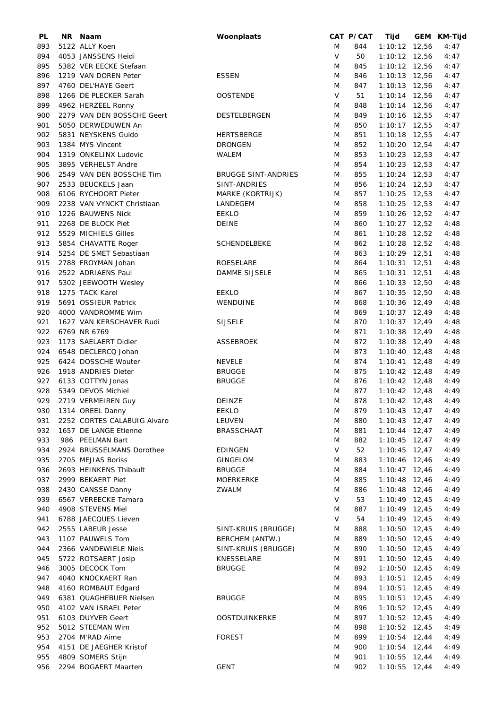| PL  | NR Naam                     | Woonplaats                 |        | CAT P/CAT | Tijd            | GEM KM-Tijd |
|-----|-----------------------------|----------------------------|--------|-----------|-----------------|-------------|
| 893 | 5122 ALLY Koen              |                            | M      | 844       | 1:10:12 12,56   | 4:47        |
| 894 | 4053 JANSSENS Heidi         |                            | V      | 50        | $1:10:12$ 12,56 | 4:47        |
| 895 | 5382 VER EECKE Stefaan      |                            | M      | 845       | $1:10:12$ 12,56 | 4:47        |
| 896 | 1219 VAN DOREN Peter        | <b>ESSEN</b>               | M      | 846       | $1:10:13$ 12,56 | 4:47        |
| 897 | 4760 DEL'HAYE Geert         |                            | M      | 847       | $1:10:13$ 12,56 | 4:47        |
| 898 | 1266 DE PLECKER Sarah       | <b>OOSTENDE</b>            | V      | 51        | $1:10:14$ 12,56 | 4:47        |
| 899 | 4962 HERZEEL Ronny          |                            | M      | 848       | $1:10:14$ 12,56 | 4:47        |
| 900 | 2279 VAN DEN BOSSCHE Geert  | DESTELBERGEN               | M      | 849       | 1:10:16 12,55   | 4:47        |
| 901 | 5050 DERWEDUWEN An          |                            | M      | 850       | 1:10:17 12,55   | 4:47        |
|     |                             |                            |        |           |                 |             |
| 902 | 5831 NEYSKENS Guido         | HERTSBERGE                 | M      | 851       | $1:10:18$ 12,55 | 4:47        |
| 903 | 1384 MYS Vincent            | <b>DRONGEN</b>             | M      | 852       | 1:10:20 12,54   | 4:47        |
| 904 | 1319 ONKELINX Ludovic       | WALEM                      | M      | 853       | $1:10:23$ 12,53 | 4:47        |
| 905 | 3895 VERHELST Andre         |                            | M      | 854       | $1:10:23$ 12,53 | 4:47        |
| 906 | 2549 VAN DEN BOSSCHE Tim    | <b>BRUGGE SINT-ANDRIES</b> | M      | 855       | $1:10:24$ 12,53 | 4:47        |
| 907 | 2533 BEUCKELS Jaan          | SINT-ANDRIES               | M      | 856       | $1:10:24$ 12,53 | 4:47        |
| 908 | 6106 RYCHOORT Pieter        | MARKE (KORTRIJK)           | M      | 857       | $1:10:25$ 12,53 | 4:47        |
| 909 | 2238 VAN VYNCKT Christiaan  | LANDEGEM                   | M      | 858       | $1:10:25$ 12,53 | 4:47        |
| 910 | 1226 BAUWENS Nick           | <b>EEKLO</b>               | M      | 859       | 1:10:26 12,52   | 4:47        |
| 911 | 2268 DE BLOCK Piet          | <b>DEINE</b>               | M      | 860       | $1:10:27$ 12,52 | 4:48        |
| 912 | 5529 MICHIELS Gilles        |                            | M      | 861       | $1:10:28$ 12,52 | 4:48        |
| 913 | 5854 CHAVATTE Roger         | SCHENDELBEKE               | M      | 862       | $1:10:28$ 12,52 | 4:48        |
| 914 | 5254 DE SMET Sebastiaan     |                            | M      | 863       | $1:10:29$ 12,51 | 4:48        |
| 915 | 2788 FROYMAN Johan          | ROESELARE                  | M      | 864       | $1:10:31$ 12,51 | 4:48        |
| 916 | 2522 ADRIAENS Paul          | DAMME SIJSELE              | M      | 865       | $1:10:31$ 12,51 | 4:48        |
| 917 | 5302 JEEWOOTH Wesley        |                            | M      | 866       | $1:10:33$ 12,50 | 4:48        |
|     |                             |                            |        |           |                 |             |
| 918 | 1275 TACK Karel             | <b>EEKLO</b>               | M      | 867       | $1:10:35$ 12,50 | 4:48        |
| 919 | 5691 OSSIEUR Patrick        | WENDUINE                   | M      | 868       | $1:10:36$ 12,49 | 4:48        |
| 920 | 4000 VANDROMME Wim          |                            | M      | 869       | $1:10:37$ 12,49 | 4:48        |
| 921 | 1627 VAN KERSCHAVER Rudi    | <b>SIJSELE</b>             | M      | 870       | $1:10:37$ 12,49 | 4:48        |
| 922 | 6769 NR 6769                |                            | M      | 871       | $1:10:38$ 12,49 | 4:48        |
| 923 | 1173 SAELAERT Didier        | ASSEBROEK                  | M      | 872       | $1:10:38$ 12,49 | 4:48        |
| 924 | 6548 DECLERCQ Johan         |                            | M      | 873       | $1:10:40$ 12,48 | 4:48        |
| 925 | 6424 DOSSCHE Wouter         | <b>NEVELE</b>              | M      | 874       | $1:10:41$ 12,48 | 4:49        |
| 926 | 1918 ANDRIES Dieter         | <b>BRUGGE</b>              | M      | 875       | $1:10:42$ 12,48 | 4:49        |
| 927 | 6133 COTTYN Jonas           | <b>BRUGGE</b>              | M      | 876       | $1:10:42$ 12,48 | 4:49        |
| 928 | 5349 DEVOS Michiel          |                            | M      | 877       | $1:10:42$ 12,48 | 4:49        |
| 929 | 2719 VERMEIREN Guy          | DEINZE                     | M      | 878       | $1:10:42$ 12,48 | 4:49        |
| 930 | 1314 OREEL Danny            | EEKLO                      | M      | 879       | $1:10:43$ 12,47 | 4:49        |
| 931 | 2252 CORTES CALABUIG Alvaro | LEUVEN                     | M      | 880       | $1:10:43$ 12,47 | 4:49        |
| 932 | 1657 DE LANGE Etienne       | <b>BRASSCHAAT</b>          | M      | 881       | $1:10:44$ 12,47 | 4:49        |
| 933 | 986 PEELMAN Bart            |                            | M      | 882       | $1:10:45$ 12,47 | 4:49        |
| 934 | 2924 BRUSSELMANS Dorothee   | <b>EDINGEN</b>             | V      | 52        | $1:10:45$ 12,47 | 4:49        |
| 935 | 2705 MEJIAS Boriss          | <b>GINGELOM</b>            | M      | 883       | $1:10:46$ 12,46 | 4:49        |
|     |                             |                            |        |           |                 |             |
| 936 | 2693 HEINKENS Thibault      | <b>BRUGGE</b>              | M      | 884       | $1:10:47$ 12,46 | 4:49        |
| 937 | 2999 BEKAERT Piet           | <b>MOERKERKE</b>           | M      | 885       | $1:10:48$ 12,46 | 4:49        |
| 938 | 2430 CANSSE Danny           | ZWALM                      | M      | 886       | $1:10:48$ 12,46 | 4:49        |
| 939 | 6567 VEREECKE Tamara        |                            | $\vee$ | 53        | $1:10:49$ 12,45 | 4:49        |
| 940 | 4908 STEVENS Miel           |                            | M      | 887       | $1:10:49$ 12,45 | 4:49        |
| 941 | 6788 JAECQUES Lieven        |                            | V      | 54        | $1:10:49$ 12,45 | 4:49        |
| 942 | 2555 LABEUR Jesse           | SINT-KRUIS (BRUGGE)        | M      | 888       | $1:10:50$ 12,45 | 4:49        |
| 943 | 1107 PAUWELS Tom            | BERCHEM (ANTW.)            | M      | 889       | $1:10:50$ 12,45 | 4:49        |
| 944 | 2366 VANDEWIELE Niels       | SINT-KRUIS (BRUGGE)        | M      | 890       | $1:10:50$ 12,45 | 4:49        |
| 945 | 5722 ROTSAERT Josip         | KNESSELARE                 | M      | 891       | $1:10:50$ 12,45 | 4:49        |
| 946 | 3005 DECOCK Tom             | <b>BRUGGE</b>              | M      | 892       | $1:10:50$ 12,45 | 4:49        |
| 947 | 4040 KNOCKAERT Ran          |                            | M      | 893       | $1:10:51$ 12,45 | 4:49        |
| 948 | 4160 ROMBAUT Edgard         |                            | M      | 894       | $1:10:51$ 12,45 | 4:49        |
| 949 | 6381 QUAGHEBUER Nielsen     | <b>BRUGGE</b>              | M      | 895       | $1:10:51$ 12,45 | 4:49        |
| 950 | 4102 VAN ISRAEL Peter       |                            | M      | 896       | $1:10:52$ 12,45 | 4:49        |
| 951 | 6103 DUYVER Geert           | OOSTDUINKERKE              | M      | 897       | $1:10:52$ 12,45 | 4:49        |
| 952 | 5012 STEEMAN Wim            |                            | M      | 898       | $1:10:52$ 12,45 | 4:49        |
| 953 | 2704 M'RAD Aime             | <b>FOREST</b>              | M      | 899       | $1:10:54$ 12,44 | 4:49        |
|     |                             |                            |        |           |                 |             |
| 954 | 4151 DE JAEGHER Kristof     |                            | M      | 900       | $1:10:54$ 12,44 | 4:49        |
| 955 | 4809 SOMERS Stijn           |                            | M      | 901       | $1:10:55$ 12,44 | 4:49        |
| 956 | 2294 BOGAERT Maarten        | <b>GENT</b>                | M      | 902       | $1:10:55$ 12,44 | 4:49        |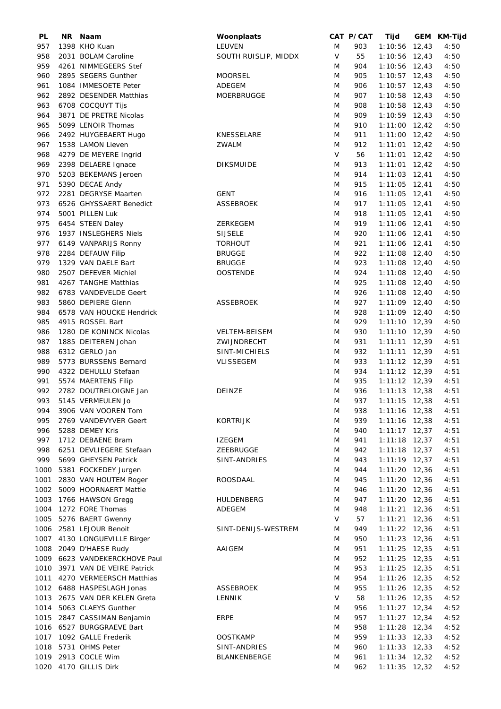| PL   | ΝR | Naam                           | Woonplaats           |        | CAT P/CAT | Tijd            | GEM KM-Tijd |
|------|----|--------------------------------|----------------------|--------|-----------|-----------------|-------------|
| 957  |    | 1398 KHO Kuan                  | LEUVEN               | M      | 903       | $1:10:56$ 12,43 | 4:50        |
| 958  |    | 2031 BOLAM Caroline            | SOUTH RUISLIP, MIDDX | V      | 55        | $1:10:56$ 12,43 | 4:50        |
| 959  |    | 4261 NIMMEGEERS Stef           |                      | M      | 904       | $1:10:56$ 12,43 | 4:50        |
| 960  |    | 2895 SEGERS Gunther            | <b>MOORSEL</b>       | M      | 905       | $1:10:57$ 12,43 | 4:50        |
| 961  |    | 1084 IMMESOETE Peter           | <b>ADEGEM</b>        | M      | 906       | $1:10:57$ 12,43 | 4:50        |
| 962  |    | 2892 DESENDER Matthias         | <b>MOERBRUGGE</b>    | M      | 907       | $1:10:58$ 12,43 | 4:50        |
| 963  |    | 6708 COCQUYT Tijs              |                      | M      | 908       | $1:10:58$ 12,43 | 4:50        |
| 964  |    | 3871 DE PRETRE Nicolas         |                      | M      | 909       | $1:10:59$ 12,43 | 4:50        |
| 965  |    | 5099 LENOIR Thomas             |                      | M      | 910       | $1:11:00$ 12,42 | 4:50        |
| 966  |    | 2492 HUYGEBAERT Hugo           | KNESSELARE           | M      | 911       | $1:11:00$ 12,42 | 4:50        |
| 967  |    | 1538 LAMON Lieven              | ZWALM                | M      | 912       | $1:11:01$ 12,42 | 4:50        |
| 968  |    | 4279 DE MEYERE Ingrid          |                      | V      | 56        | $1:11:01$ 12,42 | 4:50        |
| 969  |    | 2398 DELAERE Ignace            | <b>DIKSMUIDE</b>     | M      | 913       | $1:11:01$ 12,42 | 4:50        |
| 970  |    | 5203 BEKEMANS Jeroen           |                      | M      | 914       | $1:11:03$ 12,41 | 4:50        |
| 971  |    | 5390 DECAE Andy                |                      | M      | 915       | $1:11:05$ 12,41 | 4:50        |
| 972  |    | 2281 DEGRYSE Maarten           | <b>GENT</b>          | M      | 916       | $1:11:05$ 12,41 | 4:50        |
| 973  |    | 6526 GHYSSAERT Benedict        | <b>ASSEBROEK</b>     | M      | 917       | $1:11:05$ 12,41 | 4:50        |
| 974  |    | 5001 PILLEN Luk                |                      | M      | 918       | $1:11:05$ 12,41 | 4:50        |
|      |    |                                |                      |        | 919       |                 |             |
| 975  |    | 6454 STEEN Daley               | ZERKEGEM             | M      |           | $1:11:06$ 12,41 | 4:50        |
| 976  |    | 1937 INSLEGHERS Niels          | <b>SIJSELE</b>       | M      | 920       | $1:11:06$ 12,41 | 4:50        |
| 977  |    | 6149 VANPARIJS Ronny           | <b>TORHOUT</b>       | M      | 921       | $1:11:06$ 12,41 | 4:50        |
| 978  |    | 2284 DEFAUW Filip              | <b>BRUGGE</b>        | M      | 922       | $1:11:08$ 12,40 | 4:50        |
| 979  |    | 1329 VAN DAELE Bart            | <b>BRUGGE</b>        | M      | 923       | $1:11:08$ 12,40 | 4:50        |
| 980  |    | 2507 DEFEVER Michiel           | <b>OOSTENDE</b>      | M      | 924       | $1:11:08$ 12,40 | 4:50        |
| 981  |    | 4267 TANGHE Matthias           |                      | M      | 925       | $1:11:08$ 12,40 | 4:50        |
| 982  |    | 6783 VANDEVELDE Geert          |                      | M      | 926       | $1:11:08$ 12,40 | 4:50        |
| 983  |    | 5860 DEPIERE Glenn             | <b>ASSEBROEK</b>     | M      | 927       | $1:11:09$ 12,40 | 4:50        |
| 984  |    | 6578 VAN HOUCKE Hendrick       |                      | M      | 928       | $1:11:09$ 12,40 | 4:50        |
| 985  |    | 4915 ROSSEL Bart               |                      | M      | 929       | $1:11:10$ 12,39 | 4:50        |
| 986  |    | 1280 DE KONINCK Nicolas        | <b>VELTEM-BEISEM</b> | M      | 930       | $1:11:10$ 12,39 | 4:50        |
| 987  |    | 1885 DEITEREN Johan            | ZWIJNDRECHT          | M      | 931       | $1:11:11$ 12,39 | 4:51        |
| 988  |    | 6312 GERLO Jan                 | SINT-MICHIELS        | M      | 932       | $1:11:11$ 12,39 | 4:51        |
| 989  |    | 5773 BURSSENS Bernard          | <b>VLISSEGEM</b>     | M      | 933       | $1:11:12$ 12,39 | 4:51        |
| 990  |    | 4322 DEHULLU Stefaan           |                      | M      | 934       | $1:11:12$ 12,39 | 4:51        |
| 991  |    | 5574 MAERTENS Filip            |                      | M      | 935       | $1:11:12$ 12,39 | 4:51        |
| 992  |    | 2782 DOUTRELOIGNE Jan          | DEINZE               | M      | 936       | $1:11:13$ 12,38 | 4:51        |
| 993  |    | 5145 VERMEULEN Jo              |                      | M      | 937       | $1:11:15$ 12,38 | 4:51        |
| 994  |    | 3906 VAN VOOREN Tom            |                      | M      | 938       | $1:11:16$ 12,38 | 4:51        |
| 995  |    | 2769 VANDEVYVER Geert          | <b>KORTRIJK</b>      | M      | 939       | $1:11:16$ 12,38 | 4:51        |
| 996  |    | 5288 DEMEY Kris                |                      | M      | 940       | $1:11:17$ 12,37 | 4:51        |
| 997  |    | 1712 DEBAENE Bram              | <b>IZEGEM</b>        | M      | 941       | $1:11:18$ 12,37 | 4:51        |
| 998  |    | 6251 DEVLIEGERE Stefaan        | ZEEBRUGGE            | M      | 942       | $1:11:18$ 12,37 | 4:51        |
| 999  |    | 5699 GHEYSEN Patrick           | SINT-ANDRIES         | M      | 943       | $1:11:19$ 12,37 | 4:51        |
| 1000 |    | 5381 FOCKEDEY Jurgen           |                      | M      | 944       | $1:11:20$ 12,36 | 4:51        |
| 1001 |    | 2830 VAN HOUTEM Roger          | ROOSDAAL             | M      | 945       | $1:11:20$ 12,36 | 4:51        |
| 1002 |    | 5009 HOORNAERT Mattie          |                      | M      | 946       | $1:11:20$ 12,36 | 4:51        |
| 1003 |    | 1766 HAWSON Gregg              | HULDENBERG           | M      | 947       | $1:11:20$ 12,36 | 4:51        |
| 1004 |    | 1272 FORE Thomas               | ADEGEM               | M      | 948       | $1:11:21$ 12,36 | 4:51        |
| 1005 |    | 5276 BAERT Gwenny              |                      | V      | 57        | $1:11:21$ 12,36 | 4:51        |
|      |    |                                |                      |        | 949       |                 |             |
| 1006 |    | 2581 LEJOUR Benoit             | SINT-DENIJS-WESTREM  | M      |           | $1:11:22$ 12,36 | 4:51        |
| 1007 |    | 4130 LONGUEVILLE Birger        |                      | M      | 950       | $1:11:23$ 12,36 | 4:51        |
| 1008 |    | 2049 D'HAESE Rudy              | AAIGEM               | M      | 951       | $1:11:25$ 12,35 | 4:51        |
|      |    | 1009 6623 VANDEKERCKHOVE Paul  |                      | M      | 952       | $1:11:25$ 12,35 | 4:51        |
|      |    | 1010 3971 VAN DE VEIRE Patrick |                      | M      | 953       | $1:11:25$ 12,35 | 4:51        |
| 1011 |    | 4270 VERMEERSCH Matthias       |                      | M      | 954       | $1:11:26$ 12,35 | 4:52        |
|      |    | 1012 6488 HASPESLAGH Jonas     | ASSEBROEK            | M      | 955       | $1:11:26$ 12,35 | 4:52        |
|      |    | 1013 2675 VAN DER KELEN Greta  | LENNIK               | $\vee$ | 58        | $1:11:26$ 12,35 | 4:52        |
|      |    | 1014 5063 CLAEYS Gunther       |                      | M      | 956       | $1:11:27$ 12,34 | 4:52        |
| 1015 |    | 2847 CASSIMAN Benjamin         | ERPE                 | M      | 957       | $1:11:27$ 12,34 | 4:52        |
|      |    | 1016 6527 BURGGRAEVE Bart      |                      | M      | 958       | $1:11:28$ 12,34 | 4:52        |
|      |    | 1017 1092 GALLE Frederik       | <b>OOSTKAMP</b>      | M      | 959       | $1:11:33$ 12,33 | 4:52        |
|      |    | 1018 5731 OHMS Peter           | SINT-ANDRIES         | M      | 960       | $1:11:33$ 12,33 | 4:52        |
|      |    | 1019 2913 COCLE Wim            | BLANKENBERGE         | M      | 961       | $1:11:34$ 12,32 | 4:52        |
|      |    | 1020 4170 GILLIS Dirk          |                      | M      | 962       | $1:11:35$ 12,32 | 4:52        |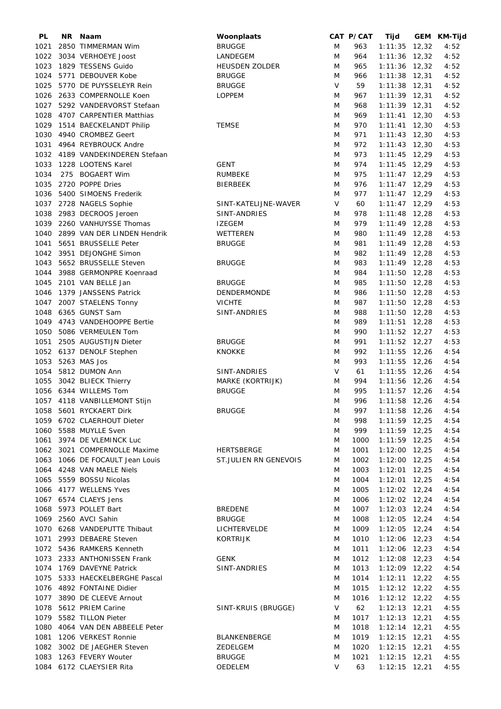| PL   | NR. | Naam                            | Woonplaats            |   | CAT P/CAT | Tijd            | GEM KM-Tijd |
|------|-----|---------------------------------|-----------------------|---|-----------|-----------------|-------------|
| 1021 |     | 2850 TIMMERMAN Wim              | <b>BRUGGE</b>         | M | 963       | $1:11:35$ 12,32 | 4:52        |
| 1022 |     | 3034 VERHOEYE Joost             | LANDEGEM              | M | 964       | $1:11:36$ 12,32 | 4:52        |
| 1023 |     | 1829 TESSENS Guido              | <b>HEUSDEN ZOLDER</b> | M | 965       | $1:11:36$ 12,32 | 4:52        |
| 1024 |     | 5771 DEBOUVER Kobe              | <b>BRUGGE</b>         | M | 966       | $1:11:38$ 12,31 | 4:52        |
| 1025 |     | 5770 DE PUYSSELEYR Rein         | <b>BRUGGE</b>         | V | 59        | $1:11:38$ 12,31 | 4:52        |
| 1026 |     | 2633 COMPERNOLLE Koen           | <b>LOPPEM</b>         | M | 967       | $1:11:39$ 12,31 | 4:52        |
|      |     |                                 |                       |   | 968       |                 |             |
| 1027 |     | 5292 VANDERVORST Stefaan        |                       | M |           | $1:11:39$ 12,31 | 4:52        |
| 1028 |     | 4707 CARPENTIER Matthias        |                       | M | 969       | $1:11:41$ 12,30 | 4:53        |
| 1029 |     | 1514 BAECKELANDT Philip         | <b>TEMSE</b>          | M | 970       | $1:11:41$ 12,30 | 4:53        |
| 1030 |     | 4940 CROMBEZ Geert              |                       | M | 971       | $1:11:43$ 12,30 | 4:53        |
| 1031 |     | 4964 REYBROUCK Andre            |                       | M | 972       | $1:11:43$ 12,30 | 4:53        |
|      |     | 1032 4189 VANDEKINDEREN Stefaan |                       | M | 973       | $1:11:45$ 12,29 | 4:53        |
| 1033 |     | 1228 LOOTENS Karel              | <b>GENT</b>           | M | 974       | $1:11:45$ 12,29 | 4:53        |
| 1034 |     | 275 BOGAERT Wim                 | <b>RUMBEKE</b>        | M | 975       | $1:11:47$ 12,29 | 4:53        |
| 1035 |     | 2720 POPPE Dries                | <b>BIERBEEK</b>       | M | 976       | $1:11:47$ 12,29 | 4:53        |
| 1036 |     | 5400 SIMOENS Frederik           |                       | M | 977       | $1:11:47$ 12,29 | 4:53        |
|      |     | 1037 2728 NAGELS Sophie         | SINT-KATELIJNE-WAVER  | V | 60        | $1:11:47$ 12,29 | 4:53        |
|      |     | 1038 2983 DECROOS Jeroen        | SINT-ANDRIES          | M | 978       | $1:11:48$ 12,28 | 4:53        |
|      |     |                                 |                       |   |           |                 |             |
| 1039 |     | 2260 VANHUYSSE Thomas           | <b>IZEGEM</b>         | M | 979       | $1:11:49$ 12,28 | 4:53        |
| 1040 |     | 2899 VAN DER LINDEN Hendrik     | WETTEREN              | M | 980       | $1:11:49$ 12,28 | 4:53        |
| 1041 |     | 5651 BRUSSELLE Peter            | <b>BRUGGE</b>         | M | 981       | $1:11:49$ 12,28 | 4:53        |
|      |     | 1042 3951 DEJONGHE Simon        |                       | M | 982       | $1:11:49$ 12,28 | 4:53        |
| 1043 |     | 5652 BRUSSELLE Steven           | <b>BRUGGE</b>         | M | 983       | $1:11:49$ 12,28 | 4:53        |
| 1044 |     | 3988 GERMONPRE Koenraad         |                       | M | 984       | $1:11:50$ 12,28 | 4:53        |
| 1045 |     | 2101 VAN BELLE Jan              | <b>BRUGGE</b>         | M | 985       | $1:11:50$ 12,28 | 4:53        |
| 1046 |     | 1379 JANSSENS Patrick           | DENDERMONDE           | M | 986       | $1:11:50$ 12,28 | 4:53        |
| 1047 |     | 2007 STAELENS Tonny             | <b>VICHTE</b>         | M | 987       | $1:11:50$ 12,28 | 4:53        |
| 1048 |     | 6365 GUNST Sam                  | SINT-ANDRIES          | M | 988       | $1:11:50$ 12,28 | 4:53        |
|      |     |                                 |                       |   |           |                 |             |
| 1049 |     | 4743 VANDEHOOPPE Bertie         |                       | M | 989       | $1:11:51$ 12,28 | 4:53        |
| 1050 |     | 5086 VERMEULEN Tom              |                       | M | 990       | $1:11:52$ 12,27 | 4:53        |
| 1051 |     | 2505 AUGUSTIJN Dieter           | <b>BRUGGE</b>         | M | 991       | $1:11:52$ 12,27 | 4:53        |
|      |     | 1052 6137 DENOLF Stephen        | <b>KNOKKE</b>         | M | 992       | $1:11:55$ 12,26 | 4:54        |
| 1053 |     | 5263 MAS Jos                    |                       | M | 993       | $1:11:55$ 12,26 | 4:54        |
| 1054 |     | 5812 DUMON Ann                  | SINT-ANDRIES          | V | 61        | $1:11:55$ 12,26 | 4:54        |
| 1055 |     | 3042 BLIECK Thierry             | MARKE (KORTRIJK)      | M | 994       | $1:11:56$ 12,26 | 4:54        |
|      |     | 1056 6344 WILLEMS Tom           | <b>BRUGGE</b>         | M | 995       | $1:11:57$ 12,26 | 4:54        |
|      |     | 1057 4118 VANBILLEMONT Stijn    |                       | M | 996       | $1:11:58$ 12,26 | 4:54        |
|      |     | 1058 5601 RYCKAERT Dirk         | <b>BRUGGE</b>         | M | 997       | 1:11:58 12,26   | 4:54        |
|      |     | 1059 6702 CLAERHOUT Dieter      |                       | M | 998       | $1:11:59$ 12,25 | 4:54        |
|      |     | 1060 5588 MUYLLE Sven           |                       |   |           | $1:11:59$ 12,25 |             |
|      |     |                                 |                       | M | 999       |                 | 4:54        |
| 1061 |     | 3974 DE VLEMINCK Luc            |                       | M | 1000      | $1:11:59$ 12,25 | 4:54        |
|      |     | 1062 3021 COMPERNOLLE Maxime    | HERTSBERGE            | M | 1001      | $1:12:00$ 12,25 | 4:54        |
|      |     | 1063 1066 DE FOCAULT Jean Louis | ST.JULIEN RN GENEVOIS | M | 1002      | $1:12:00$ 12,25 | 4:54        |
|      |     | 1064 4248 VAN MAELE Niels       |                       | M | 1003      | $1:12:01$ 12,25 | 4:54        |
| 1065 |     | 5559 BOSSU Nicolas              |                       | M | 1004      | $1:12:01$ 12,25 | 4:54        |
|      |     | 1066 4177 WELLENS Yves          |                       | M | 1005      | $1:12:02$ 12,24 | 4:54        |
|      |     | 1067 6574 CLAEYS Jens           |                       | M | 1006      | $1:12:02$ 12,24 | 4:54        |
|      |     | 1068 5973 POLLET Bart           | <b>BREDENE</b>        | M | 1007      | $1:12:03$ 12,24 | 4:54        |
|      |     | 1069 2560 AVCI Sahin            | <b>BRUGGE</b>         | M | 1008      | $1:12:05$ 12,24 | 4:54        |
|      |     | 1070 6268 VANDEPUTTE Thibaut    | LICHTERVELDE          | M | 1009      | $1:12:05$ 12,24 | 4:54        |
| 1071 |     | 2993 DEBAERE Steven             |                       |   | 1010      | $1:12:06$ 12,23 | 4:54        |
|      |     |                                 | KORTRIJK              | M |           |                 |             |
|      |     | 1072 5436 RAMKERS Kenneth       |                       | M | 1011      | $1:12:06$ 12,23 | 4:54        |
|      |     | 1073 2333 ANTHONISSEN Frank     | <b>GENK</b>           | M | 1012      | 1:12:08 12,23   | 4:54        |
|      |     | 1074 1769 DAVEYNE Patrick       | SINT-ANDRIES          | M | 1013      | $1:12:09$ 12,22 | 4:54        |
| 1075 |     | 5333 HAECKELBERGHE Pascal       |                       | M | 1014      | $1:12:11$ 12,22 | 4:55        |
|      |     | 1076 4892 FONTAINE Didier       |                       | M | 1015      | $1:12:12$ 12,22 | 4:55        |
|      |     | 1077 3890 DE CLEEVE Arnout      |                       | M | 1016      | $1:12:12$ 12,22 | 4:55        |
|      |     | 1078 5612 PRIEM Carine          | SINT-KRUIS (BRUGGE)   | V | 62        | $1:12:13$ 12,21 | 4:55        |
| 1079 |     | 5582 TILLON Pieter              |                       | M | 1017      | $1:12:13$ 12,21 | 4:55        |
| 1080 |     | 4064 VAN DEN ABBEELE Peter      |                       | M | 1018      | $1:12:14$ 12,21 | 4:55        |
| 1081 |     | 1206 VERKEST Ronnie             | <b>BLANKENBERGE</b>   | M | 1019      | $1:12:15$ 12,21 | 4:55        |
|      |     | 1082 3002 DE JAEGHER Steven     | ZEDELGEM              | M | 1020      | $1:12:15$ 12,21 | 4:55        |
| 1083 |     | 1263 FEVERY Wouter              | <b>BRUGGE</b>         |   | 1021      | $1:12:15$ 12,21 | 4:55        |
|      |     |                                 |                       | M |           |                 |             |
|      |     | 1084 6172 CLAEYSIER Rita        | OEDELEM               | V | 63        | $1:12:15$ 12,21 | 4:55        |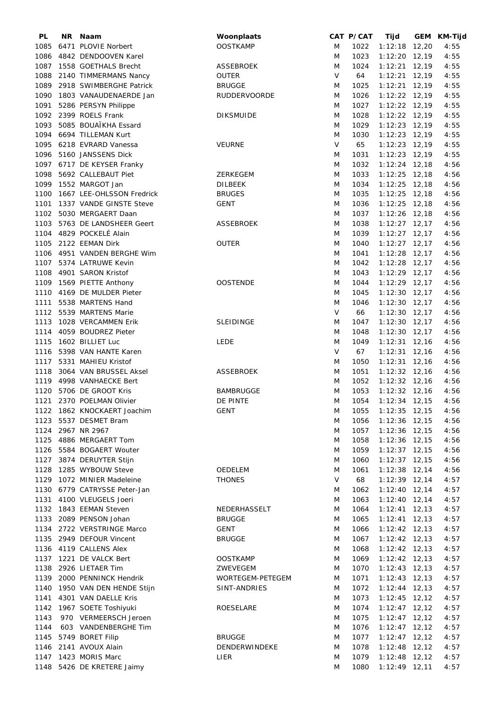| PL   | NR. | Naam                        | Woonplaats          |        | CAT P/CAT | Tijd              | GEM KM-Tijd |
|------|-----|-----------------------------|---------------------|--------|-----------|-------------------|-------------|
| 1085 |     | 6471 PLOVIE Norbert         | <b>OOSTKAMP</b>     | M      | 1022      | $1:12:18$ 12,20   | 4:55        |
| 1086 |     | 4842 DENDOOVEN Karel        |                     | M      | 1023      | $1:12:20$ 12,19   | 4:55        |
| 1087 |     | 1558 GOETHALS Brecht        | <b>ASSEBROEK</b>    | M      | 1024      | $1:12:21$ 12,19   | 4:55        |
|      |     | 1088 2140 TIMMERMANS Nancy  | <b>OUTER</b>        | $\vee$ | 64        | $1:12:21$ 12,19   | 4:55        |
| 1089 |     | 2918 SWIMBERGHE Patrick     | <b>BRUGGE</b>       | M      | 1025      | $1:12:21$ 12,19   | 4:55        |
| 1090 |     | 1803 VANAUDENAERDE Jan      | <b>RUDDERVOORDE</b> | M      | 1026      | $1:12:22$ 12,19   | 4:55        |
|      |     |                             |                     |        |           |                   |             |
| 1091 |     | 5286 PERSYN Philippe        |                     | M      | 1027      | $1:12:22$ 12,19   | 4:55        |
|      |     | 1092 2399 ROELS Frank       | <b>DIKSMUIDE</b>    | M      | 1028      | $1:12:22$ 12,19   | 4:55        |
| 1093 |     | 5085 BOUAÏKHA Essard        |                     | M      | 1029      | $1:12:23$ 12,19   | 4:55        |
| 1094 |     | 6694 TILLEMAN Kurt          |                     | M      | 1030      | $1:12:23$ 12,19   | 4:55        |
| 1095 |     | 6218 EVRARD Vanessa         | <b>VEURNE</b>       | $\vee$ | 65        | $1:12:23$ 12,19   | 4:55        |
| 1096 |     | 5160 JANSSENS Dick          |                     | M      | 1031      | $1:12:23$ 12,19   | 4:55        |
|      |     | 1097 6717 DE KEYSER Franky  |                     | M      | 1032      | $1:12:24$ 12,18   | 4:56        |
| 1098 |     | 5692 CALLEBAUT Piet         | ZERKEGEM            | M      | 1033      | $1:12:25$ 12,18   | 4:56        |
| 1099 |     | 1552 MARGOT Jan             | <b>DILBEEK</b>      | M      | 1034      | $1:12:25$ 12,18   | 4:56        |
| 1100 |     | 1667 LEE-OHLSSON Fredrick   | <b>BRUGES</b>       | M      | 1035      | $1:12:25$ 12,18   | 4:56        |
| 1101 |     | 1337 VANDE GINSTE Steve     | <b>GENT</b>         | M      | 1036      | $1:12:25$ 12,18   | 4:56        |
| 1102 |     | 5030 MERGAERT Daan          |                     |        |           |                   |             |
|      |     |                             |                     | M      | 1037      | $1:12:26$ 12,18   | 4:56        |
| 1103 |     | 5763 DE LANDSHEER Geert     | <b>ASSEBROEK</b>    | M      | 1038      | $1:12:27$ 12,17   | 4:56        |
| 1104 |     | 4829 POCKELÉ Alain          |                     | M      | 1039      | $1:12:27$ 12,17   | 4:56        |
| 1105 |     | 2122 EEMAN Dirk             | <b>OUTER</b>        | M      | 1040      | $1:12:27$ 12,17   | 4:56        |
|      |     | 1106 4951 VANDEN BERGHE Wim |                     | M      | 1041      | $1:12:28$ 12,17   | 4:56        |
|      |     | 1107 5374 LATRUWE Kevin     |                     | M      | 1042      | $1:12:28$ 12,17   | 4:56        |
|      |     | 1108 4901 SARON Kristof     |                     | M      | 1043      | $1:12:29$ 12,17   | 4:56        |
| 1109 |     | 1569 PIETTE Anthony         | <b>OOSTENDE</b>     | M      | 1044      | $1:12:29$ 12,17   | 4:56        |
| 1110 |     | 4169 DE MULDER Pieter       |                     | M      | 1045      | $1:12:30$ 12,17   | 4:56        |
| 1111 |     | 5538 MARTENS Hand           |                     | M      | 1046      | $1:12:30$ 12,17   | 4:56        |
| 1112 |     | 5539 MARTENS Marie          |                     | V      | 66        | $1:12:30$ 12,17   | 4:56        |
|      |     | 1028 VERCAMMEN Erik         |                     |        |           |                   | 4:56        |
| 1113 |     |                             | <b>SLEIDINGE</b>    | M      | 1047      | $1:12:30$ 12,17   |             |
| 1114 |     | 4059 BOUDREZ Pieter         |                     | M      | 1048      | $1:12:30$ 12,17   | 4:56        |
| 1115 |     | 1602 BILLIET Luc            | <b>LEDE</b>         | M      | 1049      | $1:12:31$ 12,16   | 4:56        |
| 1116 |     | 5398 VAN HANTE Karen        |                     | $\vee$ | 67        | $1:12:31$ 12,16   | 4:56        |
|      |     | 1117 5331 MAHIEU Kristof    |                     | M      | 1050      | $1:12:31$ 12,16   | 4:56        |
| 1118 |     | 3064 VAN BRUSSEL Aksel      | <b>ASSEBROEK</b>    | M      | 1051      | $1:12:32$ 12,16   | 4:56        |
|      |     | 1119 4998 VANHAECKE Bert    |                     | M      | 1052      | $1:12:32$ 12,16   | 4:56        |
| 1120 |     | 5706 DE GROOT Kris          | <b>BAMBRUGGE</b>    | M      | 1053      | $1:12:32$ 12,16   | 4:56        |
|      |     | 1121 2370 POELMAN Olivier   | DE PINTE            | M      | 1054      | $1:12:34$ 12,15   | 4:56        |
|      |     | 1122 1862 KNOCKAERT Joachim | GENT                | M      | 1055      | $1:12:35$ $12,15$ | 4:56        |
|      |     | 1123 5537 DESMET Bram       |                     | M      | 1056      | $1:12:36$ 12,15   | 4:56        |
|      |     | 1124 2967 NR 2967           |                     | M      | 1057      | $1:12:36$ 12,15   | 4:56        |
|      |     |                             |                     |        |           |                   |             |
| 1125 |     | 4886 MERGAERT Tom           |                     | M      | 1058      | $1:12:36$ 12,15   | 4:56        |
|      |     | 1126 5584 BOGAERT Wouter    |                     | M      | 1059      | $1:12:37$ 12,15   | 4:56        |
|      |     | 1127 3874 DERUYTER Stijn    |                     | M      | 1060      | $1:12:37$ 12,15   | 4:56        |
| 1128 |     | 1285 WYBOUW Steve           | OEDELEM             | M      | 1061      | $1:12:38$ 12,14   | 4:56        |
| 1129 |     | 1072 MINIER Madeleine       | <b>THONES</b>       | V      | 68        | $1:12:39$ 12,14   | 4:57        |
| 1130 |     | 6779 CATRYSSE Peter-Jan     |                     | M      | 1062      | $1:12:40$ 12,14   | 4:57        |
| 1131 |     | 4100 VLEUGELS Joeri         |                     | M      | 1063      | $1:12:40$ 12,14   | 4:57        |
| 1132 |     | 1843 EEMAN Steven           | NEDERHASSELT        | M      | 1064      | $1:12:41$ 12,13   | 4:57        |
| 1133 |     | 2089 PENSON Johan           | <b>BRUGGE</b>       | M      | 1065      | $1:12:41$ 12,13   | 4:57        |
|      |     | 1134 2722 VERSTRINGE Marco  | <b>GENT</b>         | M      | 1066      | $1:12:42$ 12,13   | 4:57        |
| 1135 |     | 2949 DEFOUR Vincent         | <b>BRUGGE</b>       | M      | 1067      | $1:12:42$ 12,13   | 4:57        |
|      |     |                             |                     |        |           |                   |             |
|      |     | 1136 4119 CALLENS Alex      |                     | M      | 1068      | $1:12:42$ 12,13   | 4:57        |
| 1137 |     | 1221 DE VALCK Bert          | <b>OOSTKAMP</b>     | M      | 1069      | $1:12:42$ 12,13   | 4:57        |
| 1138 |     | 2926 LIETAER Tim            | ZWEVEGEM            | M      | 1070      | $1:12:43$ 12,13   | 4:57        |
|      |     | 1139 2000 PENNINCK Hendrik  | WORTEGEM-PETEGEM    | M      | 1071      | $1:12:43$ 12,13   | 4:57        |
| 1140 |     | 1950 VAN DEN HENDE Stijn    | SINT-ANDRIES        | M      | 1072      | $1:12:44$ 12,13   | 4:57        |
| 1141 |     | 4301 VAN DAELLE Kris        |                     | M      | 1073      | $1:12:45$ 12,12   | 4:57        |
| 1142 |     | 1967 SOETE Toshiyuki        | ROESELARE           | M      | 1074      | $1:12:47$ 12,12   | 4:57        |
| 1143 |     | 970 VERMEERSCH Jeroen       |                     | M      | 1075      | $1:12:47$ 12,12   | 4:57        |
| 1144 |     | 603 VANDENBERGHE Tim        |                     | M      | 1076      | $1:12:47$ 12,12   | 4:57        |
| 1145 |     | 5749 BORET Filip            | <b>BRUGGE</b>       | M      | 1077      | $1:12:47$ 12,12   | 4:57        |
|      |     | 1146 2141 AVOUX Alain       | DENDERWINDEKE       | M      | 1078      | $1:12:48$ 12,12   | 4:57        |
|      |     | 1147 1423 MORIS Marc        | LIER                | M      | 1079      | $1:12:48$ 12,12   | 4:57        |
|      |     | 1148 5426 DE KRETERE Jaimy  |                     | M      | 1080      | $1:12:49$ 12,11   | 4:57        |
|      |     |                             |                     |        |           |                   |             |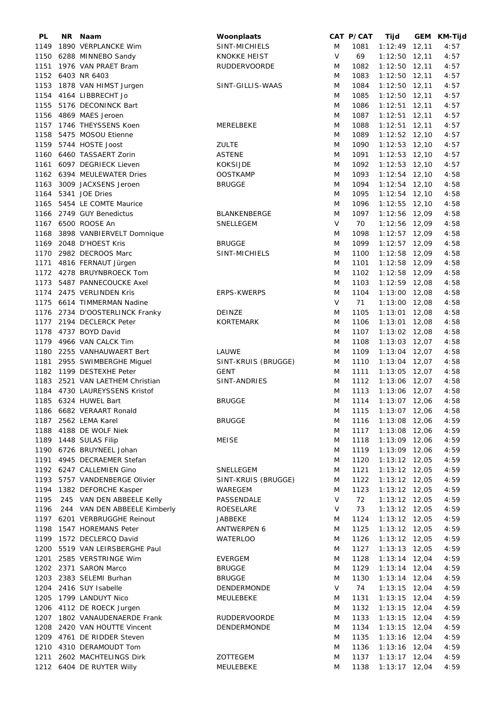| PL   | NR Naam                         | Woonplaats          |        | CAT P/CAT | Tijd               | GEM KM-Tijd |
|------|---------------------------------|---------------------|--------|-----------|--------------------|-------------|
| 1149 | 1890 VERPLANCKE Wim             | SINT-MICHIELS       | M      | 1081      | $1:12:49$ 12,11    | 4:57        |
|      | 1150 6288 MINNEBO Sandy         | KNOKKE HEIST        | $\vee$ | 69        | $1:12:50$ 12,11    | 4:57        |
|      | 1151 1976 VAN PRAET Bram        | <b>RUDDERVOORDE</b> | M      | 1082      | $1:12:50$ 12,11    | 4:57        |
|      | 1152 6403 NR 6403               |                     | M      | 1083      | $1:12:50$ 12,11    | 4:57        |
| 1153 | 1878 VAN HIMST Jurgen           | SINT-GILLIS-WAAS    | M      | 1084      | $1:12:50$ 12,11    | 4:57        |
|      | 1154 4164 LIBBRECHT Jo          |                     | M      | 1085      | $1:12:50$ 12,11    | 4:57        |
|      |                                 |                     |        |           |                    |             |
|      | 1155 5176 DECONINCK Bart        |                     | M      | 1086      | $1:12:51$ 12,11    | 4:57        |
|      | 1156 4869 MAES Jeroen           |                     | M      | 1087      | $1:12:51$ 12,11    | 4:57        |
|      | 1157 1746 THEYSSENS Koen        | MERELBEKE           | M      | 1088      | $1:12:51$ 12,11    | 4:57        |
| 1158 | 5475 MOSOU Etienne              |                     | M      | 1089      | $1:12:52$ 12,10    | 4:57        |
|      | 1159 5744 HOSTE Joost           | <b>ZULTE</b>        | M      | 1090      | $1:12:53$ 12,10    | 4:57        |
|      | 1160 6460 TASSAERT Zorin        | <b>ASTENE</b>       | M      | 1091      | $1:12:53$ 12,10    | 4:57        |
|      | 1161 6097 DEGRIECK Lieven       | <b>KOKSIJDE</b>     | M      | 1092      | $1:12:53$ 12,10    | 4:57        |
|      | 1162 6394 MEULEWATER Dries      | <b>OOSTKAMP</b>     | M      | 1093      | $1:12:54$ 12,10    | 4:58        |
| 1163 | 3009 JACXSENS Jeroen            | <b>BRUGGE</b>       | M      | 1094      | $1:12:54$ 12,10    | 4:58        |
| 1164 | 5341 JOE Dries                  |                     | M      | 1095      | $1:12:54$ 12,10    | 4:58        |
|      | 1165 5454 LE COMTE Maurice      |                     | M      | 1096      | $1:12:55$ 12,10    | 4:58        |
|      | 1166 2749 GUY Benedictus        | BLANKENBERGE        | M      | 1097      | 1:12:56 12,09      | 4:58        |
|      | 1167 6500 ROOSE An              | SNELLEGEM           | V      | 70        | $1:12:56$ 12,09    | 4:58        |
|      |                                 |                     |        |           |                    |             |
| 1168 | 3898 VANBIERVELT Domnique       |                     | M      | 1098      | $1:12:57$ 12,09    | 4:58        |
| 1169 | 2048 D'HOEST Kris               | <b>BRUGGE</b>       | M      | 1099      | $1:12:57$ 12,09    | 4:58        |
|      | 1170 2982 DECROOS Marc          | SINT-MICHIELS       | M      | 1100      | 1:12:58 12,09      | 4:58        |
| 1171 | 4816 FERNAUT Jürgen             |                     | M      | 1101      | 1:12:58 12,09      | 4:58        |
|      | 1172 4278 BRUYNBROECK Tom       |                     | M      | 1102      | $1:12:58$ 12,09    | 4:58        |
| 1173 | 5487 PANNECOUCKE Axel           |                     | M      | 1103      | $1:12:59$ 12,08    | 4:58        |
|      | 1174 2475 VERLINDEN Kris        | <b>ERPS-KWERPS</b>  | M      | 1104      | $1:13:00$ 12,08    | 4:58        |
| 1175 | 6614 TIMMERMAN Nadine           |                     | $\vee$ | 71        | $1:13:00$ 12,08    | 4:58        |
|      | 1176 2734 D'OOSTERLINCK Franky  | <b>DEINZE</b>       | M      | 1105      | 1:13:01 12,08      | 4:58        |
| 1177 | 2194 DECLERCK Peter             | <b>KORTEMARK</b>    | M      | 1106      | 1:13:01 12,08      | 4:58        |
|      | 1178 4737 BOYD David            |                     | M      | 1107      | 1:13:02 12,08      | 4:58        |
|      | 1179 4966 VAN CALCK Tim         |                     | M      | 1108      | $1:13:03$ 12,07    | 4:58        |
|      | 1180 2255 VANHAUWAERT Bert      | LAUWE               | M      | 1109      | $1:13:04$ 12,07    | 4:58        |
|      | 1181 2955 SWIMBERGHE Miguel     | SINT-KRUIS (BRUGGE) | M      | 1110      | $1:13:04$ 12,07    | 4:58        |
|      | 1182 1199 DESTEXHE Peter        | <b>GENT</b>         | M      | 1111      | $1:13:05$ 12,07    | 4:58        |
|      | 1183 2521 VAN LAETHEM Christian |                     |        |           |                    |             |
|      |                                 | SINT-ANDRIES        | M      | 1112      | $1:13:06$ 12,07    | 4:58        |
|      | 1184 4730 LAUREYSSENS Kristof   |                     | M      | 1113      | $1:13:06$ 12,07    | 4:58        |
|      | 1185 6324 HUWEL Bart            | <b>BRUGGE</b>       | M      | 1114      | $1:13:07$ 12,06    | 4:58        |
|      | 1186 6682 VERAART Ronald        |                     | M      |           | 1115 1:13:07 12,06 | 4:58        |
|      | 1187 2562 LEMA Karel            | <b>BRUGGE</b>       | M      | 1116      | 1:13:08 12,06      | 4:59        |
|      | 1188 4188 DE WOLF Niek          |                     | M      | 1117      | $1:13:08$ 12,06    | 4:59        |
|      | 1189 1448 SULAS Filip           | MEISE               | M      | 1118      | $1:13:09$ 12,06    | 4:59        |
|      | 1190 6726 BRUYNEEL Johan        |                     | M      | 1119      | $1:13:09$ 12,06    | 4:59        |
|      | 1191 4945 DECRAEMER Stefan      |                     | M      | 1120      | $1:13:12$ 12,05    | 4:59        |
|      | 1192 6247 CALLEMIEN Gino        | SNELLEGEM           | M      | 1121      | $1:13:12$ 12,05    | 4:59        |
| 1193 | 5757 VANDENBERGE Olivier        | SINT-KRUIS (BRUGGE) | M      | 1122      | $1:13:12$ 12,05    | 4:59        |
| 1194 | 1382 DEFORCHE Kasper            | WAREGEM             | M      | 1123      | $1:13:12$ 12,05    | 4:59        |
| 1195 | 245 VAN DEN ABBEELE Kelly       | PASSENDALE          | V      | 72        | 1:13:12 12,05      | 4:59        |
| 1196 | 244 VAN DEN ABBEELE Kimberly    | ROESELARE           | V      | 73        | $1:13:12$ 12,05    | 4:59        |
|      | 1197 6201 VERBRUGGHE Reinout    | JABBEKE             | M      | 1124      | $1:13:12$ 12,05    | 4:59        |
| 1198 | 1547 HOREMANS Peter             | ANTWERPEN 6         | M      | 1125      | $1:13:12$ 12,05    | 4:59        |
|      | 1199 1572 DECLERCQ David        | <b>WATERLOO</b>     | M      | 1126      | $1:13:12$ 12,05    | 4:59        |
|      | 1200 5519 VAN LEIRSBERGHE Paul  |                     | M      | 1127      | $1:13:13$ 12,05    | 4:59        |
|      |                                 |                     |        |           |                    |             |
| 1201 | 2585 VERSTRINGE Wim             | <b>EVERGEM</b>      | M      | 1128      | $1:13:14$ 12,04    | 4:59        |
|      | 1202 2371 SARON Marco           | <b>BRUGGE</b>       | M      | 1129      | $1:13:14$ 12,04    | 4:59        |
| 1203 | 2383 SELEMI Burhan              | <b>BRUGGE</b>       | M      | 1130      | $1:13:14$ 12,04    | 4:59        |
| 1204 | 2416 SUY Isabelle               | DENDERMONDE         | $\vee$ | 74        | $1:13:15$ 12,04    | 4:59        |
|      | 1205 1799 LANDUYT Nico          | MEULEBEKE           | M      | 1131      | $1:13:15$ 12,04    | 4:59        |
|      | 1206 4112 DE ROECK Jurgen       |                     | M      | 1132      | $1:13:15$ 12,04    | 4:59        |
| 1207 | 1802 VANAUDENAERDE Frank        | RUDDERVOORDE        | M      | 1133      | $1:13:15$ 12,04    | 4:59        |
| 1208 | 2420 VAN HOUTTE Vincent         | DENDERMONDE         | M      | 1134      | $1:13:15$ 12,04    | 4:59        |
|      | 1209 4761 DE RIDDER Steven      |                     | M      | 1135      | $1:13:16$ 12,04    | 4:59        |
|      | 1210 4310 DERAMOUDT Tom         |                     | M      | 1136      | $1:13:16$ 12,04    | 4:59        |
| 1211 | 2602 MACHTELINGS Dirk           | ZOTTEGEM            | M      | 1137      | $1:13:17$ 12,04    | 4:59        |
|      | 1212 6404 DE RUYTER Willy       | MEULEBEKE           | M      | 1138      | $1:13:17$ 12,04    | 4:59        |
|      |                                 |                     |        |           |                    |             |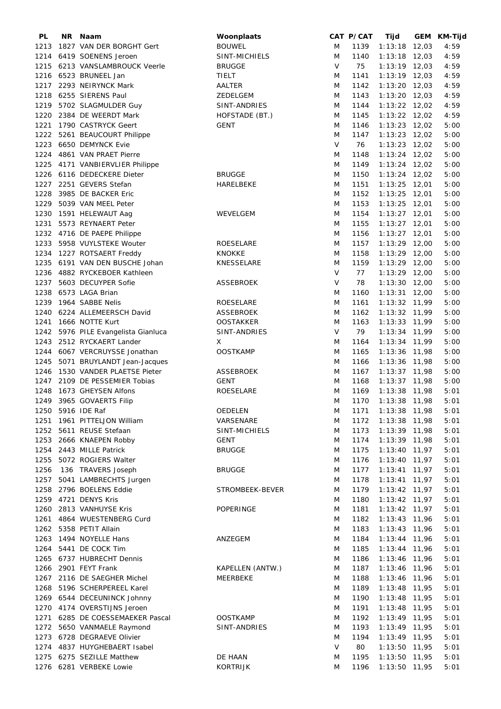| PL   | NR. | Naam                             | Woonplaats       |        | CAT P/CAT | Tijd            | GEM KM-Tijd |
|------|-----|----------------------------------|------------------|--------|-----------|-----------------|-------------|
| 1213 |     | 1827 VAN DER BORGHT Gert         | <b>BOUWEL</b>    | M      | 1139      | $1:13:18$ 12,03 | 4:59        |
|      |     | 1214 6419 SOENENS Jeroen         | SINT-MICHIELS    | M      | 1140      | $1:13:18$ 12,03 | 4:59        |
|      |     | 1215 6213 VANSLAMBROUCK Veerle   | <b>BRUGGE</b>    | $\vee$ | 75        | $1:13:19$ 12,03 | 4:59        |
|      |     | 1216 6523 BRUNEEL Jan            | TIELT            | M      | 1141      | $1:13:19$ 12,03 | 4:59        |
|      |     | 1217 2293 NEIRYNCK Mark          | AALTER           | M      | 1142      | $1:13:20$ 12,03 | 4:59        |
| 1218 |     | 6255 SIERENS Paul                | ZEDELGEM         | M      | 1143      | $1:13:20$ 12,03 | 4:59        |
|      |     |                                  |                  |        |           |                 |             |
| 1219 |     | 5702 SLAGMULDER Guy              | SINT-ANDRIES     | M      | 1144      | $1:13:22$ 12,02 | 4:59        |
| 1220 |     | 2384 DE WEERDT Mark              | HOFSTADE (BT.)   | M      | 1145      | $1:13:22$ 12,02 | 4:59        |
| 1221 |     | 1790 CASTRYCK Geert              | <b>GENT</b>      | M      | 1146      | 1:13:23 12,02   | 5:00        |
| 1222 |     | 5261 BEAUCOURT Philippe          |                  | M      | 1147      | $1:13:23$ 12,02 | 5:00        |
| 1223 |     | 6650 DEMYNCK Evie                |                  | V      | 76        | 1:13:23 12,02   | 5:00        |
| 1224 |     | 4861 VAN PRAET Pierre            |                  | M      | 1148      | $1:13:24$ 12,02 | 5:00        |
| 1225 |     | 4171 VANBIERVLIER Philippe       |                  | M      | 1149      | $1:13:24$ 12,02 | 5:00        |
|      |     | 1226 6116 DEDECKERE Dieter       | <b>BRUGGE</b>    | M      | 1150      | $1:13:24$ 12,02 | 5:00        |
|      |     | 1227 2251 GEVERS Stefan          | HARELBEKE        | M      | 1151      | $1:13:25$ 12,01 | 5:00        |
| 1228 |     | 3985 DE BACKER Eric              |                  | M      | 1152      | $1:13:25$ 12,01 | 5:00        |
| 1229 |     | 5039 VAN MEEL Peter              |                  | M      | 1153      | $1:13:25$ 12,01 | 5:00        |
| 1230 |     | 1591 HELEWAUT Aag                | WEVELGEM         | M      | 1154      | $1:13:27$ 12,01 | 5:00        |
|      |     |                                  |                  |        |           |                 |             |
| 1231 |     | 5573 REYNAERT Peter              |                  | M      | 1155      | $1:13:27$ 12,01 | 5:00        |
|      |     | 1232 4716 DE PAEPE Philippe      |                  | M      | 1156      | $1:13:27$ 12,01 | 5:00        |
| 1233 |     | 5958 VUYLSTEKE Wouter            | <b>ROESELARE</b> | M      | 1157      | $1:13:29$ 12,00 | 5:00        |
| 1234 |     | 1227 ROTSAERT Freddy             | <b>KNOKKE</b>    | M      | 1158      | $1:13:29$ 12,00 | 5:00        |
| 1235 |     | 6191 VAN DEN BUSCHE Johan        | KNESSELARE       | M      | 1159      | $1:13:29$ 12,00 | 5:00        |
| 1236 |     | 4882 RYCKEBOER Kathleen          |                  | V      | 77        | $1:13:29$ 12,00 | 5:00        |
| 1237 |     | 5603 DECUYPER Sofie              | <b>ASSEBROEK</b> | V      | 78        | $1:13:30$ 12,00 | 5:00        |
|      |     | 1238 6573 LAGA Brian             |                  | M      | 1160      | $1:13:31$ 12,00 | 5:00        |
| 1239 |     | 1964 SABBE Nelis                 | ROESELARE        | M      | 1161      | $1:13:32$ 11,99 | 5:00        |
| 1240 |     | 6224 ALLEMEERSCH David           | <b>ASSEBROEK</b> | M      | 1162      | $1:13:32$ 11,99 | 5:00        |
| 1241 |     | 1666 NOTTE Kurt                  | <b>OOSTAKKER</b> | M      | 1163      | $1:13:33$ 11,99 | 5:00        |
| 1242 |     |                                  | SINT-ANDRIES     | V      | 79        | $1:13:34$ 11,99 | 5:00        |
|      |     | 5976 PILE Evangelista Gianluca   |                  |        |           |                 |             |
| 1243 |     | 2512 RYCKAERT Lander             | X                | M      | 1164      | $1:13:34$ 11,99 | 5:00        |
|      |     | 1244 6067 VERCRUYSSE Jonathan    | <b>OOSTKAMP</b>  | M      | 1165      | $1:13:36$ 11,98 | 5:00        |
| 1245 |     | 5071 BRUYLANDT Jean-Jacques      |                  | M      | 1166      | 1:13:36 11,98   | 5:00        |
| 1246 |     | 1530 VANDER PLAETSE Pieter       | <b>ASSEBROEK</b> | M      | 1167      | 1:13:37 11,98   | 5:00        |
| 1247 |     | 2109 DE PESSEMIER Tobias         | <b>GENT</b>      | M      | 1168      | $1:13:37$ 11,98 | 5:00        |
| 1248 |     | 1673 GHEYSEN Alfons              | ROESELARE        | M      | 1169      | 1:13:38 11,98   | 5:01        |
|      |     | 1249 3965 GOVAERTS Filip         |                  | M      | 1170      | $1:13:38$ 11,98 | 5:01        |
|      |     | 1250 5916 IDE Raf                | OEDELEN          | M      | 1171      | 1:13:38 11,98   | 5:01        |
|      |     | 1251 1961 PITTELJON William      | VARSENARE        | M      | 1172      | 1:13:38 11,98   | 5:01        |
|      |     | 1252 5611 REUSE Stefaan          | SINT-MICHIELS    | M      | 1173      | $1:13:39$ 11,98 | 5:01        |
|      |     | 1253 2666 KNAEPEN Robby          | <b>GENT</b>      | M      | 1174      | $1:13:39$ 11,98 | 5:01        |
|      |     | 1254 2443 MILLE Patrick          | <b>BRUGGE</b>    | M      | 1175      | $1:13:40$ 11,97 | 5:01        |
|      |     | 1255 5072 ROGIERS Walter         |                  | M      | 1176      | $1:13:40$ 11,97 | 5:01        |
|      |     |                                  |                  |        |           |                 |             |
| 1256 |     | 136 TRAVERS Joseph               | <b>BRUGGE</b>    | M      | 1177      | $1:13:41$ 11,97 | 5:01        |
| 1257 |     | 5041 LAMBRECHTS Jurgen           |                  | M      | 1178      | $1:13:41$ 11,97 | 5:01        |
|      |     | 1258 2796 BOELENS Eddie          | STROMBEEK-BEVER  | M      | 1179      | $1:13:42$ 11,97 | 5:01        |
|      |     | 1259 4721 DENYS Kris             |                  | M      | 1180      | $1:13:42$ 11,97 | 5:01        |
|      |     | 1260 2813 VANHUYSE Kris          | POPERINGE        | M      | 1181      | $1:13:42$ 11,97 | 5:01        |
| 1261 |     | 4864 WUESTENBERG Curd            |                  | M      | 1182      | $1:13:43$ 11,96 | 5:01        |
|      |     | 1262 5358 PETIT Allain           |                  | M      | 1183      | $1:13:43$ 11,96 | 5:01        |
|      |     | 1263 1494 NOYELLE Hans           | ANZEGEM          | M      | 1184      | 1:13:44 11,96   | 5:01        |
|      |     | 1264 5441 DE COCK Tim            |                  | M      | 1185      | 1:13:44 11,96   | 5:01        |
|      |     | 1265 6737 HUBRECHT Dennis        |                  | M      | 1186      | $1:13:46$ 11,96 | 5:01        |
|      |     | 1266 2901 FEYT Frank             | KAPELLEN (ANTW.) | M      | 1187      | 1:13:46 11,96   | 5:01        |
|      |     | 1267 2116 DE SAEGHER Michel      | MEERBEKE         | M      | 1188      | $1:13:46$ 11,96 | 5:01        |
|      |     | 1268 5196 SCHERPEREEL Karel      |                  | M      | 1189      |                 | 5:01        |
|      |     |                                  |                  |        |           | 1:13:48 11,95   |             |
|      |     | 1269 6544 DECEUNINCK Johnny      |                  | M      | 1190      | $1:13:48$ 11,95 | 5:01        |
|      |     | 1270 4174 OVERSTIJNS Jeroen      |                  | M      | 1191      | $1:13:48$ 11,95 | 5:01        |
|      |     | 1271 6285 DE COESSEMAEKER Pascal | <b>OOSTKAMP</b>  | M      | 1192      | $1:13:49$ 11,95 | 5:01        |
|      |     | 1272 5650 VANMAELE Raymond       | SINT-ANDRIES     | M      | 1193      | $1:13:49$ 11,95 | 5:01        |
|      |     | 1273 6728 DEGRAEVE Olivier       |                  | M      | 1194      | $1:13:49$ 11,95 | 5:01        |
|      |     | 1274 4837 HUYGHEBAERT Isabel     |                  | V      | 80        | $1:13:50$ 11,95 | 5:01        |
|      |     | 1275 6275 SEZILLE Matthew        | DE HAAN          | M      | 1195      | $1:13:50$ 11,95 | 5:01        |
|      |     | 1276 6281 VERBEKE Lowie          | <b>KORTRIJK</b>  | M      | 1196      | $1:13:50$ 11,95 | 5:01        |
|      |     |                                  |                  |        |           |                 |             |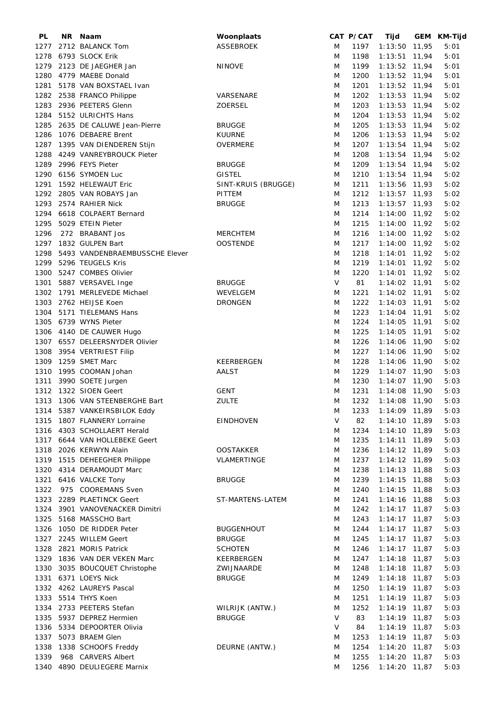| PL   | NR. | Naam                           | Woonplaats          |        | CAT P/CAT | Tijd               | GEM KM-Tijd |
|------|-----|--------------------------------|---------------------|--------|-----------|--------------------|-------------|
| 1277 |     | 2712 BALANCK Tom               | ASSEBROEK           | M      | 1197      | $1:13:50$ 11,95    | 5:01        |
| 1278 |     | 6793 SLOCK Erik                |                     | M      | 1198      | $1:13:51$ 11,94    | 5:01        |
| 1279 |     | 2123 DE JAEGHER Jan            | <b>NINOVE</b>       | M      | 1199      | 1:13:52 11,94      | 5:01        |
| 1280 |     | 4779 MAEBE Donald              |                     | M      | 1200      | 1:13:52 11,94      | 5:01        |
| 1281 |     | 5178 VAN BOXSTAEL Ivan         |                     | M      | 1201      | 1:13:52 11,94      | 5:01        |
| 1282 |     | 2538 FRANCO Philippe           | VARSENARE           | M      | 1202      | $1:13:53$ 11,94    | 5:02        |
| 1283 |     | 2936 PEETERS Glenn             | <b>ZOERSEL</b>      | M      | 1203      | $1:13:53$ 11,94    | 5:02        |
| 1284 |     | 5152 ULRICHTS Hans             |                     | M      | 1204      | 1:13:53 11,94      | 5:02        |
| 1285 |     | 2635 DE CALUWE Jean-Pierre     | <b>BRUGGE</b>       |        | 1205      |                    | 5:02        |
|      |     |                                |                     | M      |           | 1:13:53 11,94      |             |
| 1286 |     | 1076 DEBAERE Brent             | <b>KUURNE</b>       | M      | 1206      | $1:13:53$ 11,94    | 5:02        |
| 1287 |     | 1395 VAN DIENDEREN Stijn       | <b>OVERMERE</b>     | M      | 1207      | $1:13:54$ 11,94    | 5:02        |
| 1288 |     | 4249 VANREYBROUCK Pieter       |                     | M      | 1208      | $1:13:54$ 11,94    | 5:02        |
| 1289 |     | 2996 FEYS Pieter               | <b>BRUGGE</b>       | M      | 1209      | $1:13:54$ 11,94    | 5:02        |
| 1290 |     | 6156 SYMOEN Luc                | <b>GISTEL</b>       | M      | 1210      | $1:13:54$ 11,94    | 5:02        |
| 1291 |     | 1592 HELEWAUT Eric             | SINT-KRUIS (BRUGGE) | M      | 1211      | 1:13:56 11,93      | 5:02        |
| 1292 |     | 2805 VAN ROBAYS Jan            | PITTEM              | M      | 1212      | $1:13:57$ 11,93    | 5:02        |
| 1293 |     | 2574 RAHIER Nick               | <b>BRUGGE</b>       | M      | 1213      | $1:13:57$ 11,93    | 5:02        |
| 1294 |     | 6618 COLPAERT Bernard          |                     | M      | 1214      | 1:14:00 11,92      | 5:02        |
| 1295 |     | 5029 ETEIN Pieter              |                     | M      | 1215      | 1:14:00 11,92      | 5:02        |
| 1296 |     | 272 BRABANT Jos                | <b>MERCHTEM</b>     | M      | 1216      | $1:14:00$ 11,92    | 5:02        |
| 1297 |     | 1832 GULPEN Bart               | <b>OOSTENDE</b>     | M      | 1217      | 1:14:00 11,92      | 5:02        |
| 1298 |     | 5493 VANDENBRAEMBUSSCHE Elever |                     | M      | 1218      | $1:14:01$ 11,92    | 5:02        |
| 1299 |     | 5296 TEUGELS Kris              |                     | M      | 1219      | 1:14:01 11,92      | 5:02        |
| 1300 |     | 5247 COMBES Olivier            |                     | M      | 1220      | $1:14:01$ 11,92    | 5:02        |
| 1301 |     | 5887 VERSAVEL Inge             | <b>BRUGGE</b>       | $\vee$ | 81        | 1:14:02 11,91      | 5:02        |
| 1302 |     | 1791 MERLEVEDE Michael         | WEVELGEM            | M      | 1221      | 1:14:02 11,91      | 5:02        |
| 1303 |     | 2762 HEIJSE Koen               | <b>DRONGEN</b>      | M      | 1222      | $1:14:03$ 11,91    | 5:02        |
| 1304 |     | 5171 TIELEMANS Hans            |                     | M      | 1223      | $1:14:04$ 11,91    | 5:02        |
| 1305 |     | 6739 WYNS Pieter               |                     | M      | 1224      | $1:14:05$ 11,91    | 5:02        |
| 1306 |     | 4140 DE CAUWER Hugo            |                     | M      | 1225      | $1:14:05$ 11,91    | 5:02        |
| 1307 |     | 6557 DELEERSNYDER Olivier      |                     | M      | 1226      | 1:14:06 11,90      | 5:02        |
| 1308 |     | 3954 VERTRIEST Filip           |                     | M      | 1227      | 1:14:06 11,90      | 5:02        |
| 1309 |     | 1259 SMET Marc                 | KEERBERGEN          | M      | 1228      | 1:14:06 11,90      | 5:02        |
| 1310 |     | 1995 COOMAN Johan              | AALST               | M      | 1229      | $1:14:07$ 11,90    | 5:03        |
| 1311 |     | 3990 SOETE Jurgen              |                     | M      | 1230      | $1:14:07$ 11,90    | 5:03        |
| 1312 |     | 1322 SIOEN Geert               | <b>GENT</b>         | M      | 1231      | 1:14:08 11,90      | 5:03        |
|      |     | 1313 1306 VAN STEENBERGHE Bart | <b>ZULTE</b>        | M      | 1232      | 1:14:08 11,90      | 5:03        |
|      |     |                                |                     |        |           | 1233 1:14:09 11,89 |             |
|      |     | 1314 5387 VANKEIRSBILOK Eddy   |                     | M      |           |                    | 5:03        |
|      |     | 1315 1807 FLANNERY Lorraine    | <b>EINDHOVEN</b>    | V      | 82        | $1:14:10$ 11,89    | 5:03        |
|      |     | 1316 4303 SCHOLLAERT Herald    |                     | M      | 1234      | $1:14:10$ 11,89    | 5:03        |
|      |     | 1317 6644 VAN HOLLEBEKE Geert  |                     | M      | 1235      | $1:14:11$ 11,89    | 5:03        |
|      |     | 1318 2026 KERWYN Alain         | <b>OOSTAKKER</b>    | M      | 1236      | $1:14:12$ 11,89    | 5:03        |
|      |     | 1319 1515 DEHEEGHER Philippe   | VLAMERTINGE         | M      | 1237      | $1:14:12$ 11,89    | 5:03        |
| 1320 |     | 4314 DERAMOUDT Marc            |                     | M      | 1238      | $1:14:13$ 11,88    | 5:03        |
| 1321 |     | 6416 VALCKE Tony               | <b>BRUGGE</b>       | M      | 1239      | $1:14:15$ 11,88    | 5:03        |
| 1322 |     | 975 COOREMANS Sven             |                     | M      | 1240      | $1:14:15$ 11,88    | 5:03        |
|      |     | 1323 2289 PLAETINCK Geert      | ST-MARTENS-LATEM    | M      | 1241      | $1:14:16$ 11,88    | 5:03        |
|      |     | 1324 3901 VANOVENACKER Dimitri |                     | M      | 1242      | $1:14:17$ 11,87    | 5:03        |
| 1325 |     | 5168 MASSCHO Bart              |                     | M      | 1243      | $1:14:17$ 11,87    | 5:03        |
| 1326 |     | 1050 DE RIDDER Peter           | <b>BUGGENHOUT</b>   | M      | 1244      | $1:14:17$ 11,87    | 5:03        |
| 1327 |     | 2245 WILLEM Geert              | <b>BRUGGE</b>       | M      | 1245      | $1:14:17$ 11,87    | 5:03        |
| 1328 |     | 2821 MORIS Patrick             | <b>SCHOTEN</b>      | M      | 1246      | $1:14:17$ 11,87    | 5:03        |
|      |     | 1329 1836 VAN DER VEKEN Marc   | KEERBERGEN          | M      | 1247      | $1:14:18$ 11,87    | 5:03        |
| 1330 |     | 3035 BOUCQUET Christophe       | ZWIJNAARDE          | M      | 1248      | $1:14:18$ 11,87    | 5:03        |
|      |     | 1331 6371 LOEYS Nick           | <b>BRUGGE</b>       | M      | 1249      | $1:14:18$ 11,87    | 5:03        |
|      |     | 1332 4262 LAUREYS Pascal       |                     | M      | 1250      | $1:14:19$ 11,87    | 5:03        |
| 1333 |     | 5514 THYS Koen                 |                     | M      | 1251      | $1:14:19$ 11,87    | 5:03        |
|      |     | 1334 2733 PEETERS Stefan       | WILRIJK (ANTW.)     | M      | 1252      | $1:14:19$ 11,87    | 5:03        |
| 1335 |     | 5937 DEPREZ Hermien            | <b>BRUGGE</b>       | V      | 83        | $1:14:19$ 11,87    | 5:03        |
| 1336 |     | 5334 DEPOORTER Olivia          |                     | V      | 84        | $1:14:19$ 11,87    | 5:03        |
| 1337 |     | 5073 BRAEM Glen                |                     | M      | 1253      | $1:14:19$ 11,87    | 5:03        |
| 1338 |     | 1338 SCHOOFS Freddy            | DEURNE (ANTW.)      | M      | 1254      | $1:14:20$ 11,87    | 5:03        |
| 1339 |     | 968 CARVERS Albert             |                     | M      | 1255      | $1:14:20$ 11,87    | 5:03        |
|      |     | 1340 4890 DEULIEGERE Marnix    |                     | M      | 1256      | $1:14:20$ 11,87    | 5:03        |
|      |     |                                |                     |        |           |                    |             |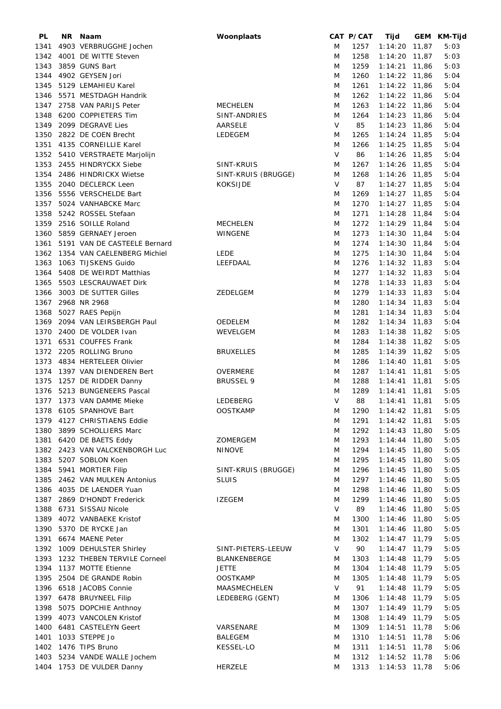| PL   | NR. | Naam                           | Woonplaats          |        | CAT P/CAT | Tijd            |       | GEM KM-Tijd |
|------|-----|--------------------------------|---------------------|--------|-----------|-----------------|-------|-------------|
| 1341 |     | 4903 VERBRUGGHE Jochen         |                     | M      | 1257      | $1:14:20$ 11,87 |       | 5:03        |
| 1342 |     | 4001 DE WITTE Steven           |                     | M      | 1258      | $1:14:20$ 11,87 |       | 5:03        |
| 1343 |     | 3859 GUNS Bart                 |                     | M      | 1259      | $1:14:21$ 11,86 |       | 5:03        |
| 1344 |     | 4902 GEYSEN Jori               |                     | M      | 1260      | 1:14:22 11,86   |       | 5:04        |
| 1345 |     | 5129 LEMAHIEU Karel            |                     | M      | 1261      | $1:14:22$ 11,86 |       | 5:04        |
| 1346 |     | 5571 MESTDAGH Handrik          |                     | M      | 1262      | $1:14:22$ 11,86 |       | 5:04        |
|      |     |                                |                     |        |           |                 |       |             |
| 1347 |     | 2758 VAN PARIJS Peter          | <b>MECHELEN</b>     | M      | 1263      | $1:14:22$ 11,86 |       | 5:04        |
| 1348 |     | 6200 COPPIETERS Tim            | SINT-ANDRIES        | M      | 1264      | 1:14:23 11,86   |       | 5:04        |
| 1349 |     | 2099 DEGRAVE Lies              | AARSELE             | V      | 85        | 1:14:23         | 11,86 | 5:04        |
| 1350 |     | 2822 DE COEN Brecht            | LEDEGEM             | M      | 1265      | $1:14:24$ 11,85 |       | 5:04        |
| 1351 |     | 4135 CORNEILLIE Karel          |                     | M      | 1266      | $1:14:25$ 11,85 |       | 5:04        |
|      |     | 1352 5410 VERSTRAETE Marjolijn |                     | V      | 86        | 1:14:26 11,85   |       | 5:04        |
|      |     | 1353 2455 HINDRYCKX Siebe      | SINT-KRUIS          | M      | 1267      | $1:14:26$ 11,85 |       | 5:04        |
| 1354 |     | 2486 HINDRICKX Wietse          | SINT-KRUIS (BRUGGE) | M      | 1268      | $1:14:26$ 11,85 |       | 5:04        |
| 1355 |     | 2040 DECLERCK Leen             | <b>KOKSIJDE</b>     | V      | 87        | $1:14:27$ 11,85 |       | 5:04        |
| 1356 |     | 5556 VERSCHELDE Bart           |                     | M      | 1269      | $1:14:27$ 11,85 |       | 5:04        |
| 1357 |     | 5024 VANHABCKE Marc            |                     | M      | 1270      | $1:14:27$ 11,85 |       | 5:04        |
| 1358 |     | 5242 ROSSEL Stefaan            |                     | M      | 1271      | $1:14:28$ 11,84 |       | 5:04        |
| 1359 |     | 2516 SOILLE Roland             | <b>MECHELEN</b>     | M      | 1272      | $1:14:29$ 11,84 |       | 5:04        |
|      |     |                                |                     |        |           |                 |       |             |
| 1360 |     | 5859 GERNAEY Jeroen            | <b>WINGENE</b>      | M      | 1273      | $1:14:30$ 11,84 |       | 5:04        |
| 1361 |     | 5191 VAN DE CASTEELE Bernard   |                     | M      | 1274      | $1:14:30$ 11,84 |       | 5:04        |
| 1362 |     | 1354 VAN CAELENBERG Michiel    | <b>LEDE</b>         | M      | 1275      | $1:14:30$ 11,84 |       | 5:04        |
| 1363 |     | 1063 TIJSKENS Guido            | LEEFDAAL            | M      | 1276      | $1:14:32$ 11,83 |       | 5:04        |
| 1364 |     | 5408 DE WEIRDT Matthias        |                     | M      | 1277      | $1:14:32$ 11,83 |       | 5:04        |
| 1365 |     | 5503 LESCRAUWAET Dirk          |                     | M      | 1278      | $1:14:33$ 11,83 |       | 5:04        |
| 1366 |     | 3003 DE SUTTER Gilles          | ZEDELGEM            | M      | 1279      | $1:14:33$ 11,83 |       | 5:04        |
|      |     | 1367 2968 NR 2968              |                     | M      | 1280      | 1:14:34         | 11,83 | 5:04        |
| 1368 |     | 5027 RAES Pepijn               |                     | M      | 1281      | $1:14:34$ 11,83 |       | 5:04        |
| 1369 |     | 2094 VAN LEIRSBERGH Paul       | OEDELEM             | M      | 1282      | $1:14:34$ 11,83 |       | 5:04        |
| 1370 |     | 2400 DE VOLDER Ivan            | WEVELGEM            | M      | 1283      | $1:14:38$ 11,82 |       | 5:05        |
| 1371 |     | 6531 COUFFES Frank             |                     | M      | 1284      | $1:14:38$ 11,82 |       | 5:05        |
|      |     |                                |                     |        |           |                 |       |             |
|      |     | 1372 2205 ROLLING Bruno        | <b>BRUXELLES</b>    | M      | 1285      | $1:14:39$ 11,82 |       | 5:05        |
| 1373 |     | 4834 HERTELEER Olivier         |                     | M      | 1286      | $1:14:40$ 11,81 |       | 5:05        |
| 1374 |     | 1397 VAN DIENDEREN Bert        | OVERMERE            | M      | 1287      | $1:14:41$ 11,81 |       | 5:05        |
| 1375 |     | 1257 DE RIDDER Danny           | <b>BRUSSEL 9</b>    | M      | 1288      | $1:14:41$ 11,81 |       | 5:05        |
|      |     | 1376 5213 BUNGENEERS Pascal    |                     | M      | 1289      | $1:14:41$ 11,81 |       | 5:05        |
|      |     | 1377 1373 VAN DAMME Mieke      | LEDEBERG            | $\vee$ | 88        | $1:14:41$ 11,81 |       | 5:05        |
|      |     | 1378 6105 SPANHOVE Bart        | <b>OOSTKAMP</b>     | M      | 1290      | $1:14:42$ 11,81 |       | 5:05        |
|      |     | 1379 4127 CHRISTIAENS Eddie    |                     | M      | 1291      | $1:14:42$ 11,81 |       | 5:05        |
|      |     | 1380 3899 SCHOLLIERS Marc      |                     | M      | 1292      | $1:14:43$ 11,80 |       | 5:05        |
|      |     | 1381 6420 DE BAETS Eddy        | ZOMERGEM            | M      | 1293      | $1:14:44$ 11,80 |       | 5:05        |
|      |     | 1382 2423 VAN VALCKENBORGH Luc | <b>NINOVE</b>       | M      | 1294      | $1:14:45$ 11,80 |       | 5:05        |
| 1383 |     | 5207 SOBLON Koen               |                     | M      | 1295      | $1:14:45$ 11,80 |       | 5:05        |
| 1384 |     | 5941 MORTIER Filip             | SINT-KRUIS (BRUGGE) | M      | 1296      | $1:14:45$ 11,80 |       | 5:05        |
| 1385 |     | 2462 VAN MULKEN Antonius       | <b>SLUIS</b>        | M      | 1297      | $1:14:46$ 11,80 |       | 5:05        |
|      |     |                                |                     |        |           |                 |       |             |
|      |     | 1386 4035 DE LAENDER Yuan      |                     | M      | 1298      | $1:14:46$ 11,80 |       | 5:05        |
| 1387 |     | 2869 D'HONDT Frederick         | <b>IZEGEM</b>       | M      | 1299      | $1:14:46$ 11,80 |       | 5:05        |
| 1388 |     | 6731 SISSAU Nicole             |                     | V      | 89        | 1:14:46 11,80   |       | 5:05        |
| 1389 |     | 4072 VANBAEKE Kristof          |                     | M      | 1300      | $1:14:46$ 11,80 |       | 5:05        |
| 1390 |     | 5370 DE RYCKE Jan              |                     | M      | 1301      | $1:14:46$ 11,80 |       | 5:05        |
| 1391 |     | 6674 MAENE Peter               |                     | M      | 1302      | $1:14:47$ 11,79 |       | 5:05        |
|      |     | 1392 1009 DEHULSTER Shirley    | SINT-PIETERS-LEEUW  | $\vee$ | 90        | $1:14:47$ 11,79 |       | 5:05        |
| 1393 |     | 1232 THEBEN TERVILE Corneel    | BLANKENBERGE        | M      | 1303      | $1:14:48$ 11,79 |       | 5:05        |
| 1394 |     | 1137 MOTTE Etienne             | <b>JETTE</b>        | M      | 1304      | $1:14:48$ 11,79 |       | 5:05        |
| 1395 |     | 2504 DE GRANDE Robin           | <b>OOSTKAMP</b>     | M      | 1305      | $1:14:48$ 11,79 |       | 5:05        |
|      |     | 1396 6518 JACOBS Connie        | MAASMECHELEN        | V      | 91        | 1:14:48 11,79   |       | 5:05        |
|      |     | 1397 6478 BRUYNEEL Filip       | LEDEBERG (GENT)     | M      | 1306      | $1:14:48$ 11,79 |       | 5:05        |
|      |     |                                |                     |        |           |                 |       |             |
| 1398 |     | 5075 DOPCHIE Anthnoy           |                     | M      | 1307      | $1:14:49$ 11,79 |       | 5:05        |
| 1399 |     | 4073 VANCOLEN Kristof          |                     | M      | 1308      | $1:14:49$ 11,79 |       | 5:05        |
| 1400 |     | 6481 CASTELEYN Geert           | VARSENARE           | M      | 1309      | $1:14:51$ 11,78 |       | 5:06        |
| 1401 |     | 1033 STEPPE Jo                 | <b>BALEGEM</b>      | M      | 1310      | $1:14:51$ 11,78 |       | 5:06        |
|      |     | 1402 1476 TIPS Bruno           | <b>KESSEL-LO</b>    | M      | 1311      | $1:14:51$ 11,78 |       | 5:06        |
| 1403 |     | 5234 VANDE WALLE Jochem        |                     | M      | 1312      | $1:14:52$ 11,78 |       | 5:06        |
|      |     | 1404 1753 DE VULDER Danny      | HERZELE             | M      | 1313      | $1:14:53$ 11,78 |       | 5:06        |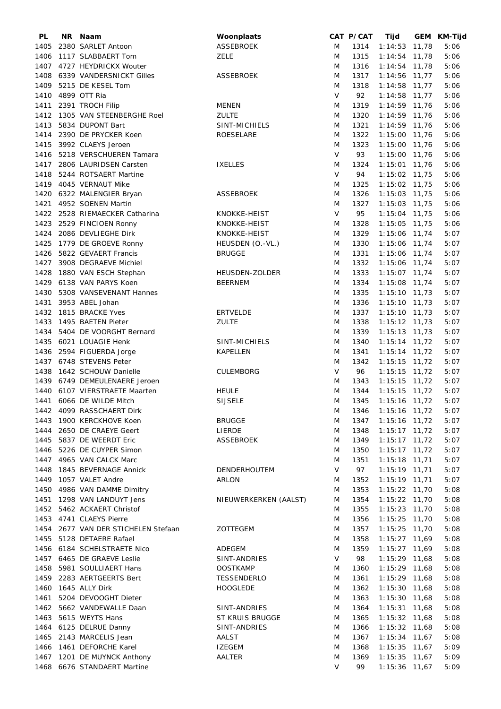| PL   | NR Naam                             | Woonplaats            |        | CAT P/CAT | Tijd            | GEM KM-Tijd |
|------|-------------------------------------|-----------------------|--------|-----------|-----------------|-------------|
| 1405 | 2380 SARLET Antoon                  | ASSEBROEK             | M      | 1314      | $1:14:53$ 11,78 | 5:06        |
| 1406 | 1117 SLABBAERT Tom                  | <b>ZELE</b>           | M      | 1315      | $1:14:54$ 11,78 | 5:06        |
|      | 1407 4727 HEYDRICKX Wouter          |                       | M      | 1316      | $1:14:54$ 11,78 | 5:06        |
| 1408 | 6339 VANDERSNICKT Gilles            | <b>ASSEBROEK</b>      | M      | 1317      | $1:14:56$ 11,77 | 5:06        |
|      |                                     |                       |        |           |                 |             |
| 1409 | 5215 DE KESEL Tom                   |                       | M      | 1318      | $1:14:58$ 11,77 | 5:06        |
| 1410 | 4899 OTT Ria                        |                       | V      | 92        | $1:14:58$ 11,77 | 5:06        |
| 1411 | 2391 TROCH Filip                    | <b>MENEN</b>          | M      | 1319      | 1:14:59 11,76   | 5:06        |
| 1412 | 1305 VAN STEENBERGHE Roel           | <b>ZULTE</b>          | M      | 1320      | 1:14:59 11,76   | 5:06        |
| 1413 | 5834 DUPONT Bart                    | SINT-MICHIELS         | M      | 1321      | 1:14:59 11,76   | 5:06        |
| 1414 | 2390 DE PRYCKER Koen                | <b>ROESELARE</b>      | M      | 1322      | 1:15:00 11,76   | 5:06        |
| 1415 | 3992 CLAEYS Jeroen                  |                       | M      | 1323      | 1:15:00 11,76   | 5:06        |
|      |                                     |                       | V      |           |                 |             |
|      | 1416 5218 VERSCHUEREN Tamara        |                       |        | 93        | 1:15:00 11,76   | 5:06        |
| 1417 | 2806 LAURIDSEN Carsten              | <b>IXELLES</b>        | M      | 1324      | 1:15:01 11,76   | 5:06        |
|      | 1418 5244 ROTSAERT Martine          |                       | V      | 94        | 1:15:02 11,75   | 5:06        |
|      | 1419 4045 VERNAUT Mike              |                       | M      | 1325      | 1:15:02 11,75   | 5:06        |
|      | 1420 6322 MALENGIER Bryan           | <b>ASSEBROEK</b>      | M      | 1326      | $1:15:03$ 11,75 | 5:06        |
| 1421 | 4952 SOENEN Martin                  |                       | M      | 1327      | $1:15:03$ 11,75 | 5:06        |
| 1422 | 2528 RIEMAECKER Catharina           | KNOKKE-HEIST          | V      | 95        | $1:15:04$ 11,75 | 5:06        |
| 1423 | 2529 FINCIOEN Ronny                 | KNOKKE-HEIST          | M      | 1328      | $1:15:05$ 11,75 | 5:06        |
| 1424 | 2086 DEVLIEGHE Dirk                 | KNOKKE-HEIST          | M      | 1329      | 1:15:06 11,74   | 5:07        |
|      |                                     |                       |        |           |                 |             |
| 1425 | 1779 DE GROEVE Ronny                | HEUSDEN (O.-VL.)      | M      | 1330      | 1:15:06 11,74   | 5:07        |
|      | 1426 5822 GEVAERT Francis           | <b>BRUGGE</b>         | M      | 1331      | 1:15:06 11,74   | 5:07        |
|      | 1427 3908 DEGRAEVE Michiel          |                       | M      | 1332      | 1:15:06 11,74   | 5:07        |
| 1428 | 1880 VAN ESCH Stephan               | HEUSDEN-ZOLDER        | M      | 1333      | $1:15:07$ 11,74 | 5:07        |
|      | 1429 6138 VAN PARYS Koen            | <b>BEERNEM</b>        | M      | 1334      | 1:15:08 11,74   | 5:07        |
|      | 1430 5308 VANSEVENANT Hannes        |                       | M      | 1335      | $1:15:10$ 11,73 | 5:07        |
| 1431 | 3953 ABEL Johan                     |                       | M      | 1336      | $1:15:10$ 11,73 | 5:07        |
| 1432 | 1815 BRACKE Yves                    | <b>ERTVELDE</b>       | M      | 1337      | $1:15:10$ 11,73 | 5:07        |
| 1433 | 1495 BAETEN Pieter                  | <b>ZULTE</b>          | M      | 1338      | $1:15:12$ 11,73 | 5:07        |
|      |                                     |                       |        |           |                 |             |
|      | 1434 5404 DE VOORGHT Bernard        |                       | M      | 1339      | $1:15:13$ 11,73 | 5:07        |
|      | 1435 6021 LOUAGIE Henk              | SINT-MICHIELS         | M      | 1340      | $1:15:14$ 11,72 | 5:07        |
|      | 1436 2594 FIGUERDA Jorge            | <b>KAPELLEN</b>       | M      | 1341      | $1:15:14$ 11,72 | 5:07        |
|      | 1437 6748 STEVENS Peter             |                       | M      | 1342      | $1:15:15$ 11,72 | 5:07        |
|      | 1438 1642 SCHOUW Danielle           | <b>CULEMBORG</b>      | $\vee$ | 96        | $1:15:15$ 11,72 | 5:07        |
|      | 1439 6749 DEMEULENAERE Jeroen       |                       | M      | 1343      | $1:15:15$ 11,72 | 5:07        |
|      | 1440 6107 VIERSTRAETE Maarten       | <b>HEULE</b>          | M      | 1344      | $1:15:15$ 11,72 | 5:07        |
|      | 1441 6066 DE WILDE Mitch            | <b>SIJSELE</b>        | M      | 1345      | $1:15:16$ 11,72 | 5:07        |
|      | 1442 4099 RASSCHAERT Dirk           |                       | M      | 1346      | 1:15:16 11,72   | 5:07        |
|      | 1443 1900 KERCKHOVE Koen            | <b>BRUGGE</b>         |        |           |                 |             |
|      |                                     |                       | M      | 1347      | $1:15:16$ 11,72 | 5:07        |
|      | 1444 2650 DE CRAEYE Geert           | LIERDE                | M      | 1348      | $1:15:17$ 11,72 | 5:07        |
|      | 1445 5837 DE WEERDT Eric            | ASSEBROEK             | M      | 1349      | $1:15:17$ 11,72 | 5:07        |
|      | 1446 5226 DE CUYPER Simon           |                       | M      | 1350      | $1:15:17$ 11,72 | 5:07        |
|      | 1447 4965 VAN CALCK Marc            |                       | M      | 1351      | $1:15:18$ 11,71 | 5:07        |
|      | 1448 1845 BEVERNAGE Annick          | DENDERHOUTEM          | V      | 97        | $1:15:19$ 11,71 | 5:07        |
|      | 1449 1057 VALET Andre               | ARLON                 | M      | 1352      | $1:15:19$ 11,71 | 5:07        |
|      | 1450 4986 VAN DAMME Dimitry         |                       | M      | 1353      | $1:15:22$ 11,70 | 5:08        |
| 1451 | 1298 VAN LANDUYT Jens               | NIEUWERKERKEN (AALST) | M      | 1354      | $1:15:22$ 11,70 | 5:08        |
|      | 1452 5462 ACKAERT Christof          |                       | M      | 1355      | $1:15:23$ 11,70 | 5:08        |
|      |                                     |                       |        |           |                 |             |
|      | 1453 4741 CLAEYS Pierre             |                       | M      | 1356      | $1:15:25$ 11,70 | 5:08        |
|      | 1454 2677 VAN DER STICHELEN Stefaan | ZOTTEGEM              | M      | 1357      | 1:15:25 11,70   | 5:08        |
|      | 1455 5128 DETAERE Rafael            |                       | M      | 1358      | 1:15:27 11,69   | 5:08        |
|      | 1456 6184 SCHELSTRAETE Nico         | ADEGEM                | M      | 1359      | $1:15:27$ 11,69 | 5:08        |
|      | 1457 6465 DE GRAEVE Leslie          | SINT-ANDRIES          | V      | 98        | $1:15:29$ 11,68 | 5:08        |
|      | 1458 5981 SOULLIAERT Hans           | <b>OOSTKAMP</b>       | M      | 1360      | $1:15:29$ 11,68 | 5:08        |
|      | 1459 2283 AERTGEERTS Bert           | TESSENDERLO           | M      | 1361      | $1:15:29$ 11,68 | 5:08        |
|      | 1460 1645 ALLY Dirk                 | <b>HOOGLEDE</b>       | M      | 1362      | $1:15:30$ 11,68 | 5:08        |
| 1461 | 5204 DEVOOGHT Dieter                |                       | M      | 1363      | $1:15:30$ 11,68 | 5:08        |
|      | 1462 5662 VANDEWALLE Daan           | SINT-ANDRIES          | M      | 1364      | $1:15:31$ 11,68 | 5:08        |
|      |                                     |                       |        |           |                 |             |
|      | 1463 5615 WEYTS Hans                | ST KRUIS BRUGGE       | M      | 1365      | $1:15:32$ 11,68 | 5:08        |
|      | 1464 6125 DELRUE Danny              | SINT-ANDRIES          | M      | 1366      | $1:15:32$ 11,68 | 5:08        |
|      | 1465 2143 MARCELIS Jean             | AALST                 | M      | 1367      | $1:15:34$ 11,67 | 5:08        |
|      | 1466 1461 DEFORCHE Karel            | <b>IZEGEM</b>         | M      | 1368      | $1:15:35$ 11,67 | 5:09        |
|      | 1467 1201 DE MUYNCK Anthony         | AALTER                | M      | 1369      | $1:15:35$ 11,67 | 5:09        |
|      | 1468 6676 STANDAERT Martine         |                       | V      | 99        | $1:15:36$ 11,67 | 5:09        |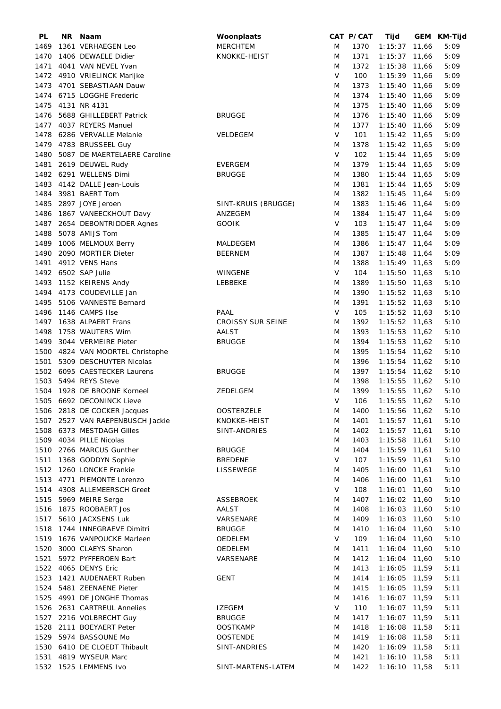| PL   | NR. | Naam                             | Woonplaats               |        | CAT P/CAT | Tijd               | GEM KM-Tijd |
|------|-----|----------------------------------|--------------------------|--------|-----------|--------------------|-------------|
| 1469 |     | 1361 VERHAEGEN Leo               | <b>MERCHTEM</b>          | M      | 1370      | $1:15:37$ 11,66    | 5:09        |
| 1470 |     | 1406 DEWAELE Didier              | KNOKKE-HEIST             | M      | 1371      | $1:15:37$ 11,66    | 5:09        |
| 1471 |     | 4041 VAN NEVEL Yvan              |                          | M      | 1372      | 1:15:38 11,66      | 5:09        |
|      |     | 1472 4910 VRIELINCK Marijke      |                          | V      | 100       | 1:15:39 11,66      | 5:09        |
| 1473 |     | 4701 SEBASTIAAN Dauw             |                          | M      | 1373      | 1:15:40 11,66      | 5:09        |
| 1474 |     | 6715 LOGGHE Frederic             |                          | M      | 1374      | 1:15:40 11,66      | 5:09        |
|      |     |                                  |                          |        |           |                    |             |
| 1475 |     | 4131 NR 4131                     |                          | M      | 1375      | $1:15:40$ 11,66    | 5:09        |
| 1476 |     | 5688 GHILLEBERT Patrick          | <b>BRUGGE</b>            | M      | 1376      | $1:15:40$ 11,66    | 5:09        |
| 1477 |     | 4037 REYERS Manuel               |                          | M      | 1377      | 1:15:40 11,66      | 5:09        |
| 1478 |     | 6286 VERVALLE Melanie            | VELDEGEM                 | $\vee$ | 101       | $1:15:42$ 11,65    | 5:09        |
| 1479 |     | 4783 BRUSSEEL Guy                |                          | M      | 1378      | $1:15:42$ 11,65    | 5:09        |
| 1480 |     | 5087 DE MAERTELAERE Caroline     |                          | $\vee$ | 102       | $1:15:44$ 11,65    | 5:09        |
| 1481 |     | 2619 DEUWEL Rudy                 | <b>EVERGEM</b>           | M      | 1379      | $1:15:44$ 11,65    | 5:09        |
|      |     | 1482 6291 WELLENS Dimi           | <b>BRUGGE</b>            | M      | 1380      | $1:15:44$ 11,65    | 5:09        |
| 1483 |     | 4142 DALLE Jean-Louis            |                          | M      | 1381      | $1:15:44$ 11,65    | 5:09        |
|      |     |                                  |                          |        |           |                    |             |
| 1484 |     | 3981 BAERT Tom                   |                          | M      | 1382      | $1:15:45$ 11,64    | 5:09        |
| 1485 |     | 2897 JOYE Jeroen                 | SINT-KRUIS (BRUGGE)      | M      | 1383      | $1:15:46$ 11,64    | 5:09        |
| 1486 |     | 1867 VANEECKHOUT Davy            | ANZEGEM                  | M      | 1384      | $1:15:47$ 11,64    | 5:09        |
| 1487 |     | 2654 DEBONTRIDDER Agnes          | <b>GOOIK</b>             | V      | 103       | $1:15:47$ 11,64    | 5:09        |
| 1488 |     | 5078 AMIJS Tom                   |                          | M      | 1385      | $1:15:47$ 11,64    | 5:09        |
| 1489 |     | 1006 MELMOUX Berry               | MALDEGEM                 | M      | 1386      | $1:15:47$ 11,64    | 5:09        |
| 1490 |     | 2090 MORTIER Dieter              | <b>BEERNEM</b>           | M      | 1387      | $1:15:48$ 11,64    | 5:09        |
|      |     | 1491 4912 VENS Hans              |                          | M      | 1388      | $1:15:49$ 11,63    | 5:09        |
|      |     | 1492 6502 SAP Julie              |                          | $\vee$ | 104       | $1:15:50$ 11,63    | 5:10        |
|      |     |                                  | WINGENE                  |        |           |                    |             |
| 1493 |     | 1152 KEIRENS Andy                | LEBBEKE                  | M      | 1389      | $1:15:50$ 11,63    | 5:10        |
| 1494 |     | 4173 COUDEVILLE Jan              |                          | M      | 1390      | $1:15:52$ 11,63    | 5:10        |
| 1495 |     | 5106 VANNESTE Bernard            |                          | M      | 1391      | $1:15:52$ 11,63    | 5:10        |
| 1496 |     | 1146 CAMPS Ilse                  | PAAL                     | V      | 105       | 1:15:52 11,63      | 5:10        |
| 1497 |     | 1638 ALPAERT Frans               | <b>CROISSY SUR SEINE</b> | M      | 1392      | $1:15:52$ 11,63    | 5:10        |
| 1498 |     | 1758 WAUTERS Wim                 | AALST                    | M      | 1393      | $1:15:53$ 11,62    | 5:10        |
| 1499 |     | 3044 VERMEIRE Pieter             | <b>BRUGGE</b>            | M      | 1394      | $1:15:53$ 11,62    | 5:10        |
| 1500 |     | 4824 VAN MOORTEL Christophe      |                          | M      | 1395      | 1:15:54 11,62      | 5:10        |
| 1501 |     | 5309 DESCHUYTER Nicolas          |                          | M      | 1396      | 1:15:54 11,62      | 5:10        |
|      |     |                                  |                          |        |           |                    |             |
|      |     | 1502 6095 CAESTECKER Laurens     | <b>BRUGGE</b>            | M      | 1397      | $1:15:54$ 11,62    | 5:10        |
| 1503 |     | 5494 REYS Steve                  |                          | M      | 1398      | $1:15:55$ 11,62    | 5:10        |
| 1504 |     | 1928 DE BROONE Korneel           | <b>ZEDELGEM</b>          | M      | 1399      | $1:15:55$ 11,62    | 5:10        |
|      |     | 1505 6692 DECONINCK Lieve        |                          | $\vee$ | 106       | $1:15:55$ 11,62    | 5:10        |
|      |     | 1506 2818 DE COCKER Jacques      | <b>OOSTERZELE</b>        | M      |           | 1400 1:15:56 11,62 | 5:10        |
|      |     | 1507 2527 VAN RAEPENBUSCH Jackie | KNOKKE-HEIST             | M      | 1401      | 1:15:57 11,61      | 5:10        |
|      |     | 1508 6373 MESTDAGH Gilles        | SINT-ANDRIES             | M      | 1402      | $1:15:57$ 11,61    | 5:10        |
|      |     | 1509 4034 PILLE Nicolas          |                          | M      | 1403      | $1:15:58$ 11,61    | 5:10        |
|      |     | 1510 2766 MARCUS Gunther         | <b>BRUGGE</b>            | M      | 1404      | $1:15:59$ 11,61    | 5:10        |
|      |     | 1511 1368 GODDYN Sophie          | <b>BREDENE</b>           | V      | 107       | $1:15:59$ 11,61    | 5:10        |
|      |     |                                  |                          |        |           |                    |             |
|      |     | 1512 1260 LONCKE Frankie         | LISSEWEGE                | M      | 1405      | $1:16:00$ 11,61    | 5:10        |
|      |     | 1513 4771 PIEMONTE Lorenzo       |                          | M      | 1406      | $1:16:00$ 11,61    | 5:10        |
|      |     | 1514 4308 ALLEMEERSCH Greet      |                          | V      | 108       | $1:16:01$ 11,60    | 5:10        |
| 1515 |     | 5969 MEIRE Serge                 | ASSEBROEK                | M      | 1407      | $1:16:02$ 11,60    | 5:10        |
|      |     | 1516 1875 ROOBAERT Jos           | AALST                    | M      | 1408      | $1:16:03$ 11,60    | 5:10        |
|      |     | 1517 5610 JACXSENS Luk           | VARSENARE                | M      | 1409      | $1:16:03$ 11,60    | 5:10        |
| 1518 |     | 1744 INNEGRAEVE Dimitri          | <b>BRUGGE</b>            | M      | 1410      | 1:16:04 11,60      | 5:10        |
| 1519 |     | 1676 VANPOUCKE Marleen           | OEDELEM                  | V      | 109       | 1:16:04 11,60      | 5:10        |
| 1520 |     | 3000 CLAEYS Sharon               |                          |        | 1411      |                    |             |
|      |     |                                  | OEDELEM                  | M      |           | 1:16:04 11,60      | 5:10        |
| 1521 |     | 5972 PYFFEROEN Bart              | VARSENARE                | M      | 1412      | 1:16:04 11,60      | 5:10        |
|      |     | 1522 4065 DENYS Eric             |                          | M      | 1413      | $1:16:05$ 11,59    | 5:11        |
|      |     | 1523 1421 AUDENAERT Ruben        | <b>GENT</b>              | M      | 1414      | $1:16:05$ 11,59    | 5:11        |
| 1524 |     | 5481 ZEENAENE Pieter             |                          | M      | 1415      | 1:16:05 11,59      | 5:11        |
| 1525 |     | 4991 DE JONGHE Thomas            |                          | M      | 1416      | 1:16:07 11,59      | 5:11        |
|      |     | 1526 2631 CARTREUL Annelies      | <b>IZEGEM</b>            | $\vee$ | 110       | $1:16:07$ 11,59    | 5:11        |
|      |     | 1527 2216 VOLBRECHT Guy          | <b>BRUGGE</b>            | M      | 1417      | 1:16:07 11,59      | 5:11        |
|      |     | 1528 2111 BOEYAERT Peter         | <b>OOSTKAMP</b>          | M      | 1418      | 1:16:08 11,58      | 5:11        |
|      |     | 1529 5974 BASSOUNE Mo            | <b>OOSTENDE</b>          |        |           |                    | 5:11        |
|      |     |                                  |                          | M      | 1419      | $1:16:08$ 11,58    |             |
|      |     | 1530 6410 DE CLOEDT Thibault     | SINT-ANDRIES             | M      | 1420      | 1:16:09 11,58      | 5:11        |
|      |     | 1531 4819 WYSEUR Marc            |                          | M      | 1421      | $1:16:10$ 11,58    | 5:11        |
|      |     | 1532 1525 LEMMENS Ivo            | SINT-MARTENS-LATEM       | M      | 1422      | $1:16:10$ 11,58    | 5:11        |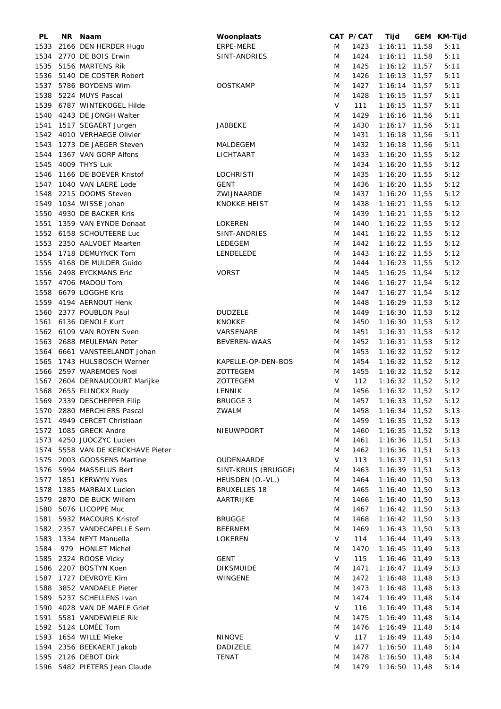| PL   | NR. | Naam                              | Woonplaats          |   | CAT P/CAT | Tijd            |       | GEM KM-Tijd |
|------|-----|-----------------------------------|---------------------|---|-----------|-----------------|-------|-------------|
| 1533 |     | 2166 DEN HERDER Hugo              | ERPE-MERE           | M | 1423      | 1:16:11         | 11,58 | 5:11        |
| 1534 |     | 2770 DE BOIS Erwin                | SINT-ANDRIES        | M | 1424      | 1:16:11         | 11,58 | 5:11        |
| 1535 |     | 5156 MARTENS Rik                  |                     | M | 1425      | $1:16:12$ 11,57 |       | 5:11        |
| 1536 |     | 5140 DE COSTER Robert             |                     | M | 1426      | $1:16:13$ 11,57 |       | 5:11        |
| 1537 |     | 5786 BOYDENS Wim                  | <b>OOSTKAMP</b>     | M | 1427      | $1:16:14$ 11,57 |       | 5:11        |
| 1538 |     | 5224 MUYS Pascal                  |                     | M | 1428      | $1:16:15$ 11,57 |       | 5:11        |
|      |     |                                   |                     |   |           |                 |       |             |
| 1539 |     | 6787 WINTEKOGEL Hilde             |                     | V | 111       | $1:16:15$ 11,57 |       | 5:11        |
| 1540 |     | 4243 DE JONGH Walter              |                     | M | 1429      | $1:16:16$ 11,56 |       | 5:11        |
| 1541 |     | 1517 SEGAERT Jurgen               | JABBEKE             | M | 1430      | $1:16:17$ 11,56 |       | 5:11        |
| 1542 |     | 4010 VERHAEGE Olivier             |                     | M | 1431      | 1:16:18 11,56   |       | 5:11        |
| 1543 |     | 1273 DE JAEGER Steven             | MALDEGEM            | M | 1432      | 1:16:18 11,56   |       | 5:11        |
| 1544 |     | 1367 VAN GORP Alfons              | LICHTAART           | M | 1433      | $1:16:20$ 11,55 |       | 5:12        |
| 1545 |     | 4009 THYS Luk                     |                     | M | 1434      | 1:16:20 11,55   |       | 5:12        |
| 1546 |     | 1166 DE BOEVER Kristof            | <b>LOCHRISTI</b>    | M | 1435      | 1:16:20 11,55   |       | 5:12        |
| 1547 |     | 1040 VAN LAERE Lode               | <b>GENT</b>         | M | 1436      | $1:16:20$ 11,55 |       | 5:12        |
| 1548 |     | 2215 DOOMS Steven                 | ZWIJNAARDE          | M | 1437      | $1:16:20$ 11,55 |       | 5:12        |
| 1549 |     | 1034 WISSE Johan                  | <b>KNOKKE HEIST</b> | M | 1438      | $1:16:21$ 11,55 |       | 5:12        |
|      |     |                                   |                     |   | 1439      |                 |       |             |
| 1550 |     | 4930 DE BACKER Kris               |                     | M |           | $1:16:21$ 11,55 |       | 5:12        |
| 1551 |     | 1359 VAN EYNDE Donaat             | <b>LOKEREN</b>      | M | 1440      | $1:16:22$ 11,55 |       | 5:12        |
| 1552 |     | 6158 SCHOUTEERE Luc               | SINT-ANDRIES        | M | 1441      | $1:16:22$ 11,55 |       | 5:12        |
| 1553 |     | 2350 AALVOET Maarten              | LEDEGEM             | M | 1442      | $1:16:22$ 11,55 |       | 5:12        |
| 1554 |     | 1718 DEMUYNCK Tom                 | LENDELEDE           | M | 1443      | $1:16:22$ 11,55 |       | 5:12        |
| 1555 |     | 4168 DE MULDER Guido              |                     | M | 1444      | $1:16:23$ 11,55 |       | 5:12        |
|      |     | 1556 2498 EYCKMANS Eric           | <b>VORST</b>        | M | 1445      | $1:16:25$ 11,54 |       | 5:12        |
|      |     | 1557 4706 MADOU Tom               |                     | M | 1446      | $1:16:27$ 11,54 |       | 5:12        |
| 1558 |     | 6679 LOGGHE Kris                  |                     | M | 1447      | $1:16:27$ 11,54 |       | 5:12        |
| 1559 |     | 4194 AERNOUT Henk                 |                     | M | 1448      | $1:16:29$ 11,53 |       | 5:12        |
| 1560 |     | 2377 POUBLON Paul                 | <b>DUDZELE</b>      | M | 1449      | $1:16:30$ 11,53 |       | 5:12        |
|      |     |                                   |                     |   |           |                 |       |             |
| 1561 |     | 6136 DENOLF Kurt                  | <b>KNOKKE</b>       | M | 1450      | $1:16:30$ 11,53 |       | 5:12        |
| 1562 |     | 6109 VAN ROYEN Sven               | VARSENARE           | M | 1451      | $1:16:31$ 11,53 |       | 5:12        |
| 1563 |     | 2688 MEULEMAN Peter               | <b>BEVEREN-WAAS</b> | M | 1452      | $1:16:31$ 11,53 |       | 5:12        |
|      |     | 1564 6661 VANSTEELANDT Johan      |                     | M | 1453      | $1:16:32$ 11,52 |       | 5:12        |
| 1565 |     | 1743 HULSBOSCH Werner             | KAPELLE-OP-DEN-BOS  | M | 1454      | $1:16:32$ 11,52 |       | 5:12        |
|      |     | 1566 2597 WAREMOES Noel           | ZOTTEGEM            | M | 1455      | $1:16:32$ 11,52 |       | 5:12        |
|      |     | 1567 2604 DERNAUCOURT Marijke     | ZOTTEGEM            | V | 112       | $1:16:32$ 11,52 |       | 5:12        |
| 1568 |     | 2655 ELINCKX Rudy                 | LENNIK              | M | 1456      | $1:16:32$ 11,52 |       | 5:12        |
|      |     | 1569 2339 DESCHEPPER Filip        | <b>BRUGGE 3</b>     | M | 1457      | 1:16:33 11,52   |       | 5:12        |
|      |     | 1570 2880 MERCHIERS Pascal        | ZWALM               | M | 1458      | $1:16:34$ 11,52 |       | 5:13        |
|      |     | 1571 4949 CERCET Christiaan       |                     | M | 1459      | $1:16:35$ 11,52 |       | 5:13        |
|      |     | 1572 1085 GRECK Andre             | NIEUWPOORT          | M | 1460      | $1:16:35$ 11,52 |       | 5:13        |
|      |     |                                   |                     |   |           |                 |       |             |
|      |     | 1573 4250 JUOCZYC Lucien          |                     | M | 1461      | $1:16:36$ 11,51 |       | 5:13        |
|      |     | 1574 5558 VAN DE KERCKHAVE Pieter |                     | M | 1462      | $1:16:36$ 11,51 |       | 5:13        |
|      |     | 1575 2003 GOOSSENS Martine        | OUDENAARDE          | V | 113       | $1:16:37$ 11,51 |       | 5:13        |
|      |     | 1576 5994 MASSELUS Bert           | SINT-KRUIS (BRUGGE) | M | 1463      | $1:16:39$ 11,51 |       | 5:13        |
|      |     | 1577 1851 KERWYN Yves             | HEUSDEN (O.-VL.)    | M | 1464      | $1:16:40$ 11,50 |       | 5:13        |
| 1578 |     | 1385 MARBAIX Lucien               | <b>BRUXELLES 18</b> | M | 1465      | $1:16:40$ 11,50 |       | 5:13        |
| 1579 |     | 2870 DE BUCK Willem               | AARTRIJKE           | M | 1466      | $1:16:40$ 11,50 |       | 5:13        |
|      |     | 1580 5076 LICOPPE Muc             |                     | M | 1467      | $1:16:42$ 11,50 |       | 5:13        |
| 1581 |     | 5932 MACOURS Kristof              | <b>BRUGGE</b>       | M | 1468      | $1:16:42$ 11,50 |       | 5:13        |
|      |     | 1582 2357 VANDECAPELLE Sem        | <b>BEERNEM</b>      | M | 1469      | $1:16:43$ 11,50 |       | 5:13        |
| 1583 |     | 1334 NEYT Manuella                | LOKEREN             | V | 114       | $1:16:44$ 11,49 |       | 5:13        |
| 1584 |     | 979 HONLET Michel                 |                     | M | 1470      | $1:16:45$ 11,49 |       | 5:13        |
|      |     |                                   |                     |   |           |                 |       |             |
| 1585 |     | 2324 ROOSE Vicky                  | <b>GENT</b>         | V | 115       | $1:16:46$ 11,49 |       | 5:13        |
|      |     | 1586 2207 BOSTYN Koen             | <b>DIKSMUIDE</b>    | M | 1471      | $1:16:47$ 11,49 |       | 5:13        |
|      |     | 1587 1727 DEVROYE Kim             | WINGENE             | M | 1472      | $1:16:48$ 11,48 |       | 5:13        |
| 1588 |     | 3852 VANDAELE Pieter              |                     | M | 1473      | $1:16:48$ 11,48 |       | 5:13        |
|      |     | 1589 5237 SCHELLENS Ivan          |                     | M | 1474      | $1:16:49$ 11,48 |       | 5:14        |
|      |     | 1590 4028 VAN DE MAELE Griet      |                     | V | 116       | $1:16:49$ 11,48 |       | 5:14        |
| 1591 |     | 5581 VANDEWIELE Rik               |                     | M | 1475      | $1:16:49$ 11,48 |       | 5:14        |
|      |     | 1592 5124 LOMÉE Tom               |                     | M | 1476      | $1:16:49$ 11,48 |       | 5:14        |
|      |     | 1593 1654 WILLE Mieke             | <b>NINOVE</b>       | V | 117       | $1:16:49$ 11,48 |       | 5:14        |
|      |     | 1594 2356 BEEKAERT Jakob          | DADIZELE            | M | 1477      | $1:16:50$ 11,48 |       | 5:14        |
|      |     | 1595 2126 DEBOT Dirk              | TENAT               | M | 1478      | $1:16:50$ 11,48 |       | 5:14        |
|      |     | 1596 5482 PIETERS Jean Claude     |                     | M | 1479      | $1:16:50$ 11,48 |       | 5:14        |
|      |     |                                   |                     |   |           |                 |       |             |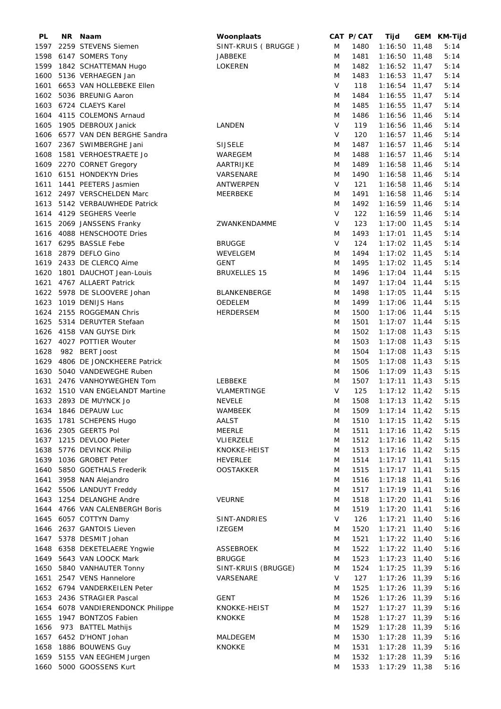| PL   | NR. | Naam                         | Woonplaats          |        | CAT P/CAT | Tijd            | GEM KM-Tijd |
|------|-----|------------------------------|---------------------|--------|-----------|-----------------|-------------|
| 1597 |     | 2259 STEVENS Siemen          | SINT-KRUIS (BRUGGE) | M      | 1480      | $1:16:50$ 11,48 | 5:14        |
| 1598 |     | 6147 SOMERS Tony             | JABBEKE             | M      | 1481      | $1:16:50$ 11,48 | 5:14        |
| 1599 |     | 1842 SCHATTEMAN Hugo         | LOKEREN             | M      | 1482      | $1:16:52$ 11,47 | 5:14        |
| 1600 |     | 5136 VERHAEGEN Jan           |                     | M      | 1483      | $1:16:53$ 11,47 | 5:14        |
| 1601 |     | 6653 VAN HOLLEBEKE Ellen     |                     | V      | 118       | $1:16:54$ 11,47 | 5:14        |
| 1602 |     | 5036 BREUNIG Aaron           |                     | M      | 1484      |                 | 5:14        |
|      |     |                              |                     |        |           | $1:16:55$ 11,47 |             |
| 1603 |     | 6724 CLAEYS Karel            |                     | M      | 1485      | $1:16:55$ 11,47 | 5:14        |
| 1604 |     | 4115 COLEMONS Arnaud         |                     | M      | 1486      | 1:16:56 11,46   | 5:14        |
| 1605 |     | 1905 DEBROUX Janick          | LANDEN              | V      | 119       | 1:16:56 11,46   | 5:14        |
| 1606 |     | 6577 VAN DEN BERGHE Sandra   |                     | V      | 120       | $1:16:57$ 11,46 | 5:14        |
| 1607 |     | 2367 SWIMBERGHE Jani         | <b>SIJSELE</b>      | M      | 1487      | $1:16:57$ 11,46 | 5:14        |
| 1608 |     | 1581 VERHOESTRAETE Jo        | WAREGEM             | M      | 1488      | $1:16:57$ 11,46 | 5:14        |
| 1609 |     | 2270 CORNET Gregory          | AARTRIJKE           | M      | 1489      | 1:16:58 11,46   | 5:14        |
| 1610 |     | 6151 HONDEKYN Dries          | VARSENARE           | M      | 1490      | 1:16:58 11,46   | 5:14        |
| 1611 |     | 1441 PEETERS Jasmien         | ANTWERPEN           | V      | 121       | 1:16:58 11,46   | 5:14        |
| 1612 |     | 2497 VERSCHELDEN Marc        | MEERBEKE            | M      | 1491      | 1:16:58 11,46   | 5:14        |
| 1613 |     | 5142 VERBAUWHEDE Patrick     |                     | M      | 1492      | 1:16:59 11,46   | 5:14        |
|      |     | 4129 SEGHERS Veerle          |                     | V      | 122       | 1:16:59 11,46   |             |
| 1614 |     |                              |                     |        |           |                 | 5:14        |
| 1615 |     | 2069 JANSSENS Franky         | ZWANKENDAMME        | V      | 123       | $1:17:00$ 11,45 | 5:14        |
| 1616 |     | 4088 HENSCHOOTE Dries        |                     | M      | 1493      | $1:17:01$ 11,45 | 5:14        |
| 1617 |     | 6295 BASSLE Febe             | <b>BRUGGE</b>       | $\vee$ | 124       | $1:17:02$ 11,45 | 5:14        |
| 1618 |     | 2879 DEFLO Gino              | WEVELGEM            | M      | 1494      | $1:17:02$ 11,45 | 5:14        |
| 1619 |     | 2433 DE CLERCQ Aime          | <b>GENT</b>         | M      | 1495      | $1:17:02$ 11,45 | 5:14        |
| 1620 |     | 1801 DAUCHOT Jean-Louis      | <b>BRUXELLES 15</b> | M      | 1496      | $1:17:04$ 11,44 | 5:15        |
| 1621 |     | 4767 ALLAERT Patrick         |                     | M      | 1497      | $1:17:04$ 11,44 | 5:15        |
| 1622 |     | 5978 DE SLOOVERE Johan       | <b>BLANKENBERGE</b> | M      | 1498      | $1:17:05$ 11,44 | 5:15        |
| 1623 |     | 1019 DENIJS Hans             | OEDELEM             | M      | 1499      | $1:17:06$ 11,44 | 5:15        |
| 1624 |     | 2155 ROGGEMAN Chris          | <b>HERDERSEM</b>    | M      | 1500      | $1:17:06$ 11,44 | 5:15        |
|      |     | 5314 DERUYTER Stefaan        |                     |        |           |                 |             |
| 1625 |     |                              |                     | M      | 1501      | $1:17:07$ 11,44 | 5:15        |
| 1626 |     | 4158 VAN GUYSE Dirk          |                     | M      | 1502      | $1:17:08$ 11,43 | 5:15        |
| 1627 |     | 4027 POTTIER Wouter          |                     | M      | 1503      | $1:17:08$ 11,43 | 5:15        |
| 1628 |     | 982 BERT Joost               |                     | M      | 1504      | $1:17:08$ 11,43 | 5:15        |
| 1629 |     | 4806 DE JONCKHEERE Patrick   |                     | M      | 1505      | $1:17:08$ 11,43 | 5:15        |
| 1630 |     | 5040 VANDEWEGHE Ruben        |                     | M      | 1506      | $1:17:09$ 11,43 | 5:15        |
| 1631 |     | 2476 VANHOYWEGHEN Tom        | LEBBEKE             | M      | 1507      | $1:17:11$ 11,43 | 5:15        |
| 1632 |     | 1510 VAN ENGELANDT Martine   | VLAMERTINGE         | V      | 125       | $1:17:12$ 11,42 | 5:15        |
|      |     | 1633 2893 DE MUYNCK Jo       | <b>NEVELE</b>       | M      | 1508      | $1:17:13$ 11,42 | 5:15        |
|      |     | 1634 1846 DEPAUW Luc         | <b>WAMBEEK</b>      | M      | 1509      | 1:17:14 11,42   | 5:15        |
|      |     | 1635 1781 SCHEPENS Hugo      | AALST               | M      | 1510      | $1:17:15$ 11,42 | 5:15        |
|      |     | 1636 2305 GEERTS Pol         | <b>MEERLE</b>       | M      | 1511      | $1:17:16$ 11,42 | 5:15        |
|      |     |                              |                     |        |           |                 |             |
|      |     | 1637 1215 DEVLOO Pieter      | VLIERZELE           | M      | 1512      | $1:17:16$ 11,42 | 5:15        |
|      |     | 1638 5776 DEVINCK Philip     | KNOKKE-HEIST        | M      | 1513      | $1:17:16$ 11,42 | 5:15        |
|      |     | 1639 1036 GROBET Peter       | <b>HEVERLEE</b>     | M      | 1514      | $1:17:17$ 11,41 | 5:15        |
| 1640 |     | 5850 GOETHALS Frederik       | <b>OOSTAKKER</b>    | M      | 1515      | $1:17:17$ 11,41 | 5:15        |
| 1641 |     | 3958 NAN Alejandro           |                     | M      | 1516      | $1:17:18$ 11,41 | 5:16        |
| 1642 |     | 5506 LANDUYT Freddy          |                     | M      | 1517      | $1:17:19$ 11,41 | 5:16        |
|      |     | 1643 1254 DELANGHE Andre     | <b>VEURNE</b>       | M      | 1518      | $1:17:20$ 11,41 | 5:16        |
| 1644 |     | 4766 VAN CALENBERGH Boris    |                     | M      | 1519      | $1:17:20$ 11,41 | 5:16        |
| 1645 |     | 6057 COTTYN Damy             | SINT-ANDRIES        | V      | 126       | $1:17:21$ 11,40 | 5:16        |
|      |     | 1646 2637 GANTOIS Lieven     | <b>IZEGEM</b>       | M      | 1520      | $1:17:21$ 11,40 | 5:16        |
|      |     | 1647 5378 DESMIT Johan       |                     | M      | 1521      | $1:17:22$ 11,40 | 5:16        |
|      |     |                              |                     |        |           |                 |             |
|      |     | 1648 6358 DEKETELAERE Yngwie | ASSEBROEK           | M      | 1522      | $1:17:22$ 11,40 | 5:16        |
|      |     | 1649 5643 VAN LOOCK Mark     | <b>BRUGGE</b>       | M      | 1523      | $1:17:23$ 11,40 | 5:16        |
|      |     | 1650 5840 VANHAUTER Tonny    | SINT-KRUIS (BRUGGE) | M      | 1524      | $1:17:25$ 11,39 | 5:16        |
|      |     | 1651 2547 VENS Hannelore     | VARSENARE           | V      | 127       | $1:17:26$ 11,39 | 5:16        |
|      |     | 1652 6794 VANDERKEILEN Peter |                     | M      | 1525      | 1:17:26 11,39   | 5:16        |
|      |     | 1653 2436 STRAGIER Pascal    | <b>GENT</b>         | M      | 1526      | 1:17:26 11,39   | 5:16        |
| 1654 |     | 6078 VANDIERENDONCK Philippe | KNOKKE-HEIST        | M      | 1527      | $1:17:27$ 11,39 | 5:16        |
| 1655 |     | 1947 BONTZOS Fabien          | <b>KNOKKE</b>       | M      | 1528      | $1:17:27$ 11,39 | 5:16        |
| 1656 |     | 973 BATTEL Mathijs           |                     | M      | 1529      | $1:17:28$ 11,39 | 5:16        |
| 1657 |     | 6452 D'HONT Johan            | MALDEGEM            | M      | 1530      | 1:17:28 11,39   | 5:16        |
|      |     | 1658 1886 BOUWENS Guy        | <b>KNOKKE</b>       | M      | 1531      | $1:17:28$ 11,39 | 5:16        |
|      |     | 1659 5155 VAN EEGHEM Jurgen  |                     | M      | 1532      | $1:17:28$ 11,39 | 5:16        |
|      |     |                              |                     |        |           |                 |             |
| 1660 |     | 5000 GOOSSENS Kurt           |                     | M      | 1533      | 1:17:29 11,38   | 5:16        |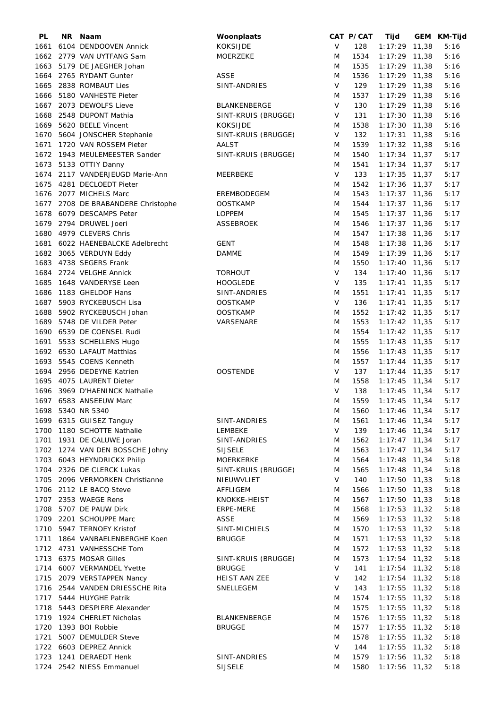| PL   | NR | Naam                            | Woonplaats          |        | CAT P/CAT | Tijd            | GEM KM-Tijd |
|------|----|---------------------------------|---------------------|--------|-----------|-----------------|-------------|
| 1661 |    | 6104 DENDOOVEN Annick           | <b>KOKSIJDE</b>     | V      | 128       | $1:17:29$ 11,38 | 5:16        |
|      |    | 1662 2779 VAN UYTFANG Sam       | MOERZEKE            | M      | 1534      | $1:17:29$ 11,38 | 5:16        |
|      |    | 1663 5179 DE JAEGHER Johan      |                     | M      | 1535      | $1:17:29$ 11,38 | 5:16        |
| 1664 |    | 2765 RYDANT Gunter              | ASSE                | M      | 1536      | $1:17:29$ 11,38 | 5:16        |
| 1665 |    | 2838 ROMBAUT Lies               | SINT-ANDRIES        | V      | 129       | $1:17:29$ 11,38 | 5:16        |
| 1666 |    | 5180 VANHESTE Pieter            |                     | M      | 1537      | $1:17:29$ 11,38 | 5:16        |
|      |    |                                 |                     |        |           |                 |             |
| 1667 |    | 2073 DEWOLFS Lieve              | BLANKENBERGE        | V      | 130       | $1:17:29$ 11,38 | 5:16        |
| 1668 |    | 2548 DUPONT Mathia              | SINT-KRUIS (BRUGGE) | V      | 131       | $1:17:30$ 11,38 | 5:16        |
| 1669 |    | 5620 BEELE Vincent              | <b>KOKSIJDE</b>     | M      | 1538      | 1:17:30 11,38   | 5:16        |
| 1670 |    | 5604 JONSCHER Stephanie         | SINT-KRUIS (BRUGGE) | V      | 132       | $1:17:31$ 11,38 | 5:16        |
| 1671 |    | 1720 VAN ROSSEM Pieter          | AALST               | M      | 1539      | $1:17:32$ 11,38 | 5:16        |
|      |    | 1672 1943 MEULEMEESTER Sander   | SINT-KRUIS (BRUGGE) | M      | 1540      | $1:17:34$ 11,37 | 5:17        |
|      |    | 1673 5133 OTTIY Danny           |                     | M      | 1541      | $1:17:34$ 11,37 | 5:17        |
| 1674 |    | 2117 VANDERJEUGD Marie-Ann      | MEERBEKE            | V      | 133       | $1:17:35$ 11,37 | 5:17        |
|      |    | 1675 4281 DECLOEDT Pieter       |                     | M      | 1542      | $1:17:36$ 11,37 | 5:17        |
|      |    |                                 |                     |        |           |                 |             |
| 1676 |    | 2077 MICHELS Marc               | EREMBODEGEM         | M      | 1543      | $1:17:37$ 11,36 | 5:17        |
| 1677 |    | 2708 DE BRABANDERE Christophe   | <b>OOSTKAMP</b>     | M      | 1544      | $1:17:37$ 11,36 | 5:17        |
| 1678 |    | 6079 DESCAMPS Peter             | <b>LOPPEM</b>       | M      | 1545      | $1:17:37$ 11,36 | 5:17        |
| 1679 |    | 2794 DRUWEL Joeri               | <b>ASSEBROEK</b>    | M      | 1546      | $1:17:37$ 11,36 | 5:17        |
| 1680 |    | 4979 CLEVERS Chris              |                     | M      | 1547      | $1:17:38$ 11,36 | 5:17        |
| 1681 |    | 6022 HAENEBALCKE Adelbrecht     | GENT                | M      | 1548      | $1:17:38$ 11,36 | 5:17        |
|      |    | 1682 3065 VERDUYN Eddy          | <b>DAMME</b>        | M      | 1549      | $1:17:39$ 11,36 | 5:17        |
|      |    | 1683 4738 SEGERS Frank          |                     | M      | 1550      | $1:17:40$ 11,36 | 5:17        |
|      |    |                                 |                     |        |           |                 |             |
| 1684 |    | 2724 VELGHE Annick              | <b>TORHOUT</b>      | V      | 134       | $1:17:40$ 11,36 | 5:17        |
| 1685 |    | 1648 VANDERYSE Leen             | <b>HOOGLEDE</b>     | V      | 135       | $1:17:41$ 11,35 | 5:17        |
| 1686 |    | 1183 GHELDOF Hans               | SINT-ANDRIES        | M      | 1551      | $1:17:41$ 11,35 | 5:17        |
| 1687 |    | 5903 RYCKEBUSCH Lisa            | <b>OOSTKAMP</b>     | V      | 136       | $1:17:41$ 11,35 | 5:17        |
| 1688 |    | 5902 RYCKEBUSCH Johan           | <b>OOSTKAMP</b>     | M      | 1552      | $1:17:42$ 11,35 | 5:17        |
| 1689 |    | 5748 DE VILDER Peter            | VARSENARE           | M      | 1553      | $1:17:42$ 11,35 | 5:17        |
|      |    | 1690 6539 DE COENSEL Rudi       |                     | M      | 1554      | $1:17:42$ 11,35 | 5:17        |
| 1691 |    | 5533 SCHELLENS Hugo             |                     | M      | 1555      | $1:17:43$ 11,35 | 5:17        |
|      |    | 1692 6530 LAFAUT Matthias       |                     | M      | 1556      |                 | 5:17        |
|      |    |                                 |                     |        |           | $1:17:43$ 11,35 |             |
|      |    | 1693 5545 COENS Kenneth         |                     | M      | 1557      | $1:17:44$ 11,35 | 5:17        |
|      |    | 1694 2956 DEDEYNE Katrien       | <b>OOSTENDE</b>     | V      | 137       | $1:17:44$ 11,35 | 5:17        |
|      |    | 1695 4075 LAURENT Dieter        |                     | M      | 1558      | $1:17:45$ 11,34 | 5:17        |
|      |    | 1696 3969 D'HAENINCK Nathalie   |                     | $\vee$ | 138       | $1:17:45$ 11,34 | 5:17        |
|      |    | 1697 6583 ANSEEUW Marc          |                     | M      | 1559      | $1:17:45$ 11,34 | 5:17        |
|      |    | 1698 5340 NR 5340               |                     | M      | 1560      | $1:17:46$ 11,34 | 5:17        |
|      |    | 1699 6315 GUISEZ Tanguy         | SINT-ANDRIES        | M      | 1561      | $1:17:46$ 11,34 | 5:17        |
|      |    | 1700 1180 SCHOTTE Nathalie      | LEMBEKE             | V      | 139       | $1:17:46$ 11,34 | 5:17        |
|      |    | 1701 1931 DE CALUWE Joran       | SINT-ANDRIES        | M      | 1562      | $1:17:47$ 11,34 |             |
|      |    |                                 |                     |        |           |                 | 5:17        |
|      |    | 1702 1274 VAN DEN BOSSCHE Johny | <b>SIJSELE</b>      | M      | 1563      | $1:17:47$ 11,34 | 5:17        |
|      |    | 1703 6043 HEYNDRICKX Philip     | MOERKERKE           | M      | 1564      | $1:17:48$ 11,34 | 5:18        |
|      |    | 1704 2326 DE CLERCK Lukas       | SINT-KRUIS (BRUGGE) | M      | 1565      | $1:17:48$ 11,34 | 5:18        |
|      |    | 1705 2096 VERMORKEN Christianne | NIEUWVLIET          | V      | 140       | $1:17:50$ 11,33 | 5:18        |
|      |    | 1706 2112 LE BACQ Steve         | AFFLIGEM            | M      | 1566      | $1:17:50$ 11,33 | 5:18        |
|      |    | 1707 2353 WAEGE Rens            | KNOKKE-HEIST        | M      | 1567      | $1:17:50$ 11,33 | 5:18        |
|      |    | 1708 5707 DE PAUW Dirk          | ERPE-MERE           | M      | 1568      | $1:17:53$ 11,32 | 5:18        |
|      |    | 1709 2201 SCHOUPPE Marc         | ASSE                | M      | 1569      | $1:17:53$ 11,32 | 5:18        |
|      |    |                                 |                     |        |           |                 |             |
|      |    | 1710 5947 TERNOEY Kristof       | SINT-MICHIELS       | M      | 1570      | $1:17:53$ 11,32 | 5:18        |
|      |    | 1711 1864 VANBAELENBERGHE Koen  | <b>BRUGGE</b>       | M      | 1571      | $1:17:53$ 11,32 | 5:18        |
|      |    | 1712 4731 VANHESSCHE Tom        |                     | M      | 1572      | $1:17:53$ 11,32 | 5:18        |
|      |    | 1713 6375 MOSAR Gilles          | SINT-KRUIS (BRUGGE) | M      | 1573      | $1:17:54$ 11,32 | 5:18        |
|      |    | 1714 6007 VERMANDEL Yvette      | <b>BRUGGE</b>       | V      | 141       | $1:17:54$ 11,32 | 5:18        |
|      |    | 1715 2079 VERSTAPPEN Nancy      | HEIST AAN ZEE       | V      | 142       | $1:17:54$ 11,32 | 5:18        |
|      |    | 1716 2544 VANDEN DRIESSCHE Rita | SNELLEGEM           | V      | 143       | $1:17:55$ 11,32 | 5:18        |
|      |    | 1717 5444 HUYGHE Patrik         |                     | M      | 1574      | $1:17:55$ 11,32 | 5:18        |
|      |    |                                 |                     |        |           |                 |             |
|      |    | 1718 5443 DESPIERE Alexander    |                     | M      | 1575      | 1:17:55 11,32   | 5:18        |
|      |    | 1719 1924 CHERLET Nicholas      | BLANKENBERGE        | M      | 1576      | $1:17:55$ 11,32 | 5:18        |
|      |    | 1720 1393 BOI Robbie            | <b>BRUGGE</b>       | M      | 1577      | $1:17:55$ 11,32 | 5:18        |
| 1721 |    | 5007 DEMULDER Steve             |                     | M      | 1578      | $1:17:55$ 11,32 | 5:18        |
|      |    | 1722 6603 DEPREZ Annick         |                     | V      | 144       | $1:17:55$ 11,32 | 5:18        |
|      |    | 1723 1241 DERAEDT Henk          | SINT-ANDRIES        | M      | 1579      | $1:17:56$ 11,32 | 5:18        |
|      |    | 1724 2542 NIESS Emmanuel        | <b>SIJSELE</b>      | M      | 1580      | $1:17:56$ 11,32 | 5:18        |
|      |    |                                 |                     |        |           |                 |             |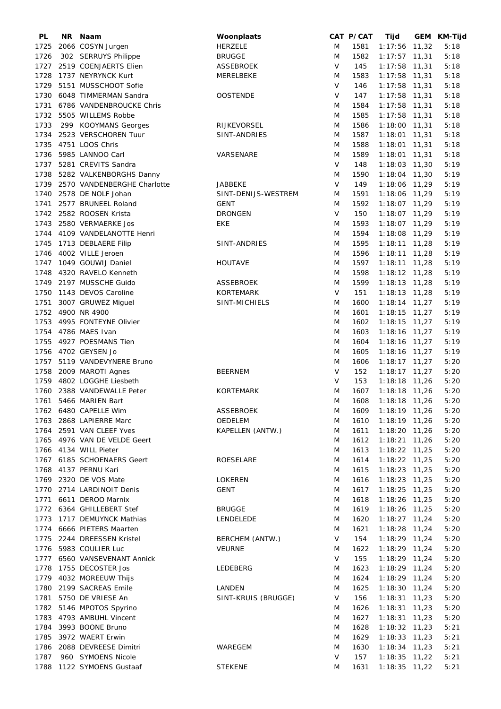| PL   | NR. | Naam                         | Woonplaats          |             | CAT P/CAT | Tijd            | GEM KM-Tijd |
|------|-----|------------------------------|---------------------|-------------|-----------|-----------------|-------------|
| 1725 |     | 2066 COSYN Jurgen            | <b>HERZELE</b>      | M           | 1581      | $1:17:56$ 11,32 | 5:18        |
| 1726 |     | 302 SERRUYS Philippe         | <b>BRUGGE</b>       | M           | 1582      | $1:17:57$ 11,31 | 5:18        |
| 1727 |     | 2519 COENJAERTS Elien        | <b>ASSEBROEK</b>    | V           | 145       | $1:17:58$ 11,31 | 5:18        |
| 1728 |     | 1737 NEYRYNCK Kurt           | MERELBEKE           | M           | 1583      | $1:17:58$ 11,31 | 5:18        |
| 1729 |     | 5151 MUSSCHOOT Sofie         |                     | V           | 146       | $1:17:58$ 11,31 | 5:18        |
| 1730 |     | 6048 TIMMERMAN Sandra        | <b>OOSTENDE</b>     | $\vee$      | 147       | $1:17:58$ 11,31 | 5:18        |
|      |     |                              |                     |             |           |                 |             |
| 1731 |     | 6786 VANDENBROUCKE Chris     |                     | M           | 1584      | $1:17:58$ 11,31 | 5:18        |
| 1732 |     | 5505 WILLEMS Robbe           |                     | M           | 1585      | 1:17:58 11,31   | 5:18        |
| 1733 |     | 299 KOOYMANS Georges         | RIJKEVORSEL         | M           | 1586      | 1:18:00 11,31   | 5:18        |
| 1734 |     | 2523 VERSCHOREN Tuur         | SINT-ANDRIES        | M           | 1587      | 1:18:01 11,31   | 5:18        |
| 1735 |     | 4751 LOOS Chris              |                     | M           | 1588      | 1:18:01 11,31   | 5:18        |
| 1736 |     | 5985 LANNOO Carl             | VARSENARE           | M           | 1589      | $1:18:01$ 11,31 | 5:18        |
| 1737 |     | 5281 CREVITS Sandra          |                     | $\vee$      | 148       | $1:18:03$ 11,30 | 5:19        |
| 1738 |     | 5282 VALKENBORGHS Danny      |                     | M           | 1590      | 1:18:04 11,30   | 5:19        |
| 1739 |     | 2570 VANDENBERGHE Charlotte  | <b>JABBEKE</b>      | $\vee$      | 149       | 1:18:06 11,29   | 5:19        |
| 1740 |     | 2578 DE NOLF Johan           | SINT-DENIJS-WESTREM | M           | 1591      | 1:18:06 11,29   | 5:19        |
| 1741 |     | 2577 BRUNEEL Roland          | <b>GENT</b>         | M           | 1592      | 1:18:07 11,29   | 5:19        |
|      |     |                              |                     | V           |           |                 |             |
| 1742 |     | 2582 ROOSEN Krista           | <b>DRONGEN</b>      |             | 150       | 1:18:07 11,29   | 5:19        |
| 1743 |     | 2580 VERMAERKE Jos           | EKE                 | M           | 1593      | 1:18:07 11,29   | 5:19        |
| 1744 |     | 4109 VANDELANOTTE Henri      |                     | M           | 1594      | 1:18:08 11,29   | 5:19        |
| 1745 |     | 1713 DEBLAERE Filip          | SINT-ANDRIES        | M           | 1595      | $1:18:11$ 11,28 | 5:19        |
| 1746 |     | 4002 VILLE Jeroen            |                     | M           | 1596      | $1:18:11$ 11,28 | 5:19        |
|      |     | 1747 1049 GOUWIJ Daniel      | <b>HOUTAVE</b>      | M           | 1597      | $1:18:11$ 11,28 | 5:19        |
| 1748 |     | 4320 RAVELO Kenneth          |                     | M           | 1598      | $1:18:12$ 11,28 | 5:19        |
| 1749 |     | 2197 MUSSCHE Guido           | <b>ASSEBROEK</b>    | M           | 1599      | $1:18:13$ 11,28 | 5:19        |
| 1750 |     | 1143 DEVOS Caroline          | <b>KORTEMARK</b>    | V           | 151       | $1:18:13$ 11,28 | 5:19        |
| 1751 |     | 3007 GRUWEZ Miguel           | SINT-MICHIELS       | M           | 1600      | $1:18:14$ 11,27 | 5:19        |
| 1752 |     | 4900 NR 4900                 |                     | M           | 1601      | $1:18:15$ 11,27 | 5:19        |
|      |     |                              |                     |             |           |                 |             |
| 1753 |     | 4995 FONTEYNE Olivier        |                     | M           | 1602      | $1:18:15$ 11,27 | 5:19        |
| 1754 |     | 4786 MAES Ivan               |                     | M           | 1603      | 1:18:16 11,27   | 5:19        |
| 1755 |     | 4927 POESMANS Tien           |                     | M           | 1604      | 1:18:16 11,27   | 5:19        |
| 1756 |     | 4702 GEYSEN Jo               |                     | M           | 1605      | 1:18:16 11,27   | 5:19        |
| 1757 |     | 5119 VANDEVYNERE Bruno       |                     | M           | 1606      | $1:18:17$ 11,27 | 5:20        |
| 1758 |     | 2009 MAROTI Agnes            | <b>BEERNEM</b>      | V           | 152       | $1:18:17$ 11,27 | 5:20        |
| 1759 |     | 4802 LOGGHE Liesbeth         |                     | $\vee$      | 153       | 1:18:18 11,26   | 5:20        |
| 1760 |     | 2388 VANDEWALLE Peter        | <b>KORTEMARK</b>    | M           | 1607      | 1:18:18 11,26   | 5:20        |
| 1761 |     | 5466 MARIEN Bart             |                     | M           | 1608      | $1:18:18$ 11,26 | 5:20        |
|      |     | 1762 6480 CAPELLE Wim        | <b>ASSEBROEK</b>    | M           | 1609      | $1:18:19$ 11,26 | 5:20        |
|      |     | 1763 2868 LAPIERRE Marc      | OEDELEM             | M           | 1610      | $1:18:19$ 11,26 | 5:20        |
|      |     | 1764 2591 VAN CLEEF Yves     | KAPELLEN (ANTW.)    | M           | 1611      | $1:18:20$ 11,26 | 5:20        |
|      |     |                              |                     |             |           |                 |             |
|      |     | 1765 4976 VAN DE VELDE Geert |                     | M           | 1612      | $1:18:21$ 11,26 | 5:20        |
|      |     | 1766 4134 WILL Pieter        |                     | M           | 1613      | $1:18:22$ 11,25 | 5:20        |
|      |     | 1767 6185 SCHOENAERS Geert   | ROESELARE           | M           | 1614      | $1:18:22$ 11,25 | 5:20        |
| 1768 |     | 4137 PERNU Kari              |                     | M           | 1615      | $1:18:23$ 11,25 | 5:20        |
|      |     | 1769 2320 DE VOS Mate        | <b>LOKEREN</b>      | M           | 1616      | $1:18:23$ 11,25 | 5:20        |
|      |     | 1770 2714 LARDINOIT Denis    | <b>GENT</b>         | M           | 1617      | $1:18:25$ 11,25 | 5:20        |
| 1771 |     | 6611 DEROO Marnix            |                     | M           | 1618      | $1:18:26$ 11,25 | 5:20        |
|      |     | 1772 6364 GHILLEBERT Stef    | <b>BRUGGE</b>       | M           | 1619      | 1:18:26 11,25   | 5:20        |
| 1773 |     | 1717 DEMUYNCK Mathias        | LENDELEDE           | M           | 1620      | $1:18:27$ 11,24 | 5:20        |
| 1774 |     | 6666 PIETERS Maarten         |                     | M           | 1621      | 1:18:28 11,24   | 5:20        |
| 1775 |     | 2244 DREESSEN Kristel        | BERCHEM (ANTW.)     | V           | 154       | $1:18:29$ 11,24 | 5:20        |
| 1776 |     | 5983 COULIER Luc             | <b>VEURNE</b>       |             | 1622      |                 | 5:20        |
|      |     |                              |                     | M<br>$\vee$ |           | 1:18:29 11,24   |             |
|      |     | 1777 6560 VANSEVENANT Annick |                     |             | 155       | 1:18:29 11,24   | 5:20        |
| 1778 |     | 1755 DECOSTER Jos            | LEDEBERG            | M           | 1623      | $1:18:29$ 11,24 | 5:20        |
|      |     | 1779 4032 MOREEUW Thijs      |                     | M           | 1624      | $1:18:29$ 11,24 | 5:20        |
| 1780 |     | 2199 SACREAS Emile           | LANDEN              | M           | 1625      | 1:18:30 11,24   | 5:20        |
| 1781 |     | 5750 DE VRIESE An            | SINT-KRUIS (BRUGGE) | $\vee$      | 156       | $1:18:31$ 11,23 | 5:20        |
|      |     | 1782 5146 MPOTOS Spyrino     |                     | M           | 1626      | $1:18:31$ 11,23 | 5:20        |
|      |     | 1783 4793 AMBUHL Vincent     |                     | M           | 1627      | $1:18:31$ 11,23 | 5:20        |
|      |     | 1784 3993 BOONE Bruno        |                     | M           | 1628      | $1:18:32$ 11,23 | 5:21        |
|      |     | 1785 3972 WAERT Erwin        |                     | M           | 1629      | $1:18:33$ 11,23 | 5:21        |
|      |     | 1786 2088 DEVREESE Dimitri   | WAREGEM             | M           | 1630      | $1:18:34$ 11,23 | 5:21        |
| 1787 |     | 960 SYMOENS Nicole           |                     | $\vee$      | 157       | $1:18:35$ 11,22 | 5:21        |
|      |     | 1788 1122 SYMOENS Gustaaf    | <b>STEKENE</b>      | M           | 1631      |                 |             |
|      |     |                              |                     |             |           | $1:18:35$ 11,22 | 5:21        |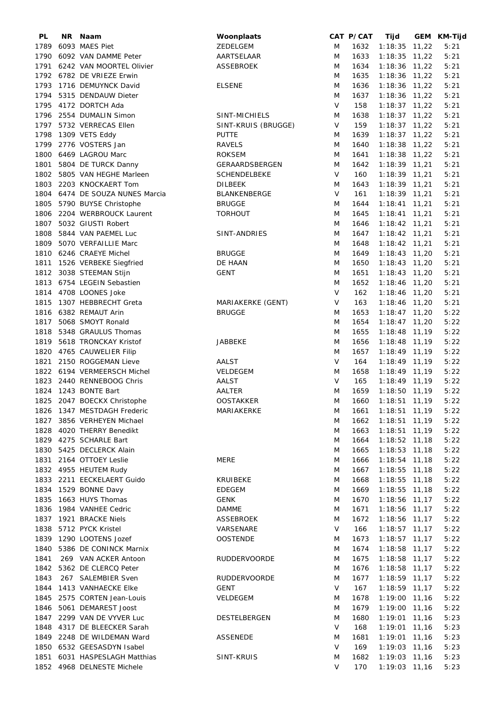| PL   | NR | Naam                          | Woonplaats          |        | CAT P/CAT | Tijd            |       | GEM KM-Tijd |
|------|----|-------------------------------|---------------------|--------|-----------|-----------------|-------|-------------|
| 1789 |    | 6093 MAES Piet                | ZEDELGEM            | M      | 1632      | $1:18:35$ 11,22 |       | 5:21        |
| 1790 |    | 6092 VAN DAMME Peter          | AARTSELAAR          | M      | 1633      | $1:18:35$ 11,22 |       | 5:21        |
|      |    | 1791 6242 VAN MOORTEL Olivier | <b>ASSEBROEK</b>    | M      | 1634      | $1:18:36$ 11,22 |       | 5:21        |
|      |    | 1792 6782 DE VRIEZE Erwin     |                     | M      | 1635      | $1:18:36$ 11,22 |       | 5:21        |
| 1793 |    | 1716 DEMUYNCK David           | <b>ELSENE</b>       | M      | 1636      | 1:18:36         | 11,22 | 5:21        |
| 1794 |    | 5315 DENDAUW Dieter           |                     | M      | 1637      | 1:18:36 11,22   |       | 5:21        |
|      |    |                               |                     |        |           |                 |       |             |
| 1795 |    | 4172 DORTCH Ada               |                     | $\vee$ | 158       | $1:18:37$ 11,22 |       | 5:21        |
|      |    | 1796 2554 DUMALIN Simon       | SINT-MICHIELS       | M      | 1638      | $1:18:37$ 11,22 |       | 5:21        |
| 1797 |    | 5732 VERRECAS Ellen           | SINT-KRUIS (BRUGGE) | $\vee$ | 159       | $1:18:37$ 11,22 |       | 5:21        |
| 1798 |    | 1309 VETS Eddy                | <b>PUTTE</b>        | M      | 1639      | $1:18:37$ 11,22 |       | 5:21        |
| 1799 |    | 2776 VOSTERS Jan              | <b>RAVELS</b>       | M      | 1640      | $1:18:38$ 11,22 |       | 5:21        |
|      |    | 1800 6469 LAGROU Marc         | <b>ROKSEM</b>       | M      | 1641      | $1:18:38$ 11,22 |       | 5:21        |
|      |    | 1801 5804 DE TURCK Danny      | GERAARDSBERGEN      | M      | 1642      | $1:18:39$ 11,21 |       | 5:21        |
| 1802 |    | 5805 VAN HEGHE Marleen        | SCHENDELBEKE        | V      | 160       | $1:18:39$ 11,21 |       | 5:21        |
| 1803 |    | 2203 KNOCKAERT Tom            | <b>DILBEEK</b>      | M      | 1643      | $1:18:39$ 11,21 |       | 5:21        |
| 1804 |    | 6474 DE SOUZA NUNES Marcia    | <b>BLANKENBERGE</b> | $\vee$ | 161       | $1:18:39$ 11,21 |       | 5:21        |
| 1805 |    | 5790 BUYSE Christophe         | <b>BRUGGE</b>       | M      | 1644      | $1:18:41$ 11,21 |       | 5:21        |
| 1806 |    | 2204 WERBROUCK Laurent        | <b>TORHOUT</b>      | M      | 1645      | $1:18:41$ 11,21 |       | 5:21        |
| 1807 |    | 5032 GIUSTI Robert            |                     |        |           | $1:18:42$ 11,21 |       |             |
|      |    |                               |                     | M      | 1646      |                 |       | 5:21        |
| 1808 |    | 5844 VAN PAEMEL Luc           | SINT-ANDRIES        | M      | 1647      | $1:18:42$ 11,21 |       | 5:21        |
| 1809 |    | 5070 VERFAILLIE Marc          |                     | M      | 1648      | $1:18:42$ 11,21 |       | 5:21        |
|      |    | 1810 6246 CRAEYE Michel       | <b>BRUGGE</b>       | M      | 1649      | $1:18:43$ 11,20 |       | 5:21        |
| 1811 |    | 1526 VERBEKE Siegfried        | DE HAAN             | M      | 1650      | $1:18:43$ 11,20 |       | 5:21        |
| 1812 |    | 3038 STEEMAN Stijn            | <b>GENT</b>         | M      | 1651      | $1:18:43$ 11,20 |       | 5:21        |
| 1813 |    | 6754 LEGEIN Sebastien         |                     | M      | 1652      | 1:18:46 11,20   |       | 5:21        |
| 1814 |    | 4708 LOONES Joke              |                     | V      | 162       | 1:18:46 11,20   |       | 5:21        |
| 1815 |    | 1307 HEBBRECHT Greta          | MARIAKERKE (GENT)   | V      | 163       | $1:18:46$ 11,20 |       | 5:21        |
| 1816 |    | 6382 REMAUT Arin              | <b>BRUGGE</b>       | M      | 1653      | $1:18:47$ 11,20 |       | 5:22        |
| 1817 |    | 5068 SMOYT Ronald             |                     | M      | 1654      | $1:18:47$ 11,20 |       | 5:22        |
|      |    | 5348 GRAULUS Thomas           |                     |        |           |                 |       | 5:22        |
| 1818 |    |                               |                     | M      | 1655      | $1:18:48$ 11,19 |       |             |
| 1819 |    | 5618 TRONCKAY Kristof         | <b>JABBEKE</b>      | M      | 1656      | $1:18:48$ 11,19 |       | 5:22        |
|      |    | 1820 4765 CAUWELIER Filip     |                     | M      | 1657      | $1:18:49$ 11,19 |       | 5:22        |
| 1821 |    | 2150 ROGGEMAN Lieve           | <b>AALST</b>        | V      | 164       | $1:18:49$ 11,19 |       | 5:22        |
|      |    | 1822 6194 VERMEERSCH Michel   | VELDEGEM            | M      | 1658      | $1:18:49$ 11,19 |       | 5:22        |
|      |    | 1823 2440 RENNEBOOG Chris     | AALST               | $\vee$ | 165       | $1:18:49$ 11,19 |       | 5:22        |
|      |    | 1824 1243 BONTE Bart          | <b>AALTER</b>       | M      | 1659      | $1:18:50$ 11,19 |       | 5:22        |
|      |    | 1825 2047 BOECKX Christophe   | <b>OOSTAKKER</b>    | M      | 1660      | $1:18:51$ 11,19 |       | 5:22        |
|      |    | 1826 1347 MESTDAGH Frederic   | MARIAKERKE          | M      | 1661      | $1:18:51$ 11,19 |       | 5:22        |
| 1827 |    | 3856 VERHEYEN Michael         |                     | M      | 1662      | 1:18:51 11,19   |       | 5:22        |
| 1828 |    | 4020 THERRY Benedikt          |                     | M      | 1663      | $1:18:51$ 11,19 |       | 5:22        |
|      |    | 1829 4275 SCHARLE Bart        |                     | M      | 1664      | $1:18:52$ 11,18 |       | 5:22        |
|      |    | 1830 5425 DECLERCK Alain      |                     | M      | 1665      | $1:18:53$ 11,18 |       | 5:22        |
| 1831 |    | 2164 OTTOEY Leslie            | <b>MERE</b>         | M      | 1666      | $1:18:54$ 11,18 |       | 5:22        |
|      |    |                               |                     |        |           |                 |       |             |
|      |    | 1832 4955 HEUTEM Rudy         |                     | M      | 1667      | $1:18:55$ 11,18 |       | 5:22        |
|      |    | 1833 2211 EECKELAERT Guido    | KRUIBEKE            | M      | 1668      | $1:18:55$ 11,18 |       | 5:22        |
| 1834 |    | 1529 BONNE Davy               | <b>EDEGEM</b>       | M      | 1669      | 1:18:55         | 11,18 | 5:22        |
| 1835 |    | 1663 HUYS Thomas              | <b>GENK</b>         | M      | 1670      | $1:18:56$ 11,17 |       | 5:22        |
| 1836 |    | 1984 VANHEE Cedric            | <b>DAMME</b>        | M      | 1671      | 1:18:56         | 11,17 | 5:22        |
| 1837 |    | 1921 BRACKE Niels             | ASSEBROEK           | M      | 1672      | 1:18:56         | 11,17 | 5:22        |
| 1838 |    | 5712 PYCK Kristel             | VARSENARE           | V      | 166       | $1:18:57$ 11,17 |       | 5:22        |
| 1839 |    | 1290 LOOTENS Jozef            | <b>OOSTENDE</b>     | M      | 1673      | $1:18:57$ 11,17 |       | 5:22        |
| 1840 |    | 5386 DE CONINCK Marnix        |                     | M      | 1674      | $1:18:58$ 11,17 |       | 5:22        |
| 1841 |    | 269 VAN ACKER Antoon          | <b>RUDDERVOORDE</b> | M      | 1675      | $1:18:58$ 11,17 |       | 5:22        |
| 1842 |    | 5362 DE CLERCQ Peter          |                     | M      | 1676      | $1:18:58$ 11,17 |       | 5:22        |
| 1843 |    | 267 SALEMBIER Sven            | <b>RUDDERVOORDE</b> | M      | 1677      | $1:18:59$ 11,17 |       | 5:22        |
| 1844 |    | 1413 VANHAECKE Elke           | <b>GENT</b>         | $\vee$ | 167       |                 |       |             |
|      |    |                               |                     |        |           | $1:18:59$ 11,17 |       | 5:22        |
| 1845 |    | 2575 CORTEN Jean-Louis        | VELDEGEM            | M      | 1678      | $1:19:00$ 11,16 |       | 5:22        |
| 1846 |    | 5061 DEMAREST Joost           |                     | M      | 1679      | 1:19:00         | 11,16 | 5:22        |
| 1847 |    | 2299 VAN DE VYVER Luc         | DESTELBERGEN        | M      | 1680      | 1:19:01         | 11,16 | 5:23        |
| 1848 |    | 4317 DE BLEECKER Sarah        |                     | V      | 168       | 1:19:01         | 11,16 | 5:23        |
| 1849 |    | 2248 DE WILDEMAN Ward         | <b>ASSENEDE</b>     | M      | 1681      | 1:19:01         | 11,16 | 5:23        |
|      |    | 1850 6532 GEESASDYN Isabel    |                     | $\vee$ | 169       | $1:19:03$ 11,16 |       | 5:23        |
|      |    | 1851 6031 HASPESLAGH Matthias | SINT-KRUIS          | M      | 1682      | $1:19:03$ 11,16 |       | 5:23        |
|      |    | 1852 4968 DELNESTE Michele    |                     | $\vee$ | 170       | 1:19:03 11,16   |       | 5:23        |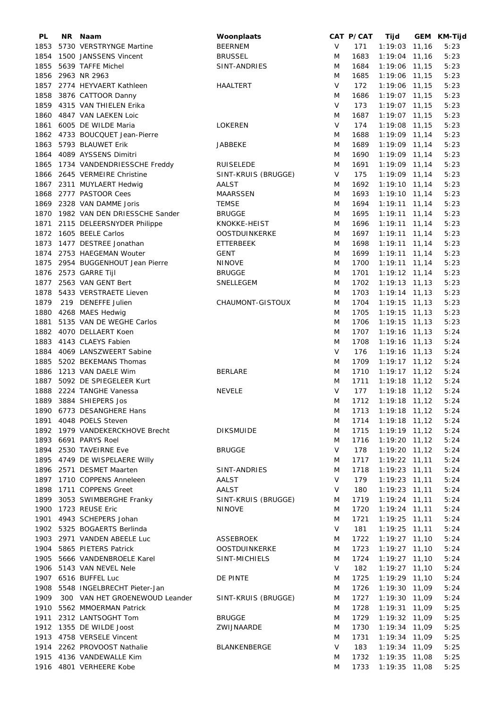| PL   | NR Naam                          | Woonplaats           |        | CAT P/CAT | Tijd               | GEM KM-Tijd |
|------|----------------------------------|----------------------|--------|-----------|--------------------|-------------|
| 1853 | 5730 VERSTRYNGE Martine          | <b>BEERNEM</b>       | V      | 171       | $1:19:03$ 11,16    | 5:23        |
| 1854 | 1500 JANSSENS Vincent            | <b>BRUSSEL</b>       | M      | 1683      | 1:19:04 11,16      | 5:23        |
| 1855 | 5639 TAFFE Michel                | SINT-ANDRIES         | M      | 1684      | 1:19:06 11,15      | 5:23        |
|      | 1856 2963 NR 2963                |                      | M      | 1685      | 1:19:06 11,15      | 5:23        |
|      | 1857 2774 HEYVAERT Kathleen      | HAALTERT             | V      | 172       | 1:19:06 11,15      | 5:23        |
| 1858 | 3876 CATTOOR Danny               |                      | M      | 1686      | $1:19:07$ 11,15    | 5:23        |
|      |                                  |                      | $\vee$ |           |                    |             |
| 1859 | 4315 VAN THIELEN Erika           |                      |        | 173       | $1:19:07$ 11,15    | 5:23        |
| 1860 | 4847 VAN LAEKEN Loic             |                      | M      | 1687      | 1:19:07 11,15      | 5:23        |
| 1861 | 6005 DE WILDE Maria              | <b>LOKEREN</b>       | V      | 174       | 1:19:08 11,15      | 5:23        |
|      | 1862 4733 BOUCQUET Jean-Pierre   |                      | M      | 1688      | $1:19:09$ 11,14    | 5:23        |
| 1863 | 5793 BLAUWET Erik                | JABBEKE              | M      | 1689      | $1:19:09$ 11,14    | 5:23        |
|      | 1864 4089 AYSSENS Dimitri        |                      | M      | 1690      | 1:19:09 11,14      | 5:23        |
| 1865 | 1734 VANDENDRIESSCHE Freddy      | <b>RUISELEDE</b>     | M      | 1691      | $1:19:09$ 11,14    | 5:23        |
|      | 1866 2645 VERMEIRE Christine     | SINT-KRUIS (BRUGGE)  | V      | 175       | 1:19:09 11,14      | 5:23        |
|      | 1867 2311 MUYLAERT Hedwig        | AALST                | M      | 1692      | $1:19:10$ 11,14    | 5:23        |
| 1868 | 2777 PASTOOR Cees                | <b>MAARSSEN</b>      | M      | 1693      | $1:19:10$ 11,14    | 5:23        |
| 1869 | 2328 VAN DAMME Joris             | <b>TEMSE</b>         | M      | 1694      | $1:19:11$ 11,14    | 5:23        |
| 1870 | 1982 VAN DEN DRIESSCHE Sander    | <b>BRUGGE</b>        | M      | 1695      | $1:19:11$ 11,14    | 5:23        |
|      |                                  |                      |        |           |                    |             |
| 1871 | 2115 DELEERSNYDER Philippe       | KNOKKE-HEIST         | M      | 1696      | $1:19:11$ 11,14    | 5:23        |
| 1872 | 1605 BEELE Carlos                | <b>OOSTDUINKERKE</b> | M      | 1697      | $1:19:11$ 11,14    | 5:23        |
| 1873 | 1477 DESTREE Jonathan            | <b>ETTERBEEK</b>     | M      | 1698      | $1:19:11$ 11,14    | 5:23        |
|      | 1874 2753 HAEGEMAN Wouter        | <b>GENT</b>          | M      | 1699      | $1:19:11$ 11,14    | 5:23        |
|      | 1875 2954 BUGGENHOUT Jean Pierre | <b>NINOVE</b>        | M      | 1700      | $1:19:11$ 11,14    | 5:23        |
|      | 1876 2573 GARRE Tijl             | <b>BRUGGE</b>        | M      | 1701      | $1:19:12$ 11,14    | 5:23        |
|      | 1877 2563 VAN GENT Bert          | SNELLEGEM            | M      | 1702      | $1:19:13$ 11,13    | 5:23        |
| 1878 | 5433 VERSTRAETE Lieven           |                      | M      | 1703      | $1:19:14$ 11,13    | 5:23        |
| 1879 | 219 DENEFFE Julien               | CHAUMONT-GISTOUX     | M      | 1704      | $1:19:15$ 11,13    | 5:23        |
| 1880 | 4268 MAES Hedwig                 |                      | M      | 1705      | $1:19:15$ 11,13    | 5:23        |
| 1881 | 5135 VAN DE WEGHE Carlos         |                      | M      | 1706      | $1:19:15$ 11,13    | 5:23        |
|      |                                  |                      | M      |           |                    | 5:24        |
| 1882 | 4070 DELLAERT Koen               |                      |        | 1707      | $1:19:16$ 11,13    |             |
| 1883 | 4143 CLAEYS Fabien               |                      | M      | 1708      | $1:19:16$ 11,13    | 5:24        |
| 1884 | 4069 LANSZWEERT Sabine           |                      | $\vee$ | 176       | $1:19:16$ 11,13    | 5:24        |
| 1885 | 5202 BEKEMANS Thomas             |                      | M      | 1709      | $1:19:17$ 11,12    | 5:24        |
| 1886 | 1213 VAN DAELE Wim               | <b>BERLARE</b>       | M      | 1710      | $1:19:17$ 11,12    | 5:24        |
| 1887 | 5092 DE SPIEGELEER Kurt          |                      | M      | 1711      | $1:19:18$ 11,12    | 5:24        |
| 1888 | 2224 TANGHE Vanessa              | <b>NEVELE</b>        | V      | 177       | $1:19:18$ 11,12    | 5:24        |
|      | 1889 3884 SHIEPERS Jos           |                      | M      | 1712      | $1:19:18$ 11,12    | 5:24        |
|      | 1890 6773 DESANGHERE Hans        |                      | M      |           | 1713 1:19:18 11,12 | 5:24        |
|      | 1891 4048 POELS Steven           |                      | M      | 1714      | $1:19:18$ 11,12    | 5:24        |
|      | 1892 1979 VANDEKERCKHOVE Brecht  | <b>DIKSMUIDE</b>     | M      | 1715      | $1:19:19$ 11,12    | 5:24        |
|      | 1893 6691 PARYS Roel             |                      | M      | 1716      | $1:19:20$ 11,12    | 5:24        |
|      | 1894 2530 TAVEIRNE Eve           | <b>BRUGGE</b>        | V      | 178       | $1:19:20$ 11,12    | 5:24        |
|      |                                  |                      |        | 1717      |                    | 5:24        |
|      | 1895 4749 DE WISPELAERE Willy    |                      | M      |           | $1:19:22$ 11,11    |             |
|      | 1896 2571 DESMET Maarten         | SINT-ANDRIES         | M      | 1718      | $1:19:23$ 11,11    | 5:24        |
|      | 1897 1710 COPPENS Anneleen       | <b>AALST</b>         | V      | 179       | $1:19:23$ 11,11    | 5:24        |
| 1898 | 1711 COPPENS Greet               | AALST                | V      | 180       | $1:19:23$ 11,11    | 5:24        |
| 1899 | 3053 SWIMBERGHE Franky           | SINT-KRUIS (BRUGGE)  | M      | 1719      | $1:19:24$ 11,11    | 5:24        |
| 1900 | 1723 REUSE Eric                  | <b>NINOVE</b>        | M      | 1720      | $1:19:24$ 11,11    | 5:24        |
| 1901 | 4943 SCHEPERS Johan              |                      | M      | 1721      | $1:19:25$ 11,11    | 5:24        |
|      | 1902 5325 BOGAERTS Berlinda      |                      | V      | 181       | $1:19:25$ 11,11    | 5:24        |
|      | 1903 2971 VANDEN ABEELE Luc      | ASSEBROEK            | M      | 1722      | $1:19:27$ 11,10    | 5:24        |
|      | 1904 5865 PIETERS Patrick        | <b>OOSTDUINKERKE</b> | M      | 1723      | $1:19:27$ 11,10    | 5:24        |
| 1905 | 5666 VANDENBROELE Karel          | SINT-MICHIELS        | M      | 1724      | $1:19:27$ 11,10    | 5:24        |
|      | 1906 5143 VAN NEVEL Nele         |                      | V      | 182       | $1:19:27$ 11,10    | 5:24        |
|      | 1907 6516 BUFFEL Luc             | DE PINTE             | M      | 1725      | $1:19:29$ 11,10    | 5:24        |
|      |                                  |                      |        |           |                    |             |
| 1908 | 5548 INGELBRECHT Pieter-Jan      |                      | M      | 1726      | 1:19:30 11,09      | 5:24        |
| 1909 | 300 VAN HET GROENEWOUD Leander   | SINT-KRUIS (BRUGGE)  | M      | 1727      | 1:19:30 11,09      | 5:24        |
|      | 1910 5562 MMOERMAN Patrick       |                      | M      | 1728      | $1:19:31$ 11,09    | 5:25        |
|      | 1911 2312 LANTSOGHT Tom          | <b>BRUGGE</b>        | M      | 1729      | 1:19:32 11,09      | 5:25        |
|      | 1912 1355 DE WILDE Joost         | ZWIJNAARDE           | M      | 1730      | 1:19:34 11,09      | 5:25        |
|      | 1913 4758 VERSELE Vincent        |                      | M      | 1731      | 1:19:34 11,09      | 5:25        |
|      | 1914 2262 PROVOOST Nathalie      | BLANKENBERGE         | V      | 183       | $1:19:34$ 11,09    | 5:25        |
|      | 1915 4136 VANDEWALLE Kim         |                      | M      | 1732      | $1:19:35$ 11,08    | 5:25        |
|      | 1916 4801 VERHEERE Kobe          |                      | M      | 1733      | $1:19:35$ 11,08    | 5:25        |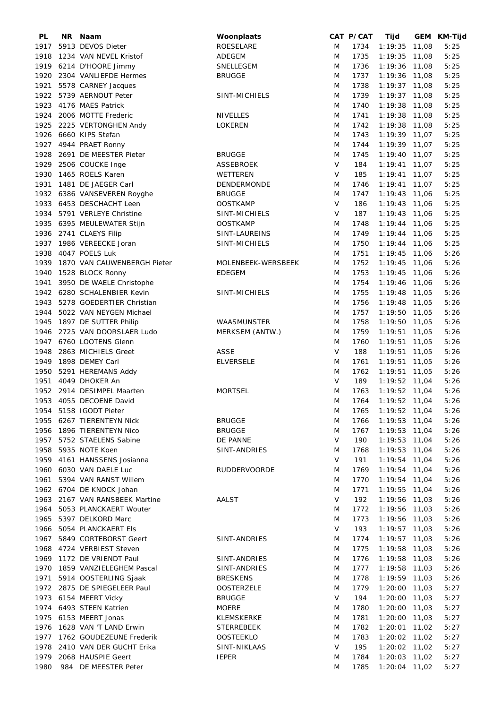| PL   | NR Naam                        | Woonplaats          |        | CAT P/CAT | Tijd               | GEM KM-Tijd |
|------|--------------------------------|---------------------|--------|-----------|--------------------|-------------|
| 1917 | 5913 DEVOS Dieter              | ROESELARE           | M      | 1734      | $1:19:35$ 11,08    | 5:25        |
| 1918 | 1234 VAN NEVEL Kristof         | ADEGEM              | M      | 1735      | $1:19:35$ 11,08    | 5:25        |
|      | 1919 6214 D'HOORE Jimmy        | SNELLEGEM           | M      | 1736      | 1:19:36 11,08      | 5:25        |
|      | 1920 2304 VANLIEFDE Hermes     | <b>BRUGGE</b>       | M      | 1737      | 1:19:36 11,08      | 5:25        |
| 1921 | 5578 CARNEY Jacques            |                     | M      | 1738      | $1:19:37$ 11,08    | 5:25        |
|      | 1922 5739 AERNOUT Peter        |                     |        |           |                    |             |
|      |                                | SINT-MICHIELS       | M      | 1739      | $1:19:37$ 11,08    | 5:25        |
| 1923 | 4176 MAES Patrick              |                     | M      | 1740      | 1:19:38 11,08      | 5:25        |
|      | 1924 2006 MOTTE Frederic       | <b>NIVELLES</b>     | M      | 1741      | 1:19:38 11,08      | 5:25        |
| 1925 | 2225 VERTONGHEN Andy           | <b>LOKEREN</b>      | M      | 1742      | 1:19:38 11,08      | 5:25        |
|      | 1926 6660 KIPS Stefan          |                     | M      | 1743      | $1:19:39$ 11,07    | 5:25        |
|      | 1927 4944 PRAET Ronny          |                     | M      | 1744      | $1:19:39$ 11,07    | 5:25        |
| 1928 | 2691 DE MEESTER Pieter         | <b>BRUGGE</b>       | M      | 1745      | $1:19:40$ 11,07    | 5:25        |
|      | 1929 2506 COUCKE Inge          | ASSEBROEK           | $\vee$ | 184       | $1:19:41$ 11,07    | 5:25        |
| 1930 | 1465 ROELS Karen               | WETTEREN            | $\vee$ | 185       | $1:19:41$ 11,07    | 5:25        |
| 1931 | 1481 DE JAEGER Carl            | DENDERMONDE         | M      | 1746      | $1:19:41$ 11,07    | 5:25        |
|      | 1932 6386 VANSEVEREN Royghe    | <b>BRUGGE</b>       | M      | 1747      | 1:19:43 11,06      | 5:25        |
|      | 1933 6453 DESCHACHT Leen       | <b>OOSTKAMP</b>     | $\vee$ | 186       | $1:19:43$ 11,06    | 5:25        |
| 1934 | 5791 VERLEYE Christine         | SINT-MICHIELS       | V      | 187       | 1:19:43 11,06      | 5:25        |
| 1935 | 6395 MEULEWATER Stijn          | <b>OOSTKAMP</b>     | M      | 1748      | $1:19:44$ 11,06    | 5:25        |
|      |                                |                     |        |           |                    |             |
|      | 1936 2741 CLAEYS Filip         | SINT-LAUREINS       | M      | 1749      | 1:19:44 11,06      | 5:25        |
|      | 1937 1986 VEREECKE Joran       | SINT-MICHIELS       | M      | 1750      | $1:19:44$ 11,06    | 5:25        |
| 1938 | 4047 POELS Luk                 |                     | M      | 1751      | $1:19:45$ 11,06    | 5:26        |
| 1939 | 1870 VAN CAUWENBERGH Pieter    | MOLENBEEK-WERSBEEK  | M      | 1752      | $1:19:45$ 11,06    | 5:26        |
| 1940 | 1528 BLOCK Ronny               | <b>EDEGEM</b>       | M      | 1753      | $1:19:45$ 11,06    | 5:26        |
| 1941 | 3950 DE WAELE Christophe       |                     | M      | 1754      | 1:19:46 11,06      | 5:26        |
|      | 1942 6280 SCHALENBIER Kevin    | SINT-MICHIELS       | M      | 1755      | $1:19:48$ 11,05    | 5:26        |
| 1943 | 5278 GOEDERTIER Christian      |                     | M      | 1756      | $1:19:48$ 11,05    | 5:26        |
| 1944 | 5022 VAN NEYGEN Michael        |                     | M      | 1757      | 1:19:50 11,05      | 5:26        |
| 1945 | 1897 DE SUTTER Philip          | WAASMUNSTER         | M      | 1758      | 1:19:50 11,05      | 5:26        |
| 1946 | 2725 VAN DOORSLAER Ludo        | MERKSEM (ANTW.)     | M      | 1759      | $1:19:51$ 11,05    | 5:26        |
|      | 1947 6760 LOOTENS Glenn        |                     | M      | 1760      | 1:19:51 11,05      | 5:26        |
| 1948 | 2863 MICHIELS Greet            | ASSE                | $\vee$ | 188       |                    | 5:26        |
|      |                                |                     |        |           | 1:19:51 11,05      |             |
| 1949 | 1898 DEMEY Carl                | <b>ELVERSELE</b>    | M      | 1761      | 1:19:51 11,05      | 5:26        |
| 1950 | 5291 HEREMANS Addy             |                     | M      | 1762      | $1:19:51$ 11,05    | 5:26        |
|      | 1951 4049 DHOKER An            |                     | $\vee$ | 189       | 1:19:52 11,04      | 5:26        |
|      | 1952 2914 DESIMPEL Maarten     | <b>MORTSEL</b>      | M      | 1763      | 1:19:52 11,04      | 5:26        |
|      | 1953 4055 DECOENE David        |                     | M      | 1764      | 1:19:52 11,04      | 5:26        |
|      | 1954 5158 IGODT Pieter         |                     | M      |           | 1765 1:19:52 11,04 | 5:26        |
|      | 1955 6267 TIERENTEYN Nick      | <b>BRUGGE</b>       | M      | 1766      | $1:19:53$ 11,04    | 5:26        |
|      | 1956 1896 TIERENTEYN Nico      | <b>BRUGGE</b>       | M      | 1767      | $1:19:53$ 11,04    | 5:26        |
|      | 1957 5752 STAELENS Sabine      | DE PANNE            | V      | 190       | $1:19:53$ 11,04    | 5:26        |
|      | 1958 5935 NOTE Koen            | SINT-ANDRIES        | M      | 1768      | $1:19:53$ 11,04    | 5:26        |
|      | 1959 4161 HANSSENS Josianna    |                     | V      | 191       | $1:19:54$ 11,04    | 5:26        |
|      | 1960 6030 VAN DAELE Luc        | <b>RUDDERVOORDE</b> | M      | 1769      | $1:19:54$ 11,04    | 5:26        |
|      | 1961 5394 VAN RANST Willem     |                     | M      | 1770      | 1:19:54 11,04      | 5:26        |
|      | 1962 6704 DE KNOCK Johan       |                     | M      | 1771      | $1:19:55$ 11,04    | 5:26        |
|      | 1963 2167 VAN RANSBEEK Martine | AALST               | $\vee$ | 192       | $1:19:56$ 11,03    | 5:26        |
|      |                                |                     |        | 1772      | 1:19:56 11,03      |             |
|      | 1964 5053 PLANCKAERT Wouter    |                     | M      |           |                    | 5:26        |
|      | 1965 5397 DELKORD Marc         |                     | M      | 1773      | 1:19:56 11,03      | 5:26        |
|      | 1966 5054 PLANCKAERT Els       |                     | V      | 193       | $1:19:57$ 11,03    | 5:26        |
|      | 1967 5849 CORTEBORST Geert     | SINT-ANDRIES        | M      | 1774      | $1:19:57$ 11,03    | 5:26        |
|      | 1968 4724 VERBIEST Steven      |                     | M      | 1775      | 1:19:58 11,03      | 5:26        |
|      | 1969 1172 DE VRIENDT Paul      | SINT-ANDRIES        | M      | 1776      | $1:19:58$ 11,03    | 5:26        |
|      | 1970 1859 VANZIELEGHEM Pascal  | SINT-ANDRIES        | M      | 1777      | 1:19:58 11,03      | 5:26        |
|      | 1971 5914 OOSTERLING Sjaak     | <b>BRESKENS</b>     | M      | 1778      | $1:19:59$ 11,03    | 5:26        |
|      | 1972 2875 DE SPIEGELEER Paul   | <b>OOSTERZELE</b>   | M      | 1779      | $1:20:00$ 11,03    | 5:27        |
|      | 1973 6154 MEERT Vicky          | <b>BRUGGE</b>       | V      | 194       | $1:20:00$ 11,03    | 5:27        |
|      | 1974 6493 STEEN Katrien        | <b>MOERE</b>        | M      | 1780      | $1:20:00$ 11,03    | 5:27        |
|      | 1975 6153 MEERT Jonas          | <b>KLEMSKERKE</b>   | M      | 1781      | $1:20:00$ 11,03    | 5:27        |
|      | 1976 1628 VAN 'T LAND Erwin    | <b>STERREBEEK</b>   | M      | 1782      | $1:20:01$ 11,02    | 5:27        |
|      | 1977 1762 GOUDEZEUNE Frederik  | <b>OOSTEEKLO</b>    | M      | 1783      | 1:20:02 11,02      | 5:27        |
|      | 1978 2410 VAN DER GUCHT Erika  | SINT-NIKLAAS        | V      | 195       | 1:20:02 11,02      | 5:27        |
|      |                                |                     |        |           |                    |             |
|      | 1979 2068 HAUSPIE Geert        | <b>IEPER</b>        | M      | 1784      | $1:20:03$ 11,02    | 5:27        |
| 1980 | 984 DE MEESTER Peter           |                     | M      | 1785      | $1:20:04$ 11,02    | 5:27        |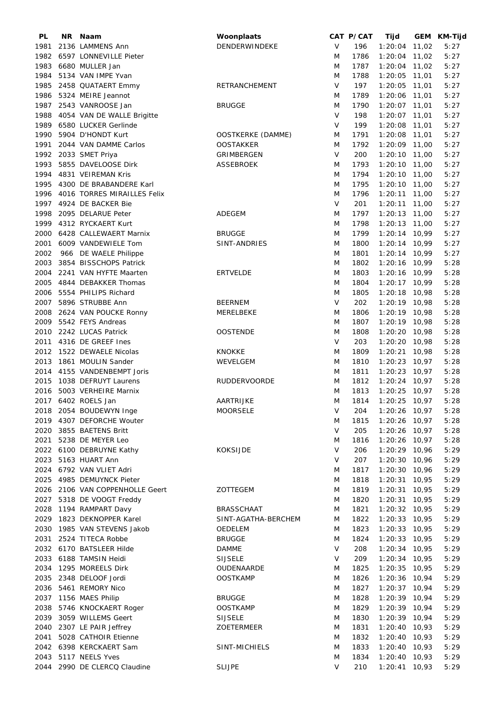| PL   | NR. | Naam                             | Woonplaats          |        | CAT P/CAT | Tijd            | GEM KM-Tijd |
|------|-----|----------------------------------|---------------------|--------|-----------|-----------------|-------------|
| 1981 |     | 2136 LAMMENS Ann                 | DENDERWINDEKE       | V      | 196       | $1:20:04$ 11,02 | 5:27        |
| 1982 |     | 6597 LONNEVILLE Pieter           |                     | M      | 1786      | $1:20:04$ 11,02 | 5:27        |
| 1983 |     | 6680 MULLER Jan                  |                     | M      | 1787      | $1:20:04$ 11,02 | 5:27        |
| 1984 |     | 5134 VAN IMPE Yvan               |                     | M      | 1788      | $1:20:05$ 11,01 | 5:27        |
| 1985 |     | 2458 QUATAERT Emmy               | RETRANCHEMENT       | V      | 197       | $1:20:05$ 11,01 | 5:27        |
|      |     | 1986 5324 MEIRE Jeannot          |                     | M      | 1789      | 1:20:06 11,01   | 5:27        |
|      |     |                                  |                     |        |           |                 |             |
| 1987 |     | 2543 VANROOSE Jan                | <b>BRUGGE</b>       | M      | 1790      | $1:20:07$ 11,01 | 5:27        |
| 1988 |     | 4054 VAN DE WALLE Brigitte       |                     | V      | 198       | $1:20:07$ 11,01 | 5:27        |
| 1989 |     | 6580 LUCKER Gerlinde             |                     | V      | 199       | 1:20:08 11,01   | 5:27        |
| 1990 |     | 5904 D'HONDT Kurt                | OOSTKERKE (DAMME)   | M      | 1791      | $1:20:08$ 11,01 | 5:27        |
| 1991 |     | 2044 VAN DAMME Carlos            | <b>OOSTAKKER</b>    | M      | 1792      | 1:20:09 11,00   | 5:27        |
| 1992 |     | 2033 SMET Priya                  | GRIMBERGEN          | $\vee$ | 200       | $1:20:10$ 11,00 | 5:27        |
| 1993 |     | 5855 DAVELOOSE Dirk              | <b>ASSEBROEK</b>    | M      | 1793      | $1:20:10$ 11,00 | 5:27        |
|      |     | 1994 4831 VEIREMAN Kris          |                     | M      | 1794      | $1:20:10$ 11,00 | 5:27        |
| 1995 |     | 4300 DE BRABANDERE Karl          |                     | M      | 1795      | $1:20:10$ 11,00 | 5:27        |
|      |     | 1996 4016 TORRES MIRAILLES Felix |                     | M      | 1796      | $1:20:11$ 11,00 | 5:27        |
| 1997 |     | 4924 DE BACKER Bie               |                     | $\vee$ | 201       | $1:20:11$ 11,00 | 5:27        |
| 1998 |     | 2095 DELARUE Peter               | ADEGEM              | M      | 1797      | $1:20:13$ 11,00 | 5:27        |
| 1999 |     | 4312 RYCKAERT Kurt               |                     | M      | 1798      | $1:20:13$ 11,00 | 5:27        |
|      |     |                                  |                     |        |           |                 |             |
| 2000 |     | 6428 CALLEWAERT Marnix           | <b>BRUGGE</b>       | M      | 1799      | 1:20:14 10,99   | 5:27        |
| 2001 |     | 6009 VANDEWIELE Tom              | SINT-ANDRIES        | M      | 1800      | 1:20:14 10,99   | 5:27        |
| 2002 |     | 966 DE WAELE Philippe            |                     | M      | 1801      | $1:20:14$ 10,99 | 5:27        |
| 2003 |     | 3854 BISSCHOPS Patrick           |                     | M      | 1802      | $1:20:16$ 10,99 | 5:28        |
| 2004 |     | 2241 VAN HYFTE Maarten           | <b>ERTVELDE</b>     | M      | 1803      | 1:20:16 10,99   | 5:28        |
| 2005 |     | 4844 DEBAKKER Thomas             |                     | M      | 1804      | 1:20:17 10,99   | 5:28        |
| 2006 |     | 5554 PHILIPS Richard             |                     | M      | 1805      | $1:20:18$ 10,98 | 5:28        |
| 2007 |     | 5896 STRUBBE Ann                 | <b>BEERNEM</b>      | V      | 202       | $1:20:19$ 10,98 | 5:28        |
| 2008 |     | 2624 VAN POUCKE Ronny            | MERELBEKE           | M      | 1806      | $1:20:19$ 10,98 | 5:28        |
| 2009 |     | 5542 FEYS Andreas                |                     | M      | 1807      | $1:20:19$ 10,98 | 5:28        |
| 2010 |     | 2242 LUCAS Patrick               |                     |        |           |                 |             |
|      |     |                                  | <b>OOSTENDE</b>     | M      | 1808      | 1:20:20 10,98   | 5:28        |
| 2011 |     | 4316 DE GREEF Ines               |                     | V      | 203       | $1:20:20$ 10,98 | 5:28        |
|      |     | 2012 1522 DEWAELE Nicolas        | <b>KNOKKE</b>       | M      | 1809      | $1:20:21$ 10,98 | 5:28        |
| 2013 |     | 1861 MOULIN Sander               | WEVELGEM            | M      | 1810      | $1:20:23$ 10,97 | 5:28        |
|      |     | 2014 4155 VANDENBEMPT Joris      |                     | M      | 1811      | $1:20:23$ 10,97 | 5:28        |
| 2015 |     | 1038 DEFRUYT Laurens             | <b>RUDDERVOORDE</b> | M      | 1812      | $1:20:24$ 10,97 | 5:28        |
| 2016 |     | 5003 VERHEIRE Marnix             |                     | M      | 1813      | $1:20:25$ 10,97 | 5:28        |
|      |     | 2017 6402 ROELS Jan              | <b>AARTRIJKE</b>    | M      | 1814      | $1:20:25$ 10,97 | 5:28        |
|      |     | 2018 2054 BOUDEWYN Inge          | MOORSELE            | V      | 204       | $1:20:26$ 10,97 | 5:28        |
|      |     | 2019 4307 DEFORCHE Wouter        |                     | M      | 1815      | $1:20:26$ 10,97 | 5:28        |
|      |     | 2020 3855 BAETENS Britt          |                     | V      | 205       | $1:20:26$ 10,97 | 5:28        |
| 2021 |     | 5238 DE MEYER Leo                |                     | M      | 1816      | 1:20:26 10,97   | 5:28        |
|      |     |                                  | <b>KOKSIJDE</b>     | V      | 206       | 1:20:29 10,96   | 5:29        |
|      |     | 2022 6100 DEBRUYNE Kathy         |                     |        |           |                 |             |
|      |     | 2023 5163 HUART Ann              |                     | V      | 207       | $1:20:30$ 10,96 | 5:29        |
|      |     | 2024 6792 VAN VLIET Adri         |                     | M      | 1817      | $1:20:30$ 10,96 | 5:29        |
|      |     | 2025 4985 DEMUYNCK Pieter        |                     | M      | 1818      | $1:20:31$ 10,95 | 5:29        |
|      |     | 2026 2106 VAN COPPENHOLLE Geert  | ZOTTEGEM            | M      | 1819      | $1:20:31$ 10,95 | 5:29        |
|      |     | 2027 5318 DE VOOGT Freddy        |                     | M      | 1820      | $1:20:31$ 10,95 | 5:29        |
|      |     | 2028 1194 RAMPART Davy           | <b>BRASSCHAAT</b>   | M      | 1821      | $1:20:32$ 10,95 | 5:29        |
|      |     | 2029 1823 DEKNOPPER Karel        | SINT-AGATHA-BERCHEM | M      | 1822      | $1:20:33$ 10,95 | 5:29        |
|      |     | 2030 1985 VAN STEVENS Jakob      | OEDELEM             | M      | 1823      | $1:20:33$ 10,95 | 5:29        |
|      |     | 2031 2524 TITECA Robbe           | <b>BRUGGE</b>       | M      | 1824      | $1:20:33$ 10,95 | 5:29        |
|      |     | 2032 6170 BATSLEER Hilde         | <b>DAMME</b>        | V      | 208       | $1:20:34$ 10,95 | 5:29        |
|      |     | 2033 6188 TAMSIN Heidi           | SIJSELE             | V      | 209       | 1:20:34 10,95   | 5:29        |
|      |     | 2034 1295 MOREELS Dirk           |                     | M      | 1825      | $1:20:35$ 10,95 | 5:29        |
|      |     |                                  | OUDENAARDE          |        |           |                 |             |
|      |     | 2035 2348 DELOOF Jordi           | <b>OOSTKAMP</b>     | M      | 1826      | $1:20:36$ 10,94 | 5:29        |
|      |     | 2036 5461 REMORY Nico            |                     | M      | 1827      | $1:20:37$ 10,94 | 5:29        |
|      |     | 2037 1156 MAES Philip            | <b>BRUGGE</b>       | M      | 1828      | $1:20:39$ 10,94 | 5:29        |
| 2038 |     | 5746 KNOCKAERT Roger             | <b>OOSTKAMP</b>     | M      | 1829      | $1:20:39$ 10,94 | 5:29        |
| 2039 |     | 3059 WILLEMS Geert               | <b>SIJSELE</b>      | M      | 1830      | $1:20:39$ 10,94 | 5:29        |
| 2040 |     | 2307 LE PAIR Jeffrey             | ZOETERMEER          | M      | 1831      | $1:20:40$ 10,93 | 5:29        |
| 2041 |     | 5028 CATHOIR Etienne             |                     | M      | 1832      | $1:20:40$ 10,93 | 5:29        |
|      |     | 2042 6398 KERCKAERT Sam          | SINT-MICHIELS       | M      | 1833      | $1:20:40$ 10,93 | 5:29        |
|      |     | 2043 5117 NEELS Yves             |                     | M      | 1834      | $1:20:40$ 10,93 | 5:29        |
|      |     | 2044 2990 DE CLERCQ Claudine     | <b>SLIJPE</b>       | V      | 210       | $1:20:41$ 10,93 | 5:29        |
|      |     |                                  |                     |        |           |                 |             |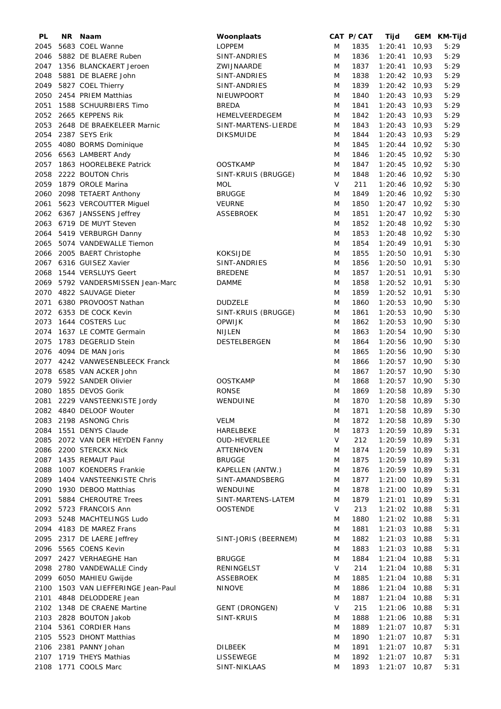| PL   | NR. | Naam                                | Woonplaats           |           | CAT P/CAT   | Tijd                           | GEM KM-Tijd |
|------|-----|-------------------------------------|----------------------|-----------|-------------|--------------------------------|-------------|
| 2045 |     | 5683 COEL Wanne                     | <b>LOPPEM</b>        | M         | 1835        | $1:20:41$ 10,93                | 5:29        |
| 2046 |     | 5882 DE BLAERE Ruben                | SINT-ANDRIES         | M         | 1836        | $1:20:41$ 10,93                | 5:29        |
| 2047 |     | 1356 BLANCKAERT Jeroen              | ZWIJNAARDE           | M         | 1837        | $1:20:41$ 10,93                | 5:29        |
| 2048 |     | 5881 DE BLAERE John                 | SINT-ANDRIES         | M         | 1838        | $1:20:42$ 10,93                | 5:29        |
| 2049 |     | 5827 COEL Thierry                   | SINT-ANDRIES         | M         | 1839        | $1:20:42$ 10,93                | 5:29        |
| 2050 |     | 2454 PRIEM Matthias                 | NIEUWPOORT           | M         | 1840        | $1:20:43$ 10,93                | 5:29        |
| 2051 |     | 1588 SCHUURBIERS Timo               | <b>BREDA</b>         | M         | 1841        | $1:20:43$ 10,93                | 5:29        |
| 2052 |     | 2665 KEPPENS Rik                    | HEMELVEERDEGEM       | M         | 1842        | $1:20:43$ 10,93                | 5:29        |
| 2053 |     | 2648 DE BRAEKELEER Marnic           | SINT-MARTENS-LIERDE  | M         | 1843        | $1:20:43$ 10,93                | 5:29        |
| 2054 |     | 2387 SEYS Erik                      | <b>DIKSMUIDE</b>     | M         | 1844        | $1:20:43$ 10,93                | 5:29        |
| 2055 |     | 4080 BORMS Dominique                |                      | M         | 1845        | $1:20:44$ 10,92                | 5:30        |
|      |     | 2056 6563 LAMBERT Andy              |                      | M         | 1846        | $1:20:45$ 10,92                | 5:30        |
| 2057 |     | 1863 HOORELBEKE Patrick             | <b>OOSTKAMP</b>      | M         | 1847        | $1:20:45$ 10,92                | 5:30        |
| 2058 |     | 2222 BOUTON Chris                   | SINT-KRUIS (BRUGGE)  | M         | 1848        | $1:20:46$ 10,92                | 5:30        |
|      |     |                                     |                      | $\vee$    | 211         |                                | 5:30        |
|      |     | 2059 1879 OROLE Marina              | <b>MOL</b>           |           |             | 1:20:46 10,92                  |             |
| 2060 |     | 2098 TETAERT Anthony                | <b>BRUGGE</b>        | M         | 1849        | $1:20:46$ 10,92                | 5:30        |
| 2061 |     | 5623 VERCOUTTER Miguel              | <b>VEURNE</b>        | M         | 1850        | $1:20:47$ 10,92                | 5:30        |
|      |     | 2062 6367 JANSSENS Jeffrey          | <b>ASSEBROEK</b>     | M         | 1851        | $1:20:47$ 10,92                | 5:30        |
| 2063 |     | 6719 DE MUYT Steven                 |                      | M         | 1852        | $1:20:48$ 10,92                | 5:30        |
| 2064 |     | 5419 VERBURGH Danny                 |                      | M         | 1853        | $1:20:48$ 10,92                | 5:30        |
| 2065 |     | 5074 VANDEWALLE Tiemon              |                      | M         | 1854        | $1:20:49$ 10,91                | 5:30        |
| 2066 |     | 2005 BAERT Christophe               | <b>KOKSIJDE</b>      | M         | 1855        | 1:20:50 10,91                  | 5:30        |
|      |     | 2067 6316 GUISEZ Xavier             | SINT-ANDRIES         | M         | 1856        | 1:20:50 10,91                  | 5:30        |
| 2068 |     | 1544 VERSLUYS Geert                 | <b>BREDENE</b>       | M         | 1857        | $1:20:51$ 10,91                | 5:30        |
|      |     | 2069 5792 VANDERSMISSEN Jean-Marc   | <b>DAMME</b>         | M         | 1858        | 1:20:52 10,91                  | 5:30        |
| 2070 |     | 4822 SAUVAGE Dieter                 |                      | M         | 1859        | $1:20:52$ 10,91                | 5:30        |
| 2071 |     | 6380 PROVOOST Nathan                | <b>DUDZELE</b>       | M         | 1860        | $1:20:53$ 10,90                | 5:30        |
|      |     | 2072 6353 DE COCK Kevin             | SINT-KRUIS (BRUGGE)  | M         | 1861        | $1:20:53$ 10,90                | 5:30        |
| 2073 |     | 1644 COSTERS Luc                    | <b>OPWIJK</b>        | M         | 1862        | $1:20:53$ 10,90                | 5:30        |
| 2074 |     | 1637 LE COMTE Germain               | <b>NIJLEN</b>        | M         | 1863        | $1:20:54$ 10,90                | 5:30        |
| 2075 |     | 1783 DEGERLID Stein                 | DESTELBERGEN         | M         | 1864        | 1:20:56 10,90                  | 5:30        |
|      |     | 2076 4094 DE MAN Joris              |                      | M         | 1865        | 1:20:56 10,90                  | 5:30        |
|      |     | 2077 4242 VANWESENBLEECK Franck     |                      | M         | 1866        | 1:20:57 10,90                  | 5:30        |
|      |     | 2078 6585 VAN ACKER John            |                      | M         | 1867        | $1:20:57$ 10,90                | 5:30        |
|      |     | 2079 5922 SANDER Olivier            | <b>OOSTKAMP</b>      | M         | 1868        | $1:20:57$ 10,90                | 5:30        |
|      |     | 2080 1855 DEVOS Gorik               | <b>RONSE</b>         | M         | 1869        | 1:20:58 10,89                  | 5:30        |
| 2081 |     | 2229 VANSTEENKISTE Jordy            | WENDUINE             | M         | 1870        | 1:20:58 10,89                  | 5:30        |
|      |     | 2082 4840 DELOOF Wouter             |                      | M         | 1871        | 1:20:58 10,89                  | 5:30        |
|      |     | 2083 2198 ASNONG Chris              | <b>VELM</b>          | M         | 1872        | 1:20:58 10,89                  | 5:30        |
|      |     |                                     |                      |           |             |                                |             |
|      |     | 2084 1551 DENYS Claude              | HARELBEKE            | M<br>V    | 1873<br>212 | 1:20:59 10,89<br>1:20:59 10,89 | 5:31        |
|      |     | 2085 2072 VAN DER HEYDEN Fanny      | <b>OUD-HEVERLEE</b>  |           |             |                                | 5:31        |
|      |     | 2086 2200 STERCKX Nick              | <b>ATTENHOVEN</b>    | M         | 1874        | 1:20:59 10,89                  | 5:31        |
|      |     | 2087 1435 REMAUT Paul               | <b>BRUGGE</b>        | M         | 1875        | $1:20:59$ 10,89                | 5:31        |
| 2088 |     | 1007 KOENDERS Frankie               | KAPELLEN (ANTW.)     | M         | 1876        | 1:20:59 10,89                  | 5:31        |
|      |     | 2089 1404 VANSTEENKISTE Chris       | SINT-AMANDSBERG      | M         | 1877        | $1:21:00$ 10,89                | 5:31        |
|      |     | 2090 1930 DEBOO Matthias            | WENDUINE             | M         | 1878        | $1:21:00$ 10,89                | 5:31        |
| 2091 |     | 5884 CHEROUTRE Trees                | SINT-MARTENS-LATEM   | M         | 1879        | $1:21:01$ 10,89                | 5:31        |
|      |     | 2092 5723 FRANCOIS Ann              | <b>OOSTENDE</b>      | ${\sf V}$ | 213         | $1:21:02$ 10,88                | 5:31        |
|      |     | 2093 5248 MACHTELINGS Ludo          |                      | M         | 1880        | $1:21:02$ 10,88                | 5:31        |
|      |     | 2094 4183 DE MAREZ Frans            |                      | M         | 1881        | $1:21:03$ 10,88                | 5:31        |
|      |     | 2095 2317 DE LAERE Jeffrey          | SINT-JORIS (BEERNEM) | M         | 1882        | $1:21:03$ 10,88                | 5:31        |
|      |     | 2096 5565 COENS Kevin               |                      | M         | 1883        | 1:21:03 10,88                  | 5:31        |
|      |     | 2097 2427 VERHAEGHE Han             | <b>BRUGGE</b>        | M         | 1884        | 1:21:04 10,88                  | 5:31        |
|      |     | 2098 2780 VANDEWALLE Cindy          | RENINGELST           | V         | 214         | $1:21:04$ 10,88                | 5:31        |
|      |     | 2099 6050 MAHIEU Gwijde             | <b>ASSEBROEK</b>     | M         | 1885        | $1:21:04$ 10,88                | 5:31        |
|      |     | 2100 1503 VAN LIEFFERINGE Jean-Paul | <b>NINOVE</b>        | M         | 1886        | $1:21:04$ 10,88                | 5:31        |
|      |     | 2101 4848 DELODDERE Jean            |                      | M         | 1887        | $1:21:04$ 10,88                | 5:31        |
|      |     | 2102 1348 DE CRAENE Martine         | GENT (DRONGEN)       | V         | 215         | $1:21:06$ 10,88                | 5:31        |
|      |     | 2103 2828 BOUTON Jakob              | SINT-KRUIS           | M         | 1888        | $1:21:06$ 10,88                | 5:31        |
| 2104 |     | 5361 CORDIER Hans                   |                      | M         | 1889        | $1:21:07$ 10,87                | 5:31        |
|      |     | 2105 5523 DHONT Matthias            |                      | M         | 1890        | $1:21:07$ 10,87                | 5:31        |
|      |     | 2106 2381 PANNY Johan               | DILBEEK              | M         | 1891        | $1:21:07$ 10,87                | 5:31        |
|      |     | 2107 1719 THEYS Mathias             | LISSEWEGE            | M         | 1892        | $1:21:07$ 10,87                | 5:31        |
|      |     | 2108 1771 COOLS Marc                | SINT-NIKLAAS         | M         | 1893        | $1:21:07$ 10,87                | 5:31        |
|      |     |                                     |                      |           |             |                                |             |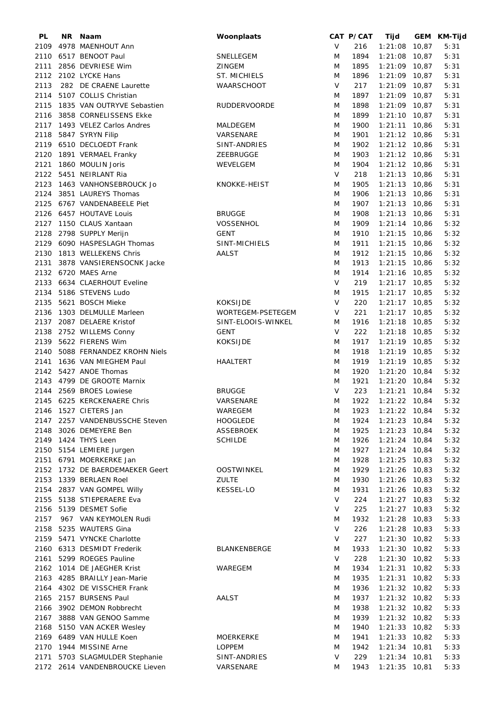| PL   | NR Naam                         | Woonplaats          |        | CAT P/CAT | Tijd            | GEM KM-Tijd |
|------|---------------------------------|---------------------|--------|-----------|-----------------|-------------|
| 2109 | 4978 MAENHOUT Ann               |                     | V      | 216       | $1:21:08$ 10,87 | 5:31        |
|      | 2110 6517 BENOOT Paul           | SNELLEGEM           | M      | 1894      | $1:21:08$ 10,87 | 5:31        |
|      | 2111 2856 DEVRIESE Wim          | <b>ZINGEM</b>       | M      | 1895      | $1:21:09$ 10,87 | 5:31        |
|      | 2112 2102 LYCKE Hans            | ST. MICHIELS        | M      | 1896      | $1:21:09$ 10,87 | 5:31        |
| 2113 | 282 DE CRAENE Laurette          | <b>WAARSCHOOT</b>   | V      | 217       | $1:21:09$ 10.87 | 5:31        |
| 2114 | 5107 COLLIS Christian           |                     | M      | 1897      | $1:21:09$ 10.87 | 5:31        |
| 2115 | 1835 VAN OUTRYVE Sebastien      | <b>RUDDERVOORDE</b> | M      | 1898      | $1:21:09$ 10,87 | 5:31        |
| 2116 | 3858 CORNELISSENS Ekke          |                     | M      | 1899      | $1:21:10$ 10,87 | 5:31        |
| 2117 | 1493 VELEZ Carlos Andres        | MALDEGEM            | M      | 1900      | $1:21:11$ 10,86 | 5:31        |
| 2118 | 5847 SYRYN Filip                | VARSENARE           | M      | 1901      | $1:21:12$ 10,86 | 5:31        |
|      | 2119 6510 DECLOEDT Frank        | SINT-ANDRIES        | M      | 1902      | $1:21:12$ 10,86 | 5:31        |
| 2120 | 1891 VERMAEL Franky             | ZEEBRUGGE           | M      | 1903      | $1:21:12$ 10,86 | 5:31        |
| 2121 | 1860 MOULIN Joris               | WEVELGEM            | M      | 1904      | $1:21:12$ 10,86 | 5:31        |
|      | 2122 5451 NEIRLANT Ria          |                     | $\vee$ | 218       | $1:21:13$ 10,86 | 5:31        |
|      | 2123 1463 VANHONSEBROUCK Jo     | KNOKKE-HEIST        | M      | 1905      | $1:21:13$ 10,86 | 5:31        |
|      |                                 |                     |        |           |                 | 5:31        |
| 2124 | 3851 LAUREYS Thomas             |                     | M      | 1906      | $1:21:13$ 10,86 |             |
|      | 2125 6767 VANDENABEELE Piet     |                     | M      | 1907      | $1:21:13$ 10,86 | 5:31        |
|      | 2126 6457 HOUTAVE Louis         | <b>BRUGGE</b>       | M      | 1908      | $1:21:13$ 10,86 | 5:31        |
|      | 2127 1150 CLAUS Xantaan         | <b>VOSSENHOL</b>    | M      | 1909      | $1:21:14$ 10,86 | 5:32        |
|      | 2128 2798 SUPPLY Merijn         | <b>GENT</b>         | M      | 1910      | $1:21:15$ 10,86 | 5:32        |
|      | 2129 6090 HASPESLAGH Thomas     | SINT-MICHIELS       | M      | 1911      | $1:21:15$ 10,86 | 5:32        |
|      | 2130 1813 WELLEKENS Chris       | AALST               | M      | 1912      | $1:21:15$ 10,86 | 5:32        |
|      | 2131 3878 VANSIERENSOCNK Jacke  |                     | M      | 1913      | $1:21:15$ 10,86 | 5:32        |
|      | 2132 6720 MAES Arne             |                     | M      | 1914      | $1:21:16$ 10,85 | 5:32        |
|      | 2133 6634 CLAERHOUT Eveline     |                     | $\vee$ | 219       | $1:21:17$ 10,85 | 5:32        |
|      | 2134 5186 STEVENS Ludo          |                     | M      | 1915      | $1:21:17$ 10,85 | 5:32        |
| 2135 | 5621 BOSCH Mieke                | <b>KOKSIJDE</b>     | V      | 220       | $1:21:17$ 10,85 | 5:32        |
| 2136 | 1303 DELMULLE Marleen           | WORTEGEM-PSETEGEM   | V      | 221       | $1:21:17$ 10,85 | 5:32        |
|      | 2137 2087 DELAERE Kristof       | SINT-ELOOIS-WINKEL  | M      | 1916      | $1:21:18$ 10,85 | 5:32        |
|      | 2138 2752 WILLEMS Conny         | <b>GENT</b>         | V      | 222       | $1:21:18$ 10,85 | 5:32        |
|      | 2139 5622 FIERENS Wim           | <b>KOKSIJDE</b>     | M      | 1917      | $1:21:19$ 10,85 | 5:32        |
| 2140 | 5088 FERNANDEZ KROHN Niels      |                     | M      | 1918      | $1:21:19$ 10,85 | 5:32        |
|      | 2141 1636 VAN MIEGHEM Paul      | <b>HAALTERT</b>     | M      | 1919      | $1:21:19$ 10,85 | 5:32        |
|      | 2142 5427 ANOE Thomas           |                     | M      | 1920      | $1:21:20$ 10,84 | 5:32        |
|      | 2143 4799 DE GROOTE Marnix      |                     | M      | 1921      | $1:21:20$ 10,84 | 5:32        |
|      | 2144 2569 BROES Lowiese         | <b>BRUGGE</b>       | V      | 223       | $1:21:21$ 10,84 | 5:32        |
|      | 2145 6225 KERCKENAERE Chris     | VARSENARE           | M      | 1922      | $1:21:22$ 10,84 | 5:32        |
|      |                                 |                     |        |           | $1:21:22$ 10,84 |             |
|      | 2146 1527 CIETERS Jan           | WAREGEM             | M      | 1923      |                 | 5:32        |
|      | 2147 2257 VANDENBUSSCHE Steven  | <b>HOOGLEDE</b>     | M      | 1924      | $1:21:23$ 10,84 | 5:32        |
|      | 2148 3026 DEMEYERE Ben          | ASSEBROEK           | M      | 1925      | $1:21:23$ 10,84 | 5:32        |
|      | 2149 1424 THYS Leen             | <b>SCHILDE</b>      | M      | 1926      | $1:21:24$ 10,84 | 5:32        |
|      | 2150 5154 LEMIERE Jurgen        |                     | M      | 1927      | $1:21:24$ 10,84 | 5:32        |
|      | 2151 6791 MOERKERKE Jan         |                     | M      | 1928      | $1:21:25$ 10,83 | 5:32        |
|      | 2152 1732 DE BAERDEMAEKER Geert | <b>OOSTWINKEL</b>   | M      | 1929      | $1:21:26$ 10,83 | 5:32        |
|      | 2153 1339 BERLAEN Roel          | <b>ZULTE</b>        | M      | 1930      | $1:21:26$ 10,83 | 5:32        |
|      | 2154 2837 VAN GOMPEL Willy      | <b>KESSEL-LO</b>    | M      | 1931      | $1:21:26$ 10,83 | 5:32        |
|      | 2155 5138 STIEPERAERE Eva       |                     | V      | 224       | $1:21:27$ 10,83 | 5:32        |
|      | 2156 5139 DESMET Sofie          |                     | V      | 225       | $1:21:27$ 10,83 | 5:32        |
| 2157 | 967 VAN KEYMOLEN Rudi           |                     | M      | 1932      | $1:21:28$ 10,83 | 5:33        |
|      | 2158 5235 WAUTERS Gina          |                     | V      | 226       | $1:21:28$ 10,83 | 5:33        |
|      | 2159 5471 VYNCKE Charlotte      |                     | V      | 227       | $1:21:30$ 10,82 | 5:33        |
|      | 2160 6313 DESMIDT Frederik      | BLANKENBERGE        | M      | 1933      | $1:21:30$ 10,82 | 5:33        |
|      | 2161 5299 ROEGES Pauline        |                     | V      | 228       | $1:21:30$ 10,82 | 5:33        |
|      | 2162 1014 DE JAEGHER Krist      | WAREGEM             | M      | 1934      | $1:21:31$ 10,82 | 5:33        |
|      | 2163 4285 BRAILLY Jean-Marie    |                     | M      | 1935      | $1:21:31$ 10,82 | 5:33        |
|      | 2164 4302 DE VISSCHER Frank     |                     | M      | 1936      | $1:21:32$ 10,82 | 5:33        |
|      | 2165 2157 BURSENS Paul          | AALST               | M      | 1937      | $1:21:32$ 10,82 | 5:33        |
|      | 2166 3902 DEMON Robbrecht       |                     |        | 1938      |                 |             |
|      |                                 |                     | M      |           | $1:21:32$ 10,82 | 5:33        |
|      | 2167 3888 VAN GENOO Samme       |                     | M      | 1939      | $1:21:32$ 10,82 | 5:33        |
|      | 2168 5150 VAN ACKER Wesley      |                     | M      | 1940      | $1:21:33$ 10,82 | 5:33        |
|      | 2169 6489 VAN HULLE Koen        | <b>MOERKERKE</b>    | M      | 1941      | $1:21:33$ 10,82 | 5:33        |
|      | 2170 1944 MISSINE Arne          | <b>LOPPEM</b>       | M      | 1942      | $1:21:34$ 10,81 | 5:33        |
|      | 2171 5703 SLAGMULDER Stephanie  | SINT-ANDRIES        | V      | 229       | $1:21:34$ 10,81 | 5:33        |
|      | 2172 2614 VANDENBROUCKE Lieven  | VARSENARE           | M      | 1943      | $1:21:35$ 10,81 | 5:33        |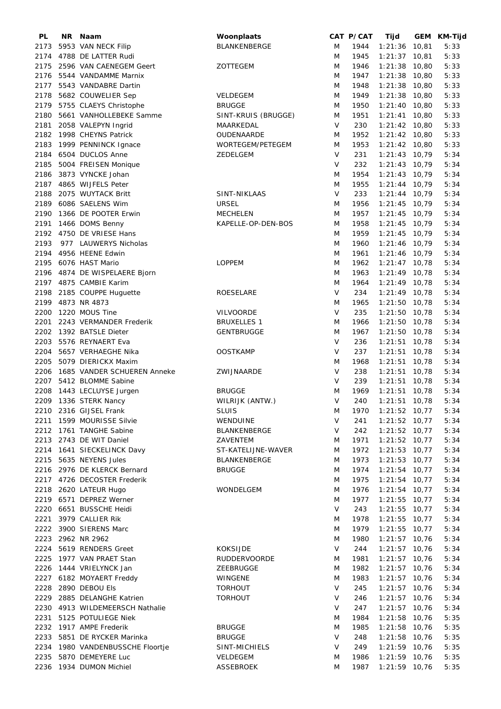| PL   | NR Naam                          | Woonplaats          |        | CAT P/CAT | Tijd            | GEM KM-Tijd |
|------|----------------------------------|---------------------|--------|-----------|-----------------|-------------|
| 2173 | 5953 VAN NECK Filip              | <b>BLANKENBERGE</b> | M      | 1944      | $1:21:36$ 10,81 | 5:33        |
| 2174 | 4788 DE LATTER Rudi              |                     | M      | 1945      | $1:21:37$ 10,81 | 5:33        |
| 2175 | 2596 VAN CAENEGEM Geert          | ZOTTEGEM            | M      | 1946      | $1:21:38$ 10,80 | 5:33        |
|      | 2176 5544 VANDAMME Marnix        |                     | M      | 1947      | $1:21:38$ 10,80 | 5:33        |
|      | 2177 5543 VANDABRE Dartin        |                     | M      | 1948      | $1:21:38$ 10,80 | 5:33        |
| 2178 | 5682 COUWELIER Sep               | <b>VELDEGEM</b>     | M      | 1949      | $1:21:38$ 10,80 | 5:33        |
|      | 2179 5755 CLAEYS Christophe      | <b>BRUGGE</b>       | M      | 1950      | $1:21:40$ 10,80 | 5:33        |
| 2180 | 5661 VANHOLLEBEKE Samme          | SINT-KRUIS (BRUGGE) | M      | 1951      | $1:21:41$ 10,80 | 5:33        |
|      |                                  |                     | V      |           |                 |             |
| 2181 | 2058 VALEPYN Ingrid              | MAARKEDAL           |        | 230       | $1:21:42$ 10,80 | 5:33        |
|      | 2182 1998 CHEYNS Patrick         | OUDENAARDE          | M      | 1952      | $1:21:42$ 10,80 | 5:33        |
| 2183 | 1999 PENNINCK Ignace             | WORTEGEM/PETEGEM    | M      | 1953      | $1:21:42$ 10,80 | 5:33        |
| 2184 | 6504 DUCLOS Anne                 | ZEDELGEM            | V      | 231       | $1:21:43$ 10,79 | 5:34        |
| 2185 | 5004 FREISEN Monique             |                     | V      | 232       | $1:21:43$ 10,79 | 5:34        |
| 2186 | 3873 VYNCKE Johan                |                     | M      | 1954      | $1:21:43$ 10,79 | 5:34        |
|      | 2187 4865 WIJFELS Peter          |                     | M      | 1955      | $1:21:44$ 10,79 | 5:34        |
| 2188 | 2075 WUYTACK Britt               | SINT-NIKLAAS        | $\vee$ | 233       | $1:21:44$ 10,79 | 5:34        |
| 2189 | 6086 SAELENS Wim                 | <b>URSEL</b>        | M      | 1956      | $1:21:45$ 10,79 | 5:34        |
| 2190 | 1366 DE POOTER Erwin             | <b>MECHELEN</b>     | M      | 1957      | $1:21:45$ 10,79 | 5:34        |
| 2191 | 1466 DOMS Benny                  | KAPELLE-OP-DEN-BOS  | M      | 1958      | $1:21:45$ 10,79 | 5:34        |
| 2192 | 4750 DE VRIESE Hans              |                     | M      | 1959      | $1:21:45$ 10.79 | 5:34        |
| 2193 | 977 LAUWERYS Nicholas            |                     | M      | 1960      | $1:21:46$ 10,79 | 5:34        |
| 2194 | 4956 HEENE Edwin                 |                     | M      | 1961      | $1:21:46$ 10,79 | 5:34        |
|      |                                  |                     |        |           |                 |             |
| 2195 | 6076 HAST Mario                  | <b>LOPPEM</b>       | M      | 1962      | $1:21:47$ 10,78 | 5:34        |
| 2196 | 4874 DE WISPELAERE Bjorn         |                     | M      | 1963      | $1:21:49$ 10,78 | 5:34        |
| 2197 | 4875 CAMBIE Karim                |                     | M      | 1964      | $1:21:49$ 10,78 | 5:34        |
| 2198 | 2185 COUPPE Huguette             | ROESELARE           | V      | 234       | $1:21:49$ 10,78 | 5:34        |
| 2199 | 4873 NR 4873                     |                     | M      | 1965      | $1:21:50$ 10,78 | 5:34        |
| 2200 | 1220 MOUS Tine                   | <b>VILVOORDE</b>    | V      | 235       | $1:21:50$ 10,78 | 5:34        |
| 2201 | 2243 VERMANDER Frederik          | <b>BRUXELLES 1</b>  | M      | 1966      | $1:21:50$ 10,78 | 5:34        |
|      | 2202 1392 BATSLE Dieter          | <b>GENTBRUGGE</b>   | M      | 1967      | $1:21:50$ 10,78 | 5:34        |
| 2203 | 5576 REYNAERT Eva                |                     | $\vee$ | 236       | $1:21:51$ 10,78 | 5:34        |
| 2204 | 5657 VERHAEGHE Nika              | <b>OOSTKAMP</b>     | V      | 237       | $1:21:51$ 10,78 | 5:34        |
| 2205 | 5079 DIERICKX Maxim              |                     | M      | 1968      | $1:21:51$ 10,78 | 5:34        |
|      | 2206 1685 VANDER SCHUEREN Anneke | ZWIJNAARDE          | V      | 238       | $1:21:51$ 10,78 | 5:34        |
|      | 2207 5412 BLOMME Sabine          |                     | V      | 239       | $1:21:51$ 10,78 | 5:34        |
| 2208 | 1443 LECLUYSE Jurgen             | <b>BRUGGE</b>       | M      | 1969      | $1:21:51$ 10,78 | 5:34        |
|      | 2209 1336 STERK Nancy            | WILRIJK (ANTW.)     | $\vee$ | 240       | $1:21:51$ 10,78 | 5:34        |
|      | 2210 2316 GIJSEL Frank           | <b>SLUIS</b>        | M      | 1970      | $1:21:52$ 10,77 | 5:34        |
|      | 2211 1599 MOURISSE Silvie        |                     | V      |           |                 |             |
|      |                                  | WENDUINE            |        | 241       | $1:21:52$ 10,77 | 5:34        |
|      | 2212 1761 TANGHE Sabine          | BLANKENBERGE        | V      | 242       | $1:21:52$ 10,77 | 5:34        |
|      | 2213 2743 DE WIT Daniel          | ZAVENTEM            | M      | 1971      | $1:21:52$ 10,77 | 5:34        |
|      | 2214 1641 SIECKELINCK Davy       | ST-KATELIJNE-WAVER  | M      | 1972      | $1:21:53$ 10,77 | 5:34        |
|      | 2215 5635 NEYENS Jules           | BLANKENBERGE        | M      | 1973      | $1:21:53$ 10,77 | 5:34        |
|      | 2216 2976 DE KLERCK Bernard      | <b>BRUGGE</b>       | M      | 1974      | $1:21:54$ 10,77 | 5:34        |
|      | 2217 4726 DECOSTER Frederik      |                     | M      | 1975      | $1:21:54$ 10,77 | 5:34        |
|      | 2218 2620 LATEUR Hugo            | WONDELGEM           | M      | 1976      | $1:21:54$ 10,77 | 5:34        |
|      | 2219 6571 DEPREZ Werner          |                     | M      | 1977      | $1:21:55$ 10,77 | 5:34        |
|      | 2220 6651 BUSSCHE Heidi          |                     | V      | 243       | $1:21:55$ 10,77 | 5:34        |
|      | 2221 3979 CALLIER Rik            |                     | M      | 1978      | $1:21:55$ 10,77 | 5:34        |
|      | 2222 3900 SIERENS Marc           |                     | M      | 1979      | $1:21:55$ 10,77 | 5:34        |
|      | 2223 2962 NR 2962                |                     | M      | 1980      | $1:21:57$ 10,76 | 5:34        |
|      | 2224 5619 RENDERS Greet          | <b>KOKSIJDE</b>     | V      | 244       | $1:21:57$ 10,76 | 5:34        |
|      | 2225 1977 VAN PRAET Stan         | <b>RUDDERVOORDE</b> | M      | 1981      | 1:21:57 10,76   | 5:34        |
|      | 2226 1444 VRIELYNCK Jan          | ZEEBRUGGE           | M      | 1982      | $1:21:57$ 10,76 | 5:34        |
|      | 2227 6182 MOYAERT Freddy         | WINGENE             | M      | 1983      | $1:21:57$ 10,76 | 5:34        |
|      | 2228 2890 DEBOU Els              | <b>TORHOUT</b>      | V      | 245       | $1:21:57$ 10,76 | 5:34        |
|      |                                  |                     | V      |           |                 |             |
|      | 2229 2885 DELANGHE Katrien       | <b>TORHOUT</b>      | V      | 246       | $1:21:57$ 10,76 | 5:34        |
|      | 2230 4913 WILDEMEERSCH Nathalie  |                     |        | 247       | $1:21:57$ 10,76 | 5:34        |
| 2231 | 5125 POTULIEGE Niek              |                     | M      | 1984      | $1:21:58$ 10,76 | 5:35        |
|      | 2232 1917 AMPE Frederik          | <b>BRUGGE</b>       | M      | 1985      | $1:21:58$ 10,76 | 5:35        |
|      | 2233 5851 DE RYCKER Marinka      | <b>BRUGGE</b>       | V      | 248       | $1:21:58$ 10,76 | 5:35        |
|      | 2234 1980 VANDENBUSSCHE Floortje | SINT-MICHIELS       | V      | 249       | $1:21:59$ 10,76 | 5:35        |
|      | 2235 5870 DEMEYERE Luc           | VELDEGEM            | M      | 1986      | $1:21:59$ 10,76 | 5:35        |
|      | 2236 1934 DUMON Michiel          | ASSEBROEK           | M      | 1987      | $1:21:59$ 10,76 | 5:35        |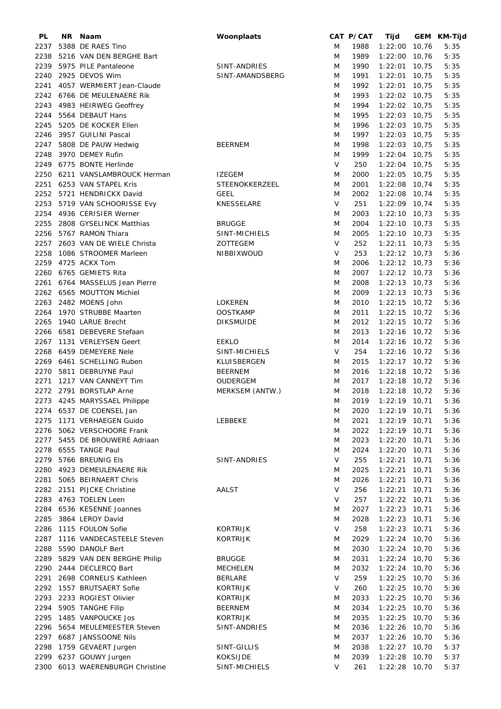| PL   | NR I | Naam                            | Woonplaats        |        | CAT P/CAT | Tijd            |       | GEM KM-Tijd |
|------|------|---------------------------------|-------------------|--------|-----------|-----------------|-------|-------------|
| 2237 |      | 5388 DE RAES Tino               |                   | M      | 1988      | 1:22:00 10,76   |       | 5:35        |
| 2238 |      | 5216 VAN DEN BERGHE Bart        |                   | M      | 1989      | 1:22:00 10,76   |       | 5:35        |
| 2239 |      | 5975 PILE Pantaleone            | SINT-ANDRIES      | M      | 1990      | $1:22:01$ 10,75 |       | 5:35        |
| 2240 |      | 2925 DEVOS Wim                  | SINT-AMANDSBERG   | M      | 1991      | $1:22:01$ 10,75 |       | 5:35        |
| 2241 |      | 4057 WERMIERT Jean-Claude       |                   | M      | 1992      | $1:22:01$ 10,75 |       | 5:35        |
| 2242 |      | 6766 DE MEULENAERE Rik          |                   | M      | 1993      | 1:22:02 10,75   |       | 5:35        |
|      |      |                                 |                   |        |           |                 |       |             |
| 2243 |      | 4983 HEIRWEG Geoffrey           |                   | M      | 1994      | $1:22:02$ 10,75 |       | 5:35        |
| 2244 |      | 5564 DEBAUT Hans                |                   | M      | 1995      | 1:22:03 10,75   |       | 5:35        |
| 2245 |      | 5205 DE KOCKER Ellen            |                   | M      | 1996      | 1:22:03 10,75   |       | 5:35        |
| 2246 |      | 3957 GUILINI Pascal             |                   | M      | 1997      | $1:22:03$ 10,75 |       | 5:35        |
| 2247 |      | 5808 DE PAUW Hedwig             | <b>BEERNEM</b>    | M      | 1998      | $1:22:03$ 10,75 |       | 5:35        |
| 2248 |      | 3970 DEMEY Rufin                |                   | M      | 1999      | $1:22:04$ 10,75 |       | 5:35        |
|      |      | 2249 6775 BONTE Herlinde        |                   | V      | 250       | $1:22:04$ 10,75 |       | 5:35        |
| 2250 |      | 6211 VANSLAMBROUCK Herman       | <b>IZEGEM</b>     | M      | 2000      | $1:22:05$ 10,75 |       | 5:35        |
|      |      | 2251 6253 VAN STAPEL Kris       | STEENOKKERZEEL    | M      | 2001      | $1:22:08$ 10,74 |       | 5:35        |
|      |      |                                 |                   |        |           |                 |       | 5:35        |
| 2252 |      | 5721 HENDRICKX David            | <b>GEEL</b>       | M      | 2002      | $1:22:08$ 10,74 |       |             |
| 2253 |      | 5719 VAN SCHOORISSE Evy         | <b>KNESSELARE</b> | V      | 251       | $1:22:09$ 10,74 |       | 5:35        |
| 2254 |      | 4936 CERISIER Werner            |                   | M      | 2003      | $1:22:10$ 10,73 |       | 5:35        |
| 2255 |      | 2808 GYSELINCK Matthias         | <b>BRUGGE</b>     | M      | 2004      | $1:22:10$ 10,73 |       | 5:35        |
| 2256 |      | 5767 RAMON Thiara               | SINT-MICHIELS     | M      | 2005      | $1:22:10$ 10,73 |       | 5:35        |
| 2257 |      | 2603 VAN DE WIELE Christa       | ZOTTEGEM          | $\vee$ | 252       | $1:22:11$ 10,73 |       | 5:35        |
| 2258 |      | 1086 STROOMER Marleen           | NIBBIXWOUD        | V      | 253       | $1:22:12$ 10,73 |       | 5:36        |
| 2259 |      | 4725 ACKX Tom                   |                   | M      | 2006      | $1:22:12$ 10,73 |       | 5:36        |
| 2260 |      | 6765 GEMIETS Rita               |                   | M      | 2007      | $1:22:12$ 10,73 |       | 5:36        |
|      |      |                                 |                   |        |           |                 |       | 5:36        |
| 2261 |      | 6764 MASSELUS Jean Pierre       |                   | M      | 2008      | $1:22:13$ 10,73 |       |             |
|      |      | 2262 6565 MOUTTON Michiel       |                   | M      | 2009      | $1:22:13$ 10,73 |       | 5:36        |
| 2263 |      | 2482 MOENS John                 | <b>LOKEREN</b>    | M      | 2010      | $1:22:15$ 10,72 |       | 5:36        |
| 2264 |      | 1970 STRUBBE Maarten            | <b>OOSTKAMP</b>   | M      | 2011      | $1:22:15$ 10,72 |       | 5:36        |
| 2265 |      | 1940 LARUE Brecht               | <b>DIKSMUIDE</b>  | M      | 2012      | $1:22:15$ 10,72 |       | 5:36        |
| 2266 |      | 6581 DEBEVERE Stefaan           |                   | M      | 2013      | $1:22:16$ 10,72 |       | 5:36        |
| 2267 |      | 1131 VERLEYSEN Geert            | <b>EEKLO</b>      | M      | 2014      | $1:22:16$ 10,72 |       | 5:36        |
|      |      | 2268 6459 DEMEYERE Nele         | SINT-MICHIELS     | V      | 254       | $1:22:16$ 10,72 |       | 5:36        |
|      |      | 2269 6461 SCHELLING Ruben       | KLUISBERGEN       | M      | 2015      | $1:22:17$ 10,72 |       | 5:36        |
| 2270 |      | 5811 DEBRUYNE Paul              | <b>BEERNEM</b>    | M      | 2016      | $1:22:18$ 10,72 |       | 5:36        |
|      |      |                                 |                   |        |           |                 |       |             |
|      |      | 2271 1217 VAN CANNEYT Tim       | <b>OUDERGEM</b>   | M      | 2017      | $1:22:18$ 10,72 |       | 5:36        |
|      |      | 2272 2791 BORSTLAP Arne         | MERKSEM (ANTW.)   | M      | 2018      | $1:22:18$ 10,72 |       | 5:36        |
|      |      | 2273 4245 MARYSSAEL Philippe    |                   | M      | 2019      | $1:22:19$ 10,71 |       | 5:36        |
|      |      | 2274 6537 DE COENSEL Jan        |                   | M      | 2020      | 1:22:19 10,71   |       | 5:36        |
|      |      | 2275 1171 VERHAEGEN Guido       | LEBBEKE           | M      | 2021      | $1:22:19$ 10,71 |       | 5:36        |
|      |      | 2276 5062 VERSCHOORE Frank      |                   | M      | 2022      | $1:22:19$ 10,71 |       | 5:36        |
|      |      | 2277 5455 DE BROUWERE Adriaan   |                   | M      | 2023      | $1:22:20$ 10,71 |       | 5:36        |
|      |      | 2278 6555 TANGE Paul            |                   | M      | 2024      | $1:22:20$ 10,71 |       | 5:36        |
|      |      | 2279 5766 BREUNIG Els           | SINT-ANDRIES      | V      | 255       | $1:22:21$ 10,71 |       | 5:36        |
| 2280 |      | 4923 DEMEULENAERE Rik           |                   | M      | 2025      | $1:22:21$ 10,71 |       | 5:36        |
|      |      |                                 |                   |        |           |                 |       |             |
| 2281 |      | 5065 BEIRNAERT Chris            |                   | M      | 2026      | 1:22:21         | 10,71 | 5:36        |
|      |      | 2282 2151 PIJCKE Christine      | AALST             | V      | 256       | $1:22:21$ 10,71 |       | 5:36        |
|      |      | 2283 4763 TOELEN Leen           |                   | V      | 257       | 1:22:22 10,71   |       | 5:36        |
|      |      | 2284 6536 KESENNE Joannes       |                   | M      | 2027      | 1:22:23 10,71   |       | 5:36        |
| 2285 |      | 3864 LEROY David                |                   | M      | 2028      | 1:22:23 10,71   |       | 5:36        |
|      |      | 2286 1115 FOULON Sofie          | <b>KORTRIJK</b>   | V      | 258       | 1:22:23 10,71   |       | 5:36        |
| 2287 |      | 1116 VANDECASTEELE Steven       | <b>KORTRIJK</b>   | M      | 2029      | $1:22:24$ 10,70 |       | 5:36        |
|      |      | 2288 5590 DANOLF Bert           |                   | M      | 2030      | 1:22:24 10,70   |       | 5:36        |
|      |      | 2289 5829 VAN DEN BERGHE Philip | <b>BRUGGE</b>     | M      | 2031      | $1:22:24$ 10,70 |       | 5:36        |
|      |      |                                 |                   |        |           |                 |       |             |
|      |      | 2290 2444 DECLERCQ Bart         | <b>MECHELEN</b>   | M      | 2032      | $1:22:24$ 10,70 |       | 5:36        |
|      |      | 2291 2698 CORNELIS Kathleen     | <b>BERLARE</b>    | V      | 259       | $1:22:25$ 10,70 |       | 5:36        |
|      |      | 2292 1557 BRUTSAERT Sofie       | <b>KORTRIJK</b>   | V      | 260       | $1:22:25$ 10,70 |       | 5:36        |
| 2293 |      | 2233 ROGIEST Olivier            | <b>KORTRIJK</b>   | M      | 2033      | $1:22:25$ 10,70 |       | 5:36        |
| 2294 |      | 5905 TANGHE Filip               | <b>BEERNEM</b>    | M      | 2034      | 1:22:25 10,70   |       | 5:36        |
|      |      | 2295 1485 VANPOUCKE Jos         | <b>KORTRIJK</b>   | M      | 2035      | $1:22:25$ 10,70 |       | 5:36        |
| 2296 |      | 5654 MEULEMEESTER Steven        | SINT-ANDRIES      | M      | 2036      | $1:22:26$ 10,70 |       | 5:36        |
| 2297 |      | 6687 JANSSOONE Nils             |                   | M      | 2037      | 1:22:26 10,70   |       | 5:36        |
| 2298 |      | 1759 GEVAERT Jurgen             | SINT-GILLIS       | M      | 2038      | 1:22:27 10,70   |       | 5:37        |
| 2299 |      | 6237 GOUWY Jurgen               | <b>KOKSIJDE</b>   | M      | 2039      | 1:22:28 10,70   |       | 5:37        |
|      |      |                                 |                   |        |           |                 |       |             |
| 2300 |      | 6013 WAERENBURGH Christine      | SINT-MICHIELS     | V      | 261       | 1:22:28 10,70   |       | 5:37        |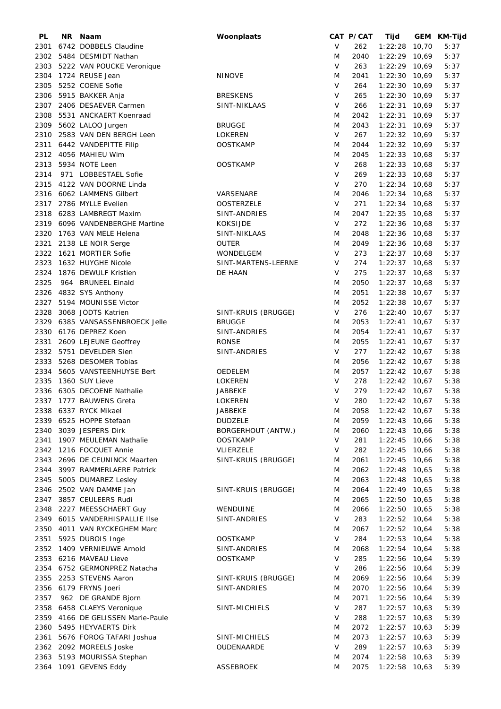| PL   | NR Naam                           | Woonplaats                |        | CAT P/CAT | Tijd            | GEM KM-Tijd |
|------|-----------------------------------|---------------------------|--------|-----------|-----------------|-------------|
| 2301 | 6742 DOBBELS Claudine             |                           | V      | 262       | $1:22:28$ 10,70 | 5:37        |
| 2302 | 5484 DESMIDT Nathan               |                           | M      | 2040      | 1:22:29 10,69   | 5:37        |
| 2303 | 5222 VAN POUCKE Veronique         |                           | V      | 263       | $1:22:29$ 10,69 | 5:37        |
| 2304 | 1724 REUSE Jean                   | <b>NINOVE</b>             | M      | 2041      | $1:22:30$ 10,69 | 5:37        |
| 2305 | 5252 COENE Sofie                  |                           | V      | 264       | $1:22:30$ 10,69 | 5:37        |
| 2306 | 5915 BAKKER Anja                  | <b>BRESKENS</b>           | V      | 265       | $1:22:30$ 10,69 | 5:37        |
|      |                                   |                           | V      |           |                 | 5:37        |
| 2307 | 2406 DESAEVER Carmen              | SINT-NIKLAAS              |        | 266       | $1:22:31$ 10,69 |             |
| 2308 | 5531 ANCKAERT Koenraad            |                           | M      | 2042      | $1:22:31$ 10,69 | 5:37        |
| 2309 | 5602 LALOO Jurgen                 | <b>BRUGGE</b>             | M      | 2043      | $1:22:31$ 10,69 | 5:37        |
| 2310 | 2583 VAN DEN BERGH Leen           | <b>LOKEREN</b>            | V      | 267       | $1:22:32$ 10,69 | 5:37        |
| 2311 | 6442 VANDEPITTE Filip             | <b>OOSTKAMP</b>           | M      | 2044      | $1:22:32$ 10,69 | 5:37        |
| 2312 | 4056 MAHIEU Wim                   |                           | M      | 2045      | 1:22:33 10,68   | 5:37        |
| 2313 | 5934 NOTE Leen                    | <b>OOSTKAMP</b>           | V      | 268       | $1:22:33$ 10,68 | 5:37        |
| 2314 | 971 LOBBESTAEL Sofie              |                           | V      | 269       | $1:22:33$ 10,68 | 5:37        |
| 2315 | 4122 VAN DOORNE Linda             |                           | V      | 270       | $1:22:34$ 10,68 | 5:37        |
|      | 2316 6062 LAMMENS Gilbert         | VARSENARE                 | M      | 2046      | $1:22:34$ 10,68 | 5:37        |
|      | 2317 2786 MYLLE Evelien           | <b>OOSTERZELE</b>         | $\vee$ | 271       | $1:22:34$ 10,68 | 5:37        |
| 2318 | 6283 LAMBREGT Maxim               | SINT-ANDRIES              | M      | 2047      | $1:22:35$ 10,68 | 5:37        |
| 2319 | 6096 VANDENBERGHE Martine         | <b>KOKSIJDE</b>           | V      | 272       | $1:22:36$ 10,68 | 5:37        |
|      |                                   |                           |        |           |                 |             |
| 2320 | 1763 VAN MELE Helena              | SINT-NIKLAAS              | M      | 2048      | 1:22:36 10,68   | 5:37        |
| 2321 | 2138 LE NOIR Serge                | <b>OUTER</b>              | M      | 2049      | $1:22:36$ 10,68 | 5:37        |
|      | 2322 1621 MORTIER Sofie           | <b>WONDELGEM</b>          | $\vee$ | 273       | $1:22:37$ 10,68 | 5:37        |
| 2323 | 1632 HUYGHE Nicole                | SINT-MARTENS-LEERNE       | V      | 274       | $1:22:37$ 10,68 | 5:37        |
| 2324 | 1876 DEWULF Kristien              | DE HAAN                   | V      | 275       | $1:22:37$ 10,68 | 5:37        |
| 2325 | 964 BRUNEEL Einald                |                           | M      | 2050      | $1:22:37$ 10,68 | 5:37        |
| 2326 | 4832 SYS Anthony                  |                           | M      | 2051      | $1:22:38$ 10,67 | 5:37        |
| 2327 | 5194 MOUNISSE Victor              |                           | M      | 2052      | $1:22:38$ 10,67 | 5:37        |
| 2328 | 3068 JODTS Katrien                | SINT-KRUIS (BRUGGE)       | V      | 276       | $1:22:40$ 10,67 | 5:37        |
| 2329 | 6385 VANSASSENBROECK Jelle        | <b>BRUGGE</b>             | M      | 2053      | $1:22:41$ 10,67 | 5:37        |
|      |                                   |                           |        |           |                 |             |
| 2330 | 6176 DEPREZ Koen                  | SINT-ANDRIES              | M      | 2054      | $1:22:41$ 10,67 | 5:37        |
| 2331 | 2609 LEJEUNE Geoffrey             | <b>RONSE</b>              | M      | 2055      | $1:22:41$ 10,67 | 5:37        |
|      | 2332 5751 DEVELDER Sien           | SINT-ANDRIES              | $\vee$ | 277       | $1:22:42$ 10,67 | 5:38        |
| 2333 | 5268 DESOMER Tobias               |                           | M      | 2056      | $1:22:42$ 10,67 | 5:38        |
|      | 2334 5605 VANSTEENHUYSE Bert      | <b>OEDELEM</b>            | M      | 2057      | $1:22:42$ 10,67 | 5:38        |
| 2335 | 1360 SUY Lieve                    | LOKEREN                   | V      | 278       | $1:22:42$ 10,67 | 5:38        |
|      | 2336 6305 DECOENE Nathalie        | <b>JABBEKE</b>            | V      | 279       | $1:22:42$ 10,67 | 5:38        |
|      | 2337 1777 BAUWENS Greta           | <b>LOKEREN</b>            | $\vee$ | 280       | $1:22:42$ 10,67 | 5:38        |
|      | 2338 6337 RYCK Mikael             | JABBEKE                   | M      | 2058      | $1:22:42$ 10,67 | 5:38        |
|      | 2339 6525 HOPPE Stefaan           | <b>DUDZELE</b>            | M      | 2059      | $1:22:43$ 10,66 | 5:38        |
|      | 2340 3039 JESPERS Dirk            | <b>BORGERHOUT (ANTW.)</b> | M      | 2060      | $1:22:43$ 10,66 | 5:38        |
|      | 2341 1907 MEULEMAN Nathalie       | <b>OOSTKAMP</b>           | V      | 281       | $1:22:45$ 10,66 | 5:38        |
|      | 2342 1216 FOCQUET Annie           | VLIERZELE                 | V      | 282       | $1:22:45$ 10,66 | 5:38        |
|      | 2343 2696 DE CEUNINCK Maarten     |                           |        | 2061      | 1:22:45 10,66   |             |
|      |                                   | SINT-KRUIS (BRUGGE)       | M      |           |                 | 5:38        |
|      | 2344 3997 RAMMERLAERE Patrick     |                           | M      | 2062      | $1:22:48$ 10,65 | 5:38        |
| 2345 | 5005 DUMAREZ Lesley               |                           | M      | 2063      | $1:22:48$ 10,65 | 5:38        |
|      | 2346 2502 VAN DAMME Jan           | SINT-KRUIS (BRUGGE)       | M      | 2064      | $1:22:49$ 10,65 | 5:38        |
|      | 2347 3857 CEULEERS Rudi           |                           | M      | 2065      | $1:22:50$ 10,65 | 5:38        |
|      | 2348 2227 MEESSCHAERT Guy         | WENDUINE                  | M      | 2066      | 1:22:50 10,65   | 5:38        |
|      | 2349 6015 VANDERHISPALLIE IIse    | SINT-ANDRIES              | V      | 283       | 1:22:52 10,64   | 5:38        |
|      | 2350 4011 VAN RYCKEGHEM Marc      |                           | M      | 2067      | $1:22:52$ 10,64 | 5:38        |
| 2351 | 5925 DUBOIS Inge                  | <b>OOSTKAMP</b>           | $\vee$ | 284       | $1:22:53$ 10,64 | 5:38        |
|      | 2352 1409 VERNIEUWE Arnold        | SINT-ANDRIES              | M      | 2068      | 1:22:54 10,64   | 5:38        |
|      | 2353 6216 MAVEAU Lieve            | <b>OOSTKAMP</b>           | V      | 285       | 1:22:56 10,64   | 5:39        |
|      | 2354 6752 GERMONPREZ Natacha      |                           | V      | 286       | $1:22:56$ 10,64 | 5:39        |
|      | 2355 2253 STEVENS Aaron           | SINT-KRUIS (BRUGGE)       | M      | 2069      | $1:22:56$ 10,64 | 5:39        |
|      |                                   |                           |        |           |                 |             |
|      | 2356 6179 FRYNS Joeri             | SINT-ANDRIES              | M      | 2070      | $1:22:56$ 10,64 | 5:39        |
| 2357 | 962 DE GRANDE Bjorn               |                           | M      | 2071      | $1:22:56$ 10,64 | 5:39        |
|      | 2358 6458 CLAEYS Veronique        | SINT-MICHIELS             | V      | 287       | 1:22:57 10,63   | 5:39        |
|      | 2359 4166 DE GELISSEN Marie-Paule |                           | V      | 288       | $1:22:57$ 10,63 | 5:39        |
|      | 2360 5495 HEYVAERTS Dirk          |                           | M      | 2072      | $1:22:57$ 10,63 | 5:39        |
| 2361 | 5676 FOROG TAFARI Joshua          | SINT-MICHIELS             | M      | 2073      | $1:22:57$ 10,63 | 5:39        |
|      | 2362 2092 MOREELS Joske           | OUDENAARDE                | V      | 289       | $1:22:57$ 10,63 | 5:39        |
|      | 2363 5193 MOURISSA Stephan        |                           | M      | 2074      | $1:22:58$ 10,63 | 5:39        |
|      | 2364 1091 GEVENS Eddy             | ASSEBROEK                 | M      | 2075      | $1:22:58$ 10,63 | 5:39        |
|      |                                   |                           |        |           |                 |             |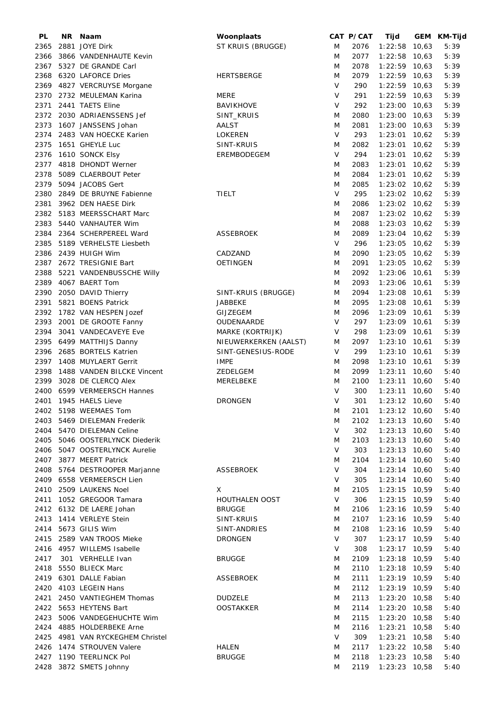| PL   | NR | Naam                             | Woonplaats            |        | CAT P/CAT | Tijd            | GEM KM-Tijd |
|------|----|----------------------------------|-----------------------|--------|-----------|-----------------|-------------|
| 2365 |    | 2881 JOYE Dirk                   | ST KRUIS (BRUGGE)     | M      | 2076      | $1:22:58$ 10,63 | 5:39        |
| 2366 |    | 3866 VANDENHAUTE Kevin           |                       | M      | 2077      | $1:22:58$ 10,63 | 5:39        |
| 2367 |    | 5327 DE GRANDE Carl              |                       | M      | 2078      | $1:22:59$ 10,63 | 5:39        |
| 2368 |    | 6320 LAFORCE Dries               | <b>HERTSBERGE</b>     | M      | 2079      | $1:22:59$ 10,63 | 5:39        |
| 2369 |    | 4827 VERCRUYSE Morgane           |                       | V      | 290       | $1:22:59$ 10,63 | 5:39        |
| 2370 |    | 2732 MEULEMAN Karina             | MERE                  | V      | 291       | $1:22:59$ 10,63 | 5:39        |
|      |    |                                  |                       |        |           |                 |             |
| 2371 |    | 2441 TAETS Eline                 | <b>BAVIKHOVE</b>      | V      | 292       | $1:23:00$ 10,63 | 5:39        |
|      |    | 2372 2030 ADRIAENSSENS Jef       | SINT_KRUIS            | M      | 2080      | $1:23:00$ 10,63 | 5:39        |
| 2373 |    | 1607 JANSSENS Johan              | AALST                 | M      | 2081      | $1:23:00$ 10,63 | 5:39        |
| 2374 |    | 2483 VAN HOECKE Karien           | <b>LOKEREN</b>        | V      | 293       | $1:23:01$ 10,62 | 5:39        |
| 2375 |    | 1651 GHEYLE Luc                  | SINT-KRUIS            | M      | 2082      | $1:23:01$ 10,62 | 5:39        |
|      |    | 2376 1610 SONCK Elsy             | EREMBODEGEM           | $\vee$ | 294       | $1:23:01$ 10,62 | 5:39        |
|      |    | 2377 4818 DHONDT Werner          |                       | M      | 2083      | $1:23:01$ 10,62 | 5:39        |
| 2378 |    | 5089 CLAERBOUT Peter             |                       | M      | 2084      | $1:23:01$ 10,62 | 5:39        |
| 2379 |    | 5094 JACOBS Gert                 |                       | M      | 2085      | $1:23:02$ 10,62 | 5:39        |
| 2380 |    | 2849 DE BRUYNE Fabienne          | TIELT                 | $\vee$ | 295       | $1:23:02$ 10,62 | 5:39        |
| 2381 |    | 3962 DEN HAESE Dirk              |                       | M      | 2086      | $1:23:02$ 10,62 | 5:39        |
| 2382 |    | 5183 MEERSSCHART Marc            |                       | M      | 2087      | $1:23:02$ 10,62 | 5:39        |
|      |    |                                  |                       |        |           |                 |             |
| 2383 |    | 5440 VANHAUTER Wim               |                       | M      | 2088      | $1:23:03$ 10,62 | 5:39        |
| 2384 |    | 2364 SCHERPEREEL Ward            | <b>ASSEBROEK</b>      | M      | 2089      | $1:23:04$ 10,62 | 5:39        |
| 2385 |    | 5189 VERHELSTE Liesbeth          |                       | V      | 296       | $1:23:05$ 10,62 | 5:39        |
|      |    | 2386 2439 HUIGH Wim              | CADZAND               | M      | 2090      | $1:23:05$ 10,62 | 5:39        |
| 2387 |    | 2672 TRESIGNIE Bart              | <b>OETINGEN</b>       | M      | 2091      | $1:23:05$ 10,62 | 5:39        |
| 2388 |    | 5221 VANDENBUSSCHE Willy         |                       | M      | 2092      | 1:23:06 10,61   | 5:39        |
| 2389 |    | 4067 BAERT Tom                   |                       | M      | 2093      | $1:23:06$ 10,61 | 5:39        |
| 2390 |    | 2050 DAVID Thierry               | SINT-KRUIS (BRUGGE)   | M      | 2094      | $1:23:08$ 10,61 | 5:39        |
| 2391 |    | 5821 BOENS Patrick               | JABBEKE               | M      | 2095      | $1:23:08$ 10,61 | 5:39        |
| 2392 |    | 1782 VAN HESPEN Jozef            | <b>GIJZEGEM</b>       | M      | 2096      | 1:23:09 10,61   | 5:39        |
| 2393 |    |                                  |                       | V      |           |                 | 5:39        |
|      |    | 2001 DE GROOTE Fanny             | OUDENAARDE            |        | 297       | $1:23:09$ 10,61 |             |
| 2394 |    | 3041 VANDECAVEYE Eve             | MARKE (KORTRIJK)      | V      | 298       | $1:23:09$ 10,61 | 5:39        |
|      |    | 2395 6499 MATTHIJS Danny         | NIEUWERKERKEN (AALST) | M      | 2097      | $1:23:10$ 10,61 | 5:39        |
|      |    | 2396 2685 BORTELS Katrien        | SINT-GENESIUS-RODE    | $\vee$ | 299       | $1:23:10$ 10,61 | 5:39        |
|      |    | 2397 1408 MUYLAERT Gerrit        | <b>IMPE</b>           | M      | 2098      | $1:23:10$ 10,61 | 5:39        |
|      |    | 2398 1488 VANDEN BILCKE Vincent  | ZEDELGEM              | M      | 2099      | $1:23:11$ 10,60 | 5:40        |
| 2399 |    | 3028 DE CLERCQ Alex              | MERELBEKE             | M      | 2100      | $1:23:11$ 10,60 | 5:40        |
| 2400 |    | 6599 VERMEERSCH Hannes           |                       | $\vee$ | 300       | $1:23:11$ 10,60 | 5:40        |
| 2401 |    | 1945 HAELS Lieve                 | <b>DRONGEN</b>        | $\vee$ | 301       | $1:23:12$ 10,60 | 5:40        |
|      |    | 2402 5198 WEEMAES Tom            |                       | M      | 2101      | $1:23:12$ 10,60 | 5:40        |
|      |    | 2403 5469 DIELEMAN Frederik      |                       | M      | 2102      | 1:23:13 10,60   | 5:40        |
|      |    | 2404 5470 DIELEMAN Celine        |                       | V      | 302       | $1:23:13$ 10,60 | 5:40        |
|      |    |                                  |                       |        |           |                 |             |
|      |    | 2405 5046 OOSTERLYNCK Diederik   |                       | M      | 2103      | $1:23:13$ 10,60 | 5:40        |
|      |    | 2406 5047 OOSTERLYNCK Aurelie    |                       | V      | 303       | $1:23:13$ 10,60 | 5:40        |
|      |    | 2407 3877 MEERT Patrick          |                       | M      | 2104      | $1:23:14$ 10,60 | 5:40        |
|      |    | 2408 5764 DESTROOPER Marjanne    | <b>ASSEBROEK</b>      | V      | 304       | $1:23:14$ 10,60 | 5:40        |
|      |    | 2409 6558 VERMEERSCH Lien        |                       | V      | 305       | $1:23:14$ 10,60 | 5:40        |
|      |    | 2410 2509 LAUKENS Noel           | X.                    | M      | 2105      | $1:23:15$ 10,59 | 5:40        |
| 2411 |    | 1052 GREGOOR Tamara              | HOUTHALEN OOST        | V      | 306       | $1:23:15$ 10,59 | 5:40        |
|      |    | 2412 6132 DE LAERE Johan         | <b>BRUGGE</b>         | M      | 2106      | 1:23:16 10,59   | 5:40        |
|      |    | 2413 1414 VERLEYE Stein          | SINT-KRUIS            | M      | 2107      | $1:23:16$ 10,59 | 5:40        |
|      |    | 2414 5673 GILIS Wim              | SINT-ANDRIES          | M      | 2108      | $1:23:16$ 10,59 | 5:40        |
|      |    | 2415 2589 VAN TROOS Mieke        | <b>DRONGEN</b>        | $\vee$ | 307       | $1:23:17$ 10,59 | 5:40        |
|      |    | 2416 4957 WILLEMS Isabelle       |                       | V      | 308       | $1:23:17$ 10,59 | 5:40        |
|      |    | 301 VERHELLE Ivan                | <b>BRUGGE</b>         | M      | 2109      |                 |             |
| 2417 |    |                                  |                       |        |           | $1:23:18$ 10,59 | 5:40        |
|      |    | 2418 5550 BLIECK Marc            |                       | M      | 2110      | $1:23:18$ 10,59 | 5:40        |
|      |    | 2419 6301 DALLE Fabian           | <b>ASSEBROEK</b>      | M      | 2111      | $1:23:19$ 10,59 | 5:40        |
|      |    | 2420 4103 LEGEIN Hans            |                       | M      | 2112      | $1:23:19$ 10,59 | 5:40        |
|      |    | 2421 2450 VANTIEGHEM Thomas      | <b>DUDZELE</b>        | M      | 2113      | $1:23:20$ 10,58 | 5:40        |
|      |    | 2422 5653 HEYTENS Bart           | <b>OOSTAKKER</b>      | M      | 2114      | $1:23:20$ 10,58 | 5:40        |
| 2423 |    | 5006 VANDEGEHUCHTE Wim           |                       | M      | 2115      | $1:23:20$ 10,58 | 5:40        |
|      |    | 2424 4885 HOLDERBEKE Arne        |                       | M      | 2116      | $1:23:21$ 10,58 | 5:40        |
|      |    | 2425 4981 VAN RYCKEGHEM Christel |                       | V      | 309       | $1:23:21$ 10,58 | 5:40        |
|      |    | 2426 1474 STROUVEN Valere        | HALEN                 | M      | 2117      | 1:23:22 10,58   | 5:40        |
|      |    | 2427 1190 TEERLINCK Pol          | <b>BRUGGE</b>         | M      | 2118      | $1:23:23$ 10,58 | 5:40        |
|      |    | 2428 3872 SMETS Johnny           |                       | M      | 2119      | 1:23:23 10,58   | 5:40        |
|      |    |                                  |                       |        |           |                 |             |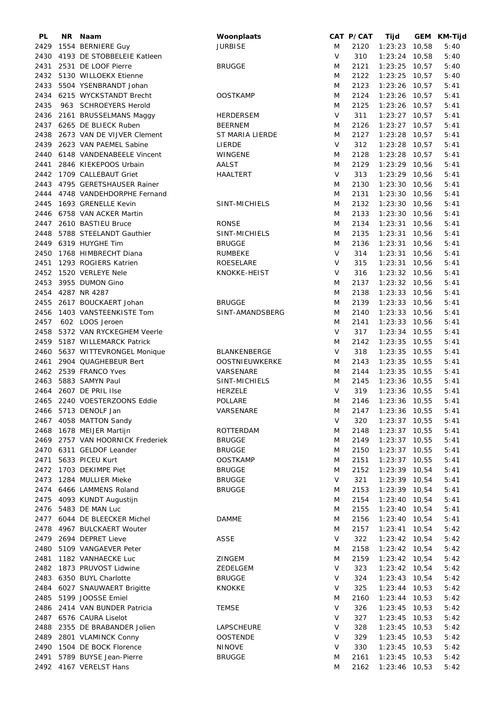| PL   | NR Naam                          | Woonplaats        |        | CAT P/CAT | Tijd            | GEM KM-Tijd |
|------|----------------------------------|-------------------|--------|-----------|-----------------|-------------|
| 2429 | 1554 BERNIERE Guy                | <b>JURBISE</b>    | M      | 2120      | $1:23:23$ 10,58 | 5:40        |
| 2430 | 4193 DE STOBBELEIE Katleen       |                   | V      | 310       | $1:23:24$ 10,58 | 5:40        |
|      | 2431 2531 DE LOOF Pierre         | <b>BRUGGE</b>     | M      | 2121      | $1:23:25$ 10,57 | 5:40        |
|      | 2432 5130 WILLOEKX Etienne       |                   | M      | 2122      | $1:23:25$ 10,57 | 5:40        |
| 2433 | 5504 YSENBRANDT Johan            |                   | M      | 2123      | $1:23:26$ 10,57 | 5:41        |
| 2434 | 6215 WYCKSTANDT Brecht           | <b>OOSTKAMP</b>   |        | 2124      | $1:23:26$ 10,57 | 5:41        |
|      |                                  |                   | M      |           |                 |             |
| 2435 | 963 SCHROEYERS Herold            |                   | M      | 2125      | $1:23:26$ 10,57 | 5:41        |
| 2436 | 2161 BRUSSELMANS Maggy           | <b>HERDERSEM</b>  | V      | 311       | $1:23:27$ 10,57 | 5:41        |
|      | 2437 6265 DE BLIECK Ruben        | <b>BEERNEM</b>    | M      | 2126      | $1:23:27$ 10,57 | 5:41        |
| 2438 | 2673 VAN DE VIJVER Clement       | ST MARIA LIERDE   | M      | 2127      | $1:23:28$ 10,57 | 5:41        |
| 2439 | 2623 VAN PAEMEL Sabine           | LIERDE            | V      | 312       | $1:23:28$ 10,57 | 5:41        |
|      | 2440 6148 VANDENABEELE Vincent   | WINGENE           | M      | 2128      | $1:23:28$ 10,57 | 5:41        |
| 2441 | 2846 KIEKEPOOS Urbain            | <b>AALST</b>      | M      | 2129      | $1:23:29$ 10,56 | 5:41        |
|      | 2442 1709 CALLEBAUT Griet        | HAALTERT          | V      | 313       | $1:23:29$ 10,56 | 5:41        |
|      | 2443 4795 GERETSHAUSER Rainer    |                   | M      | 2130      | $1:23:30$ 10,56 | 5:41        |
|      |                                  |                   |        |           |                 |             |
|      | 2444 4748 VANDEHDORPHE Fernand   |                   | M      | 2131      | $1:23:30$ 10,56 | 5:41        |
|      | 2445 1693 GRENELLE Kevin         | SINT-MICHIELS     | M      | 2132      | $1:23:30$ 10,56 | 5:41        |
|      | 2446 6758 VAN ACKER Martin       |                   | M      | 2133      | $1:23:30$ 10,56 | 5:41        |
|      | 2447 2610 BASTIEU Bruce          | <b>RONSE</b>      | M      | 2134      | $1:23:31$ 10,56 | 5:41        |
| 2448 | 5788 STEELANDT Gauthier          | SINT-MICHIELS     | M      | 2135      | $1:23:31$ 10,56 | 5:41        |
|      | 2449 6319 HUYGHE Tim             | <b>BRUGGE</b>     | M      | 2136      | $1:23:31$ 10,56 | 5:41        |
|      | 2450 1768 HIMBRECHT Diana        | RUMBEKE           | $\vee$ | 314       | $1:23:31$ 10,56 | 5:41        |
|      | 2451 1293 ROGIERS Katrien        | ROESELARE         | $\vee$ | 315       | $1:23:31$ 10,56 | 5:41        |
|      |                                  |                   |        |           |                 |             |
|      | 2452 1520 VERLEYE Nele           | KNOKKE-HEIST      | V      | 316       | $1:23:32$ 10,56 | 5:41        |
| 2453 | 3955 DUMON Gino                  |                   | M      | 2137      | $1:23:32$ 10,56 | 5:41        |
| 2454 | 4287 NR 4287                     |                   | M      | 2138      | $1:23:33$ 10,56 | 5:41        |
| 2455 | 2617 BOUCKAERT Johan             | <b>BRUGGE</b>     | M      | 2139      | $1:23:33$ 10,56 | 5:41        |
| 2456 | 1403 VANSTEENKISTE Tom           | SINT-AMANDSBERG   | M      | 2140      | $1:23:33$ 10,56 | 5:41        |
| 2457 | 602 LOOS Jeroen                  |                   | M      | 2141      | $1:23:33$ 10,56 | 5:41        |
| 2458 | 5372 VAN RYCKEGHEM Veerle        |                   | V      | 317       | $1:23:34$ 10,55 | 5:41        |
| 2459 | 5187 WILLEMARCK Patrick          |                   | M      | 2142      | $1:23:35$ 10,55 | 5:41        |
|      | 2460 5637 WITTEVRONGEL Monique   | BLANKENBERGE      | V      | 318       | $1:23:35$ 10,55 | 5:41        |
|      |                                  |                   |        |           |                 |             |
|      | 2461 2904 QUAGHEBEUR Bert        | OOSTNIEUWKERKE    | M      | 2143      | $1:23:35$ 10,55 | 5:41        |
|      | 2462 2539 FRANCO Yves            | VARSENARE         | M      | 2144      | $1:23:35$ 10,55 | 5:41        |
|      | 2463 5883 SAMYN Paul             | SINT-MICHIELS     | M      | 2145      | $1:23:36$ 10,55 | 5:41        |
|      | 2464 2607 DE PRIL Ilse           | <b>HERZELE</b>    | V      | 319       | $1:23:36$ 10,55 | 5:41        |
|      | 2465 2240 VOESTERZOONS Eddie     | POLLARE           | M      | 2146      | $1:23:36$ 10,55 | 5:41        |
|      | 2466 5713 DENOLF Jan             | VARSENARE         | M      | 2147      | 1:23:36 10,55   | 5:41        |
|      | 2467 4058 MATTON Sandy           |                   | V      | 320       | $1:23:37$ 10,55 | 5:41        |
|      | 2468 1678 MEIJER Martijn         | ROTTERDAM         | M      | 2148      | $1:23:37$ 10,55 | 5:41        |
|      | 2469 2757 VAN HOORNICK Frederiek | <b>BRUGGE</b>     | M      | 2149      | $1:23:37$ 10,55 | 5:41        |
|      | 2470 6311 GELDOF Leander         | <b>BRUGGE</b>     |        | 2150      |                 | 5:41        |
|      |                                  |                   | M      |           | $1:23:37$ 10,55 |             |
| 2471 | 5633 PICEU Kurt                  | <b>OOSTKAMP</b>   | M      | 2151      | $1:23:37$ 10,55 | 5:41        |
| 2472 | 1703 DEKIMPE Piet                | <b>BRUGGE</b>     | M      | 2152      | $1:23:39$ 10,54 | 5:41        |
| 2473 | 1284 MULLIER Mieke               | <b>BRUGGE</b>     | V      | 321       | $1:23:39$ 10,54 | 5:41        |
| 2474 | 6466 LAMMENS Roland              | BRUGGE            | M      | 2153      | $1:23:39$ 10,54 | 5:41        |
| 2475 | 4093 KUNDT Augustijn             |                   | M      | 2154      | $1:23:40$ 10,54 | 5:41        |
|      | 2476 5483 DE MAN Luc             |                   | M      | 2155      | $1:23:40$ 10,54 | 5:41        |
|      | 2477 6044 DE BLEECKER Michel     | <b>DAMME</b>      | M      | 2156      | $1:23:40$ 10,54 | 5:41        |
| 2478 | 4967 BULCKAERT Wouter            |                   | M      | 2157      | $1:23:41$ 10,54 | 5:42        |
|      |                                  |                   | V      |           |                 |             |
|      | 2479 2694 DEPRET Lieve           | <b>ASSE</b>       |        | 322       | $1:23:42$ 10,54 | 5:42        |
|      | 2480 5109 VANGAEVER Peter        |                   | M      | 2158      | $1:23:42$ 10,54 | 5:42        |
|      | 2481 1182 VANHAECKE Luc          | ZINGEM            | M      | 2159      | $1:23:42$ 10,54 | 5:42        |
|      | 2482 1873 PRUVOST Lidwine        | ZEDELGEM          | V      | 323       | $1:23:42$ 10,54 | 5:42        |
|      | 2483 6350 BUYL Charlotte         | <b>BRUGGE</b>     | V      | 324       | $1:23:43$ 10,54 | 5:42        |
|      | 2484 6027 SNAUWAERT Brigitte     | KNOKKE            | V      | 325       | $1:23:44$ 10,53 | 5:42        |
|      | 2485 5199 JOOSSE Emiel           |                   | M      | 2160      | $1:23:44$ 10,53 | 5:42        |
|      | 2486 2414 VAN BUNDER Patricia    | <b>TEMSE</b>      | $\vee$ | 326       | $1:23:45$ 10,53 | 5:42        |
|      | 2487 6576 CAURA Liselot          |                   | $\vee$ | 327       | $1:23:45$ 10,53 | 5:42        |
|      |                                  |                   |        |           |                 |             |
| 2488 | 2355 DE BRABANDER Jolien         | <b>LAPSCHEURE</b> | $\vee$ | 328       | $1:23:45$ 10,53 | 5:42        |
| 2489 | 2801 VLAMINCK Conny              | <b>OOSTENDE</b>   | V      | 329       | $1:23:45$ 10,53 | 5:42        |
|      | 2490 1504 DE BOCK Florence       | <b>NINOVE</b>     | V      | 330       | $1:23:45$ 10,53 | 5:42        |
|      | 2491 5789 BUYSE Jean-Pierre      | <b>BRUGGE</b>     | M      | 2161      | $1:23:45$ 10,53 | 5:42        |
|      | 2492 4167 VERELST Hans           |                   | M      | 2162      | 1:23:46 10,53   | 5:42        |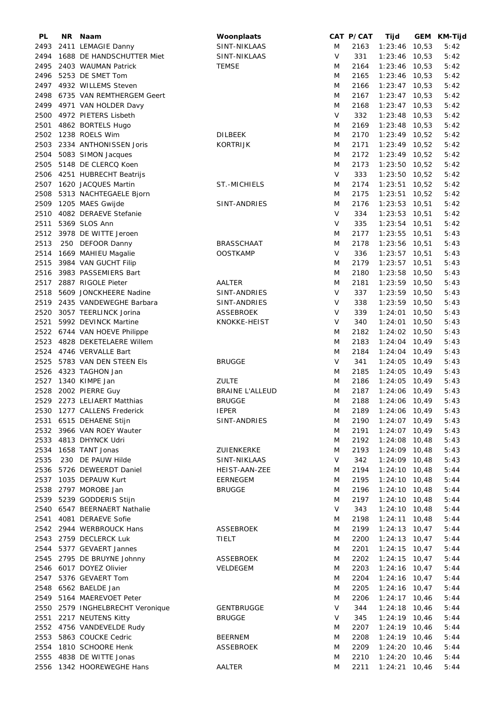| PL   | NR. | Naam                             | Woonplaats             |        | CAT P/CAT | Tijd            |       | GEM KM-Tijd |
|------|-----|----------------------------------|------------------------|--------|-----------|-----------------|-------|-------------|
| 2493 |     | 2411 LEMAGIE Danny               | SINT-NIKLAAS           | M      | 2163      | 1:23:46         | 10,53 | 5:42        |
| 2494 |     | 1688 DE HANDSCHUTTER Miet        | SINT-NIKLAAS           | V      | 331       | $1:23:46$ 10,53 |       | 5:42        |
| 2495 |     | 2403 WAUMAN Patrick              | <b>TEMSE</b>           | M      | 2164      | $1:23:46$ 10,53 |       | 5:42        |
| 2496 |     | 5253 DE SMET Tom                 |                        | M      | 2165      | $1:23:46$ 10,53 |       | 5:42        |
| 2497 |     | 4932 WILLEMS Steven              |                        | M      | 2166      | $1:23:47$ 10,53 |       | 5:42        |
| 2498 |     | 6735 VAN REMTHERGEM Geert        |                        | M      | 2167      | $1:23:47$ 10,53 |       | 5:42        |
|      |     |                                  |                        |        |           |                 |       |             |
|      |     | 2499 4971 VAN HOLDER Davy        |                        | M      | 2168      | $1:23:47$ 10,53 |       | 5:42        |
| 2500 |     | 4972 PIETERS Lisbeth             |                        | V      | 332       | $1:23:48$ 10,53 |       | 5:42        |
| 2501 |     | 4862 BORTELS Hugo                |                        | M      | 2169      | $1:23:48$ 10,53 |       | 5:42        |
| 2502 |     | 1238 ROELS Wim                   | <b>DILBEEK</b>         | M      | 2170      | $1:23:49$ 10,52 |       | 5:42        |
| 2503 |     | 2334 ANTHONISSEN Joris           | <b>KORTRIJK</b>        | M      | 2171      | $1:23:49$ 10,52 |       | 5:42        |
| 2504 |     | 5083 SIMON Jacques               |                        | M      | 2172      | $1:23:49$ 10,52 |       | 5:42        |
| 2505 |     | 5148 DE CLERCQ Koen              |                        | M      | 2173      | 1:23:50 10,52   |       | 5:42        |
|      |     | 2506 4251 HUBRECHT Beatrijs      |                        | V      | 333       | $1:23:50$ 10,52 |       | 5:42        |
| 2507 |     | 1620 JACQUES Martin              | ST.-MICHIELS           | M      | 2174      | $1:23:51$ 10,52 |       | 5:42        |
| 2508 |     | 5313 NACHTEGAELE Bjorn           |                        | M      | 2175      | $1:23:51$ 10,52 |       | 5:42        |
| 2509 |     | 1205 MAES Gwijde                 | SINT-ANDRIES           | M      | 2176      | $1:23:53$ 10,51 |       | 5:42        |
| 2510 |     | 4082 DERAEVE Stefanie            |                        | $\vee$ | 334       | $1:23:53$ 10,51 |       | 5:42        |
| 2511 |     | 5369 SLOS Ann                    |                        | V      | 335       | $1:23:54$ 10,51 |       | 5:42        |
| 2512 |     | 3978 DE WITTE Jeroen             |                        | M      | 2177      | $1:23:55$ 10,51 |       | 5:43        |
|      |     |                                  |                        |        |           |                 |       |             |
| 2513 |     | 250 DEFOOR Danny                 | <b>BRASSCHAAT</b>      | M      | 2178      | 1:23:56 10,51   |       | 5:43        |
| 2514 |     | 1669 MAHIEU Magalie              | <b>OOSTKAMP</b>        | V      | 336       | $1:23:57$ 10,51 |       | 5:43        |
| 2515 |     | 3984 VAN GUCHT Filip             |                        | M      | 2179      | $1:23:57$ 10,51 |       | 5:43        |
| 2516 |     | 3983 PASSEMIERS Bart             |                        | M      | 2180      | $1:23:58$ 10,50 |       | 5:43        |
| 2517 |     | 2887 RIGOLE Pieter               | AALTER                 | M      | 2181      | 1:23:59 10,50   |       | 5:43        |
| 2518 |     | 5609 JONCKHEERE Nadine           | SINT-ANDRIES           | $\vee$ | 337       | 1:23:59 10,50   |       | 5:43        |
| 2519 |     | 2435 VANDEWEGHE Barbara          | SINT-ANDRIES           | V      | 338       | $1:23:59$ 10,50 |       | 5:43        |
| 2520 |     | 3057 TEERLINCK Jorina            | ASSEBROEK              | V      | 339       | $1:24:01$ 10,50 |       | 5:43        |
| 2521 |     | 5992 DEVINCK Martine             | KNOKKE-HEIST           | V      | 340       | $1:24:01$ 10,50 |       | 5:43        |
|      |     | 2522 6744 VAN HOEVE Philippe     |                        | M      | 2182      | $1:24:02$ 10,50 |       | 5:43        |
| 2523 |     | 4828 DEKETELAERE Willem          |                        | M      | 2183      | $1:24:04$ 10,49 |       | 5:43        |
|      |     | 2524 4746 VERVALLE Bart          |                        | M      | 2184      | $1:24:04$ 10,49 |       | 5:43        |
| 2525 |     | 5783 VAN DEN STEEN EIS           | <b>BRUGGE</b>          | V      | 341       | $1:24:05$ 10,49 |       | 5:43        |
|      |     | 2526 4323 TAGHON Jan             |                        |        | 2185      | $1:24:05$ 10,49 |       | 5:43        |
|      |     |                                  |                        | M      |           |                 |       |             |
| 2527 |     | 1340 KIMPE Jan                   | <b>ZULTE</b>           | M      | 2186      | $1:24:05$ 10,49 |       | 5:43        |
| 2528 |     | 2002 PIERRE Guy                  | <b>BRAINE L'ALLEUD</b> | M      | 2187      | 1:24:06 10,49   |       | 5:43        |
|      |     | 2529 2273 LELIAERT Matthias      | <b>BRUGGE</b>          | M      | 2188      | 1:24:06 10,49   |       | 5:43        |
|      |     | 2530 1277 CALLENS Frederick      | <b>IEPER</b>           | M      | 2189      | 1:24:06 10,49   |       | 5:43        |
|      |     | 2531 6515 DEHAENE Stijn          | SINT-ANDRIES           | M      | 2190      | $1:24:07$ 10,49 |       | 5:43        |
|      |     | 2532 3966 VAN ROEY Wauter        |                        | M      | 2191      | $1:24:07$ 10,49 |       | 5:43        |
|      |     | 2533 4813 DHYNCK Udri            |                        | M      | 2192      | $1:24:08$ 10,48 |       | 5:43        |
| 2534 |     | 1658 TANT Jonas                  | ZUIENKERKE             | M      | 2193      | $1:24:09$ 10,48 |       | 5:43        |
| 2535 |     | 230 DE PAUW Hilde                | SINT-NIKLAAS           | V      | 342       | $1:24:09$ 10,48 |       | 5:43        |
| 2536 |     | 5726 DEWEERDT Daniel             | HEIST-AAN-ZEE          | M      | 2194      | $1:24:10$ 10,48 |       | 5:44        |
|      |     | 2537 1035 DEPAUW Kurt            | EERNEGEM               | M      | 2195      | $1:24:10$ 10,48 |       | 5:44        |
|      |     | 2538 2797 MOROBE Jan             | <b>BRUGGE</b>          | M      | 2196      | $1:24:10$ 10,48 |       | 5:44        |
|      |     | 2539 5239 GODDERIS Stijn         |                        | M      | 2197      | $1:24:10$ 10,48 |       | 5:44        |
|      |     | 2540 6547 BEERNAERT Nathalie     |                        | V      | 343       | $1:24:10$ 10,48 |       | 5:44        |
| 2541 |     | 4081 DERAEVE Sofie               |                        | M      | 2198      | $1:24:11$ 10,48 |       | 5:44        |
|      |     |                                  |                        |        |           |                 |       |             |
|      |     | 2542 2944 WERBROUCK Hans         | ASSEBROEK              | M      | 2199      | $1:24:13$ 10,47 |       | 5:44        |
|      |     | 2543 2759 DECLERCK Luk           | TIELT                  | M      | 2200      | $1:24:13$ 10,47 |       | 5:44        |
|      |     | 2544 5377 GEVAERT Jannes         |                        | M      | 2201      | $1:24:15$ 10,47 |       | 5:44        |
|      |     | 2545 2795 DE BRUYNE Johnny       | ASSEBROEK              | M      | 2202      | $1:24:15$ 10,47 |       | 5:44        |
|      |     | 2546 6017 DOYEZ Olivier          | VELDEGEM               | M      | 2203      | $1:24:16$ 10,47 |       | 5:44        |
|      |     | 2547 5376 GEVAERT Tom            |                        | M      | 2204      | $1:24:16$ 10,47 |       | 5:44        |
|      |     | 2548 6562 BAELDE Jan             |                        | M      | 2205      | $1:24:16$ 10,47 |       | 5:44        |
|      |     | 2549 5164 MAEREVOET Peter        |                        | M      | 2206      | $1:24:17$ 10,46 |       | 5:44        |
|      |     | 2550 2579 INGHELBRECHT Veronique | <b>GENTBRUGGE</b>      | $\vee$ | 344       | $1:24:18$ 10,46 |       | 5:44        |
| 2551 |     | 2217 NEUTENS Kitty               | <b>BRUGGE</b>          | V      | 345       | $1:24:19$ 10,46 |       | 5:44        |
|      |     | 2552 4756 VANDEVELDE Rudy        |                        | M      | 2207      | $1:24:19$ 10,46 |       | 5:44        |
| 2553 |     | 5863 COUCKE Cedric               | <b>BEERNEM</b>         | M      | 2208      | 1:24:19 10,46   |       | 5:44        |
| 2554 |     | 1810 SCHOORE Henk                | <b>ASSEBROEK</b>       | M      | 2209      | $1:24:20$ 10,46 |       | 5:44        |
|      |     | 2555 4838 DE WITTE Jonas         |                        | M      | 2210      | $1:24:20$ 10,46 |       | 5:44        |
|      |     | 2556 1342 HOOREWEGHE Hans        | AALTER                 | M      | 2211      | $1:24:21$ 10,46 |       | 5:44        |
|      |     |                                  |                        |        |           |                 |       |             |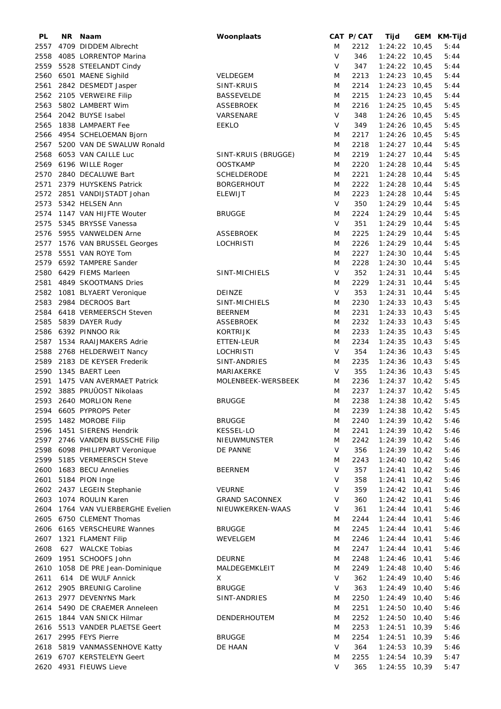| PL   | NR. | Naam                           | Woonplaats            |        | CAT P/CAT | Tijd            | GEM KM-Tijd |
|------|-----|--------------------------------|-----------------------|--------|-----------|-----------------|-------------|
| 2557 |     | 4709 DIDDEM Albrecht           |                       | M      | 2212      | $1:24:22$ 10,45 | 5:44        |
| 2558 |     | 4085 LORRENTOP Marina          |                       | $\vee$ | 346       | $1:24:22$ 10,45 | 5:44        |
| 2559 |     | 5528 STEELANDT Cindy           |                       | V      | 347       | $1:24:22$ 10,45 | 5:44        |
| 2560 |     | 6501 MAENE Sighild             | VELDEGEM              | M      | 2213      | $1:24:23$ 10,45 | 5:44        |
| 2561 |     | 2842 DESMEDT Jasper            | SINT-KRUIS            | M      | 2214      | $1:24:23$ 10,45 | 5:44        |
| 2562 |     | 2105 VERWEIRE Filip            | <b>BASSEVELDE</b>     | M      | 2215      | $1:24:23$ 10,45 | 5:44        |
|      |     |                                |                       |        |           |                 | 5:45        |
| 2563 |     | 5802 LAMBERT Wim               | <b>ASSEBROEK</b>      | M      | 2216      | $1:24:25$ 10,45 |             |
| 2564 |     | 2042 BUYSE Isabel              | VARSENARE             | V      | 348       | $1:24:26$ 10,45 | 5:45        |
| 2565 |     | 1838 LAMPAERT Fee              | <b>EEKLO</b>          | V      | 349       | $1:24:26$ 10,45 | 5:45        |
| 2566 |     | 4954 SCHELOEMAN Bjorn          |                       | M      | 2217      | $1:24:26$ 10,45 | 5:45        |
| 2567 |     | 5200 VAN DE SWALUW Ronald      |                       | M      | 2218      | $1:24:27$ 10,44 | 5:45        |
| 2568 |     | 6053 VAN CAILLE Luc            | SINT-KRUIS (BRUGGE)   | M      | 2219      | $1:24:27$ 10,44 | 5:45        |
| 2569 |     | 6196 WILLE Roger               | <b>OOSTKAMP</b>       | M      | 2220      | $1:24:28$ 10,44 | 5:45        |
| 2570 |     | 2840 DECALUWE Bart             | <b>SCHELDERODE</b>    | M      | 2221      | $1:24:28$ 10,44 | 5:45        |
| 2571 |     | 2379 HUYSKENS Patrick          | <b>BORGERHOUT</b>     | M      | 2222      | $1:24:28$ 10,44 | 5:45        |
| 2572 |     | 2851 VANDIJSTADT Johan         | <b>ELEWIJT</b>        | M      | 2223      | $1:24:28$ 10,44 | 5:45        |
| 2573 |     | 5342 HELSEN Ann                |                       | $\vee$ | 350       | $1:24:29$ 10,44 | 5:45        |
| 2574 |     | 1147 VAN HIJFTE Wouter         | <b>BRUGGE</b>         | M      | 2224      | $1:24:29$ 10,44 | 5:45        |
|      |     |                                |                       | V      | 351       |                 |             |
| 2575 |     | 5345 BRYSSE Vanessa            |                       |        |           | $1:24:29$ 10,44 | 5:45        |
| 2576 |     | 5955 VANWELDEN Arne            | <b>ASSEBROEK</b>      | M      | 2225      | $1:24:29$ 10,44 | 5:45        |
| 2577 |     | 1576 VAN BRUSSEL Georges       | <b>LOCHRISTI</b>      | M      | 2226      | $1:24:29$ 10,44 | 5:45        |
| 2578 |     | 5551 VAN ROYE Tom              |                       | M      | 2227      | $1:24:30$ 10,44 | 5:45        |
|      |     | 2579 6592 TAMPERE Sander       |                       | M      | 2228      | $1:24:30$ 10,44 | 5:45        |
|      |     | 2580 6429 FIEMS Marleen        | SINT-MICHIELS         | V      | 352       | $1:24:31$ 10,44 | 5:45        |
| 2581 |     | 4849 SKOOTMANS Dries           |                       | M      | 2229      | $1:24:31$ 10,44 | 5:45        |
| 2582 |     | 1081 BLYAERT Veronique         | DEINZE                | V      | 353       | $1:24:31$ 10,44 | 5:45        |
| 2583 |     | 2984 DECROOS Bart              | SINT-MICHIELS         | M      | 2230      | $1:24:33$ 10,43 | 5:45        |
| 2584 |     | 6418 VERMEERSCH Steven         | <b>BEERNEM</b>        | M      | 2231      | $1:24:33$ 10,43 | 5:45        |
| 2585 |     | 5839 DAYER Rudy                | <b>ASSEBROEK</b>      | M      | 2232      | $1:24:33$ 10,43 | 5:45        |
|      |     |                                |                       |        | 2233      |                 |             |
| 2586 |     | 6392 PINNOO Rik                | <b>KORTRIJK</b>       | M      |           | $1:24:35$ 10,43 | 5:45        |
| 2587 |     | 1534 RAAIJMAKERS Adrie         | ETTEN-LEUR            | M      | 2234      | $1:24:35$ 10,43 | 5:45        |
| 2588 |     | 2768 HELDERWEIT Nancy          | LOCHRISTI             | $\vee$ | 354       | $1:24:36$ 10,43 | 5:45        |
| 2589 |     | 2183 DE KEYSER Frederik        | SINT-ANDRIES          | M      | 2235      | $1:24:36$ 10,43 | 5:45        |
| 2590 |     | 1345 BAERT Leen                | MARIAKERKE            | V      | 355       | $1:24:36$ 10,43 | 5:45        |
| 2591 |     | 1475 VAN AVERMAET Patrick      | MOLENBEEK-WERSBEEK    | M      | 2236      | $1:24:37$ 10,42 | 5:45        |
| 2592 |     | 3885 PRUÛOST Nikolaas          |                       | M      | 2237      | $1:24:37$ 10,42 | 5:45        |
|      |     | 2593 2640 MORLION Rene         | <b>BRUGGE</b>         | M      | 2238      | $1:24:38$ 10,42 | 5:45        |
|      |     | 2594 6605 PYPROPS Peter        |                       | M      | 2239      | $1:24:38$ 10,42 | 5:45        |
|      |     | 2595 1482 MOROBE Filip         | <b>BRUGGE</b>         | M      | 2240      | $1:24:39$ 10,42 | 5:46        |
|      |     | 2596 1451 SIERENS Hendrik      | <b>KESSEL-LO</b>      | M      | 2241      | $1:24:39$ 10,42 | 5:46        |
|      |     | 2597 2746 VANDEN BUSSCHE Filip | NIEUWMUNSTER          | M      | 2242      | $1:24:39$ 10,42 | 5:46        |
|      |     | 2598 6098 PHILIPPART Veronique | DE PANNE              | V      | 356       | $1:24:39$ 10,42 | 5:46        |
|      |     |                                |                       |        |           |                 |             |
|      |     | 2599 5185 VERMEERSCH Steve     |                       | M      | 2243      | $1:24:40$ 10,42 | 5:46        |
| 2600 |     | 1683 BECU Annelies             | BEERNEM               | V      | 357       | $1:24:41$ 10,42 | 5:46        |
| 2601 |     | 5184 PION Inge                 |                       | V      | 358       | $1:24:41$ 10,42 | 5:46        |
|      |     | 2602 2437 LEGEIN Stephanie     | <b>VEURNE</b>         | V      | 359       | $1:24:42$ 10,41 | 5:46        |
| 2603 |     | 1074 ROULIN Karen              | <b>GRAND SACONNEX</b> | V      | 360       | $1:24:42$ 10,41 | 5:46        |
| 2604 |     | 1764 VAN VLIERBERGHE Evelien   | NIEUWKERKEN-WAAS      | V      | 361       | $1:24:44$ 10,41 | 5:46        |
| 2605 |     | 6750 CLEMENT Thomas            |                       | M      | 2244      | $1:24:44$ 10,41 | 5:46        |
| 2606 |     | 6165 VERSCHEURE Wannes         | <b>BRUGGE</b>         | M      | 2245      | $1:24:44$ 10,41 | 5:46        |
| 2607 |     | 1321 FLAMENT Filip             | WEVELGEM              | M      | 2246      | $1:24:44$ 10,41 | 5:46        |
| 2608 |     | 627 WALCKE Tobias              |                       | M      | 2247      | $1:24:44$ 10,41 | 5:46        |
| 2609 |     | 1951 SCHOOFS John              | <b>DEURNE</b>         | M      | 2248      | $1:24:46$ 10,41 | 5:46        |
| 2610 |     | 1058 DE PRE Jean-Dominique     | MALDEGEMKLEIT         | M      | 2249      | $1:24:48$ 10,40 | 5:46        |
| 2611 |     | 614 DE WULF Annick             | X                     | V      | 362       | $1:24:49$ 10,40 | 5:46        |
|      |     |                                |                       |        |           |                 |             |
| 2612 |     | 2905 BREUNIG Caroline          | <b>BRUGGE</b>         | V      | 363       | $1:24:49$ 10,40 | 5:46        |
| 2613 |     | 2977 DEVENYNS Mark             | SINT-ANDRIES          | M      | 2250      | $1:24:49$ 10,40 | 5:46        |
| 2614 |     | 5490 DE CRAEMER Anneleen       |                       | M      | 2251      | $1:24:50$ 10,40 | 5:46        |
|      |     | 2615 1844 VAN SNICK Hilmar     | DENDERHOUTEM          | M      | 2252      | $1:24:50$ 10,40 | 5:46        |
|      |     | 2616 5513 VANDER PLAETSE Geert |                       | M      | 2253      | $1:24:51$ 10,39 | 5:46        |
|      |     | 2617 2995 FEYS Pierre          | <b>BRUGGE</b>         | M      | 2254      | $1:24:51$ 10,39 | 5:46        |
|      |     | 2618 5819 VANMASSENHOVE Katty  | DE HAAN               | V      | 364       | $1:24:53$ 10,39 | 5:46        |
|      |     | 2619 6707 KERSTELEYN Geert     |                       | M      | 2255      | $1:24:54$ 10,39 | 5:47        |
|      |     | 2620 4931 FIEUWS Lieve         |                       | V      | 365       | $1:24:55$ 10,39 | 5:47        |
|      |     |                                |                       |        |           |                 |             |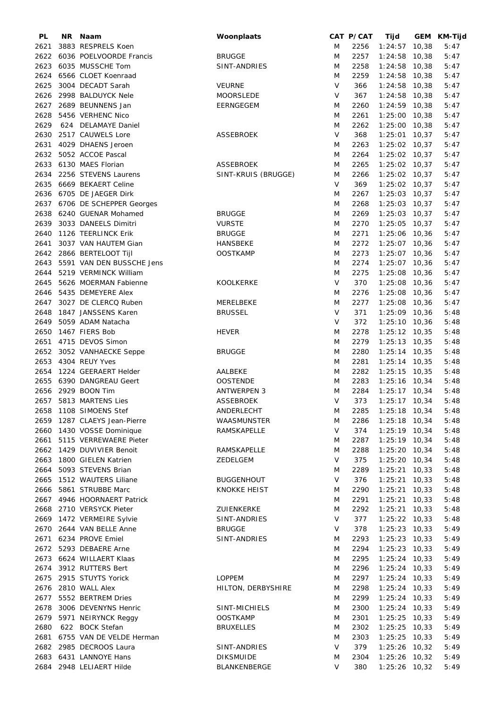| PL   | NR Naam                       | Woonplaats          |   | CAT P/CAT | Tijd            | GEM KM-Tijd |
|------|-------------------------------|---------------------|---|-----------|-----------------|-------------|
| 2621 | 3883 RESPRELS Koen            |                     | M | 2256      | $1:24:57$ 10,38 | 5:47        |
| 2622 | 6036 POELVOORDE Francis       | <b>BRUGGE</b>       | M | 2257      | $1:24:58$ 10,38 | 5:47        |
| 2623 | 6035 MUSSCHE Tom              | SINT-ANDRIES        | M | 2258      | $1:24:58$ 10,38 | 5:47        |
| 2624 | 6566 CLOET Koenraad           |                     | M | 2259      | $1:24:58$ 10,38 | 5:47        |
| 2625 | 3004 DECADT Sarah             | <b>VEURNE</b>       | V | 366       | $1:24:58$ 10,38 | 5:47        |
| 2626 | 2998 BALDUYCK Nele            | MOORSLEDE           | V | 367       | $1:24:58$ 10,38 | 5:47        |
|      |                               |                     |   |           |                 |             |
| 2627 | 2689 BEUNNENS Jan             | EERNGEGEM           | M | 2260      | $1:24:59$ 10,38 | 5:47        |
| 2628 | 5456 VERHENC Nico             |                     | M | 2261      | $1:25:00$ 10,38 | 5:47        |
| 2629 | 624 DELAMAYE Daniel           |                     | M | 2262      | 1:25:00 10,38   | 5:47        |
| 2630 | 2517 CAUWELS Lore             | <b>ASSEBROEK</b>    | V | 368       | $1:25:01$ 10,37 | 5:47        |
| 2631 | 4029 DHAENS Jeroen            |                     | M | 2263      | $1:25:02$ 10,37 | 5:47        |
|      | 2632 5052 ACCOE Pascal        |                     | M | 2264      | 1:25:02 10,37   | 5:47        |
|      | 2633 6130 MAES Florian        | <b>ASSEBROEK</b>    | M | 2265      | 1:25:02 10,37   | 5:47        |
| 2634 | 2256 STEVENS Laurens          | SINT-KRUIS (BRUGGE) | M | 2266      | 1:25:02 10,37   | 5:47        |
|      | 2635 6669 BEKAERT Celine      |                     | V | 369       | $1:25:02$ 10,37 | 5:47        |
|      |                               |                     |   |           |                 |             |
|      | 2636 6705 DE JAEGER Dirk      |                     | M | 2267      | $1:25:03$ 10,37 | 5:47        |
|      | 2637 6706 DE SCHEPPER Georges |                     | M | 2268      | $1:25:03$ 10,37 | 5:47        |
| 2638 | 6240 GUENAR Mohamed           | <b>BRUGGE</b>       | M | 2269      | $1:25:03$ 10,37 | 5:47        |
| 2639 | 3033 DANEELS Dimitri          | <b>VURSTE</b>       | M | 2270      | $1:25:05$ 10,37 | 5:47        |
| 2640 | 1126 TEERLINCK Erik           | <b>BRUGGE</b>       | M | 2271      | 1:25:06 10,36   | 5:47        |
| 2641 | 3037 VAN HAUTEM Gian          | <b>HANSBEKE</b>     | M | 2272      | $1:25:07$ 10,36 | 5:47        |
|      | 2642 2866 BERTELOOT Tijl      | <b>OOSTKAMP</b>     | M | 2273      | $1:25:07$ 10,36 | 5:47        |
| 2643 | 5591 VAN DEN BUSSCHE Jens     |                     | M | 2274      | $1:25:07$ 10,36 | 5:47        |
| 2644 | 5219 VERMINCK William         |                     | M | 2275      | $1:25:08$ 10,36 | 5:47        |
|      |                               |                     |   |           |                 |             |
| 2645 | 5626 MOERMAN Fabienne         | KOOLKERKE           | V | 370       | $1:25:08$ 10,36 | 5:47        |
| 2646 | 5435 DEMEYERE Alex            |                     | M | 2276      | $1:25:08$ 10,36 | 5:47        |
| 2647 | 3027 DE CLERCQ Ruben          | MERELBEKE           | M | 2277      | 1:25:08 10,36   | 5:47        |
| 2648 | 1847 JANSSENS Karen           | <b>BRUSSEL</b>      | V | 371       | 1:25:09 10,36   | 5:48        |
| 2649 | 5059 ADAM Natacha             |                     | V | 372       | $1:25:10$ 10,36 | 5:48        |
| 2650 | 1467 FIERS Bob                | <b>HEVER</b>        | M | 2278      | $1:25:12$ 10,35 | 5:48        |
| 2651 | 4715 DEVOS Simon              |                     | M | 2279      | $1:25:13$ 10,35 | 5:48        |
|      | 2652 3052 VANHAECKE Seppe     | <b>BRUGGE</b>       | M | 2280      | $1:25:14$ 10,35 | 5:48        |
|      | 2653 4304 REUY Yves           |                     | M | 2281      | $1:25:14$ 10,35 | 5:48        |
|      |                               |                     |   |           |                 |             |
|      | 2654 1224 GEERAERT Helder     | AALBEKE             | M | 2282      | $1:25:15$ 10,35 | 5:48        |
|      | 2655 6390 DANGREAU Geert      | <b>OOSTENDE</b>     | M | 2283      | 1:25:16 10,34   | 5:48        |
|      | 2656 2929 BOON Tim            | <b>ANTWERPEN 3</b>  | M | 2284      | $1:25:17$ 10,34 | 5:48        |
|      | 2657 5813 MARTENS Lies        | <b>ASSEBROEK</b>    | V | 373       | $1:25:17$ 10,34 | 5:48        |
|      | 2658 1108 SIMOENS Stef        | ANDERLECHT          | M | 2285      | $1:25:18$ 10,34 | 5:48        |
|      | 2659 1287 CLAEYS Jean-Pierre  | WAASMUNSTER         | M | 2286      | $1:25:18$ 10,34 | 5:48        |
|      | 2660 1430 VOSSE Dominique     | RAMSKAPELLE         | V | 374       | $1:25:19$ 10,34 | 5:48        |
|      | 2661 5115 VERREWAERE Pieter   |                     | M | 2287      | $1:25:19$ 10,34 | 5:48        |
|      | 2662 1429 DUVIVIER Benoit     | RAMSKAPELLE         | M | 2288      | $1:25:20$ 10,34 | 5:48        |
|      |                               |                     | V |           |                 |             |
|      | 2663 1800 GIELEN Katrien      | ZEDELGEM            |   | 375       | 1:25:20 10,34   | 5:48        |
| 2664 | 5093 STEVENS Brian            |                     | M | 2289      | $1:25:21$ 10,33 | 5:48        |
|      | 2665 1512 WAUTERS Liliane     | <b>BUGGENHOUT</b>   | V | 376       | $1:25:21$ 10,33 | 5:48        |
|      | 2666 5861 STRUBBE Marc        | KNOKKE HEIST        | M | 2290      | $1:25:21$ 10,33 | 5:48        |
|      | 2667 4946 HOORNAERT Patrick   |                     | M | 2291      | $1:25:21$ 10,33 | 5:48        |
|      | 2668 2710 VERSYCK Pieter      | ZUIENKERKE          | M | 2292      | $1:25:21$ 10,33 | 5:48        |
|      | 2669 1472 VERMEIRE Sylvie     | SINT-ANDRIES        | V | 377       | $1:25:22$ 10,33 | 5:48        |
|      | 2670 2644 VAN BELLE Anne      | <b>BRUGGE</b>       | V | 378       | $1:25:23$ 10,33 | 5:49        |
|      | 2671 6234 PROVE Emiel         | SINT-ANDRIES        |   | 2293      | $1:25:23$ 10,33 |             |
|      |                               |                     | Μ |           |                 | 5:49        |
|      | 2672 5293 DEBAERE Arne        |                     | Μ | 2294      | $1:25:23$ 10,33 | 5:49        |
|      | 2673 6624 WILLAERT Klaas      |                     | M | 2295      | $1:25:24$ 10,33 | 5:49        |
|      | 2674 3912 RUTTERS Bert        |                     | M | 2296      | $1:25:24$ 10,33 | 5:49        |
|      | 2675 2915 STUYTS Yorick       | <b>LOPPEM</b>       | M | 2297      | $1:25:24$ 10,33 | 5:49        |
|      | 2676 2810 WALL Alex           | HILTON, DERBYSHIRE  | M | 2298      | $1:25:24$ 10,33 | 5:49        |
|      | 2677 5552 BERTREM Dries       |                     | M | 2299      | $1:25:24$ 10,33 | 5:49        |
| 2678 | 3006 DEVENYNS Henric          | SINT-MICHIELS       | Μ | 2300      | $1:25:24$ 10,33 | 5:49        |
| 2679 | 5971 NEIRYNCK Reggy           | <b>OOSTKAMP</b>     | M | 2301      | $1:25:25$ 10,33 | 5:49        |
| 2680 | 622 BOCK Stefan               | <b>BRUXELLES</b>    | M | 2302      | $1:25:25$ 10,33 | 5:49        |
|      |                               |                     |   |           |                 |             |
| 2681 | 6755 VAN DE VELDE Herman      |                     | M | 2303      | $1:25:25$ 10,33 | 5:49        |
|      | 2682 2985 DECROOS Laura       | SINT-ANDRIES        | V | 379       | 1:25:26 10,32   | 5:49        |
|      | 2683 6431 LANNOYE Hans        | <b>DIKSMUIDE</b>    | M | 2304      | $1:25:26$ 10,32 | 5:49        |
|      | 2684 2948 LELIAERT Hilde      | BLANKENBERGE        | V | 380       | $1:25:26$ 10,32 | 5:49        |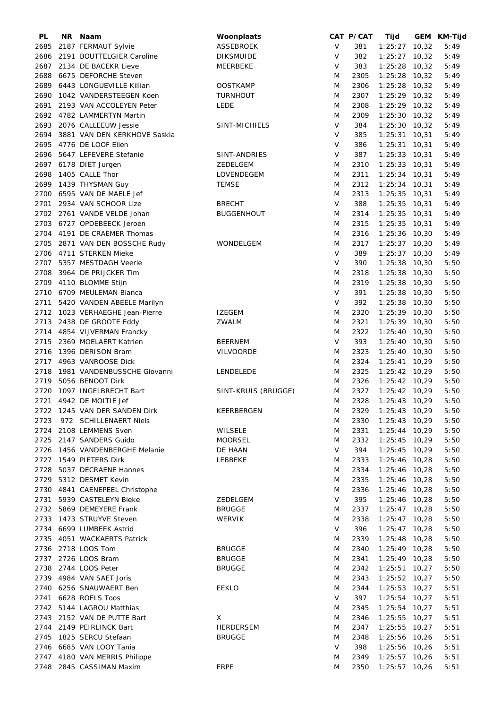| PL   | NR Naam                         | Woonplaats          |        | CAT P/CAT | Tijd               | GEM KM-Tijd |
|------|---------------------------------|---------------------|--------|-----------|--------------------|-------------|
| 2685 | 2187 FERMAUT Sylvie             | ASSEBROEK           | V      | 381       | $1:25:27$ 10,32    | 5:49        |
| 2686 | 2191 BOUTTELGIER Caroline       | <b>DIKSMUIDE</b>    | V      | 382       | $1:25:27$ 10,32    | 5:49        |
| 2687 | 2134 DE BACEKR Lieve            | MEERBEKE            | V      | 383       | $1:25:28$ 10,32    | 5:49        |
| 2688 | 6675 DEFORCHE Steven            |                     | M      | 2305      | $1:25:28$ 10,32    | 5:49        |
| 2689 | 6443 LONGUEVILLE Killian        | <b>OOSTKAMP</b>     | M      | 2306      | $1:25:28$ 10,32    | 5:49        |
| 2690 | 1042 VANDERSTEEGEN Koen         | <b>TURNHOUT</b>     | M      | 2307      | $1:25:29$ 10,32    | 5:49        |
|      |                                 |                     |        |           |                    |             |
|      | 2691 2193 VAN ACCOLEYEN Peter   | LEDE                | M      | 2308      | $1:25:29$ 10,32    | 5:49        |
|      | 2692 4782 LAMMERTYN Martin      |                     | M      | 2309      | $1:25:30$ 10,32    | 5:49        |
| 2693 | 2076 CALLEEUW Jessie            | SINT-MICHIELS       | $\vee$ | 384       | $1:25:30$ 10,32    | 5:49        |
| 2694 | 3881 VAN DEN KERKHOVE Saskia    |                     | $\vee$ | 385       | $1:25:31$ 10,31    | 5:49        |
| 2695 | 4776 DE LOOF Elien              |                     | V      | 386       | $1:25:31$ 10,31    | 5:49        |
| 2696 | 5647 LEFEVERE Stefanie          | SINT-ANDRIES        | V      | 387       | $1:25:33$ 10,31    | 5:49        |
|      | 2697 6178 DIET Jurgen           | ZEDELGEM            | M      | 2310      | $1:25:33$ $10,31$  | 5:49        |
| 2698 | 1405 CALLE Thor                 | LOVENDEGEM          | M      | 2311      | $1:25:34$ 10,31    | 5:49        |
|      | 2699 1439 THYSMAN Guy           | <b>TEMSE</b>        | M      | 2312      | $1:25:34$ 10,31    | 5:49        |
|      | 2700 6595 VAN DE MAELE Jef      |                     | M      | 2313      | $1:25:35$ 10,31    | 5:49        |
|      | 2701 2934 VAN SCHOOR Lize       | <b>BRECHT</b>       | V      | 388       | $1:25:35$ 10,31    | 5:49        |
|      | 2702 2761 VANDE VELDE Johan     | <b>BUGGENHOUT</b>   | M      | 2314      | $1:25:35$ 10,31    | 5:49        |
|      | 2703 6727 OPDEBEECK Jeroen      |                     |        |           |                    |             |
|      |                                 |                     | M      | 2315      | $1:25:35$ 10,31    | 5:49        |
| 2704 | 4191 DE CRAEMER Thomas          |                     | M      | 2316      | $1:25:36$ 10,30    | 5:49        |
| 2705 | 2871 VAN DEN BOSSCHE Rudy       | <b>WONDELGEM</b>    | M      | 2317      | $1:25:37$ 10,30    | 5:49        |
| 2706 | 4711 STERKEN Mieke              |                     | $\vee$ | 389       | $1:25:37$ 10,30    | 5:49        |
|      | 2707 5357 MESTDAGH Veerle       |                     | V      | 390       | $1:25:38$ 10,30    | 5:50        |
| 2708 | 3964 DE PRIJCKER Tim            |                     | M      | 2318      | $1:25:38$ 10,30    | 5:50        |
|      | 2709 4110 BLOMME Stijn          |                     | M      | 2319      | $1:25:38$ 10,30    | 5:50        |
|      | 2710 6709 MEULEMAN Bianca       |                     | V      | 391       | $1:25:38$ 10,30    | 5:50        |
|      | 2711 5420 VANDEN ABEELE Marilyn |                     | V      | 392       | $1:25:38$ 10,30    | 5:50        |
| 2712 | 1023 VERHAEGHE Jean-Pierre      | <b>IZEGEM</b>       | M      | 2320      | $1:25:39$ 10,30    | 5:50        |
| 2713 | 2438 DE GROOTE Eddy             | ZWALM               | M      | 2321      | $1:25:39$ 10,30    | 5:50        |
|      |                                 |                     |        |           |                    |             |
| 2714 | 4854 VIJVERMAN Francky          |                     | M      | 2322      | $1:25:40$ 10,30    | 5:50        |
| 2715 | 2369 MOELAERT Katrien           | <b>BEERNEM</b>      | V      | 393       | $1:25:40$ 10,30    | 5:50        |
| 2716 | 1396 DERISON Bram               | <b>VILVOORDE</b>    | M      | 2323      | $1:25:40$ 10,30    | 5:50        |
| 2717 | 4963 VANROOSE Dick              |                     | M      | 2324      | $1:25:41$ 10,29    | 5:50        |
| 2718 | 1981 VANDENBUSSCHE Giovanni     | LENDELEDE           | M      | 2325      | $1:25:42$ 10,29    | 5:50        |
| 2719 | 5056 BENOOT Dirk                |                     | M      | 2326      | 1:25:42 10,29      | 5:50        |
| 2720 | 1097 INGELBRECHT Bart           | SINT-KRUIS (BRUGGE) | M      | 2327      | $1:25:42$ 10,29    | 5:50        |
|      | 2721 4942 DE MOITIE Jef         |                     | M      | 2328      | $1:25:43$ 10,29    | 5:50        |
|      | 2722 1245 VAN DER SANDEN Dirk   | KEERBERGEN          | M      |           | 2329 1:25:43 10,29 | 5:50        |
| 2723 | 972 SCHILLENAERT Niels          |                     | M      | 2330      | $1:25:43$ 10,29    | 5:50        |
|      | 2724 2108 LEMMENS Sven          | WILSELE             | M      | 2331      | $1:25:44$ 10,29    | 5:50        |
| 2725 | 2147 SANDERS Guido              | <b>MOORSEL</b>      | M      | 2332      | $1:25:45$ 10,29    | 5:50        |
| 2726 | 1456 VANDENBERGHE Melanie       | DE HAAN             | V      | 394       | $1:25:45$ 10,29    | 5:50        |
|      | 2727 1549 PIETERS Dirk          |                     |        |           |                    |             |
|      |                                 | LEBBEKE             | M      | 2333      | $1:25:46$ 10,28    | 5:50        |
| 2728 | 5037 DECRAENE Hannes            |                     | M      | 2334      | $1:25:46$ 10,28    | 5:50        |
|      | 2729 5312 DESMET Kevin          |                     | M      | 2335      | $1:25:46$ 10,28    | 5:50        |
|      | 2730 4841 CAENEPEEL Christophe  |                     | M      | 2336      | $1:25:46$ 10,28    | 5:50        |
|      | 2731 5939 CASTELEYN Bieke       | ZEDELGEM            | V      | 395       | $1:25:46$ 10,28    | 5:50        |
|      | 2732 5869 DEMEYERE Frank        | <b>BRUGGE</b>       | M      | 2337      | $1:25:47$ 10,28    | 5:50        |
| 2733 | 1473 STRUYVE Steven             | <b>WERVIK</b>       | M      | 2338      | $1:25:47$ 10,28    | 5:50        |
| 2734 | 6699 LUMBEEK Astrid             |                     | V      | 396       | $1:25:47$ 10,28    | 5:50        |
| 2735 | 4051 WACKAERTS Patrick          |                     | M      | 2339      | 1:25:48 10,28      | 5:50        |
| 2736 | 2718 LOOS Tom                   | <b>BRUGGE</b>       | M      | 2340      | 1:25:49 10,28      | 5:50        |
| 2737 | 2726 LOOS Bram                  | <b>BRUGGE</b>       | M      | 2341      | $1:25:49$ 10,28    | 5:50        |
| 2738 | 2744 LOOS Peter                 | <b>BRUGGE</b>       | M      | 2342      | $1:25:51$ 10,27    | 5:50        |
|      | 2739 4984 VAN SAET Joris        |                     | M      | 2343      | $1:25:52$ 10,27    | 5:50        |
| 2740 | 6256 SNAUWAERT Ben              | <b>EEKLO</b>        | M      | 2344      | $1:25:53$ 10,27    | 5:51        |
|      |                                 |                     |        |           |                    |             |
|      | 2741 6628 ROELS Toos            |                     | V      | 397       | 1:25:54 10,27      | 5:51        |
|      | 2742 5144 LAGROU Matthias       |                     | M      | 2345      | $1:25:54$ 10,27    | 5:51        |
|      | 2743 2152 VAN DE PUTTE Bart     | X                   | M      | 2346      | 1:25:55 10,27      | 5:51        |
| 2744 | 2149 PEIRLINCK Bart             | <b>HERDERSEM</b>    | M      | 2347      | $1:25:55$ 10,27    | 5:51        |
| 2745 | 1825 SERCU Stefaan              | <b>BRUGGE</b>       | M      | 2348      | 1:25:56 10,26      | 5:51        |
|      | 2746 6685 VAN LOOY Tania        |                     | V      | 398       | 1:25:56 10,26      | 5:51        |
|      | 2747 4180 VAN MERRIS Philippe   |                     | M      | 2349      | $1:25:57$ 10,26    | 5:51        |
|      | 2748 2845 CASSIMAN Maxim        | <b>ERPE</b>         | M      | 2350      | $1:25:57$ 10,26    | 5:51        |
|      |                                 |                     |        |           |                    |             |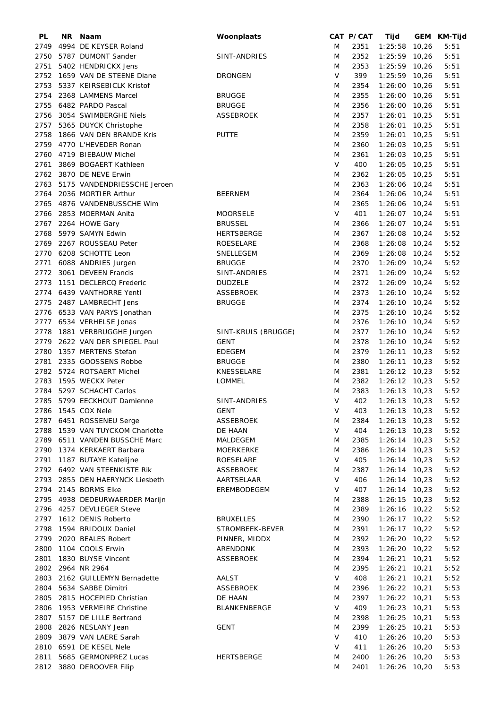| PL   | NR. | Naam                            | Woonplaats          |             | CAT P/CAT | Tijd            | GEM KM-Tijd |
|------|-----|---------------------------------|---------------------|-------------|-----------|-----------------|-------------|
| 2749 |     | 4994 DE KEYSER Roland           |                     | M           | 2351      | 1:25:58 10,26   | 5:51        |
| 2750 |     | 5787 DUMONT Sander              | SINT-ANDRIES        | M           | 2352      | $1:25:59$ 10,26 | 5:51        |
|      |     | 2751 5402 HENDRICKX Jens        |                     | M           | 2353      | $1:25:59$ 10,26 | 5:51        |
|      |     | 2752 1659 VAN DE STEENE Diane   | <b>DRONGEN</b>      | V           | 399       | 1:25:59 10,26   | 5:51        |
| 2753 |     | 5337 KEIRSEBICLK Kristof        |                     | M           | 2354      | 1:26:00 10,26   | 5:51        |
| 2754 |     | 2368 LAMMENS Marcel             | <b>BRUGGE</b>       | M           | 2355      | 1:26:00 10,26   | 5:51        |
| 2755 |     | 6482 PARDO Pascal               | <b>BRUGGE</b>       | M           | 2356      | $1:26:00$ 10,26 | 5:51        |
| 2756 |     | 3054 SWIMBERGHE Niels           | <b>ASSEBROEK</b>    | M           | 2357      | $1:26:01$ 10,25 | 5:51        |
| 2757 |     | 5365 DUYCK Christophe           |                     | M           | 2358      | $1:26:01$ 10,25 | 5:51        |
| 2758 |     | 1866 VAN DEN BRANDE Kris        | <b>PUTTE</b>        | M           | 2359      | $1:26:01$ 10,25 | 5:51        |
| 2759 |     | 4770 L'HEVEDER Ronan            |                     | M           | 2360      | $1:26:03$ 10,25 | 5:51        |
| 2760 |     | 4719 BIEBAUW Michel             |                     | M           | 2361      | $1:26:03$ 10,25 | 5:51        |
| 2761 |     | 3869 BOGAERT Kathleen           |                     | $\vee$      | 400       | 1:26:05 10,25   | 5:51        |
| 2762 |     | 3870 DE NEVE Erwin              |                     | M           | 2362      | $1:26:05$ 10,25 | 5:51        |
|      |     |                                 |                     |             |           |                 |             |
| 2763 |     | 5175 VANDENDRIESSCHE Jeroen     |                     | M           | 2363      | 1:26:06 10,24   | 5:51        |
| 2764 |     | 2036 MORTIER Arthur             | <b>BEERNEM</b>      | M           | 2364      | $1:26:06$ 10,24 | 5:51        |
| 2765 |     | 4876 VANDENBUSSCHE Wim          |                     | M           | 2365      | 1:26:06 10,24   | 5:51        |
| 2766 |     | 2853 MOERMAN Anita              | <b>MOORSELE</b>     | $\vee$      | 401       | $1:26:07$ 10,24 | 5:51        |
| 2767 |     | 2264 HOWE Gary                  | <b>BRUSSEL</b>      | M           | 2366      | $1:26:07$ 10,24 | 5:51        |
| 2768 |     | 5979 SAMYN Edwin                | HERTSBERGE          | M           | 2367      | $1:26:08$ 10,24 | 5:52        |
|      |     | 2769 2267 ROUSSEAU Peter        | ROESELARE           | M           | 2368      | $1:26:08$ 10,24 | 5:52        |
| 2770 |     | 6208 SCHOTTE Leon               | SNELLEGEM           | M           | 2369      | 1:26:08 10,24   | 5:52        |
| 2771 |     | 6088 ANDRIES Jurgen             | <b>BRUGGE</b>       | M           | 2370      | 1:26:09 10,24   | 5:52        |
| 2772 |     | 3061 DEVEEN Francis             | SINT-ANDRIES        | M           | 2371      | 1:26:09 10,24   | 5:52        |
| 2773 |     | 1151 DECLERCQ Frederic          | <b>DUDZELE</b>      | M           | 2372      | 1:26:09 10,24   | 5:52        |
| 2774 |     | 6439 VANTHORRE Yentl            | <b>ASSEBROEK</b>    | M           | 2373      | $1:26:10$ 10,24 | 5:52        |
| 2775 |     | 2487 LAMBRECHT Jens             | <b>BRUGGE</b>       | M           | 2374      | $1:26:10$ 10,24 | 5:52        |
| 2776 |     | 6533 VAN PARYS Jonathan         |                     | M           | 2375      | $1:26:10$ 10,24 | 5:52        |
| 2777 |     | 6534 VERHELSE Jonas             |                     | M           | 2376      | $1:26:10$ 10,24 | 5:52        |
| 2778 |     | 1881 VERBRUGGHE Jurgen          | SINT-KRUIS (BRUGGE) | M           | 2377      | $1:26:10$ 10,24 | 5:52        |
| 2779 |     | 2622 VAN DER SPIEGEL Paul       | <b>GENT</b>         | M           | 2378      | $1:26:10$ 10,24 | 5:52        |
| 2780 |     | 1357 MERTENS Stefan             | <b>EDEGEM</b>       | M           | 2379      | $1:26:11$ 10,23 | 5:52        |
| 2781 |     | 2335 GOOSSENS Robbe             | <b>BRUGGE</b>       | M           | 2380      | $1:26:11$ 10,23 | 5:52        |
|      |     | 2782 5724 ROTSAERT Michel       | KNESSELARE          | M           | 2381      | $1:26:12$ 10,23 | 5:52        |
| 2783 |     | 1595 WECKX Peter                | LOMMEL              | M           | 2382      | $1:26:12$ 10,23 | 5:52        |
|      |     | 2784 5297 SCHACHT Carlos        |                     |             |           |                 |             |
|      |     |                                 |                     | M<br>$\vee$ | 2383      | $1:26:13$ 10,23 | 5:52        |
|      |     | 2785 5799 EECKHOUT Damienne     | SINT-ANDRIES        |             | 402       | $1:26:13$ 10,23 | 5:52        |
|      |     | 2786 1545 COX Nele              | GENT                | V           | 403       | $1:26:13$ 10,23 | 5:52        |
|      |     | 2787 6451 ROSSENEU Serge        | <b>ASSEBROEK</b>    | M           | 2384      | $1:26:13$ 10,23 | 5:52        |
|      |     | 2788 1539 VAN TUYCKOM Charlotte | DE HAAN             | V           | 404       | $1:26:13$ 10,23 | 5:52        |
|      |     | 2789 6511 VANDEN BUSSCHE Marc   | MALDEGEM            | M           | 2385      | $1:26:14$ 10,23 | 5:52        |
| 2790 |     | 1374 KERKAERT Barbara           | MOERKERKE           | M           | 2386      | $1:26:14$ 10,23 | 5:52        |
|      |     | 2791 1187 BUTAYE Katelijne      | ROESELARE           | V           | 405       | $1:26:14$ 10,23 | 5:52        |
|      |     | 2792 6492 VAN STEENKISTE Rik    | ASSEBROEK           | M           | 2387      | $1:26:14$ 10,23 | 5:52        |
|      |     | 2793 2855 DEN HAERYNCK Liesbeth | AARTSELAAR          | V           | 406       | $1:26:14$ 10,23 | 5:52        |
|      |     | 2794 2145 BORMS Elke            | EREMBODEGEM         | V           | 407       | $1:26:14$ 10,23 | 5:52        |
|      |     | 2795 4938 DEDEURWAERDER Marijn  |                     | M           | 2388      | $1:26:15$ 10,23 | 5:52        |
|      |     | 2796 4257 DEVLIEGER Steve       |                     | M           | 2389      | $1:26:16$ 10,22 | 5:52        |
|      |     | 2797 1612 DENIS Roberto         | <b>BRUXELLES</b>    | M           | 2390      | $1:26:17$ 10,22 | 5:52        |
| 2798 |     | 1594 BRIDOUX Daniel             | STROMBEEK-BEVER     | M           | 2391      | $1:26:17$ 10,22 | 5:52        |
| 2799 |     | 2020 BEALES Robert              | PINNER, MIDDX       | M           | 2392      | $1:26:20$ 10,22 | 5:52        |
| 2800 |     | 1104 COOLS Erwin                | ARENDONK            | M           | 2393      | $1:26:20$ 10,22 | 5:52        |
| 2801 |     | 1830 BUYSE Vincent              | ASSEBROEK           | M           | 2394      | $1:26:21$ 10,21 | 5:52        |
|      |     | 2802 2964 NR 2964               |                     | M           | 2395      | $1:26:21$ 10,21 | 5:52        |
| 2803 |     | 2162 GUILLEMYN Bernadette       | <b>AALST</b>        | V           | 408       | $1:26:21$ 10,21 | 5:52        |
| 2804 |     | 5634 SABBE Dimitri              | ASSEBROEK           | M           | 2396      | $1:26:22$ 10,21 | 5:53        |
| 2805 |     | 2815 HOCEPIED Christian         | DE HAAN             | M           | 2397      | $1:26:22$ 10,21 | 5:53        |
|      |     |                                 |                     | V           |           |                 |             |
|      |     | 2806 1953 VERMEIRE Christine    | BLANKENBERGE        |             | 409       | $1:26:23$ 10,21 | 5:53        |
|      |     | 2807 5157 DE LILLE Bertrand     |                     | M           | 2398      | $1:26:25$ 10,21 | 5:53        |
| 2808 |     | 2826 NESLANY Jean               | <b>GENT</b>         | M           | 2399      | $1:26:25$ 10,21 | 5:53        |
| 2809 |     | 3879 VAN LAERE Sarah            |                     | V           | 410       | $1:26:26$ 10,20 | 5:53        |
|      |     | 2810 6591 DE KESEL Nele         |                     | V           | 411       | $1:26:26$ 10,20 | 5:53        |
| 2811 |     | 5685 GERMONPREZ Lucas           | <b>HERTSBERGE</b>   | M           | 2400      | $1:26:26$ 10,20 | 5:53        |
|      |     | 2812 3880 DEROOVER Filip        |                     | M           | 2401      | $1:26:26$ 10,20 | 5:53        |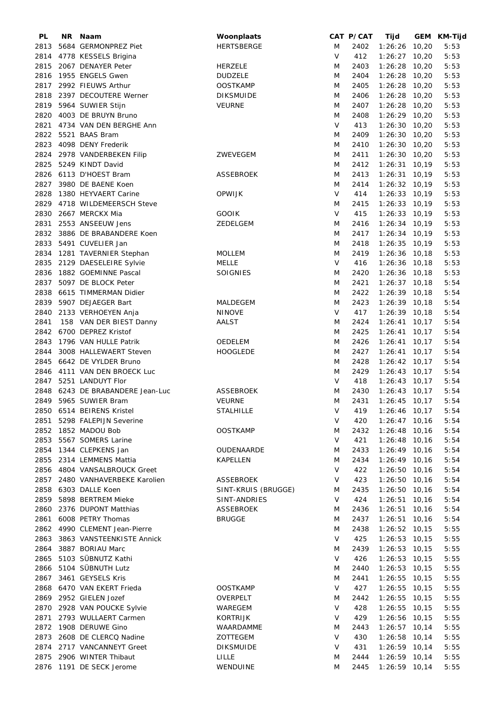| PL   | NR. | Naam                             | Woonplaats          |        | CAT P/CAT | Tijd            | GEM KM-Tijd |
|------|-----|----------------------------------|---------------------|--------|-----------|-----------------|-------------|
| 2813 |     | 5684 GERMONPREZ Piet             | <b>HERTSBERGE</b>   | M      | 2402      | $1:26:26$ 10,20 | 5:53        |
| 2814 |     | 4778 KESSELS Brigina             |                     | V      | 412       | $1:26:27$ 10,20 | 5:53        |
| 2815 |     | 2067 DENAYER Peter               | <b>HERZELE</b>      | M      | 2403      | $1:26:28$ 10,20 | 5:53        |
| 2816 |     | 1955 ENGELS Gwen                 | <b>DUDZELE</b>      | M      | 2404      | $1:26:28$ 10,20 | 5:53        |
|      |     | 2817 2992 FIEUWS Arthur          | <b>OOSTKAMP</b>     | M      | 2405      | 1:26:28 10,20   | 5:53        |
| 2818 |     | 2397 DECOUTERE Werner            | <b>DIKSMUIDE</b>    | M      | 2406      | 1:26:28 10,20   | 5:53        |
|      |     |                                  |                     |        |           |                 |             |
| 2819 |     | 5964 SUWIER Stijn                | <b>VEURNE</b>       | M      | 2407      | $1:26:28$ 10,20 | 5:53        |
| 2820 |     | 4003 DE BRUYN Bruno              |                     | M      | 2408      | $1:26:29$ 10,20 | 5:53        |
| 2821 |     | 4734 VAN DEN BERGHE Ann          |                     | V      | 413       | 1:26:30 10,20   | 5:53        |
| 2822 |     | 5521 BAAS Bram                   |                     | M      | 2409      | $1:26:30$ 10,20 | 5:53        |
| 2823 |     | 4098 DENY Frederik               |                     | M      | 2410      | $1:26:30$ 10,20 | 5:53        |
| 2824 |     | 2978 VANDERBEKEN Filip           | ZWEVEGEM            | M      | 2411      | $1:26:30$ 10,20 | 5:53        |
| 2825 |     | 5249 KINDT David                 |                     | M      | 2412      | $1:26:31$ 10,19 | 5:53        |
|      |     | 2826 6113 D'HOEST Bram           | <b>ASSEBROEK</b>    | M      | 2413      | $1:26:31$ 10,19 | 5:53        |
| 2827 |     | 3980 DE BAENE Koen               |                     | M      | 2414      | $1:26:32$ 10,19 | 5:53        |
| 2828 |     | 1380 HEYVAERT Carine             | <b>OPWIJK</b>       | V      | 414       | $1:26:33$ 10,19 | 5:53        |
| 2829 |     | 4718 WILDEMEERSCH Steve          |                     | M      | 2415      | $1:26:33$ 10,19 | 5:53        |
| 2830 |     | 2667 MERCKX Mia                  | <b>GOOIK</b>        | $\vee$ | 415       | $1:26:33$ 10,19 | 5:53        |
| 2831 |     | 2553 ANSEEUW Jens                |                     |        |           | $1:26:34$ 10,19 |             |
|      |     |                                  | ZEDELGEM            | M      | 2416      |                 | 5:53        |
| 2832 |     | 3886 DE BRABANDERE Koen          |                     | M      | 2417      | $1:26:34$ 10,19 | 5:53        |
| 2833 |     | 5491 CUVELIER Jan                |                     | M      | 2418      | $1:26:35$ 10,19 | 5:53        |
| 2834 |     | 1281 TAVERNIER Stephan           | <b>MOLLEM</b>       | M      | 2419      | $1:26:36$ 10,18 | 5:53        |
| 2835 |     | 2129 DAESELEIRE Sylvie           | <b>MELLE</b>        | V      | 416       | $1:26:36$ 10,18 | 5:53        |
| 2836 |     | 1882 GOEMINNE Pascal             | <b>SOIGNIES</b>     | M      | 2420      | $1:26:36$ 10,18 | 5:53        |
| 2837 |     | 5097 DE BLOCK Peter              |                     | M      | 2421      | $1:26:37$ 10,18 | 5:54        |
| 2838 |     | 6615 TIMMERMAN Didier            |                     | M      | 2422      | $1:26:39$ 10,18 | 5:54        |
| 2839 |     | 5907 DEJAEGER Bart               | MALDEGEM            | M      | 2423      | $1:26:39$ 10,18 | 5:54        |
| 2840 |     | 2133 VERHOEYEN Anja              | <b>NINOVE</b>       | V      | 417       | $1:26:39$ 10,18 | 5:54        |
| 2841 |     | 158 VAN DER BIEST Danny          | AALST               | M      | 2424      | $1:26:41$ 10,17 | 5:54        |
|      |     |                                  |                     |        |           |                 |             |
| 2842 |     | 6700 DEPREZ Kristof              |                     | M      | 2425      | $1:26:41$ 10,17 | 5:54        |
| 2843 |     | 1796 VAN HULLE Patrik            | OEDELEM             | M      | 2426      | $1:26:41$ 10,17 | 5:54        |
| 2844 |     | 3008 HALLEWAERT Steven           | <b>HOOGLEDE</b>     | M      | 2427      | $1:26:41$ 10,17 | 5:54        |
| 2845 |     | 6642 DE VYLDER Bruno             |                     | M      | 2428      | $1:26:42$ 10,17 | 5:54        |
| 2846 |     | 4111 VAN DEN BROECK Luc          |                     | M      | 2429      | $1:26:43$ 10,17 | 5:54        |
| 2847 |     | 5251 LANDUYT Flor                |                     | V      | 418       | $1:26:43$ 10,17 | 5:54        |
|      |     | 2848 6243 DE BRABANDERE Jean-Luc | <b>ASSEBROEK</b>    | M      | 2430      | $1:26:43$ 10,17 | 5:54        |
|      |     | 2849 5965 SUWIER Bram            | <b>VEURNE</b>       | M      | 2431      | $1:26:45$ 10,17 | 5:54        |
|      |     | 2850 6514 BEIRENS Kristel        | <b>STALHILLE</b>    |        | $V$ 419   | $1:26:46$ 10,17 | 5:54        |
|      |     | 2851 5298 FALEPIJN Severine      |                     | V      | 420       | $1:26:47$ 10,16 | 5:54        |
|      |     | 2852 1852 MADOU Bob              | <b>OOSTKAMP</b>     | M      | 2432      | $1:26:48$ 10,16 | 5:54        |
|      |     | 2853 5567 SOMERS Larine          |                     | V      | 421       | $1:26:48$ 10,16 | 5:54        |
|      |     | 2854 1344 CLEPKENS Jan           | OUDENAARDE          |        | 2433      | $1:26:49$ 10,16 |             |
|      |     |                                  |                     | M      |           |                 | 5:54        |
|      |     | 2855 2314 LEMMENS Mattia         | KAPELLEN            | M      | 2434      | $1:26:49$ 10,16 | 5:54        |
|      |     | 2856 4804 VANSALBROUCK Greet     |                     | V      | 422       | $1:26:50$ 10,16 | 5:54        |
|      |     | 2857 2480 VANHAVERBEKE Karolien  | ASSEBROEK           | V      | 423       | $1:26:50$ 10,16 | 5:54        |
|      |     | 2858 6303 DALLE Koen             | SINT-KRUIS (BRUGGE) | M      | 2435      | $1:26:50$ 10,16 | 5:54        |
| 2859 |     | 5898 BERTREM Mieke               | SINT-ANDRIES        | V      | 424       | $1:26:51$ 10,16 | 5:54        |
|      |     | 2860 2376 DUPONT Matthias        | ASSEBROEK           | M      | 2436      | $1:26:51$ 10,16 | 5:54        |
| 2861 |     | 6008 PETRY Thomas                | <b>BRUGGE</b>       | M      | 2437      | $1:26:51$ 10,16 | 5:54        |
|      |     | 2862 4990 CLEMENT Jean-Pierre    |                     | M      | 2438      | $1:26:52$ 10,15 | 5:55        |
|      |     | 2863 3863 VANSTEENKISTE Annick   |                     | V      | 425       | $1:26:53$ 10,15 | 5:55        |
|      |     | 2864 3887 BORIAU Marc            |                     | Μ      | 2439      | $1:26:53$ 10,15 | 5:55        |
|      |     | 2865 5103 SÜBNUTZ Kathi          |                     | V      | 426       | $1:26:53$ 10,15 | 5:55        |
|      |     | 2866 5104 SÜBNUTH Lutz           |                     |        | 2440      | $1:26:53$ 10,15 | 5:55        |
|      |     |                                  |                     | M      |           |                 |             |
|      |     | 2867 3461 GEYSELS Kris           |                     | M      | 2441      | $1:26:55$ 10,15 | 5:55        |
|      |     | 2868 6470 VAN EKERT Frieda       | <b>OOSTKAMP</b>     | V      | 427       | $1:26:55$ 10,15 | 5:55        |
|      |     | 2869 2952 GIELEN Jozef           | OVERPELT            | M      | 2442      | $1:26:55$ 10,15 | 5:55        |
|      |     | 2870 2928 VAN POUCKE Sylvie      | WAREGEM             | V      | 428       | $1:26:55$ 10,15 | 5:55        |
| 2871 |     | 2793 WULLAERT Carmen             | <b>KORTRIJK</b>     | V      | 429       | $1:26:56$ 10,15 | 5:55        |
|      |     | 2872 1908 DERUWE Gino            | WAARDAMME           | M      | 2443      | $1:26:57$ 10,14 | 5:55        |
|      |     | 2873 2608 DE CLERCQ Nadine       | ZOTTEGEM            | V      | 430       | $1:26:58$ 10,14 | 5:55        |
|      |     | 2874 2717 VANCANNEYT Greet       | <b>DIKSMUIDE</b>    | V      | 431       | $1:26:59$ 10,14 | 5:55        |
| 2875 |     | 2906 WINTER Thibaut              | LILLE               | M      | 2444      | $1:26:59$ 10,14 | 5:55        |
|      |     | 2876 1191 DE SECK Jerome         | WENDUINE            | M      | 2445      | $1:26:59$ 10,14 | 5:55        |
|      |     |                                  |                     |        |           |                 |             |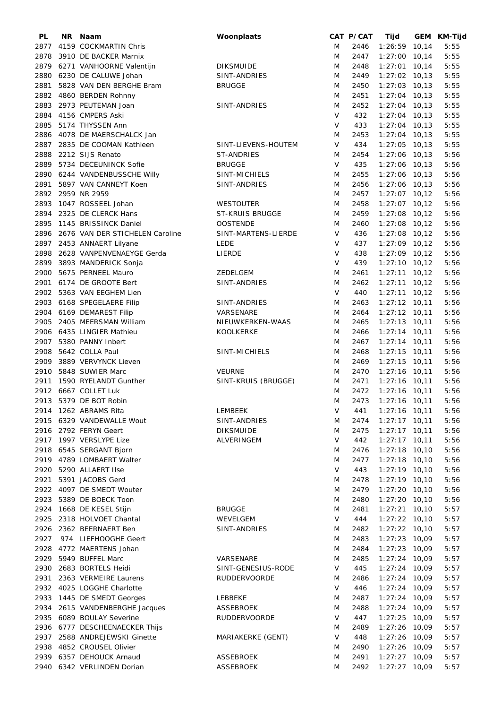| PL   | NR. | Naam                            | Woonplaats             |        | CAT P/CAT | Tijd            | GEM KM-Tijd |
|------|-----|---------------------------------|------------------------|--------|-----------|-----------------|-------------|
| 2877 |     | 4159 COCKMARTIN Chris           |                        | M      | 2446      | $1:26:59$ 10,14 | 5:55        |
| 2878 |     | 3910 DE BACKER Marnix           |                        | M      | 2447      | 1:27:00 10,14   | 5:55        |
| 2879 |     | 6271 VANHOORNE Valentijn        | <b>DIKSMUIDE</b>       | M      | 2448      | $1:27:01$ 10,14 | 5:55        |
| 2880 |     | 6230 DE CALUWE Johan            | SINT-ANDRIES           | M      | 2449      | $1:27:02$ 10,13 | 5:55        |
| 2881 |     | 5828 VAN DEN BERGHE Bram        | <b>BRUGGE</b>          | M      | 2450      | $1:27:03$ 10,13 | 5:55        |
| 2882 |     | 4860 BERDEN Rohnny              |                        | M      | 2451      | $1:27:04$ 10,13 | 5:55        |
| 2883 |     |                                 |                        |        |           |                 |             |
|      |     | 2973 PEUTEMAN Joan              | SINT-ANDRIES           | M      | 2452      | $1:27:04$ 10,13 | 5:55        |
| 2884 |     | 4156 CMPERS Aski                |                        | V      | 432       | $1:27:04$ 10,13 | 5:55        |
| 2885 |     | 5174 THYSSEN Ann                |                        | V      | 433       | $1:27:04$ 10,13 | 5:55        |
| 2886 |     | 4078 DE MAERSCHALCK Jan         |                        | M      | 2453      | $1:27:04$ 10,13 | 5:55        |
| 2887 |     | 2835 DE COOMAN Kathleen         | SINT-LIEVENS-HOUTEM    | V      | 434       | $1:27:05$ 10,13 | 5:55        |
| 2888 |     | 2212 SIJS Renato                | ST-ANDRIES             | M      | 2454      | $1:27:06$ 10,13 | 5:56        |
| 2889 |     | 5734 DECEUNINCK Sofie           | <b>BRUGGE</b>          | V      | 435       | $1:27:06$ 10,13 | 5:56        |
|      |     | 2890 6244 VANDENBUSSCHE Willy   | SINT-MICHIELS          | M      | 2455      | $1:27:06$ 10,13 | 5:56        |
| 2891 |     | 5897 VAN CANNEYT Koen           | SINT-ANDRIES           | M      | 2456      | $1:27:06$ 10,13 | 5:56        |
| 2892 |     | 2959 NR 2959                    |                        | M      | 2457      | $1:27:07$ 10,12 | 5:56        |
| 2893 |     | 1047 ROSSEEL Johan              | WESTOUTER              | M      | 2458      | $1:27:07$ 10,12 | 5:56        |
| 2894 |     | 2325 DE CLERCK Hans             | <b>ST-KRUIS BRUGGE</b> | M      | 2459      | $1:27:08$ 10,12 | 5:56        |
| 2895 |     | 1145 BRISSINCK Daniel           | <b>OOSTENDE</b>        | M      | 2460      | $1:27:08$ 10,12 | 5:56        |
|      |     |                                 |                        |        |           |                 |             |
| 2896 |     | 2676 VAN DER STICHELEN Caroline | SINT-MARTENS-LIERDE    | $\vee$ | 436       | $1:27:08$ 10,12 | 5:56        |
| 2897 |     | 2453 ANNAERT Lilyane            | <b>LEDE</b>            | V      | 437       | $1:27:09$ 10,12 | 5:56        |
| 2898 |     | 2628 VANPENVENAEYGE Gerda       | LIERDE                 | $\vee$ | 438       | $1:27:09$ 10,12 | 5:56        |
| 2899 |     | 3893 MANDERICK Sonja            |                        | V      | 439       | $1:27:10$ 10,12 | 5:56        |
| 2900 |     | 5675 PERNEEL Mauro              | ZEDELGEM               | M      | 2461      | $1:27:11$ 10,12 | 5:56        |
|      |     | 2901 6174 DE GROOTE Bert        | SINT-ANDRIES           | M      | 2462      | $1:27:11$ 10,12 | 5:56        |
| 2902 |     | 5363 VAN EEGHEM Lien            |                        | V      | 440       | $1:27:11$ 10,12 | 5:56        |
| 2903 |     | 6168 SPEGELAERE Filip           | SINT-ANDRIES           | M      | 2463      | $1:27:12$ 10,11 | 5:56        |
| 2904 |     | 6169 DEMAREST Filip             | VARSENARE              | M      | 2464      | $1:27:12$ 10,11 | 5:56        |
| 2905 |     | 2405 MEERSMAN William           | NIEUWKERKEN-WAAS       | M      | 2465      | $1:27:13$ 10,11 | 5:56        |
|      |     |                                 |                        |        |           |                 |             |
|      |     | 2906 6435 LINGIER Mathieu       | <b>KOOLKERKE</b>       | M      | 2466      | $1:27:14$ 10,11 | 5:56        |
|      |     | 2907 5380 PANNY Inbert          |                        | M      | 2467      | $1:27:14$ 10,11 | 5:56        |
| 2908 |     | 5642 COLLA Paul                 | SINT-MICHIELS          | M      | 2468      | $1:27:15$ 10,11 | 5:56        |
| 2909 |     | 3889 VERVYNCK Lieven            |                        | M      | 2469      | $1:27:15$ 10,11 | 5:56        |
| 2910 |     | 5848 SUWIER Marc                | <b>VEURNE</b>          | M      | 2470      | $1:27:16$ 10,11 | 5:56        |
|      |     | 2911 1590 RYELANDT Gunther      | SINT-KRUIS (BRUGGE)    | M      | 2471      | $1:27:16$ 10,11 | 5:56        |
|      |     | 2912 6667 COLLET Luk            |                        | M      | 2472      | $1:27:16$ 10,11 | 5:56        |
|      |     | 2913 5379 DE BOT Robin          |                        | M      | 2473      | $1:27:16$ 10,11 | 5:56        |
|      |     | 2914 1262 ABRAMS Rita           | LEMBEEK                |        | $V$ 441   | $1:27:16$ 10,11 | 5:56        |
|      |     | 2915 6329 VANDEWALLE Wout       | SINT-ANDRIES           | M      | 2474      | $1:27:17$ 10,11 | 5:56        |
|      |     | 2916 2792 FERYN Geert           | <b>DIKSMUIDE</b>       | M      | 2475      | $1:27:17$ 10,11 | 5:56        |
|      |     | 2917 1997 VERSLYPE Lize         | ALVERINGEM             | V      | 442       | $1:27:17$ 10,11 | 5:56        |
|      |     | 2918 6545 SERGANT Bjorn         |                        |        | 2476      | $1:27:18$ 10,10 | 5:56        |
|      |     |                                 |                        | M      |           |                 |             |
|      |     | 2919 4789 LOMBAERT Walter       |                        | M      | 2477      | $1:27:18$ 10,10 | 5:56        |
| 2920 |     | 5290 ALLAERT IIse               |                        | V      | 443       | $1:27:19$ 10,10 | 5:56        |
| 2921 |     | 5391 JACOBS Gerd                |                        | M      | 2478      | $1:27:19$ 10,10 | 5:56        |
|      |     | 2922 4097 DE SMEDT Wouter       |                        | M      | 2479      | $1:27:20$ 10,10 | 5:56        |
| 2923 |     | 5389 DE BOECK Toon              |                        | M      | 2480      | $1:27:20$ 10,10 | 5:56        |
| 2924 |     | 1668 DE KESEL Stijn             | <b>BRUGGE</b>          | M      | 2481      | $1:27:21$ 10,10 | 5:57        |
| 2925 |     | 2318 HOLVOET Chantal            | WEVELGEM               | V      | 444       | $1:27:22$ 10,10 | 5:57        |
|      |     | 2926 2362 BEERNAERT Ben         | SINT-ANDRIES           | M      | 2482      | $1:27:22$ 10,10 | 5:57        |
| 2927 |     | 974 LIEFHOOGHE Geert            |                        | M      | 2483      | $1:27:23$ 10,09 | 5:57        |
| 2928 |     | 4772 MAERTENS Johan             |                        | M      | 2484      | $1:27:23$ 10,09 | 5:57        |
|      |     | 2929 5949 BUFFEL Marc           | VARSENARE              | M      | 2485      | $1:27:24$ 10,09 | 5:57        |
|      |     |                                 |                        | V      |           |                 |             |
|      |     | 2930 2683 BORTELS Heidi         | SINT-GENESIUS-RODE     |        | 445       | $1:27:24$ 10,09 | 5:57        |
| 2931 |     | 2363 VERMEIRE Laurens           | <b>RUDDERVOORDE</b>    | M      | 2486      | $1:27:24$ 10,09 | 5:57        |
|      |     | 2932 4025 LOGGHE Charlotte      |                        | V      | 446       | $1:27:24$ 10,09 | 5:57        |
|      |     | 2933 1445 DE SMEDT Georges      | LEBBEKE                | M      | 2487      | $1:27:24$ 10,09 | 5:57        |
| 2934 |     | 2615 VANDENBERGHE Jacques       | ASSEBROEK              | M      | 2488      | 1:27:24 10,09   | 5:57        |
| 2935 |     | 6089 BOULAY Severine            | <b>RUDDERVOORDE</b>    | V      | 447       | $1:27:25$ 10,09 | 5:57        |
|      |     | 2936 6777 DESCHEENAECKER Thijs  |                        | M      | 2489      | $1:27:26$ 10,09 | 5:57        |
| 2937 |     | 2588 ANDREJEWSKI Ginette        | MARIAKERKE (GENT)      | V      | 448       | $1:27:26$ 10,09 | 5:57        |
| 2938 |     | 4852 CROUSEL Olivier            |                        | M      | 2490      | $1:27:26$ 10,09 | 5:57        |
|      |     | 2939 6357 DEHOUCK Arnaud        | ASSEBROEK              | M      | 2491      | $1:27:27$ 10,09 | 5:57        |
|      |     | 2940 6342 VERLINDEN Dorian      | <b>ASSEBROEK</b>       | M      | 2492      | $1:27:27$ 10,09 | 5:57        |
|      |     |                                 |                        |        |           |                 |             |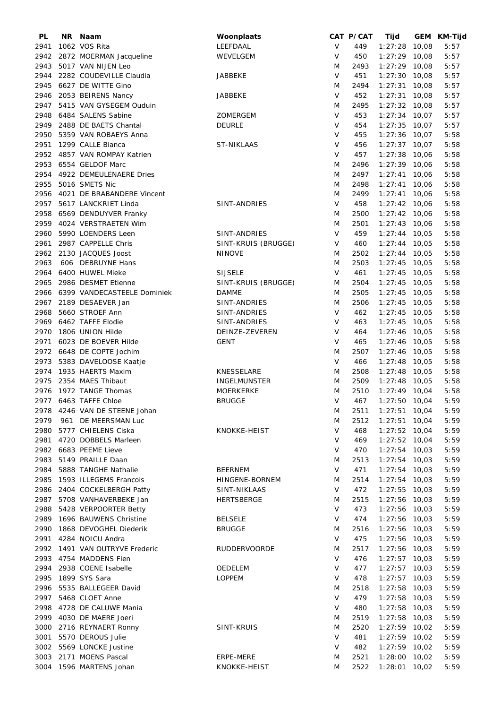| PL   | NR Naam                          | Woonplaats          |        | CAT P/CAT | Tijd            | GEM KM-Tijd |
|------|----------------------------------|---------------------|--------|-----------|-----------------|-------------|
| 2941 | 1062 VOS Rita                    | LEEFDAAL            | V      | 449       | $1:27:28$ 10,08 | 5:57        |
| 2942 | 2872 MOERMAN Jacqueline          | WEVELGEM            | V      | 450       | $1:27:29$ 10,08 | 5:57        |
| 2943 | 5017 VAN NIJEN Leo               |                     | M      | 2493      | $1:27:29$ 10,08 | 5:57        |
| 2944 | 2282 COUDEVILLE Claudia          | JABBEKE             | V      | 451       | $1:27:30$ 10,08 | 5:57        |
| 2945 | 6627 DE WITTE Gino               |                     | M      | 2494      | $1:27:31$ 10,08 | 5:57        |
|      |                                  |                     |        |           |                 |             |
| 2946 | 2053 BEIRENS Nancy               | <b>JABBEKE</b>      | V      | 452       | $1:27:31$ 10,08 | 5:57        |
|      | 2947 5415 VAN GYSEGEM Ouduin     |                     | M      | 2495      | $1:27:32$ 10,08 | 5:57        |
| 2948 | 6484 SALENS Sabine               | ZOMERGEM            | V      | 453       | $1:27:34$ 10,07 | 5:57        |
| 2949 | 2488 DE BAETS Chantal            | <b>DEURLE</b>       | V      | 454       | $1:27:35$ 10,07 | 5:57        |
| 2950 | 5359 VAN ROBAEYS Anna            |                     | V      | 455       | $1:27:36$ 10,07 | 5:58        |
| 2951 | 1299 CALLE Bianca                | <b>ST-NIKLAAS</b>   | V      | 456       | $1:27:37$ 10,07 | 5:58        |
| 2952 | 4857 VAN ROMPAY Katrien          |                     | V      | 457       | $1:27:38$ 10,06 | 5:58        |
| 2953 | 6554 GELDOF Marc                 |                     | M      | 2496      | $1:27:39$ 10,06 | 5:58        |
|      | 2954 4922 DEMEULENAERE Dries     |                     | M      | 2497      | $1:27:41$ 10,06 | 5:58        |
| 2955 | 5016 SMETS Nic                   |                     | M      | 2498      | $1:27:41$ 10,06 | 5:58        |
|      |                                  |                     |        |           |                 |             |
|      | 2956 4021 DE BRABANDERE Vincent  |                     | M      | 2499      | $1:27:41$ 10,06 | 5:58        |
| 2957 | 5617 LANCKRIET Linda             | SINT-ANDRIES        | V      | 458       | $1:27:42$ 10,06 | 5:58        |
|      | 2958 6569 DENDUYVER Franky       |                     | M      | 2500      | $1:27:42$ 10,06 | 5:58        |
| 2959 | 4024 VERSTRAETEN Wim             |                     | M      | 2501      | $1:27:43$ 10,06 | 5:58        |
| 2960 | 5990 LOENDERS Leen               | SINT-ANDRIES        | $\vee$ | 459       | $1:27:44$ 10,05 | 5:58        |
| 2961 | 2987 CAPPELLE Chris              | SINT-KRUIS (BRUGGE) | V      | 460       | $1:27:44$ 10,05 | 5:58        |
| 2962 | 2130 JACQUES Joost               | <b>NINOVE</b>       | M      | 2502      | $1:27:44$ 10,05 | 5:58        |
| 2963 | 606 DEBRUYNE Hans                |                     | M      | 2503      | $1:27:45$ 10,05 | 5:58        |
| 2964 | 6400 HUWEL Mieke                 | <b>SIJSELE</b>      | V      | 461       | $1:27:45$ 10,05 | 5:58        |
|      |                                  |                     |        |           |                 |             |
| 2965 | 2986 DESMET Etienne              | SINT-KRUIS (BRUGGE) | M      | 2504      | $1:27:45$ 10,05 | 5:58        |
|      | 2966 6399 VANDECASTEELE Dominiek | <b>DAMME</b>        | M      | 2505      | $1:27:45$ 10,05 | 5:58        |
|      | 2967 2189 DESAEVER Jan           | SINT-ANDRIES        | M      | 2506      | $1:27:45$ 10,05 | 5:58        |
| 2968 | 5660 STROEF Ann                  | SINT-ANDRIES        | V      | 462       | $1:27:45$ 10,05 | 5:58        |
|      | 2969 6462 TAFFE Elodie           | SINT-ANDRIES        | V      | 463       | $1:27:45$ 10,05 | 5:58        |
| 2970 | 1806 UNION Hilde                 | DEINZE-ZEVEREN      | V      | 464       | $1:27:46$ 10,05 | 5:58        |
| 2971 | 6023 DE BOEVER Hilde             | <b>GENT</b>         | V      | 465       | $1:27:46$ 10,05 | 5:58        |
|      | 2972 6648 DE COPTE Jochim        |                     | M      | 2507      | $1:27:46$ 10,05 | 5:58        |
| 2973 | 5383 DAVELOOSE Kaatje            |                     | $\vee$ | 466       | $1:27:48$ 10,05 | 5:58        |
|      | 2974 1935 HAERTS Maxim           | <b>KNESSELARE</b>   |        | 2508      | $1:27:48$ 10,05 | 5:58        |
|      |                                  |                     | M      |           |                 |             |
| 2975 | 2354 MAES Thibaut                | INGELMUNSTER        | M      | 2509      | $1:27:48$ 10,05 | 5:58        |
|      | 2976 1972 TANGE Thomas           | <b>MOERKERKE</b>    | M      | 2510      | $1:27:49$ 10,04 | 5:58        |
|      | 2977 6463 TAFFE Chloe            | <b>BRUGGE</b>       | $\vee$ | 467       | 1:27:50 10,04   | 5:59        |
|      | 2978 4246 VAN DE STEENE Johan    |                     | M      | 2511      | $1:27:51$ 10,04 | 5:59        |
| 2979 | 961 DE MEERSMAN Luc              |                     | M      | 2512      | $1:27:51$ 10,04 | 5:59        |
| 2980 | 5777 CHIELENS Ciska              | KNOKKE-HEIST        | V      | 468       | $1:27:52$ 10,04 | 5:59        |
| 2981 | 4720 DOBBELS Marleen             |                     | V      | 469       | $1:27:52$ 10,04 | 5:59        |
| 2982 | 6683 PEEME Lieve                 |                     | V      | 470       | $1:27:54$ 10,03 | 5:59        |
| 2983 | 5149 PRAILLE Daan                |                     | M      | 2513      | $1:27:54$ 10,03 | 5:59        |
| 2984 | 5888 TANGHE Nathalie             | <b>BEERNEM</b>      | V      | 471       | $1:27:54$ 10,03 | 5:59        |
|      |                                  |                     |        |           |                 |             |
| 2985 | 1593 ILLEGEMS Francois           | HINGENE-BORNEM      | M      | 2514      | $1:27:54$ 10,03 | 5:59        |
| 2986 | 2404 COCKELBERGH Patty           | SINT-NIKLAAS        | V      | 472       | $1:27:55$ 10,03 | 5:59        |
|      | 2987 5708 VANHAVERBEKE Jan       | <b>HERTSBERGE</b>   | M      | 2515      | $1:27:56$ 10,03 | 5:59        |
|      | 2988 5428 VERPOORTER Betty       |                     | V      | 473       | $1:27:56$ 10,03 | 5:59        |
|      | 2989 1696 BAUWENS Christine      | <b>BELSELE</b>      | V      | 474       | $1:27:56$ 10,03 | 5:59        |
| 2990 | 1868 DEVOGHEL Diederik           | <b>BRUGGE</b>       | M      | 2516      | $1:27:56$ 10,03 | 5:59        |
| 2991 | 4284 NOICU Andra                 |                     | V      | 475       | $1:27:56$ 10,03 | 5:59        |
|      | 2992 1491 VAN OUTRYVE Frederic   | <b>RUDDERVOORDE</b> | M      | 2517      | 1:27:56 10,03   | 5:59        |
|      | 2993 4754 MADDENS Fien           |                     | V      | 476       | 1:27:57 10,03   | 5:59        |
|      | 2994 2938 COENE Isabelle         |                     | V      | 477       |                 |             |
|      |                                  | OEDELEM             |        |           | $1:27:57$ 10,03 | 5:59        |
| 2995 | 1899 SYS Sara                    | <b>LOPPEM</b>       | V      | 478       | $1:27:57$ 10,03 | 5:59        |
|      | 2996 5535 BALLEGEER David        |                     | M      | 2518      | $1:27:58$ 10,03 | 5:59        |
|      | 2997 5468 CLOET Anne             |                     | V      | 479       | $1:27:58$ 10,03 | 5:59        |
|      | 2998 4728 DE CALUWE Mania        |                     | V      | 480       | $1:27:58$ 10,03 | 5:59        |
|      | 2999 4030 DE MAERE Joeri         |                     | M      | 2519      | $1:27:58$ 10,03 | 5:59        |
|      | 3000 2716 REYNAERT Ronny         | SINT-KRUIS          | M      | 2520      | $1:27:59$ 10,02 | 5:59        |
| 3001 | 5570 DEROUS Julie                |                     | V      | 481       | $1:27:59$ 10,02 | 5:59        |
|      | 3002 5569 LONCKE Justine         |                     | V      | 482       | $1:27:59$ 10,02 | 5:59        |
|      | 3003 2171 MOENS Pascal           | ERPE-MERE           | M      | 2521      | $1:28:00$ 10,02 | 5:59        |
|      | 3004 1596 MARTENS Johan          | KNOKKE-HEIST        | M      | 2522      | $1:28:01$ 10,02 | 5:59        |
|      |                                  |                     |        |           |                 |             |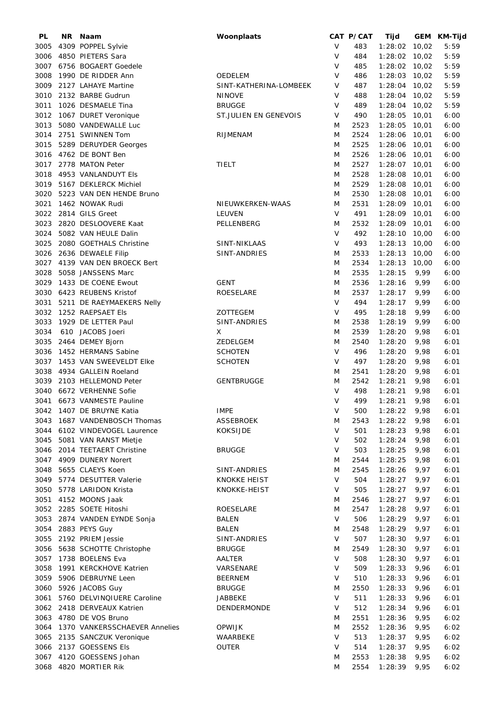| PL           | NR. | Naam                                              | Woonplaats                  |        | CAT P/CAT    | Tijd               |                | GEM KM-Tijd  |
|--------------|-----|---------------------------------------------------|-----------------------------|--------|--------------|--------------------|----------------|--------------|
| 3005         |     | 4309 POPPEL Sylvie                                |                             | V      | 483          | 1:28:02 10,02      |                | 5:59         |
| 3006         |     | 4850 PIETERS Sara                                 |                             | V      | 484          | $1:28:02$ 10,02    |                | 5:59         |
| 3007         |     | 6756 BOGAERT Goedele                              |                             | $\vee$ | 485          | $1:28:02$ 10,02    |                | 5:59         |
| 3008         |     | 1990 DE RIDDER Ann                                | OEDELEM                     | V      | 486          | $1:28:03$ 10,02    |                | 5:59         |
| 3009         |     | 2127 LAHAYE Martine                               | SINT-KATHERINA-LOMBEEK      | $\vee$ | 487          | 1:28:04            | 10,02          | 5:59         |
| 3010         |     | 2132 BARBE Gudrun                                 | <b>NINOVE</b>               | V      | 488          | 1:28:04            | 10,02          | 5:59         |
| 3011         |     | 1026 DESMAELE Tina                                | <b>BRUGGE</b>               | V      | 489          | $1:28:04$ 10,02    |                | 5:59         |
| 3012         |     | 1067 DURET Veronique                              | ST.JULIEN EN GENEVOIS       | V      | 490          | 1:28:05            | 10,01          | 6:00         |
| 3013         |     | 5080 VANDEWALLE Luc                               |                             | M      | 2523         | 1:28:05            | 10,01          | 6:00         |
| 3014         |     | 2751 SWINNEN Tom                                  | RIJMENAM                    | M      | 2524         | 1:28:06            | 10,01          | 6:00         |
| 3015         |     | 5289 DERUYDER Georges                             |                             | M      | 2525         | 1:28:06            | 10,01          | 6:00         |
|              |     | 3016 4762 DE BONT Ben                             |                             | M      | 2526         | 1:28:06            | 10,01          | 6:00         |
| 3017         |     | 2778 MATON Peter                                  | TIELT                       | M      | 2527         | 1:28:07 10,01      |                | 6:00         |
| 3018         |     | 4953 VANLANDUYT Els                               |                             | M      | 2528         | 1:28:08            | 10,01          | 6:00         |
|              |     | 3019 5167 DEKLERCK Michiel                        |                             | M      | 2529         | 1:28:08 10,01      |                | 6:00         |
| 3020         |     | 5223 VAN DEN HENDE Bruno                          |                             | M      | 2530         | 1:28:08            | 10,01          | 6:00         |
| 3021         |     | 1462 NOWAK Rudi                                   | NIEUWKERKEN-WAAS            | M      | 2531         | 1:28:09 10,01      |                | 6:00         |
| 3022         |     | 2814 GILS Greet                                   | LEUVEN                      | V      | 491          | 1:28:09 10,01      |                | 6:00         |
| 3023         |     | 2820 DESLOOVERE Kaat                              | PELLENBERG                  | M      | 2532         | 1:28:09            | 10,01          | 6:00         |
| 3024         |     | 5082 VAN HEULE Dalin                              |                             | V      | 492          | 1:28:10            | 10,00          | 6:00         |
| 3025         |     | 2080 GOETHALS Christine                           | SINT-NIKLAAS                | V      | 493          | 1:28:13            | 10,00          | 6:00         |
| 3026<br>3027 |     | 2636 DEWAELE Filip<br>4139 VAN DEN BROECK Bert    | SINT-ANDRIES                | M<br>M | 2533<br>2534 | 1:28:13<br>1:28:13 | 10,00<br>10,00 | 6:00<br>6:00 |
| 3028         |     | 5058 JANSSENS Marc                                |                             | M      | 2535         | 1:28:15            | 9,99           | 6:00         |
| 3029         |     | 1433 DE COENE Ewout                               | <b>GENT</b>                 | M      | 2536         | 1:28:16            | 9,99           | 6:00         |
| 3030         |     | 6423 REUBENS Kristof                              | ROESELARE                   | M      | 2537         | 1:28:17            | 9,99           | 6:00         |
| 3031         |     | 5211 DE RAEYMAEKERS Nelly                         |                             | V      | 494          | 1:28:17            | 9,99           | 6:00         |
| 3032         |     | 1252 RAEPSAET Els                                 | <b>ZOTTEGEM</b>             | V      | 495          | 1:28:18            | 9,99           | 6:00         |
| 3033         |     | 1929 DE LETTER Paul                               | SINT-ANDRIES                | M      | 2538         | 1:28:19            | 9,99           | 6:00         |
| 3034         |     | 610 JACOBS Joeri                                  | X                           | M      | 2539         | 1:28:20            | 9,98           | 6:01         |
| 3035         |     | 2464 DEMEY Bjorn                                  | ZEDELGEM                    | M      | 2540         | 1:28:20            | 9,98           | 6:01         |
| 3036         |     | 1452 HERMANS Sabine                               | <b>SCHOTEN</b>              | V      | 496          | 1:28:20            | 9,98           | 6:01         |
| 3037         |     | 1453 VAN SWEEVELDT EIke                           | <b>SCHOTEN</b>              | V      | 497          | 1:28:20            | 9,98           | 6:01         |
| 3038         |     | 4934 GALLEIN Roeland                              |                             | M      | 2541         | 1:28:20            | 9,98           | 6:01         |
| 3039         |     | 2103 HELLEMOND Peter                              | <b>GENTBRUGGE</b>           | M      | 2542         | 1:28:21            | 9,98           | 6:01         |
|              |     | 3040 6672 VERHENNE Sofie                          |                             | V      | 498          | 1:28:21            | 9,98           | 6:01         |
|              |     | 3041 6673 VANMESTE Pauline                        |                             | V      | 499          | 1:28:21            | 9,98           | 6:01         |
|              |     | 3042 1407 DE BRUYNE Katia                         | <b>IMPE</b>                 | V      | 500          | 1:28:22            | 9,98           | 6:01         |
|              |     | 3043 1687 VANDENBOSCH Thomas                      | <b>ASSEBROEK</b>            | M      | 2543         | 1:28:22            | 9,98           | 6:01         |
|              |     | 3044 6102 VINDEVOGEL Laurence                     | <b>KOKSIJDE</b>             | V      | 501          | 1:28:23            | 9,98           | 6:01         |
|              |     | 3045 5081 VAN RANST Mietje                        |                             | V      | 502          | 1:28:24            | 9,98           | 6:01         |
|              |     | 3046 2014 TEETAERT Christine                      | <b>BRUGGE</b>               | V      | 503          | 1:28:25            | 9,98           | 6:01         |
|              |     | 3047 4909 DUNERY Norert                           |                             | M      | 2544         | 1:28:25            | 9,98           | 6:01         |
|              |     | 3048 5655 CLAEYS Koen                             | SINT-ANDRIES                | M      | 2545         | 1:28:26            | 9,97           | 6:01         |
|              |     | 3049 5774 DESUTTER Valerie                        | <b>KNOKKE HEIST</b>         | V      | 504          | 1:28:27            | 9,97           | 6:01         |
|              |     | 3050 5778 LARIDON Krista                          | KNOKKE-HEIST                | V      | 505          | 1:28:27            | 9,97           | 6:01         |
|              |     | 3051 4152 MOONS Jaak                              |                             | M      | 2546         | 1:28:27            | 9,97           | 6:01         |
|              |     | 3052 2285 SOETE Hitoshi                           | ROESELARE                   | M      | 2547         | 1:28:28            | 9,97           | 6:01         |
|              |     | 3053 2874 VANDEN EYNDE Sonja                      | <b>BALEN</b>                | V      | 506          | 1:28:29            | 9,97           | 6:01         |
|              |     | 3054 2883 PEYS Guy                                | BALEN                       | M      | 2548         | 1:28:29            | 9,97           | 6:01         |
|              |     | 3055 2192 PRIEM Jessie                            | SINT-ANDRIES                | $\vee$ | 507          | 1:28:30            | 9,97           | 6:01         |
|              |     | 3056 5638 SCHOTTE Christophe                      | <b>BRUGGE</b>               | M      | 2549         | 1:28:30            | 9,97           | 6:01         |
|              |     | 3057 1738 BOELENS Eva                             | AALTER                      | $\vee$ | 508          | 1:28:30            | 9,97           | 6:01         |
| 3058         |     | 1991 KERCKHOVE Katrien<br>3059 5906 DEBRUYNE Leen | VARSENARE<br><b>BEERNEM</b> | V<br>V | 509<br>510   | 1:28:33<br>1:28:33 | 9,96<br>9,96   | 6:01<br>6:01 |
|              |     | 3060 5926 JACOBS Guy                              | <b>BRUGGE</b>               | M      | 2550         | 1:28:33            | 9,96           | 6:01         |
| 3061         |     | 5760 DELVINQIUERE Caroline                        | <b>JABBEKE</b>              | $\vee$ | 511          | 1:28:33            | 9,96           | 6:01         |
|              |     | 3062 2418 DERVEAUX Katrien                        | DENDERMONDE                 | V      | 512          | 1:28:34            | 9,96           | 6:01         |
|              |     | 3063 4780 DE VOS Bruno                            |                             | M      | 2551         | 1:28:36            | 9,95           | 6:02         |
| 3064         |     | 1370 VANKERSSCHAEVER Annelies                     | <b>OPWIJK</b>               | M      | 2552         | 1:28:36            | 9,95           | 6:02         |
|              |     | 3065 2135 SANCZUK Veronique                       | WAARBEKE                    | $\vee$ | 513          | 1:28:37            | 9,95           | 6:02         |
|              |     | 3066 2137 GOESSENS Els                            | <b>OUTER</b>                | V      | 514          | 1:28:37            | 9,95           | 6:02         |
| 3067         |     | 4120 GOESSENS Johan                               |                             | M      | 2553         | 1:28:38            | 9,95           | 6:02         |
| 3068         |     | 4820 MORTIER Rik                                  |                             | M      | 2554         | 1:28:39            | 9,95           | 6:02         |
|              |     |                                                   |                             |        |              |                    |                |              |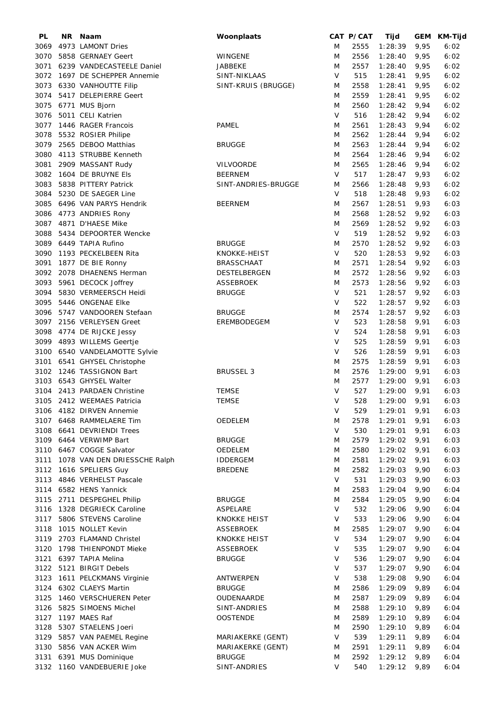| PL   | NR. | Naam                          | Woonplaats          |         | CAT P/CAT | Tijd    |      | GEM KM-Tijd |
|------|-----|-------------------------------|---------------------|---------|-----------|---------|------|-------------|
| 3069 |     | 4973 LAMONT Dries             |                     | M       | 2555      | 1:28:39 | 9,95 | 6:02        |
| 3070 |     | 5858 GERNAEY Geert            | WINGENE             | M       | 2556      | 1:28:40 | 9,95 | 6:02        |
| 3071 |     | 6239 VANDECASTEELE Daniel     | JABBEKE             | M       | 2557      | 1:28:40 | 9,95 | 6:02        |
| 3072 |     | 1697 DE SCHEPPER Annemie      | SINT-NIKLAAS        | V       | 515       | 1:28:41 | 9,95 | 6:02        |
| 3073 |     | 6330 VANHOUTTE Filip          | SINT-KRUIS (BRUGGE) | M       | 2558      | 1:28:41 | 9,95 | 6:02        |
| 3074 |     | 5417 DELEPIERRE Geert         |                     | M       | 2559      | 1:28:41 | 9,95 | 6:02        |
| 3075 |     | 6771 MUS Bjorn                |                     | M       | 2560      | 1:28:42 | 9,94 | 6:02        |
| 3076 |     | 5011 CELI Katrien             |                     | V       | 516       | 1:28:42 | 9,94 | 6:02        |
|      |     |                               | <b>PAMEL</b>        |         |           |         |      |             |
| 3077 |     | 1446 RAGER Francois           |                     | M       | 2561      | 1:28:43 | 9,94 | 6:02        |
| 3078 |     | 5532 ROSIER Philipe           |                     | M       | 2562      | 1:28:44 | 9,94 | 6:02        |
| 3079 |     | 2565 DEBOO Matthias           | <b>BRUGGE</b>       | M       | 2563      | 1:28:44 | 9,94 | 6:02        |
| 3080 |     | 4113 STRUBBE Kenneth          |                     | M       | 2564      | 1:28:46 | 9,94 | 6:02        |
| 3081 |     | 2909 MASSANT Rudy             | <b>VILVOORDE</b>    | M       | 2565      | 1:28:46 | 9,94 | 6:02        |
|      |     | 3082 1604 DE BRUYNE Els       | <b>BEERNEM</b>      | V       | 517       | 1:28:47 | 9,93 | 6:02        |
| 3083 |     | 5838 PITTERY Patrick          | SINT-ANDRIES-BRUGGE | M       | 2566      | 1:28:48 | 9,93 | 6:02        |
| 3084 |     | 5230 DE SAEGER Line           |                     | V       | 518       | 1:28:48 | 9,93 | 6:02        |
| 3085 |     | 6496 VAN PARYS Hendrik        | <b>BEERNEM</b>      | M       | 2567      | 1:28:51 | 9,93 | 6:03        |
| 3086 |     | 4773 ANDRIES Rony             |                     | M       | 2568      | 1:28:52 | 9,92 | 6:03        |
| 3087 |     | 4871 D'HAESE Mike             |                     | M       | 2569      | 1:28:52 | 9,92 | 6:03        |
| 3088 |     | 5434 DEPOORTER Wencke         |                     | V       | 519       | 1:28:52 | 9,92 | 6:03        |
| 3089 |     | 6449 TAPIA Rufino             | <b>BRUGGE</b>       | M       | 2570      | 1:28:52 | 9,92 | 6:03        |
| 3090 |     | 1193 PECKELBEEN Rita          | KNOKKE-HEIST        | V       | 520       | 1:28:53 | 9,92 | 6:03        |
| 3091 |     | 1877 DE BIE Ronny             | <b>BRASSCHAAT</b>   | M       | 2571      | 1:28:54 | 9,92 | 6:03        |
| 3092 |     | 2078 DHAENENS Herman          | DESTELBERGEN        | M       | 2572      | 1:28:56 | 9,92 | 6:03        |
|      |     |                               |                     |         | 2573      |         |      |             |
| 3093 |     | 5961 DECOCK Joffrey           | <b>ASSEBROEK</b>    | M       |           | 1:28:56 | 9,92 | 6:03        |
| 3094 |     | 5830 VERMEERSCH Heidi         | <b>BRUGGE</b>       | V       | 521       | 1:28:57 | 9,92 | 6:03        |
| 3095 |     | 5446 ONGENAE Elke             |                     | V       | 522       | 1:28:57 | 9,92 | 6:03        |
| 3096 |     | 5747 VANDOOREN Stefaan        | <b>BRUGGE</b>       | M       | 2574      | 1:28:57 | 9,92 | 6:03        |
| 3097 |     | 2156 VERLEYSEN Greet          | EREMBODEGEM         | V       | 523       | 1:28:58 | 9,91 | 6:03        |
| 3098 |     | 4774 DE RIJCKE Jessy          |                     | $\vee$  | 524       | 1:28:58 | 9,91 | 6:03        |
| 3099 |     | 4893 WILLEMS Geertje          |                     | $\vee$  | 525       | 1:28:59 | 9,91 | 6:03        |
|      |     | 3100 6540 VANDELAMOTTE Sylvie |                     | $\vee$  | 526       | 1:28:59 | 9,91 | 6:03        |
|      |     | 3101 6541 GHYSEL Christophe   |                     | M       | 2575      | 1:28:59 | 9,91 | 6:03        |
|      |     | 3102 1246 TASSIGNON Bart      | <b>BRUSSEL 3</b>    | M       | 2576      | 1:29:00 | 9,91 | 6:03        |
|      |     | 3103 6543 GHYSEL Walter       |                     | M       | 2577      | 1:29:00 | 9,91 | 6:03        |
| 3104 |     | 2413 PARDAEN Christine        | <b>TEMSE</b>        | V       | 527       | 1:29:00 | 9,91 | 6:03        |
|      |     | 3105 2412 WEEMAES Patricia    | <b>TEMSE</b>        | V       | 528       | 1:29:00 | 9,91 | 6:03        |
|      |     | 3106 4182 DIRVEN Annemie      |                     | V       | 529       | 1:29:01 | 9,91 | 6:03        |
|      |     | 3107 6468 RAMMELAERE Tim      | OEDELEM             | M       | 2578      | 1:29:01 | 9,91 | 6:03        |
|      |     | 3108 6641 DEVRIENDI Trees     |                     | V       | 530       | 1:29:01 | 9,91 | 6:03        |
|      |     | 3109 6464 VERWIMP Bart        | <b>BRUGGE</b>       | M       | 2579      | 1:29:02 | 9,91 | 6:03        |
|      |     | 3110 6467 COGGE Salvator      | <b>OEDELEM</b>      | M       | 2580      | 1:29:02 | 9,91 | 6:03        |
| 3111 |     | 1078 VAN DEN DRIESSCHE Ralph  | <b>IDDERGEM</b>     | M       | 2581      | 1:29:02 | 9,91 | 6:03        |
|      |     | 3112 1616 SPELIERS Guy        | <b>BREDENE</b>      | M       | 2582      | 1:29:03 | 9,90 | 6:03        |
|      |     | 3113 4846 VERHELST Pascale    |                     | V       |           |         |      |             |
|      |     |                               |                     |         | 531       | 1:29:03 | 9,90 | 6:03        |
|      |     | 3114 6582 HENS Yannick        |                     | M       | 2583      | 1:29:04 | 9,90 | 6:04        |
|      |     | 3115 2711 DESPEGHEL Philip    | <b>BRUGGE</b>       | M       | 2584      | 1:29:05 | 9,90 | 6:04        |
|      |     | 3116 1328 DEGRIECK Caroline   | ASPELARE            | V       | 532       | 1:29:06 | 9,90 | 6:04        |
|      |     | 3117 5806 STEVENS Caroline    | <b>KNOKKE HEIST</b> | V       | 533       | 1:29:06 | 9,90 | 6:04        |
| 3118 |     | 1015 NOLLET Kevin             | <b>ASSEBROEK</b>    | M       | 2585      | 1:29:07 | 9,90 | 6:04        |
|      |     | 3119 2703 FLAMAND Christel    | <b>KNOKKE HEIST</b> | $\sf V$ | 534       | 1:29:07 | 9,90 | 6:04        |
|      |     | 3120 1798 THIENPONDT Mieke    | <b>ASSEBROEK</b>    | V       | 535       | 1:29:07 | 9,90 | 6:04        |
|      |     | 3121 6397 TAPIA Melina        | <b>BRUGGE</b>       | V       | 536       | 1:29:07 | 9,90 | 6:04        |
|      |     | 3122 5121 BIRGIT Debels       |                     | V       | 537       | 1:29:07 | 9,90 | 6:04        |
|      |     | 3123 1611 PELCKMANS Virginie  | ANTWERPEN           | V       | 538       | 1:29:08 | 9,90 | 6:04        |
|      |     | 3124 6302 CLAEYS Martin       | <b>BRUGGE</b>       | M       | 2586      | 1:29:09 | 9,89 | 6:04        |
| 3125 |     | 1460 VERSCHUEREN Peter        | OUDENAARDE          | M       | 2587      | 1:29:09 | 9,89 | 6:04        |
| 3126 |     | 5825 SIMOENS Michel           | SINT-ANDRIES        | M       | 2588      | 1:29:10 | 9,89 | 6:04        |
| 3127 |     | 1197 MAES Raf                 | <b>OOSTENDE</b>     | M       | 2589      | 1:29:10 | 9,89 | 6:04        |
| 3128 |     | 5307 STAELENS Joeri           |                     | M       | 2590      | 1:29:10 | 9,89 | 6:04        |
| 3129 |     | 5857 VAN PAEMEL Regine        | MARIAKERKE (GENT)   | $\vee$  | 539       | 1:29:11 | 9,89 | 6:04        |
| 3130 |     | 5856 VAN ACKER Wim            | MARIAKERKE (GENT)   | M       | 2591      | 1:29:11 | 9,89 | 6:04        |
| 3131 |     | 6391 MUS Dominique            | <b>BRUGGE</b>       | M       | 2592      | 1:29:12 | 9,89 | 6:04        |
|      |     | 3132 1160 VANDEBUERIE Joke    | SINT-ANDRIES        | V       | 540       | 1:29:12 | 9,89 | 6:04        |
|      |     |                               |                     |         |           |         |      |             |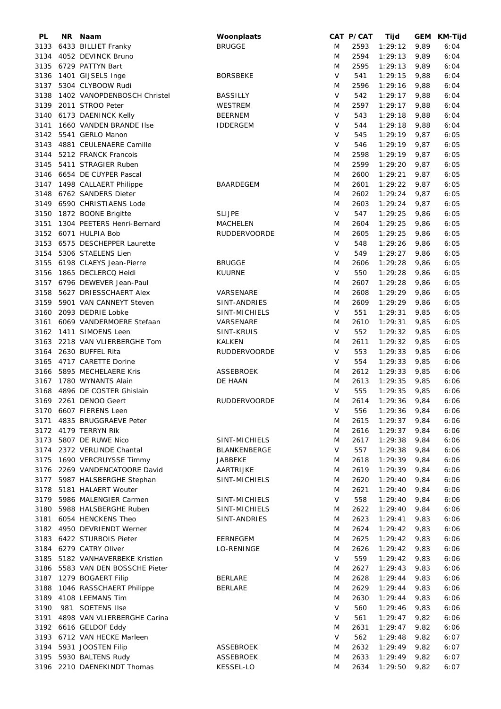| PL   | <b>NR</b> | Naam                             | Woonplaats          |        | CAT P/CAT | Tijd    |      | GEM KM-Tijd |
|------|-----------|----------------------------------|---------------------|--------|-----------|---------|------|-------------|
| 3133 |           | 6433 BILLIET Franky              | <b>BRUGGE</b>       | M      | 2593      | 1:29:12 | 9,89 | 6:04        |
| 3134 |           | 4052 DEVINCK Bruno               |                     | M      | 2594      | 1:29:13 | 9,89 | 6:04        |
| 3135 |           | 6729 PATTYN Bart                 |                     | M      | 2595      | 1:29:13 | 9,89 | 6:04        |
| 3136 |           | 1401 GIJSELS Inge                | <b>BORSBEKE</b>     | V      | 541       | 1:29:15 | 9,88 | 6:04        |
| 3137 |           | 5304 CLYBOOW Rudi                |                     | M      | 2596      | 1:29:16 | 9,88 | 6:04        |
| 3138 |           | 1402 VANOPDENBOSCH Christel      | <b>BASSILLY</b>     | V      | 542       | 1:29:17 | 9,88 | 6:04        |
|      |           |                                  |                     |        |           |         |      |             |
| 3139 |           | 2011 STROO Peter                 | <b>WESTREM</b>      | M      | 2597      | 1:29:17 | 9,88 | 6:04        |
| 3140 |           | 6173 DAENINCK Kelly              | <b>BEERNEM</b>      | V      | 543       | 1:29:18 | 9,88 | 6:04        |
| 3141 |           | 1660 VANDEN BRANDE IIse          | <b>IDDERGEM</b>     | V      | 544       | 1:29:18 | 9,88 | 6:04        |
| 3142 |           | 5541 GERLO Manon                 |                     | V      | 545       | 1:29:19 | 9,87 | 6:05        |
| 3143 |           | 4881 CEULENAERE Camille          |                     | V      | 546       | 1:29:19 | 9,87 | 6:05        |
| 3144 |           | 5212 FRANCK Francois             |                     | M      | 2598      | 1:29:19 | 9,87 | 6:05        |
| 3145 |           | 5411 STRAGIER Ruben              |                     | M      | 2599      | 1:29:20 | 9,87 | 6:05        |
|      |           | 3146 6654 DE CUYPER Pascal       |                     | M      | 2600      | 1:29:21 | 9,87 | 6:05        |
| 3147 |           | 1498 CALLAERT Philippe           | <b>BAARDEGEM</b>    | M      | 2601      | 1:29:22 | 9,87 | 6:05        |
| 3148 |           | 6762 SANDERS Dieter              |                     | M      | 2602      | 1:29:24 | 9,87 | 6:05        |
|      |           | 3149 6590 CHRISTIAENS Lode       |                     | M      | 2603      | 1:29:24 | 9,87 | 6:05        |
| 3150 |           | 1872 BOONE Brigitte              | <b>SLIJPE</b>       | V      | 547       | 1:29:25 | 9,86 | 6:05        |
|      |           | 1304 PEETERS Henri-Bernard       | <b>MACHELEN</b>     |        |           |         |      |             |
| 3151 |           |                                  |                     | M      | 2604      | 1:29:25 | 9,86 | 6:05        |
| 3152 |           | 6071 HULPIA Bob                  | RUDDERVOORDE        | M      | 2605      | 1:29:25 | 9,86 | 6:05        |
| 3153 |           | 6575 DESCHEPPER Laurette         |                     | $\vee$ | 548       | 1:29:26 | 9,86 | 6:05        |
| 3154 |           | 5306 STAELENS Lien               |                     | V      | 549       | 1:29:27 | 9,86 | 6:05        |
| 3155 |           | 6198 CLAEYS Jean-Pierre          | <b>BRUGGE</b>       | M      | 2606      | 1:29:28 | 9,86 | 6:05        |
| 3156 |           | 1865 DECLERCQ Heidi              | <b>KUURNE</b>       | V      | 550       | 1:29:28 | 9,86 | 6:05        |
|      |           | 3157 6796 DEWEVER Jean-Paul      |                     | M      | 2607      | 1:29:28 | 9,86 | 6:05        |
| 3158 |           | 5627 DRIESSCHAERT Alex           | VARSENARE           | M      | 2608      | 1:29:29 | 9,86 | 6:05        |
| 3159 |           | 5901 VAN CANNEYT Steven          | SINT-ANDRIES        | M      | 2609      | 1:29:29 | 9,86 | 6:05        |
| 3160 |           | 2093 DEDRIE Lobke                | SINT-MICHIELS       | V      | 551       | 1:29:31 | 9,85 | 6:05        |
| 3161 |           | 6069 VANDERMOERE Stefaan         | VARSENARE           | M      | 2610      | 1:29:31 | 9,85 | 6:05        |
|      |           |                                  |                     |        |           |         |      |             |
| 3162 |           | 1411 SIMOENS Leen                | SINT-KRUIS          | V      | 552       | 1:29:32 | 9,85 | 6:05        |
| 3163 |           | 2218 VAN VLIERBERGHE Tom         | <b>KALKEN</b>       | M      | 2611      | 1:29:32 | 9,85 | 6:05        |
| 3164 |           | 2630 BUFFEL Rita                 | <b>RUDDERVOORDE</b> | $\vee$ | 553       | 1:29:33 | 9,85 | 6:06        |
| 3165 |           | 4717 CARETTE Dorine              |                     | V      | 554       | 1:29:33 | 9,85 | 6:06        |
| 3166 |           | 5895 MECHELAERE Kris             | <b>ASSEBROEK</b>    | M      | 2612      | 1:29:33 | 9,85 | 6:06        |
| 3167 |           | 1780 WYNANTS Alain               | DE HAAN             | M      | 2613      | 1:29:35 | 9,85 | 6:06        |
| 3168 |           | 4896 DE COSTER Ghislain          |                     | V      | 555       | 1:29:35 | 9,85 | 6:06        |
|      |           | 3169 2261 DENOO Geert            | <b>RUDDERVOORDE</b> | M      | 2614      | 1:29:36 | 9,84 | 6:06        |
|      |           | 3170 6607 FIERENS Leen           |                     | V      | 556       | 1:29:36 | 9,84 | 6:06        |
|      |           | 3171 4835 BRUGGRAEVE Peter       |                     | M      | 2615      | 1:29:37 | 9,84 | 6:06        |
|      |           | 3172 4179 TERRYN Rik             |                     | M      | 2616      | 1:29:37 | 9,84 | 6:06        |
|      |           | 3173 5807 DE RUWE Nico           | SINT-MICHIELS       | M      | 2617      | 1:29:38 | 9,84 | 6:06        |
|      |           | 3174 2372 VERLINDE Chantal       | BLANKENBERGE        | V      | 557       | 1:29:38 |      | 6:06        |
|      |           |                                  |                     |        |           |         | 9,84 |             |
|      |           | 3175 1690 VERCRUYSSE Timmy       | JABBEKE             | M      | 2618      | 1:29:39 | 9,84 | 6:06        |
|      |           | 3176 2269 VANDENCATOORE David    | AARTRIJKE           | M      | 2619      | 1:29:39 | 9,84 | 6:06        |
|      |           | 3177 5987 HALSBERGHE Stephan     | SINT-MICHIELS       | M      | 2620      | 1:29:40 | 9,84 | 6:06        |
|      |           | 3178 5181 HALAERT Wouter         |                     | M      | 2621      | 1:29:40 | 9,84 | 6:06        |
|      |           | 3179 5986 MALENGIER Carmen       | SINT-MICHIELS       | V      | 558       | 1:29:40 | 9,84 | 6:06        |
|      |           | 3180 5988 HALSBERGHE Ruben       | SINT-MICHIELS       | M      | 2622      | 1:29:40 | 9,84 | 6:06        |
| 3181 |           | 6054 HENCKENS Theo               | SINT-ANDRIES        | M      | 2623      | 1:29:41 | 9,83 | 6:06        |
|      |           | 3182 4950 DEVRIENDT Werner       |                     | M      | 2624      | 1:29:42 | 9,83 | 6:06        |
|      |           | 3183 6422 STURBOIS Pieter        | <b>EERNEGEM</b>     | M      | 2625      | 1:29:42 | 9,83 | 6:06        |
|      |           | 3184 6279 CATRY Oliver           | LO-RENINGE          | M      | 2626      | 1:29:42 | 9,83 | 6:06        |
|      |           | 3185 5182 VANHAVERBEKE Kristien  |                     | V      | 559       | 1:29:42 | 9,83 | 6:06        |
|      |           |                                  |                     |        |           |         |      |             |
|      |           | 3186 5583 VAN DEN BOSSCHE Pieter |                     | M      | 2627      | 1:29:43 | 9,83 | 6:06        |
|      |           | 3187 1279 BOGAERT Filip          | BERLARE             | M      | 2628      | 1:29:44 | 9,83 | 6:06        |
| 3188 |           | 1046 RASSCHAERT Philippe         | <b>BERLARE</b>      | M      | 2629      | 1:29:44 | 9,83 | 6:06        |
| 3189 |           | 4108 LEEMANS Tim                 |                     | M      | 2630      | 1:29:44 | 9,83 | 6:06        |
| 3190 |           | 981 SOETENS IIse                 |                     | V      | 560       | 1:29:46 | 9,83 | 6:06        |
| 3191 |           | 4898 VAN VLIERBERGHE Carina      |                     | V      | 561       | 1:29:47 | 9,82 | 6:06        |
| 3192 |           | 6616 GELDOF Eddy                 |                     | M      | 2631      | 1:29:47 | 9,82 | 6:06        |
|      |           | 3193 6712 VAN HECKE Marleen      |                     | V      | 562       | 1:29:48 | 9,82 | 6:07        |
|      |           | 3194 5931 JOOSTEN Filip          | <b>ASSEBROEK</b>    | M      | 2632      | 1:29:49 | 9,82 | 6:07        |
|      |           | 3195 5930 BALTENS Rudy           | <b>ASSEBROEK</b>    | M      | 2633      | 1:29:49 | 9,82 | 6:07        |
|      |           | 3196 2210 DAENEKINDT Thomas      | KESSEL-LO           | M      | 2634      | 1:29:50 | 9,82 | 6:07        |
|      |           |                                  |                     |        |           |         |      |             |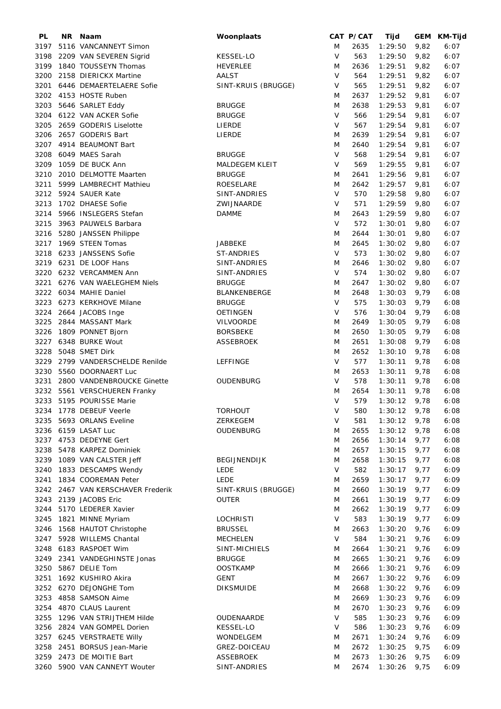| <b>PL</b> | NR I | Naam                         | Woonplaats          |        | CAT P/CAT | Tijd    |      | GEM KM-Tijd |
|-----------|------|------------------------------|---------------------|--------|-----------|---------|------|-------------|
| 3197      |      | 5116 VANCANNEYT Simon        |                     | M      | 2635      | 1:29:50 | 9,82 | 6:07        |
| 3198      |      | 2209 VAN SEVEREN Sigrid      | <b>KESSEL-LO</b>    | V      | 563       | 1:29:50 | 9,82 | 6:07        |
| 3199      |      | 1840 TOUSSEYN Thomas         | <b>HEVERLEE</b>     | M      | 2636      | 1:29:51 | 9,82 | 6:07        |
| 3200      |      | 2158 DIERICKX Martine        | <b>AALST</b>        | V      | 564       | 1:29:51 | 9,82 | 6:07        |
| 3201      |      | 6446 DEMAERTELAERE Sofie     | SINT-KRUIS (BRUGGE) | V      | 565       | 1:29:51 | 9,82 | 6:07        |
| 3202      |      | 4153 HOSTE Ruben             |                     | Μ      | 2637      | 1:29:52 | 9,81 | 6:07        |
|           |      |                              |                     |        |           |         |      |             |
| 3203      |      | 5646 SARLET Eddy             | <b>BRUGGE</b>       | M      | 2638      | 1:29:53 | 9,81 | 6:07        |
|           |      | 3204 6122 VAN ACKER Sofie    | <b>BRUGGE</b>       | V      | 566       | 1:29:54 | 9,81 | 6:07        |
| 3205      |      | 2659 GODERIS Liselotte       | LIERDE              | V      | 567       | 1:29:54 | 9,81 | 6:07        |
| 3206      |      | 2657 GODERIS Bart            | LIERDE              | M      | 2639      | 1:29:54 | 9,81 | 6:07        |
|           |      | 3207 4914 BEAUMONT Bart      |                     | M      | 2640      | 1:29:54 | 9,81 | 6:07        |
| 3208      |      | 6049 MAES Sarah              | <b>BRUGGE</b>       | V      | 568       | 1:29:54 | 9,81 | 6:07        |
| 3209      |      | 1059 DE BUCK Ann             | MALDEGEM KLEIT      | V      | 569       | 1:29:55 | 9,81 | 6:07        |
| 3210      |      | 2010 DELMOTTE Maarten        | <b>BRUGGE</b>       | M      | 2641      | 1:29:56 | 9,81 | 6:07        |
| 3211      |      | 5999 LAMBRECHT Mathieu       | ROESELARE           | M      | 2642      | 1:29:57 | 9,81 | 6:07        |
| 3212      |      | 5924 SAUER Kate              | SINT-ANDRIES        | $\vee$ | 570       | 1:29:58 | 9,80 | 6:07        |
| 3213      |      | 1702 DHAESE Sofie            | ZWIJNAARDE          | V      | 571       | 1:29:59 | 9,80 | 6:07        |
|           |      |                              |                     |        |           |         |      |             |
| 3214      |      | 5966 INSLEGERS Stefan        | <b>DAMME</b>        | M      | 2643      | 1:29:59 | 9,80 | 6:07        |
| 3215      |      | 3963 PAUWELS Barbara         |                     | V      | 572       | 1:30:01 | 9,80 | 6:07        |
| 3216      |      | 5280 JANSSEN Philippe        |                     | M      | 2644      | 1:30:01 | 9,80 | 6:07        |
| 3217      |      | 1969 STEEN Tomas             | <b>JABBEKE</b>      | M      | 2645      | 1:30:02 | 9,80 | 6:07        |
|           |      | 3218 6233 JANSSENS Sofie     | <b>ST-ANDRIES</b>   | V      | 573       | 1:30:02 | 9,80 | 6:07        |
|           |      | 3219 6231 DE LOOF Hans       | SINT-ANDRIES        | M      | 2646      | 1:30:02 | 9,80 | 6:07        |
|           |      | 3220 6232 VERCAMMEN Ann      | SINT-ANDRIES        | V      | 574       | 1:30:02 | 9,80 | 6:07        |
| 3221      |      | 6276 VAN WAELEGHEM Niels     | <b>BRUGGE</b>       | M      | 2647      | 1:30:02 | 9,80 | 6:07        |
| 3222      |      | 6034 MAHIE Daniel            | <b>BLANKENBERGE</b> | M      | 2648      | 1:30:03 | 9,79 | 6:08        |
| 3223      |      | 6273 KERKHOVE Milane         | <b>BRUGGE</b>       | V      | 575       | 1:30:03 | 9,79 | 6:08        |
| 3224      |      | 2664 JACOBS Inge             | <b>OETINGEN</b>     | V      | 576       | 1:30:04 | 9,79 | 6:08        |
|           |      |                              |                     |        |           |         |      |             |
| 3225      |      | 2844 MASSANT Mark            | <b>VILVOORDE</b>    | M      | 2649      | 1:30:05 | 9,79 | 6:08        |
| 3226      |      | 1809 PONNET Bjorn            | <b>BORSBEKE</b>     | M      | 2650      | 1:30:05 | 9,79 | 6:08        |
| 3227      |      | 6348 BURKE Wout              | <b>ASSEBROEK</b>    | M      | 2651      | 1:30:08 | 9,79 | 6:08        |
| 3228      |      | 5048 SMET Dirk               |                     | M      | 2652      | 1:30:10 | 9,78 | 6:08        |
| 3229      |      | 2799 VANDERSCHELDE Renilde   | LEFFINGE            | V      | 577       | 1:30:11 | 9,78 | 6:08        |
|           |      | 3230 5560 DOORNAERT Luc      |                     | M      | 2653      | 1:30:11 | 9,78 | 6:08        |
| 3231      |      | 2800 VANDENBROUCKE Ginette   | OUDENBURG           | V      | 578       | 1:30:11 | 9,78 | 6:08        |
|           |      | 3232 5561 VERSCHUEREN Franky |                     | M      | 2654      | 1:30:11 | 9,78 | 6:08        |
|           |      | 3233 5195 POURISSE Marie     |                     | $\vee$ | 579       | 1:30:12 | 9,78 | 6:08        |
|           |      | 3234 1778 DEBEUF Veerle      | <b>TORHOUT</b>      | V      | 580       | 1:30:12 | 9,78 | 6:08        |
|           |      | 3235 5693 ORLANS Eveline     | ZERKEGEM            | V      | 581       | 1:30:12 | 9,78 | 6:08        |
|           |      | 3236 6159 LASAT Luc          | <b>OUDENBURG</b>    | M      | 2655      | 1:30:12 | 9,78 | 6:08        |
|           |      | 3237 4753 DEDEYNE Gert       |                     |        |           |         |      |             |
|           |      |                              |                     | M      | 2656      | 1:30:14 | 9,77 | 6:08        |
|           |      | 3238 5478 KARPEZ Dominiek    |                     | M      | 2657      | 1:30:15 | 9,77 | 6:08        |
|           |      | 3239 1089 VAN CALSTER Jeff   | <b>BEGIJNENDIJK</b> | M      | 2658      | 1:30:15 | 9,77 | 6:08        |
| 3240      |      | 1833 DESCAMPS Wendy          | LEDE                | V      | 582       | 1:30:17 | 9,77 | 6:09        |
| 3241      |      | 1834 COOREMAN Peter          | LEDE                | M      | 2659      | 1:30:17 | 9,77 | 6:09        |
| 3242      |      | 2467 VAN KERSCHAVER Frederik | SINT-KRUIS (BRUGGE) | M      | 2660      | 1:30:19 | 9,77 | 6:09        |
|           |      | 3243 2139 JACOBS Eric        | <b>OUTER</b>        | M      | 2661      | 1:30:19 | 9,77 | 6:09        |
|           |      | 3244 5170 LEDERER Xavier     |                     | M      | 2662      | 1:30:19 | 9,77 | 6:09        |
| 3245      |      | 1821 MINNE Myriam            | <b>LOCHRISTI</b>    | V      | 583       | 1:30:19 | 9,77 | 6:09        |
|           |      | 3246 1568 HAUTOT Christophe  | <b>BRUSSEL</b>      | M      | 2663      | 1:30:20 | 9,76 | 6:09        |
|           |      | 3247 5928 WILLEMS Chantal    | <b>MECHELEN</b>     | V      | 584       | 1:30:21 | 9,76 | 6:09        |
|           |      | 3248 6183 RASPOET Wim        | SINT-MICHIELS       | M      | 2664      | 1:30:21 | 9,76 | 6:09        |
|           |      |                              |                     |        |           |         |      |             |
|           |      | 3249 2341 VANDEGHINSTE Jonas | <b>BRUGGE</b>       | M      | 2665      | 1:30:21 | 9,76 | 6:09        |
|           |      | 3250 5867 DELIE Tom          | <b>OOSTKAMP</b>     | M      | 2666      | 1:30:21 | 9,76 | 6:09        |
|           |      | 3251 1692 KUSHIRO Akira      | <b>GENT</b>         | M      | 2667      | 1:30:22 | 9,76 | 6:09        |
|           |      | 3252 6270 DEJONGHE Tom       | <b>DIKSMUIDE</b>    | M      | 2668      | 1:30:22 | 9,76 | 6:09        |
|           |      | 3253 4858 SAMSON Aime        |                     | M      | 2669      | 1:30:23 | 9,76 | 6:09        |
| 3254      |      | 4870 CLAUS Laurent           |                     | M      | 2670      | 1:30:23 | 9,76 | 6:09        |
| 3255      |      | 1296 VAN STRIJTHEM Hilde     | OUDENAARDE          | V      | 585       | 1:30:23 | 9,76 | 6:09        |
|           |      | 3256 2824 VAN GOMPEL Dorien  | <b>KESSEL-LO</b>    | V      | 586       | 1:30:23 | 9,76 | 6:09        |
|           |      | 3257 6245 VERSTRAETE Willy   | WONDELGEM           | M      | 2671      | 1:30:24 | 9,76 | 6:09        |
|           |      | 3258 2451 BORSUS Jean-Marie  | GREZ-DOICEAU        | M      | 2672      | 1:30:25 | 9,75 | 6:09        |
|           |      | 3259 2473 DE MOITIE Bart     | <b>ASSEBROEK</b>    | M      | 2673      | 1:30:26 | 9,75 | 6:09        |
|           |      | 3260 5900 VAN CANNEYT Wouter | SINT-ANDRIES        | M      | 2674      | 1:30:26 | 9,75 | 6:09        |
|           |      |                              |                     |        |           |         |      |             |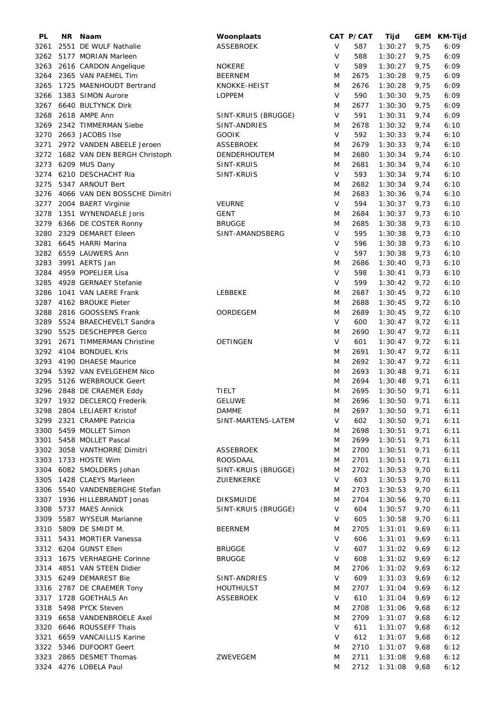| PL   | NR. | Naam                          | Woonplaats          |              | CAT P/CAT | Tijd    |      | GEM KM-Tijd |
|------|-----|-------------------------------|---------------------|--------------|-----------|---------|------|-------------|
| 3261 |     | 2551 DE WULF Nathalie         | ASSEBROEK           | V            | 587       | 1:30:27 | 9,75 | 6:09        |
| 3262 |     | 5177 MORIAN Marleen           |                     | V            | 588       | 1:30:27 | 9,75 | 6:09        |
| 3263 |     | 2616 CARDON Angelique         | <b>NOKERE</b>       | V            | 589       | 1:30:27 | 9,75 | 6:09        |
| 3264 |     | 2365 VAN PAEMEL Tim           | <b>BEERNEM</b>      | M            | 2675      | 1:30:28 | 9,75 | 6:09        |
| 3265 |     | 1725 MAENHOUDT Bertrand       | KNOKKE-HEIST        | M            | 2676      | 1:30:28 | 9,75 | 6:09        |
| 3266 |     | 1383 SIMON Aurore             | <b>LOPPEM</b>       | $\mathsf{V}$ | 590       | 1:30:30 | 9,75 | 6:09        |
| 3267 |     | 6640 BULTYNCK Dirk            |                     | M            | 2677      | 1:30:30 | 9,75 | 6:09        |
| 3268 |     | 2618 AMPE Ann                 | SINT-KRUIS (BRUGGE) | V            | 591       | 1:30:31 | 9,74 | 6:09        |
|      |     |                               |                     |              |           |         |      |             |
| 3269 |     | 2342 TIMMERMAN Siebe          | SINT-ANDRIES        | M            | 2678      | 1:30:32 | 9,74 | 6:10        |
| 3270 |     | 2663 JACOBS Ilse              | <b>GOOIK</b>        | V            | 592       | 1:30:33 | 9,74 | 6:10        |
| 3271 |     | 2972 VANDEN ABEELE Jeroen     | ASSEBROEK           | M            | 2679      | 1:30:33 | 9,74 | 6:10        |
| 3272 |     | 1682 VAN DEN BERGH Christoph  | DENDERHOUTEM        | M            | 2680      | 1:30:34 | 9,74 | 6:10        |
| 3273 |     | 6209 MUS Dany                 | SINT-KRUIS          | M            | 2681      | 1:30:34 | 9,74 | 6:10        |
| 3274 |     | 6210 DESCHACHT Ria            | SINT-KRUIS          | V            | 593       | 1:30:34 | 9,74 | 6:10        |
| 3275 |     | 5347 ARNOUT Bert              |                     | M            | 2682      | 1:30:34 | 9,74 | 6:10        |
| 3276 |     | 4066 VAN DEN BOSSCHE Dimitri  |                     | M            | 2683      | 1:30:36 | 9,74 | 6:10        |
| 3277 |     | 2004 BAERT Virginie           | <b>VEURNE</b>       | $\vee$       | 594       | 1:30:37 | 9,73 | 6:10        |
| 3278 |     | 1351 WYNENDAELE Joris         | <b>GENT</b>         | M            | 2684      | 1:30:37 | 9,73 | 6:10        |
| 3279 |     | 6366 DE COSTER Ronny          | <b>BRUGGE</b>       | M            | 2685      | 1:30:38 | 9,73 | 6:10        |
| 3280 |     | 2329 DEMARET Eileen           | SINT-AMANDSBERG     | $\vee$       | 595       | 1:30:38 | 9,73 | 6:10        |
| 3281 |     | 6645 HARRI Marina             |                     | V            | 596       | 1:30:38 | 9,73 | 6:10        |
|      |     | 3282 6559 LAUWERS Ann         |                     | V            | 597       | 1:30:38 | 9,73 | 6:10        |
|      |     |                               |                     |              |           |         |      |             |
| 3283 |     | 3991 AERTS Jan                |                     | M            | 2686      | 1:30:40 | 9,73 | 6:10        |
| 3284 |     | 4959 POPELIER Lisa            |                     | V            | 598       | 1:30:41 | 9,73 | 6:10        |
| 3285 |     | 4928 GERNAEY Stefanie         |                     | V            | 599       | 1:30:42 | 9,72 | 6:10        |
| 3286 |     | 1041 VAN LAERE Frank          | LEBBEKE             | M            | 2687      | 1:30:45 | 9,72 | 6:10        |
| 3287 |     | 4162 BROUKE Pieter            |                     | M            | 2688      | 1:30:45 | 9,72 | 6:10        |
| 3288 |     | 2816 GOOSSENS Frank           | OORDEGEM            | M            | 2689      | 1:30:45 | 9,72 | 6:10        |
| 3289 |     | 5524 BRAECHEVELT Sandra       |                     | V            | 600       | 1:30:47 | 9,72 | 6:11        |
| 3290 |     | 5525 DESCHEPPER Gerco         |                     | M            | 2690      | 1:30:47 | 9,72 | 6:11        |
| 3291 |     | 2671 TIMMERMAN Christine      | <b>OETINGEN</b>     | $\vee$       | 601       | 1:30:47 | 9,72 | 6:11        |
| 3292 |     | 4104 BONDUEL Kris             |                     | M            | 2691      | 1:30:47 | 9,72 | 6:11        |
| 3293 |     | 4190 DHAESE Maurice           |                     | M            | 2692      | 1:30:47 | 9,72 | 6:11        |
| 3294 |     | 5392 VAN EVELGEHEM Nico       |                     | M            | 2693      | 1:30:48 | 9,71 | 6:11        |
|      |     | 3295 5126 WERBROUCK Geert     |                     | M            | 2694      | 1:30:48 | 9,71 | 6:11        |
|      |     | 3296 2848 DE CRAEMER Eddy     | TIELT               | M            | 2695      | 1:30:50 | 9,71 | 6:11        |
|      |     | 3297 1932 DECLERCQ Frederik   | <b>GELUWE</b>       | M            | 2696      | 1:30:50 | 9,71 | 6:11        |
|      |     | 3298 2804 LELIAERT Kristof    | <b>DAMME</b>        | M            | 2697      | 1:30:50 | 9,71 | 6:11        |
|      |     |                               |                     |              |           |         |      |             |
|      |     | 3299 2321 CRAMPE Patricia     | SINT-MARTENS-LATEM  | V            | 602       | 1:30:50 | 9,71 | 6:11        |
|      |     | 3300 5459 MOLLET Simon        |                     | M            | 2698      | 1:30:51 | 9,71 | 6:11        |
|      |     | 3301 5458 MOLLET Pascal       |                     | M            | 2699      | 1:30:51 | 9,71 | 6:11        |
|      |     | 3302 3058 VANTHORRE Dimitri   | ASSEBROEK           | M            | 2700      | 1:30:51 | 9,71 | 6:11        |
|      |     | 3303 1733 HOSTE Wim           | ROOSDAAL            | M            | 2701      | 1:30:51 | 9,71 | 6:11        |
|      |     | 3304 6082 SMOLDERS Johan      | SINT-KRUIS (BRUGGE) | M            | 2702      | 1:30:53 | 9,70 | 6:11        |
| 3305 |     | 1428 CLAEYS Marleen           | ZUIENKERKE          | V            | 603       | 1:30:53 | 9,70 | 6:11        |
|      |     | 3306 5540 VANDENBERGHE Stefan |                     | M            | 2703      | 1:30:53 | 9,70 | 6:11        |
|      |     | 3307 1936 HILLEBRANDT Jonas   | <b>DIKSMUIDE</b>    | M            | 2704      | 1:30:56 | 9,70 | 6:11        |
|      |     | 3308 5737 MAES Annick         | SINT-KRUIS (BRUGGE) | V            | 604       | 1:30:57 | 9,70 | 6:11        |
|      |     | 3309 5587 WYSEUR Marianne     |                     | V            | 605       | 1:30:58 | 9,70 | 6:11        |
|      |     | 3310 5809 DE SMIDT M.         | <b>BEERNEM</b>      | M            | 2705      | 1:31:01 | 9,69 | 6:11        |
| 3311 |     | 5431 MORTIER Vanessa          |                     | V            | 606       | 1:31:01 | 9,69 | 6:11        |
|      |     | 3312 6204 GUNST Ellen         | <b>BRUGGE</b>       | V            | 607       | 1:31:02 | 9,69 | 6:12        |
|      |     | 3313 1675 VERHAEGHE Corinne   | <b>BRUGGE</b>       | $\vee$       | 608       | 1:31:02 | 9,69 | 6:12        |
|      |     | 3314 4851 VAN STEEN Didier    |                     | M            | 2706      | 1:31:02 | 9,69 | 6:12        |
|      |     | 3315 6249 DEMAREST Bie        | SINT-ANDRIES        | $\vee$       | 609       | 1:31:03 | 9,69 | 6:12        |
|      |     |                               |                     |              |           |         |      |             |
|      |     | 3316 2787 DE CRAEMER Tony     | HOUTHULST           | M            | 2707      | 1:31:04 | 9,69 | 6:12        |
|      |     | 3317 1728 GOETHALS An         | <b>ASSEBROEK</b>    | $\vee$       | 610       | 1:31:04 | 9,69 | 6:12        |
|      |     | 3318 5498 PYCK Steven         |                     | M            | 2708      | 1:31:06 | 9,68 | 6:12        |
|      |     | 3319 6658 VANDENBROELE Axel   |                     | M            | 2709      | 1:31:07 | 9,68 | 6:12        |
|      |     | 3320 6646 ROUSSEFF Thais      |                     | $\vee$       | 611       | 1:31:07 | 9,68 | 6:12        |
| 3321 |     | 6659 VANCAILLIS Karine        |                     | V            | 612       | 1:31:07 | 9,68 | 6:12        |
|      |     | 3322 5346 DUFOORT Geert       |                     | M            | 2710      | 1:31:07 | 9,68 | 6:12        |
|      |     | 3323 2865 DESMET Thomas       | ZWEVEGEM            | M            | 2711      | 1:31:08 | 9,68 | 6:12        |
|      |     | 3324 4276 LOBELA Paul         |                     | M            | 2712      | 1:31:08 | 9,68 | 6:12        |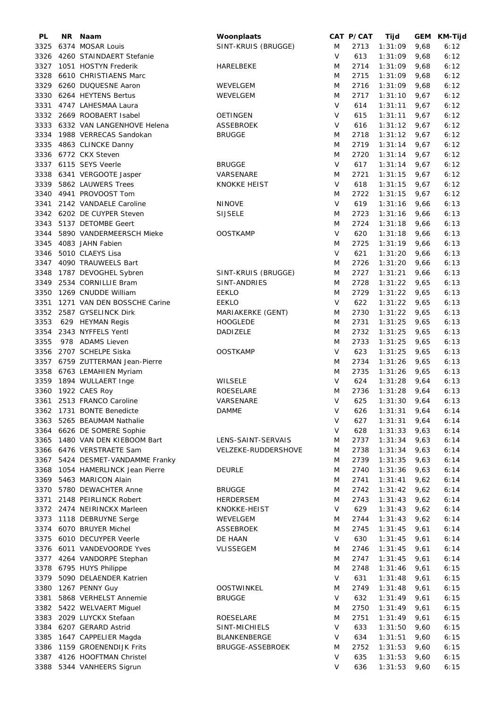| PL   | NR. | Naam                        | Woonplaats          |        | CAT P/CAT | Tijd    |      | GEM KM-Tijd |
|------|-----|-----------------------------|---------------------|--------|-----------|---------|------|-------------|
| 3325 |     | 6374 MOSAR Louis            | SINT-KRUIS (BRUGGE) | M      | 2713      | 1:31:09 | 9,68 | 6:12        |
| 3326 |     | 4260 STAINDAERT Stefanie    |                     | V      | 613       | 1:31:09 | 9,68 | 6:12        |
| 3327 |     | 1051 HOSTYN Frederik        | HARELBEKE           | M      | 2714      | 1:31:09 | 9,68 | 6:12        |
| 3328 |     | 6610 CHRISTIAENS Marc       |                     | M      | 2715      | 1:31:09 | 9,68 | 6:12        |
| 3329 |     | 6260 DUQUESNE Aaron         | WEVELGEM            | M      | 2716      | 1:31:09 | 9,68 | 6:12        |
| 3330 |     | 6264 HEYTENS Bertus         | WEVELGEM            | M      | 2717      | 1:31:10 | 9,67 | 6:12        |
| 3331 |     | 4747 LAHESMAA Laura         |                     | V      | 614       | 1:31:11 | 9,67 | 6:12        |
| 3332 |     | 2669 ROOBAERT Isabel        | <b>OETINGEN</b>     | V      | 615       | 1:31:11 | 9,67 | 6:12        |
| 3333 |     | 6332 VAN LANGENHOVE Helena  | <b>ASSEBROEK</b>    | V      | 616       | 1:31:12 | 9,67 | 6:12        |
| 3334 |     | 1988 VERRECAS Sandokan      | <b>BRUGGE</b>       | M      | 2718      | 1:31:12 | 9,67 | 6:12        |
| 3335 |     | 4863 CLINCKE Danny          |                     | M      | 2719      | 1:31:14 | 9,67 | 6:12        |
| 3336 |     | 6772 CKX Steven             |                     | M      | 2720      | 1:31:14 | 9,67 | 6:12        |
|      |     | 3337 6115 SEYS Veerle       | <b>BRUGGE</b>       | V      | 617       | 1:31:14 | 9,67 | 6:12        |
|      |     | 3338 6341 VERGOOTE Jasper   | VARSENARE           | M      | 2721      | 1:31:15 | 9,67 | 6:12        |
| 3339 |     | 5862 LAUWERS Trees          | <b>KNOKKE HEIST</b> | V      | 618       | 1:31:15 | 9,67 | 6:12        |
|      |     | 3340 4941 PROVOOST Tom      |                     | M      | 2722      | 1:31:15 | 9,67 | 6:12        |
| 3341 |     | 2142 VANDAELE Caroline      | <b>NINOVE</b>       | V      | 619       | 1:31:16 | 9,66 | 6:13        |
|      |     | 3342 6202 DE CUYPER Steven  | <b>SIJSELE</b>      | M      | 2723      | 1:31:16 | 9,66 | 6:13        |
| 3343 |     | 5137 DETOMBE Geert          |                     | M      | 2724      | 1:31:18 | 9,66 | 6:13        |
|      |     |                             |                     | $\vee$ |           |         |      |             |
| 3344 |     | 5890 VANDERMEERSCH Mieke    | <b>OOSTKAMP</b>     |        | 620       | 1:31:18 | 9,66 | 6:13        |
| 3345 |     | 4083 JAHN Fabien            |                     | M      | 2725      | 1:31:19 | 9,66 | 6:13        |
| 3346 |     | 5010 CLAEYS Lisa            |                     | V      | 621       | 1:31:20 | 9,66 | 6:13        |
| 3347 |     | 4090 TRAUWEELS Bart         |                     | M      | 2726      | 1:31:20 | 9,66 | 6:13        |
| 3348 |     | 1787 DEVOGHEL Sybren        | SINT-KRUIS (BRUGGE) | M      | 2727      | 1:31:21 | 9,66 | 6:13        |
| 3349 |     | 2534 CORNILLIE Bram         | SINT-ANDRIES        | M      | 2728      | 1:31:22 | 9,65 | 6:13        |
| 3350 |     | 1269 CNUDDE William         | <b>EEKLO</b>        | M      | 2729      | 1:31:22 | 9,65 | 6:13        |
| 3351 |     | 1271 VAN DEN BOSSCHE Carine | <b>EEKLO</b>        | V      | 622       | 1:31:22 | 9,65 | 6:13        |
| 3352 |     | 2587 GYSELINCK Dirk         | MARIAKERKE (GENT)   | M      | 2730      | 1:31:22 | 9,65 | 6:13        |
| 3353 |     | 629 HEYMAN Regis            | <b>HOOGLEDE</b>     | M      | 2731      | 1:31:25 | 9,65 | 6:13        |
| 3354 |     | 2343 NYFFELS Yentl          | DADIZELE            | M      | 2732      | 1:31:25 | 9,65 | 6:13        |
| 3355 |     | 978 ADAMS Lieven            |                     | M      | 2733      | 1:31:25 | 9,65 | 6:13        |
| 3356 |     | 2707 SCHELPE Siska          | <b>OOSTKAMP</b>     | V      | 623       | 1:31:25 | 9,65 | 6:13        |
| 3357 |     | 6759 ZUTTERMAN Jean-Pierre  |                     | M      | 2734      | 1:31:26 | 9,65 | 6:13        |
| 3358 |     | 6763 LEMAHIEN Myriam        |                     | M      | 2735      | 1:31:26 | 9,65 | 6:13        |
| 3359 |     | 1894 WULLAERT Inge          | WILSELE             | V      | 624       | 1:31:28 | 9,64 | 6:13        |
|      |     | 3360 1922 CAES Roy          | ROESELARE           | M      | 2736      | 1:31:28 | 9,64 | 6:13        |
| 3361 |     | 2513 FRANCO Caroline        | VARSENARE           | V      | 625       | 1:31:30 | 9,64 | 6:13        |
|      |     | 3362 1731 BONTE Benedicte   | DAMME               | V —    | 626       | 1:31:31 | 9,64 | 6:14        |
|      |     | 3363 5265 BEAUMAM Nathalie  |                     | V      | 627       | 1:31:31 | 9,64 | 6:14        |
| 3364 |     | 6626 DE SOMERE Sophie       |                     | V      | 628       | 1:31:33 | 9,63 | 6:14        |
| 3365 |     | 1480 VAN DEN KIEBOOM Bart   | LENS-SAINT-SERVAIS  | M      | 2737      | 1:31:34 | 9,63 | 6:14        |
| 3366 |     | 6476 VERSTRAETE Sam         | VELZEKE-RUDDERSHOVE | M      | 2738      | 1:31:34 | 9,63 | 6:14        |
| 3367 |     | 5424 DESMET-VANDAMME Franky |                     | M      | 2739      | 1:31:35 | 9,63 | 6:14        |
| 3368 |     | 1054 HAMERLINCK Jean Pierre | <b>DEURLE</b>       | M      | 2740      | 1:31:36 | 9,63 | 6:14        |
| 3369 |     | 5463 MARICON Alain          |                     | M      | 2741      | 1:31:41 | 9,62 | 6:14        |
|      |     | 3370 5780 DEWACHTER Anne    | <b>BRUGGE</b>       | M      | 2742      | 1:31:42 | 9,62 | 6:14        |
| 3371 |     | 2148 PEIRLINCK Robert       | <b>HERDERSEM</b>    | M      | 2743      | 1:31:43 | 9,62 | 6:14        |
|      |     | 3372 2474 NEIRINCKX Marleen | KNOKKE-HEIST        | V      | 629       | 1:31:43 | 9,62 | 6:14        |
| 3373 |     | 1118 DEBRUYNE Serge         | WEVELGEM            | M      | 2744      | 1:31:43 | 9,62 | 6:14        |
| 3374 |     | 6070 BRUYER Michel          | <b>ASSEBROEK</b>    | M      | 2745      | 1:31:45 | 9,61 | 6:14        |
| 3375 |     | 6010 DECUYPER Veerle        | DE HAAN             | V      | 630       | 1:31:45 | 9,61 | 6:14        |
| 3376 |     | 6011 VANDEVOORDE Yves       | VLISSEGEM           | M      | 2746      | 1:31:45 | 9,61 | 6:14        |
| 3377 |     |                             |                     | M      | 2747      |         |      |             |
|      |     | 4264 VANDORPE Stephan       |                     |        |           | 1:31:45 | 9,61 | 6:14        |
| 3378 |     | 6795 HUYS Philippe          |                     | M      | 2748      | 1:31:46 | 9,61 | 6:15        |
|      |     | 3379 5090 DELAENDER Katrien |                     | V      | 631       | 1:31:48 | 9,61 | 6:15        |
| 3380 |     | 1267 PENNY Guy              | <b>OOSTWINKEL</b>   | M      | 2749      | 1:31:48 | 9,61 | 6:15        |
| 3381 |     | 5868 VERHELST Annemie       | <b>BRUGGE</b>       | V      | 632       | 1:31:49 | 9,61 | 6:15        |
| 3382 |     | 5422 WELVAERT Miguel        |                     | M      | 2750      | 1:31:49 | 9,61 | 6:15        |
| 3383 |     | 2029 LUYCKX Stefaan         | <b>ROESELARE</b>    | M      | 2751      | 1:31:49 | 9,61 | 6:15        |
| 3384 |     | 6207 GERARD Astrid          | SINT-MICHIELS       | V      | 633       | 1:31:50 | 9,60 | 6:15        |
| 3385 |     | 1647 CAPPELIER Magda        | <b>BLANKENBERGE</b> | V      | 634       | 1:31:51 | 9,60 | 6:15        |
| 3386 |     | 1159 GROENENDIJK Frits      | BRUGGE-ASSEBROEK    | M      | 2752      | 1:31:53 | 9,60 | 6:15        |
| 3387 |     | 4126 HOOFTMAN Christel      |                     | V      | 635       | 1:31:53 | 9,60 | 6:15        |
|      |     | 3388 5344 VANHEERS Sigrun   |                     | V      | 636       | 1:31:53 | 9,60 | 6:15        |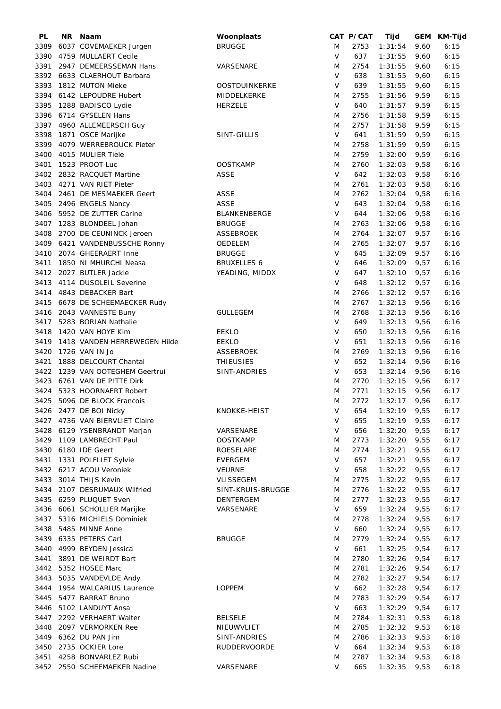| PL   | <b>NR</b> | Naam                            | Woonplaats           |        | CAT P/CAT | Tijd    |      | GEM KM-Tijd |
|------|-----------|---------------------------------|----------------------|--------|-----------|---------|------|-------------|
| 3389 |           | 6037 COVEMAEKER Jurgen          | <b>BRUGGE</b>        | M      | 2753      | 1:31:54 | 9,60 | 6:15        |
| 3390 |           | 4759 MULLAERT Cecile            |                      | $\vee$ | 637       | 1:31:55 | 9,60 | 6:15        |
| 3391 |           | 2947 DEMEERSSEMAN Hans          | VARSENARE            | M      | 2754      | 1:31:55 | 9,60 | 6:15        |
|      |           | 3392 6633 CLAERHOUT Barbara     |                      | V      | 638       | 1:31:55 | 9,60 | 6:15        |
| 3393 |           | 1812 MUTON Mieke                | <b>OOSTDUINKERKE</b> | V      | 639       | 1:31:55 | 9,60 | 6:15        |
| 3394 |           | 6142 LEPOUDRE Hubert            | MIDDELKERKE          | M      | 2755      | 1:31:56 | 9,59 | 6:15        |
|      |           |                                 |                      |        |           |         |      |             |
| 3395 |           | 1288 BADISCO Lydie              | <b>HERZELE</b>       | V      | 640       | 1:31:57 | 9,59 | 6:15        |
|      |           | 3396 6714 GYSELEN Hans          |                      | M      | 2756      | 1:31:58 | 9,59 | 6:15        |
| 3397 |           | 4960 ALLEMEERSCH Guy            |                      | M      | 2757      | 1:31:58 | 9,59 | 6:15        |
| 3398 |           | 1871 OSCE Marijke               | SINT-GILLIS          | V      | 641       | 1:31:59 | 9,59 | 6:15        |
| 3399 |           | 4079 WERREBROUCK Pieter         |                      | Μ      | 2758      | 1:31:59 | 9,59 | 6:15        |
| 3400 |           | 4015 MULIER Tiele               |                      | M      | 2759      | 1:32:00 | 9,59 | 6:16        |
| 3401 |           | 1523 PROOT Luc                  | <b>OOSTKAMP</b>      | M      | 2760      | 1:32:03 | 9,58 | 6:16        |
|      |           | 3402 2832 RACQUET Martine       | <b>ASSE</b>          | V      | 642       | 1:32:03 | 9,58 | 6:16        |
|      |           | 3403 4271 VAN RIET Pieter       |                      | Μ      | 2761      | 1:32:03 | 9,58 | 6:16        |
| 3404 |           | 2461 DE MESMAEKER Geert         | <b>ASSE</b>          | M      | 2762      | 1:32:04 | 9,58 | 6:16        |
| 3405 |           | 2496 ENGELS Nancy               | <b>ASSE</b>          | $\vee$ | 643       | 1:32:04 | 9,58 | 6:16        |
| 3406 |           | 5952 DE ZUTTER Carine           | BLANKENBERGE         | V      | 644       | 1:32:06 | 9,58 | 6:16        |
| 3407 |           | 1283 BLONDEEL Johan             | <b>BRUGGE</b>        | M      | 2763      | 1:32:06 | 9,58 | 6:16        |
|      |           |                                 |                      |        |           |         |      |             |
| 3408 |           | 2700 DE CEUNINCK Jeroen         | <b>ASSEBROEK</b>     | M      | 2764      | 1:32:07 | 9,57 | 6:16        |
| 3409 |           | 6421 VANDENBUSSCHE Ronny        | OEDELEM              | M      | 2765      | 1:32:07 | 9,57 | 6:16        |
| 3410 |           | 2074 GHEERAERT Inne             | <b>BRUGGE</b>        | $\vee$ | 645       | 1:32:09 | 9,57 | 6:16        |
| 3411 |           | 1850 NI MHURCHI Neasa           | <b>BRUXELLES 6</b>   | V      | 646       | 1:32:09 | 9,57 | 6:16        |
| 3412 |           | 2027 BUTLER Jackie              | YEADING, MIDDX       | V      | 647       | 1:32:10 | 9,57 | 6:16        |
| 3413 |           | 4114 DUSOLEIL Severine          |                      | V      | 648       | 1:32:12 | 9,57 | 6:16        |
| 3414 |           | 4843 DEBACKER Bart              |                      | M      | 2766      | 1:32:12 | 9,57 | 6:16        |
| 3415 |           | 6678 DE SCHEEMAECKER Rudy       |                      | M      | 2767      | 1:32:13 | 9,56 | 6:16        |
| 3416 |           | 2043 VANNESTE Buny              | <b>GULLEGEM</b>      | M      | 2768      | 1:32:13 | 9,56 | 6:16        |
| 3417 |           | 5283 BORIAN Nathalie            |                      | V      | 649       | 1:32:13 | 9,56 | 6:16        |
| 3418 |           | 1420 VAN HOYE Kim               | <b>EEKLO</b>         | V      | 650       | 1:32:13 | 9,56 | 6:16        |
| 3419 |           | 1418 VANDEN HERREWEGEN Hilde    | <b>EEKLO</b>         | V      | 651       | 1:32:13 | 9,56 | 6:16        |
| 3420 |           | 1726 VAN IN Jo                  | ASSEBROEK            | M      | 2769      | 1:32:13 | 9,56 | 6:16        |
|      |           |                                 |                      | V      |           |         |      |             |
| 3421 |           | 1888 DELCOURT Chantal           | <b>THIEUSIES</b>     |        | 652       | 1:32:14 | 9,56 | 6:16        |
|      |           | 3422 1239 VAN OOTEGHEM Geertrui | SINT-ANDRIES         | V      | 653       | 1:32:14 | 9,56 | 6:16        |
|      |           | 3423 6761 VAN DE PITTE Dirk     |                      | M      | 2770      | 1:32:15 | 9,56 | 6:17        |
|      |           | 3424 5323 HOORNAERT Robert      |                      | M      | 2771      | 1:32:15 | 9,56 | 6:17        |
|      |           | 3425 5096 DE BLOCK Francois     |                      | M      | 2772      | 1:32:17 | 9,56 | 6:17        |
|      |           | 3426 2477 DE BOI Nicky          | KNOKKE-HEIST         |        | V 654     | 1:32:19 | 9,55 | 6:17        |
|      |           | 3427 4736 VAN BIERVLIET Claire  |                      | V      | 655       | 1:32:19 | 9,55 | 6:17        |
|      |           | 3428 6129 YSENBRANDT Marjan     | VARSENARE            | V      | 656       | 1:32:20 | 9,55 | 6:17        |
|      |           | 3429 1109 LAMBRECHT Paul        | <b>OOSTKAMP</b>      | Μ      | 2773      | 1:32:20 | 9,55 | 6:17        |
|      |           | 3430 6180 IDE Geert             | ROESELARE            | M      | 2774      | 1:32:21 | 9,55 | 6:17        |
| 3431 |           | 1331 POLFLIET Sylvie            | <b>EVERGEM</b>       | V      | 657       | 1:32:21 | 9,55 | 6:17        |
|      |           | 3432 6217 ACOU Veroniek         | <b>VEURNE</b>        | V      | 658       | 1:32:22 | 9,55 | 6:17        |
|      |           | 3433 3014 THIJS Kevin           | VLISSEGEM            | Μ      | 2775      | 1:32:22 | 9,55 | 6:17        |
|      |           | 3434 2107 DESRUMAUX Wilfried    | SINT-KRUIS-BRUGGE    | Μ      | 2776      | 1:32:22 | 9,55 | 6:17        |
|      |           | 3435 6259 PLUQUET Sven          | DENTERGEM            | M      | 2777      | 1:32:23 | 9,55 | 6:17        |
|      |           | 3436 6061 SCHOLLIER Marijke     | VARSENARE            | V      | 659       |         | 9,55 | 6:17        |
|      |           |                                 |                      |        |           | 1:32:24 |      |             |
|      |           | 3437 5316 MICHIELS Dominiek     |                      | M      | 2778      | 1:32:24 | 9,55 | 6:17        |
|      |           | 3438 5485 MINNE Anne            |                      | V      | 660       | 1:32:24 | 9,55 | 6:17        |
|      |           | 3439 6335 PETERS Carl           | <b>BRUGGE</b>        | M      | 2779      | 1:32:24 | 9,55 | 6:17        |
|      |           | 3440 4999 BEYDEN Jessica        |                      | V      | 661       | 1:32:25 | 9,54 | 6:17        |
|      |           | 3441 3891 DE WEIRDT Bart        |                      | Μ      | 2780      | 1:32:26 | 9,54 | 6:17        |
|      |           | 3442 5352 HOSEE Marc            |                      | M      | 2781      | 1:32:26 | 9,54 | 6:17        |
|      |           | 3443 5035 VANDEVLDE Andy        |                      | M      | 2782      | 1:32:27 | 9,54 | 6:17        |
|      |           | 3444 1954 WALCARIUS Laurence    | <b>LOPPEM</b>        | V      | 662       | 1:32:28 | 9,54 | 6:17        |
|      |           | 3445 5477 BARRAT Bruno          |                      | Μ      | 2783      | 1:32:29 | 9,54 | 6:17        |
|      |           | 3446 5102 LANDUYT Ansa          |                      | V      | 663       | 1:32:29 | 9,54 | 6:17        |
|      |           | 3447 2292 VERHAERT Walter       | <b>BELSELE</b>       | M      | 2784      | 1:32:31 | 9,53 | 6:18        |
| 3448 |           | 2097 VERMORKEN Ree              | NIEUWVLIET           | M      | 2785      | 1:32:32 | 9,53 | 6:18        |
| 3449 |           | 6362 DU PAN Jim                 | SINT-ANDRIES         | M      | 2786      | 1:32:33 | 9,53 | 6:18        |
| 3450 |           | 2735 OCKIER Lore                | <b>RUDDERVOORDE</b>  | V      | 664       | 1:32:34 | 9,53 | 6:18        |
|      |           |                                 |                      |        |           |         |      |             |
|      |           | 3451 4258 BONVARLEZ Rubi        |                      | M      | 2787      | 1:32:34 | 9,53 | 6:18        |
|      |           | 3452 2550 SCHEEMAEKER Nadine    | VARSENARE            | V      | 665       | 1:32:35 | 9,53 | 6:18        |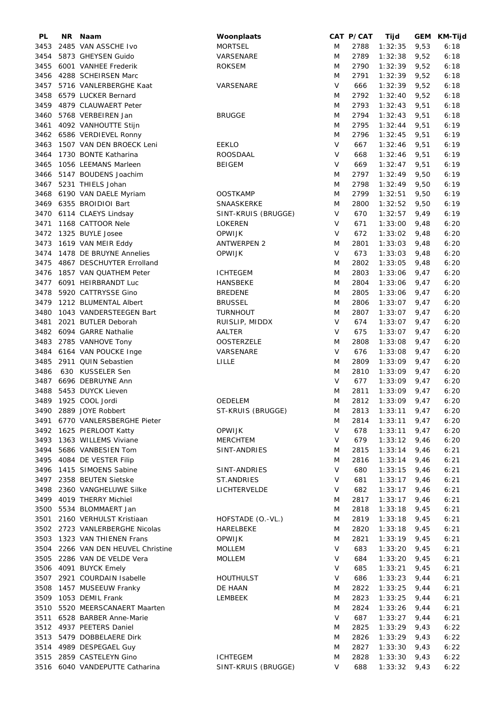| PL   | NR. | Naam                               | Woonplaats          |         | CAT P/CAT | Tijd    |      | GEM KM-Tijd |
|------|-----|------------------------------------|---------------------|---------|-----------|---------|------|-------------|
| 3453 |     | 2485 VAN ASSCHE Ivo                | <b>MORTSEL</b>      | M       | 2788      | 1:32:35 | 9,53 | 6:18        |
| 3454 |     | 5873 GHEYSEN Guido                 | VARSENARE           | M       | 2789      | 1:32:38 | 9,52 | 6:18        |
| 3455 |     | 6001 VANHEE Frederik               | <b>ROKSEM</b>       | M       | 2790      | 1:32:39 | 9,52 | 6:18        |
| 3456 |     | 4288 SCHEIRSEN Marc                |                     | M       | 2791      | 1:32:39 | 9,52 | 6:18        |
| 3457 |     | 5716 VANLERBERGHE Kaat             | VARSENARE           | V       | 666       | 1:32:39 | 9,52 | 6:18        |
| 3458 |     | 6579 LUCKER Bernard                |                     | M       | 2792      | 1:32:40 | 9,52 | 6:18        |
|      |     |                                    |                     |         |           |         |      |             |
| 3459 |     | 4879 CLAUWAERT Peter               |                     | M       | 2793      | 1:32:43 | 9,51 | 6:18        |
| 3460 |     | 5768 VERBEIREN Jan                 | <b>BRUGGE</b>       | M       | 2794      | 1:32:43 | 9,51 | 6:18        |
| 3461 |     | 4092 VANHOUTTE Stijn               |                     | M       | 2795      | 1:32:44 | 9,51 | 6:19        |
|      |     | 3462 6586 VERDIEVEL Ronny          |                     | M       | 2796      | 1:32:45 | 9,51 | 6:19        |
| 3463 |     | 1507 VAN DEN BROECK Leni           | <b>EEKLO</b>        | $\sf V$ | 667       | 1:32:46 | 9,51 | 6:19        |
| 3464 |     | 1730 BONTE Katharina               | ROOSDAAL            | V       | 668       | 1:32:46 | 9,51 | 6:19        |
| 3465 |     | 1056 LEEMANS Marleen               | <b>BEIGEM</b>       | V       | 669       | 1:32:47 | 9,51 | 6:19        |
| 3466 |     | 5147 BOUDENS Joachim               |                     | M       | 2797      | 1:32:49 | 9,50 | 6:19        |
| 3467 |     | 5231 THIELS Johan                  |                     | M       | 2798      | 1:32:49 | 9,50 | 6:19        |
| 3468 |     | 6190 VAN DAELE Myriam              | <b>OOSTKAMP</b>     | M       | 2799      | 1:32:51 | 9,50 | 6:19        |
|      |     | 3469 6355 BROIDIOI Bart            |                     | M       |           |         |      |             |
|      |     |                                    | SNAASKERKE          |         | 2800      | 1:32:52 | 9,50 | 6:19        |
| 3470 |     | 6114 CLAEYS Lindsay                | SINT-KRUIS (BRUGGE) | $\vee$  | 670       | 1:32:57 | 9,49 | 6:19        |
| 3471 |     | 1168 CATTOOR Nele                  | LOKEREN             | V       | 671       | 1:33:00 | 9,48 | 6:20        |
| 3472 |     | 1325 BUYLE Josee                   | <b>OPWIJK</b>       | V       | 672       | 1:33:02 | 9,48 | 6:20        |
| 3473 |     | 1619 VAN MEIR Eddy                 | <b>ANTWERPEN 2</b>  | M       | 2801      | 1:33:03 | 9,48 | 6:20        |
| 3474 |     | 1478 DE BRUYNE Annelies            | <b>OPWIJK</b>       | $\vee$  | 673       | 1:33:03 | 9,48 | 6:20        |
| 3475 |     | 4867 DESCHUYTER Errolland          |                     | M       | 2802      | 1:33:05 | 9,48 | 6:20        |
| 3476 |     | 1857 VAN QUATHEM Peter             | <b>ICHTEGEM</b>     | M       | 2803      | 1:33:06 | 9,47 | 6:20        |
| 3477 |     | 6091 HEIRBRANDT Luc                | <b>HANSBEKE</b>     | M       | 2804      | 1:33:06 | 9,47 | 6:20        |
| 3478 |     | 5920 CATTRYSSE Gino                | <b>BREDENE</b>      | M       | 2805      | 1:33:06 | 9,47 | 6:20        |
| 3479 |     | 1212 BLUMENTAL Albert              | <b>BRUSSEL</b>      | M       | 2806      | 1:33:07 | 9,47 | 6:20        |
|      |     |                                    |                     |         |           |         |      |             |
| 3480 |     | 1043 VANDERSTEEGEN Bart            | <b>TURNHOUT</b>     | M       | 2807      | 1:33:07 | 9,47 | 6:20        |
| 3481 |     | 2021 BUTLER Deborah                | RUISLIP, MIDDX      | V       | 674       | 1:33:07 | 9,47 | 6:20        |
| 3482 |     | 6094 GARRE Nathalie                | AALTER              | V       | 675       | 1:33:07 | 9,47 | 6:20        |
| 3483 |     | 2785 VANHOVE Tony                  | <b>OOSTERZELE</b>   | M       | 2808      | 1:33:08 | 9,47 | 6:20        |
| 3484 |     | 6164 VAN POUCKE Inge               | VARSENARE           | $\vee$  | 676       | 1:33:08 | 9,47 | 6:20        |
| 3485 |     | 2911 QUIN Sebastien                | LILLE               | M       | 2809      | 1:33:09 | 9,47 | 6:20        |
| 3486 |     | 630 KUSSELER Sen                   |                     | M       | 2810      | 1:33:09 | 9,47 | 6:20        |
|      |     | 3487 6696 DEBRUYNE Ann             |                     | V       | 677       | 1:33:09 | 9,47 | 6:20        |
| 3488 |     | 5453 DUYCK Lieven                  |                     | M       | 2811      | 1:33:09 | 9,47 | 6:20        |
|      |     | 3489 1925 COOL Jordi               | <b>OEDELEM</b>      | M       | 2812      | 1:33:09 | 9,47 | 6:20        |
|      |     | 3490 2889 JOYE Robbert             | ST-KRUIS (BRUGGE)   | M       | 2813      | 1:33:11 | 9,47 | 6:20        |
|      |     |                                    |                     |         |           |         |      |             |
|      |     | 3491 6770 VANLERSBERGHE Pieter     |                     | M       | 2814      | 1:33:11 | 9,47 | 6:20        |
|      |     | 3492 1625 PIERLOOT Katty           | <b>OPWIJK</b>       | V       | 678       | 1:33:11 | 9,47 | 6:20        |
|      |     | 3493 1363 WILLEMS Viviane          | <b>MERCHTEM</b>     | V       | 679       | 1:33:12 | 9,46 | 6:20        |
|      |     | 3494 5686 VANBESIEN Tom            | SINT-ANDRIES        | M       | 2815      | 1:33:14 | 9,46 | 6:21        |
|      |     | 3495 4084 DE VESTER Filip          |                     | M       | 2816      | 1:33:14 | 9,46 | 6:21        |
|      |     | 3496 1415 SIMOENS Sabine           | SINT-ANDRIES        | V       | 680       | 1:33:15 | 9,46 | 6:21        |
|      |     | 3497 2358 BEUTEN Sietske           | <b>ST.ANDRIES</b>   | V       | 681       | 1:33:17 | 9,46 | 6:21        |
|      |     | 3498 2360 VANGHELUWE Silke         | LICHTERVELDE        | V       | 682       | 1:33:17 | 9,46 | 6:21        |
|      |     | 3499 4019 THERRY Michiel           |                     | M       | 2817      | 1:33:17 | 9,46 | 6:21        |
|      |     | 3500 5534 BLOMMAERT Jan            |                     | M       | 2818      | 1:33:18 | 9,45 | 6:21        |
|      |     | 3501 2160 VERHULST Kristiaan       | HOFSTADE (O.-VL.)   | M       | 2819      | 1:33:18 | 9,45 | 6:21        |
|      |     | 3502 2723 VANLERBERGHE Nicolas     | HARELBEKE           | M       | 2820      | 1:33:18 | 9,45 | 6:21        |
|      |     |                                    |                     |         |           |         |      |             |
|      |     | 3503 1323 VAN THIENEN Frans        | <b>OPWIJK</b>       | M       | 2821      | 1:33:19 | 9,45 | 6:21        |
|      |     | 3504 2266 VAN DEN HEUVEL Christine | <b>MOLLEM</b>       | $\vee$  | 683       | 1:33:20 | 9,45 | 6:21        |
| 3505 |     | 2286 VAN DE VELDE Vera             | <b>MOLLEM</b>       | V       | 684       | 1:33:20 | 9,45 | 6:21        |
|      |     | 3506 4091 BUYCK Emely              |                     | V       | 685       | 1:33:21 | 9,45 | 6:21        |
|      |     | 3507 2921 COURDAIN Isabelle        | <b>HOUTHULST</b>    | V       | 686       | 1:33:23 | 9,44 | 6:21        |
| 3508 |     | 1457 MUSEEUW Franky                | DE HAAN             | M       | 2822      | 1:33:25 | 9,44 | 6:21        |
|      |     | 3509 1053 DEMIL Frank              | LEMBEEK             | M       | 2823      | 1:33:25 | 9,44 | 6:21        |
| 3510 |     | 5520 MEERSCANAERT Maarten          |                     | M       | 2824      | 1:33:26 | 9,44 | 6:21        |
| 3511 |     | 6528 BARBER Anne-Marie             |                     | V       | 687       | 1:33:27 | 9,44 | 6:21        |
|      |     | 3512 4937 PEETERS Daniel           |                     | M       | 2825      | 1:33:29 | 9,43 | 6:22        |
|      |     | 3513 5479 DOBBELAERE Dirk          |                     | M       | 2826      | 1:33:29 | 9,43 | 6:22        |
|      |     | 3514 4989 DESPEGAEL Guy            |                     | M       | 2827      | 1:33:30 | 9,43 | 6:22        |
|      |     |                                    |                     |         |           |         |      |             |
|      |     | 3515 2859 CASTELEYN Gino           | <b>ICHTEGEM</b>     | M       | 2828      | 1:33:30 | 9,43 | 6:22        |
|      |     | 3516 6040 VANDEPUTTE Catharina     | SINT-KRUIS (BRUGGE) | V       | 688       | 1:33:32 | 9,43 | 6:22        |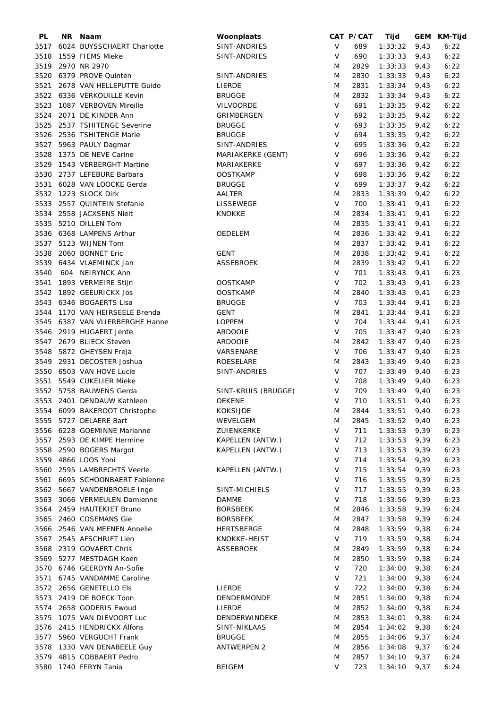| PL   | NR Naam                       | Woonplaats          |              | CAT P/CAT | Tijd           |      | GEM KM-Tijd |
|------|-------------------------------|---------------------|--------------|-----------|----------------|------|-------------|
| 3517 | 6024 BUYSSCHAERT Charlotte    | SINT-ANDRIES        | $\vee$       | 689       | 1:33:32        | 9,43 | 6:22        |
| 3518 | 1559 FIEMS Mieke              | SINT-ANDRIES        | V            | 690       | 1:33:33        | 9,43 | 6:22        |
| 3519 | 2970 NR 2970                  |                     | M            | 2829      | 1:33:33        | 9,43 | 6:22        |
| 3520 | 6379 PROVE Quinten            | SINT-ANDRIES        | M            | 2830      | 1:33:33        | 9,43 | 6:22        |
| 3521 | 2678 VAN HELLEPUTTE Guido     | LIERDE              | M            | 2831      | 1:33:34        | 9,43 | 6:22        |
|      |                               |                     |              |           |                |      |             |
|      | 3522 6336 VERKOUILLE Kevin    | <b>BRUGGE</b>       | M            | 2832      | 1:33:34        | 9,43 | 6:22        |
| 3523 | 1087 VERBOVEN Mireille        | <b>VILVOORDE</b>    | $\vee$       | 691       | 1:33:35        | 9,42 | 6:22        |
| 3524 | 2071 DE KINDER Ann            | GRIMBERGEN          | V            | 692       | 1:33:35        | 9,42 | 6:22        |
| 3525 | 2537 TSHITENGE Severine       | <b>BRUGGE</b>       | $\vee$       | 693       | 1:33:35        | 9,42 | 6:22        |
| 3526 | 2536 TSHITENGE Marie          | <b>BRUGGE</b>       | $\mathsf{V}$ | 694       | 1:33:35        | 9,42 | 6:22        |
| 3527 | 5963 PAULY Dagmar             | SINT-ANDRIES        | V            | 695       | 1:33:36        | 9,42 | 6:22        |
| 3528 | 1375 DE NEVE Carine           | MARIAKERKE (GENT)   | $\vee$       | 696       | 1:33:36        | 9,42 | 6:22        |
| 3529 | 1543 VERBERGHT Martine        | MARIAKERKE          | V            | 697       | 1:33:36        | 9,42 | 6:22        |
| 3530 | 2737 LEFEBURE Barbara         | <b>OOSTKAMP</b>     | $\vee$       | 698       | 1:33:36        | 9,42 | 6:22        |
| 3531 | 6028 VAN LOOCKE Gerda         | <b>BRUGGE</b>       | $\vee$       | 699       | 1:33:37        | 9,42 | 6:22        |
|      |                               |                     |              |           |                |      |             |
|      | 3532 1223 SLOCK Dirk          | AALTER              | M            | 2833      | 1:33:39        | 9,42 | 6:22        |
| 3533 | 2557 QUINTEIN Stefanie        | LISSEWEGE           | $\vee$       | 700       | 1:33:41        | 9,41 | 6:22        |
| 3534 | 2558 JACXSENS Nielt           | <b>KNOKKE</b>       | M            | 2834      | 1:33:41        | 9,41 | 6:22        |
| 3535 | 5210 DILLEN Tom               |                     | M            | 2835      | 1:33:41        | 9,41 | 6:22        |
|      | 3536 6368 LAMPENS Arthur      | OEDELEM             | M            | 2836      | 1:33:42        | 9,41 | 6:22        |
| 3537 | 5123 WIJNEN Tom               |                     | M            | 2837      | 1:33:42        | 9,41 | 6:22        |
| 3538 | 2060 BONNET Eric              | <b>GENT</b>         | M            | 2838      | 1:33:42        | 9,41 | 6:22        |
| 3539 | 6434 VLAEMINCK Jan            | ASSEBROEK           | M            | 2839      | 1:33:42        | 9,41 | 6:22        |
| 3540 | 604 NEIRYNCK Ann              |                     | $\vee$       | 701       | 1:33:43        | 9,41 | 6:23        |
|      |                               |                     |              |           |                |      |             |
| 3541 | 1893 VERMEIRE Stijn           | <b>OOSTKAMP</b>     | $\vee$       | 702       | 1:33:43        | 9,41 | 6:23        |
|      | 3542 1892 GEEURICKX Jos       | <b>OOSTKAMP</b>     | M            | 2840      | 1:33:43        | 9,41 | 6:23        |
|      | 3543 6346 BOGAERTS Lisa       | <b>BRUGGE</b>       | $\vee$       | 703       | 1:33:44        | 9,41 | 6:23        |
| 3544 | 1170 VAN HEIRSEELE Brenda     | <b>GENT</b>         | M            | 2841      | 1:33:44        | 9,41 | 6:23        |
| 3545 | 6387 VAN VLIERBERGHE Hanne    | <b>LOPPEM</b>       | ${\sf V}$    | 704       | 1:33:44        | 9,41 | 6:23        |
| 3546 | 2919 HUGAERT Jente            | <b>ARDOOIE</b>      | $\vee$       | 705       | 1:33:47        | 9,40 | 6:23        |
| 3547 | 2679 BLIECK Steven            | <b>ARDOOIE</b>      | M            | 2842      | 1:33:47        | 9,40 | 6:23        |
| 3548 | 5872 GHEYSEN Freja            | VARSENARE           | $\vee$       | 706       | 1:33:47        | 9,40 | 6:23        |
| 3549 | 2931 DECOSTER Joshua          | ROESELARE           | M            | 2843      | 1:33:49        | 9,40 | 6:23        |
|      |                               |                     |              |           |                |      |             |
| 3550 | 6503 VAN HOVE Lucie           | SINT-ANDRIES        | $\vee$       | 707       | 1:33:49        | 9,40 | 6:23        |
| 3551 | 5549 CUKELIER Mieke           |                     | V            | 708       | 1:33:49        | 9,40 | 6:23        |
|      | 3552 5758 BAUWENS Gerda       | SINT-KRUIS (BRUGGE) | V            | 709       | 1:33:49        | 9,40 | 6:23        |
|      | 3553 2401 DENDAUW Kathleen    | <b>OEKENE</b>       | $\vee$       | 710       | 1:33:51        | 9,40 | 6:23        |
|      | 3554 6099 BAKEROOT Christophe | KOKSIJDE            | M            | 2844      | $1:33:51$ 9,40 |      | 6:23        |
|      | 3555 5727 DELAERE Bart        | WEVELGEM            | M            | 2845      | 1:33:52        | 9,40 | 6:23        |
|      | 3556 6228 GOEMINNE Marianne   | ZUIENKERKE          | V            | 711       | 1:33:53        | 9,39 | 6:23        |
|      | 3557 2593 DE KIMPE Hermine    | KAPELLEN (ANTW.)    | V            | 712       | 1:33:53        | 9,39 | 6:23        |
|      | 3558 2590 BOGERS Margot       | KAPELLEN (ANTW.)    | V            | 713       | 1:33:53        | 9,39 | 6:23        |
|      |                               |                     | V            | 714       | 1:33:54        |      |             |
| 3559 | 4866 LOOS Yoni                |                     |              |           |                | 9,39 | 6:23        |
|      | 3560 2595 LAMBRECHTS Veerle   | KAPELLEN (ANTW.)    | V            | 715       | 1:33:54        | 9,39 | 6:23        |
| 3561 | 6695 SCHOONBAERT Fabienne     |                     | V            | 716       | 1:33:55        | 9,39 | 6:23        |
|      | 3562 5667 VANDENBROELE Inge   | SINT-MICHIELS       | V            | 717       | 1:33:55        | 9,39 | 6:23        |
|      | 3563 3066 VERMEULEN Damienne  | <b>DAMME</b>        | V            | 718       | 1:33:56        | 9,39 | 6:23        |
| 3564 | 2459 HAUTEKIET Bruno          | <b>BORSBEEK</b>     | M            | 2846      | 1:33:58        | 9,39 | 6:24        |
|      | 3565 2460 COSEMANS Gie        | <b>BORSBEEK</b>     | M            | 2847      | 1:33:58        | 9,39 | 6:24        |
|      | 3566 2546 VAN MEENEN Annelie  | <b>HERTSBERGE</b>   | M            | 2848      | 1:33:59        | 9,38 | 6:24        |
|      | 3567 2545 AFSCHRIFT Lien      | KNOKKE-HEIST        | $\vee$       | 719       | 1:33:59        | 9,38 | 6:24        |
|      |                               |                     |              |           |                |      |             |
|      | 3568 2319 GOVAERT Chris       | <b>ASSEBROEK</b>    | M            | 2849      | 1:33:59        | 9,38 | 6:24        |
|      | 3569 5277 MESTDAGH Koen       |                     | M            | 2850      | 1:33:59        | 9,38 | 6:24        |
|      | 3570 6746 GEERDYN An-Sofie    |                     | V            | 720       | 1:34:00        | 9,38 | 6:24        |
| 3571 | 6745 VANDAMME Caroline        |                     | V            | 721       | 1:34:00        | 9,38 | 6:24        |
|      | 3572 2656 GENETELLO Els       | LIERDE              | V            | 722       | 1:34:00        | 9,38 | 6:24        |
|      | 3573 2419 DE BOECK Toon       | DENDERMONDE         | M            | 2851      | 1:34:00        | 9,38 | 6:24        |
| 3574 | 2658 GODERIS Ewoud            | LIERDE              | M            | 2852      | 1:34:00        | 9,38 | 6:24        |
| 3575 | 1075 VAN DIEVOORT Luc         | DENDERWINDEKE       | M            | 2853      | 1:34:01        | 9,38 | 6:24        |
|      | 3576 2415 HENDRICKX Alfons    | SINT-NIKLAAS        | M            | 2854      | 1:34:02        | 9,38 | 6:24        |
|      | 3577 5960 VERGUCHT Frank      | <b>BRUGGE</b>       | M            | 2855      | 1:34:06        | 9,37 | 6:24        |
|      |                               |                     |              |           |                |      |             |
| 3578 | 1330 VAN DENABEELE Guy        | <b>ANTWERPEN 2</b>  | M            | 2856      | 1:34:08        | 9,37 | 6:24        |
| 3579 | 4815 COBBAERT Pedro           |                     | M            | 2857      | 1:34:10        | 9,37 | 6:24        |
|      | 3580 1740 FERYN Tania         | <b>BEIGEM</b>       | V            | 723       | 1:34:10        | 9,37 | 6:24        |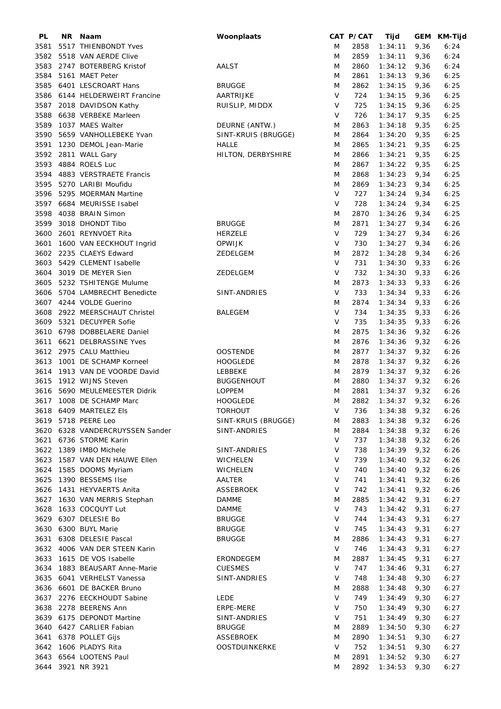| <b>PL</b> | NR Naam                         | Woonplaats           |        | CAT P/CAT | Tijd    |      | GEM KM-Tijd |
|-----------|---------------------------------|----------------------|--------|-----------|---------|------|-------------|
| 3581      | 5517 THIENBONDT Yves            |                      | M      | 2858      | 1:34:11 | 9,36 | 6:24        |
| 3582      | 5518 VAN AERDE Clive            |                      | M      | 2859      | 1:34:11 | 9,36 | 6:24        |
| 3583      | 2747 BOTERBERG Kristof          | AALST                | M      | 2860      | 1:34:12 | 9,36 | 6:24        |
| 3584      | 5161 MAET Peter                 |                      | M      | 2861      | 1:34:13 | 9,36 | 6:25        |
| 3585      | 6401 LESCROART Hans             | <b>BRUGGE</b>        | M      | 2862      | 1:34:15 | 9,36 | 6:25        |
| 3586      | 6144 HELDERWEIRT Francine       | AARTRIJKE            | V      | 724       | 1:34:15 | 9,36 | 6:25        |
|           |                                 |                      |        |           |         |      |             |
|           | 3587 2018 DAVIDSON Kathy        | RUISLIP, MIDDX       | V      | 725       | 1:34:15 | 9,36 | 6:25        |
| 3588      | 6638 VERBEKE Marleen            |                      | V      | 726       | 1:34:17 | 9,35 | 6:25        |
| 3589      | 1037 MAES Walter                | DEURNE (ANTW.)       | M      | 2863      | 1:34:18 | 9,35 | 6:25        |
| 3590      | 5659 VANHOLLEBEKE Yvan          | SINT-KRUIS (BRUGGE)  | M      | 2864      | 1:34:20 | 9,35 | 6:25        |
| 3591      | 1230 DEMOL Jean-Marie           | <b>HALLE</b>         | M      | 2865      | 1:34:21 | 9,35 | 6:25        |
|           | 3592 2811 WALL Gary             | HILTON, DERBYSHIRE   | M      | 2866      | 1:34:21 | 9,35 | 6:25        |
| 3593      | 4884 ROELS Luc                  |                      | M      | 2867      | 1:34:22 | 9,35 | 6:25        |
| 3594      | 4883 VERSTRAETE Francis         |                      | M      | 2868      | 1:34:23 | 9,34 | 6:25        |
| 3595      | 5270 LARIBI Moufidu             |                      | M      | 2869      | 1:34:23 | 9,34 | 6:25        |
|           |                                 |                      | $\vee$ | 727       |         |      |             |
| 3596      | 5295 MOERMAN Martine            |                      |        |           | 1:34:24 | 9,34 | 6:25        |
| 3597      | 6684 MEURISSE Isabel            |                      | V      | 728       | 1:34:24 | 9,34 | 6:25        |
| 3598      | 4038 BRAIN Simon                |                      | M      | 2870      | 1:34:26 | 9,34 | 6:25        |
| 3599      | 3018 DHONDT Tibo                | <b>BRUGGE</b>        | M      | 2871      | 1:34:27 | 9,34 | 6:26        |
| 3600      | 2601 REYNVOET Rita              | <b>HERZELE</b>       | $\vee$ | 729       | 1:34:27 | 9,34 | 6:26        |
| 3601      | 1600 VAN EECKHOUT Ingrid        | <b>OPWIJK</b>        | V      | 730       | 1:34:27 | 9,34 | 6:26        |
|           | 3602 2235 CLAEYS Edward         | ZEDELGEM             | M      | 2872      | 1:34:28 | 9,34 | 6:26        |
| 3603      | 5429 CLEMENT Isabelle           |                      | V      | 731       | 1:34:30 | 9,33 | 6:26        |
| 3604      | 3019 DE MEYER Sien              | ZEDELGEM             | V      | 732       | 1:34:30 | 9,33 | 6:26        |
|           |                                 |                      |        |           |         |      |             |
| 3605      | 5232 TSHITENGE Mulume           |                      | M      | 2873      | 1:34:33 | 9,33 | 6:26        |
| 3606      | 5704 LAMBRECHT Benedicte        | SINT-ANDRIES         | V      | 733       | 1:34:34 | 9,33 | 6:26        |
| 3607      | 4244 VOLDE Guerino              |                      | M      | 2874      | 1:34:34 | 9,33 | 6:26        |
| 3608      | 2922 MEERSCHAUT Christel        | <b>BALEGEM</b>       | V      | 734       | 1:34:35 | 9,33 | 6:26        |
| 3609      | 5321 DECUYPER Sofie             |                      | V      | 735       | 1:34:35 | 9,33 | 6:26        |
| 3610      | 6798 DOBBELAERE Daniel          |                      | M      | 2875      | 1:34:36 | 9,32 | 6:26        |
| 3611      | 6621 DELBRASSINE Yves           |                      | M      | 2876      | 1:34:36 | 9,32 | 6:26        |
|           | 3612 2975 CALU Matthieu         | <b>OOSTENDE</b>      | M      | 2877      | 1:34:37 | 9,32 | 6:26        |
| 3613      | 1001 DE SCHAMP Korneel          | <b>HOOGLEDE</b>      | M      | 2878      | 1:34:37 | 9,32 | 6:26        |
|           | 3614 1913 VAN DE VOORDE David   | <b>LEBBEKE</b>       | M      | 2879      | 1:34:37 | 9,32 | 6:26        |
|           |                                 |                      |        |           |         |      |             |
| 3615      | 1912 WIJNS Steven               | <b>BUGGENHOUT</b>    | M      | 2880      | 1:34:37 | 9,32 | 6:26        |
| 3616      | 5690 MEULEMEESTER Didrik        | <b>LOPPEM</b>        | M      | 2881      | 1:34:37 | 9,32 | 6:26        |
|           | 3617 1008 DE SCHAMP Marc        | HOOGLEDE             | M      | 2882      | 1:34:37 | 9,32 | 6:26        |
|           | 3618 6409 MARTELEZ Els          | <b>TORHOUT</b>       |        | V 736     | 1:34:38 | 9,32 | 6:26        |
|           | 3619 5718 PEERE Leo             | SINT-KRUIS (BRUGGE)  | M      | 2883      | 1:34:38 | 9,32 | 6:26        |
|           | 3620 6328 VANDERCRUYSSEN Sander | SINT-ANDRIES         | M      | 2884      | 1:34:38 | 9,32 | 6:26        |
|           | 3621 6736 STORME Karin          |                      | V      | 737       | 1:34:38 | 9,32 | 6:26        |
|           | 3622 1389 IMBO Michele          | SINT-ANDRIES         | V      | 738       | 1:34:39 | 9,32 | 6:26        |
|           | 3623 1587 VAN DEN HAUWE Ellen   | <b>WICHELEN</b>      | V      | 739       | 1:34:40 | 9,32 | 6:26        |
|           | 3624 1585 DOOMS Myriam          | <b>WICHELEN</b>      | V      | 740       |         |      |             |
|           |                                 |                      |        |           | 1:34:40 | 9,32 | 6:26        |
|           | 3625 1390 BESSEMS Ilse          | AALTER               | V      | 741       | 1:34:41 | 9,32 | 6:26        |
|           | 3626 1431 HEYVAERTS Anita       | ASSEBROEK            | V      | 742       | 1:34:41 | 9,32 | 6:26        |
|           | 3627 1630 VAN MERRIS Stephan    | <b>DAMME</b>         | M      | 2885      | 1:34:42 | 9,31 | 6:27        |
|           | 3628 1633 COCQUYT Lut           | <b>DAMME</b>         | V      | 743       | 1:34:42 | 9,31 | 6:27        |
|           | 3629 6307 DELESIE Bo            | <b>BRUGGE</b>        | V      | 744       | 1:34:43 | 9,31 | 6:27        |
|           | 3630 6300 BUYL Marie            | <b>BRUGGE</b>        | V      | 745       | 1:34:43 | 9,31 | 6:27        |
|           | 3631 6308 DELESIE Pascal        | <b>BRUGGE</b>        | M      | 2886      | 1:34:43 | 9,31 | 6:27        |
|           | 3632 4006 VAN DER STEEN Karin   |                      | V      | 746       | 1:34:43 | 9,31 | 6:27        |
|           |                                 |                      |        |           |         |      |             |
|           | 3633 1615 DE VOS Isabelle       | ERONDEGEM            | M      | 2887      | 1:34:45 | 9,31 | 6:27        |
|           | 3634 1883 BEAUSART Anne-Marie   | <b>CUESMES</b>       | V      | 747       | 1:34:46 | 9,31 | 6:27        |
|           | 3635 6041 VERHELST Vanessa      | SINT-ANDRIES         | V      | 748       | 1:34:48 | 9,30 | 6:27        |
|           | 3636 6601 DE BACKER Bruno       |                      | M      | 2888      | 1:34:48 | 9,30 | 6:27        |
|           | 3637 2276 EECKHOUDT Sabine      | LEDE                 | V      | 749       | 1:34:49 | 9,30 | 6:27        |
|           | 3638 2278 BEERENS Ann           | ERPE-MERE            | V      | 750       | 1:34:49 | 9,30 | 6:27        |
|           | 3639 6175 DEPONDT Martine       | SINT-ANDRIES         | V      | 751       | 1:34:49 | 9,30 | 6:27        |
|           | 3640 6427 CARLIER Fabian        | <b>BRUGGE</b>        | M      | 2889      | 1:34:50 | 9,30 | 6:27        |
|           | 3641 6378 POLLET Gijs           | <b>ASSEBROEK</b>     | M      | 2890      | 1:34:51 | 9,30 | 6:27        |
|           | 3642 1606 PLADYS Rita           | <b>OOSTDUINKERKE</b> | V      | 752       |         |      |             |
|           |                                 |                      |        |           | 1:34:51 | 9,30 | 6:27        |
|           | 3643 6564 LOOTENS Paul          |                      | M      | 2891      | 1:34:52 | 9,30 | 6:27        |
|           | 3644 3921 NR 3921               |                      | M      | 2892      | 1:34:53 | 9,30 | 6:27        |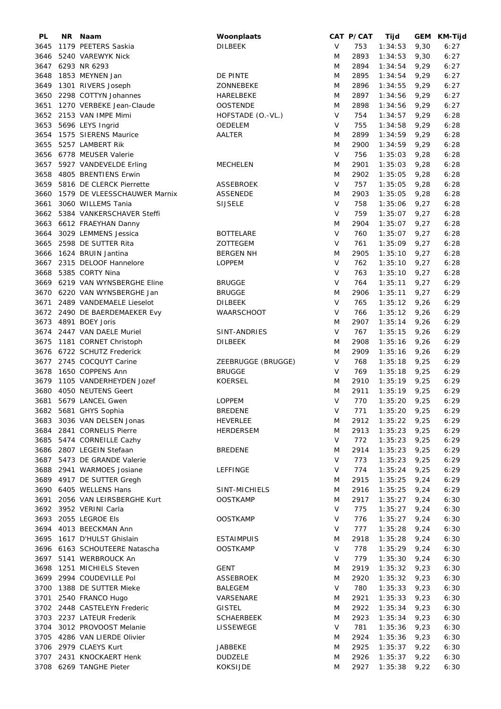| PL   | NR. | Naam                           | Woonplaats         |        | CAT P/CAT | Tijd           |      | GEM KM-Tijd |
|------|-----|--------------------------------|--------------------|--------|-----------|----------------|------|-------------|
| 3645 |     | 1179 PEETERS Saskia            | <b>DILBEEK</b>     | V      | 753       | 1:34:53        | 9,30 | 6:27        |
| 3646 |     | 5240 VAREWYK Nick              |                    | M      | 2893      | 1:34:53        | 9,30 | 6:27        |
|      |     | 3647 6293 NR 6293              |                    | M      | 2894      | 1:34:54        | 9,29 | 6:27        |
| 3648 |     | 1853 MEYNEN Jan                | DE PINTE           | M      | 2895      | 1:34:54        | 9,29 | 6:27        |
| 3649 |     | 1301 RIVERS Joseph             | ZONNEBEKE          | M      | 2896      | 1:34:55        | 9,29 | 6:27        |
| 3650 |     | 2298 COTTYN Johannes           | HARELBEKE          | M      | 2897      | 1:34:56        | 9,29 | 6:27        |
|      |     |                                |                    |        |           |                |      |             |
| 3651 |     | 1270 VERBEKE Jean-Claude       | <b>OOSTENDE</b>    | M      | 2898      | 1:34:56        | 9,29 | 6:27        |
| 3652 |     | 2153 VAN IMPE Mimi             | HOFSTADE (O.-VL.)  | V      | 754       | 1:34:57        | 9,29 | 6:28        |
| 3653 |     | 5696 LEYS Ingrid               | OEDELEM            | V      | 755       | 1:34:58        | 9,29 | 6:28        |
| 3654 |     | 1575 SIERENS Maurice           | AALTER             | M      | 2899      | 1:34:59        | 9,29 | 6:28        |
| 3655 |     | 5257 LAMBERT Rik               |                    | M      | 2900      | 1:34:59        | 9,29 | 6:28        |
|      |     | 3656 6778 MEUSER Valerie       |                    | $\vee$ | 756       | 1:35:03        | 9,28 | 6:28        |
|      |     | 3657 5927 VANDEVELDE Erling    | <b>MECHELEN</b>    | M      | 2901      | 1:35:03        | 9,28 | 6:28        |
|      |     | 3658 4805 BRENTIENS Erwin      |                    | M      | 2902      | 1:35:05        | 9,28 | 6:28        |
|      |     | 5816 DE CLERCK Pierrette       |                    | $\vee$ | 757       |                |      | 6:28        |
| 3659 |     |                                | <b>ASSEBROEK</b>   |        |           | 1:35:05        | 9,28 |             |
| 3660 |     | 1579 DE VLEESSCHAUWER Marnix   | <b>ASSENEDE</b>    | M      | 2903      | 1:35:05        | 9,28 | 6:28        |
| 3661 |     | 3060 WILLEMS Tania             | <b>SIJSELE</b>     | $\vee$ | 758       | 1:35:06        | 9,27 | 6:28        |
| 3662 |     | 5384 VANKERSCHAVER Steffi      |                    | V      | 759       | 1:35:07        | 9,27 | 6:28        |
| 3663 |     | 6612 FRAEYHAN Danny            |                    | M      | 2904      | 1:35:07        | 9,27 | 6:28        |
| 3664 |     | 3029 LEMMENS Jessica           | <b>BOTTELARE</b>   | $\vee$ | 760       | 1:35:07        | 9,27 | 6:28        |
| 3665 |     | 2598 DE SUTTER Rita            | ZOTTEGEM           | V      | 761       | 1:35:09        | 9,27 | 6:28        |
| 3666 |     | 1624 BRUIN Jantina             | <b>BERGEN NH</b>   | M      | 2905      | 1:35:10        | 9,27 | 6:28        |
|      |     | 3667 2315 DELOOF Hannelore     |                    | $\vee$ | 762       |                |      |             |
|      |     |                                | <b>LOPPEM</b>      |        |           | 1:35:10        | 9,27 | 6:28        |
| 3668 |     | 5385 CORTY Nina                |                    | V      | 763       | 1:35:10        | 9,27 | 6:28        |
|      |     | 3669 6219 VAN WYNSBERGHE Eline | <b>BRUGGE</b>      | V      | 764       | 1:35:11        | 9,27 | 6:29        |
|      |     | 3670 6220 VAN WYNSBERGHE Jan   | <b>BRUGGE</b>      | M      | 2906      | 1:35:11        | 9,27 | 6:29        |
| 3671 |     | 2489 VANDEMAELE Lieselot       | <b>DILBEEK</b>     | $\vee$ | 765       | 1:35:12        | 9,26 | 6:29        |
|      |     | 3672 2490 DE BAERDEMAEKER Evy  | WAARSCHOOT         | V      | 766       | 1:35:12        | 9,26 | 6:29        |
| 3673 |     | 4891 BOEY Joris                |                    | M      | 2907      | 1:35:14        | 9,26 | 6:29        |
|      |     | 3674 2447 VAN DAELE Muriel     | SINT-ANDRIES       | V      | 767       | 1:35:15        | 9,26 | 6:29        |
| 3675 |     |                                | <b>DILBEEK</b>     | M      | 2908      | 1:35:16        | 9,26 | 6:29        |
|      |     | 1181 CORNET Christoph          |                    |        |           |                |      |             |
|      |     | 3676 6722 SCHUTZ Frederick     |                    | M      | 2909      | 1:35:16        | 9,26 | 6:29        |
|      |     | 3677 2745 COCQUYT Carine       | ZEEBRUGGE (BRUGGE) | V      | 768       | 1:35:18        | 9,25 | 6:29        |
| 3678 |     | 1650 COPPENS Ann               | <b>BRUGGE</b>      | V      | 769       | 1:35:18        | 9,25 | 6:29        |
| 3679 |     | 1105 VANDERHEYDEN Jozef        | <b>KOERSEL</b>     | M      | 2910      | 1:35:19        | 9,25 | 6:29        |
| 3680 |     | 4050 NEUTENS Geert             |                    | M      | 2911      | 1:35:19        | 9,25 | 6:29        |
| 3681 |     | 5679 LANCEL Gwen               | <b>LOPPEM</b>      | $\vee$ | 770       | 1:35:20        | 9,25 | 6:29        |
|      |     | 3682 5681 GHYS Sophia          | <b>BREDENE</b>     | V      | 771       | 1:35:20        | 9,25 | 6:29        |
|      |     | 3683 3036 VAN DELSEN Jonas     |                    |        |           |                |      |             |
|      |     |                                | <b>HEVERLEE</b>    | M      | 2912      | $1:35:22$ 9,25 |      | 6:29        |
|      |     | 3684 2841 CORNELIS Pierre      | HERDERSEM          | M      | 2913      | 1:35:23        | 9,25 | 6:29        |
|      |     | 3685 5474 CORNEILLE Cazhy      |                    | V      | 772       | 1:35:23        | 9,25 | 6:29        |
|      |     | 3686 2807 LEGEIN Stefaan       | <b>BREDENE</b>     | M      | 2914      | 1:35:23        | 9,25 | 6:29        |
|      |     | 3687 5473 DE GRANDE Valerie    |                    | V      | 773       | 1:35:23        | 9,25 | 6:29        |
|      |     | 3688 2941 WARMOES Josiane      | <b>LEFFINGE</b>    | V      | 774       | 1:35:24        | 9,25 | 6:29        |
|      |     | 3689 4917 DE SUTTER Gregh      |                    | M      | 2915      | 1:35:25        | 9,24 | 6:29        |
|      |     | 3690 6405 WELLENS Hans         | SINT-MICHIELS      | M      | 2916      | 1:35:25        | 9,24 | 6:29        |
|      |     | 3691 2056 VAN LEIRSBERGHE Kurt | <b>OOSTKAMP</b>    | M      | 2917      | 1:35:27        |      | 6:30        |
|      |     |                                |                    |        |           |                | 9,24 |             |
|      |     | 3692 3952 VERINI Carla         |                    | V      | 775       | 1:35:27        | 9,24 | 6:30        |
|      |     | 3693 2055 LEGROE Els           | <b>OOSTKAMP</b>    | $\vee$ | 776       | 1:35:27        | 9,24 | 6:30        |
|      |     | 3694 4013 BEECKMAN Ann         |                    | V      | 777       | 1:35:28        | 9,24 | 6:30        |
|      |     | 3695 1617 D'HULST Ghislain     | <b>ESTAIMPUIS</b>  | M      | 2918      | 1:35:28        | 9,24 | 6:30        |
|      |     | 3696 6163 SCHOUTEERE Natascha  | <b>OOSTKAMP</b>    | V      | 778       | 1:35:29        | 9,24 | 6:30        |
|      |     | 3697 5141 WERBROUCK An         |                    | V      | 779       | 1:35:30        | 9,24 | 6:30        |
|      |     | 3698 1251 MICHIELS Steven      | GENT               | M      | 2919      | 1:35:32        | 9,23 | 6:30        |
|      |     | 3699 2994 COUDEVILLE Pol       | ASSEBROEK          | M      | 2920      | 1:35:32        | 9,23 | 6:30        |
|      |     |                                |                    |        |           |                |      |             |
|      |     | 3700 1388 DE SUTTER Mieke      | BALEGEM            | $\vee$ | 780       | 1:35:33        | 9,23 | 6:30        |
|      |     | 3701 2540 FRANCO Hugo          | VARSENARE          | M      | 2921      | 1:35:33        | 9,23 | 6:30        |
|      |     | 3702 2448 CASTELEYN Frederic   | <b>GISTEL</b>      | M      | 2922      | 1:35:34        | 9,23 | 6:30        |
|      |     | 3703 2237 LATEUR Frederik      | <b>SCHAERBEEK</b>  | M      | 2923      | 1:35:34        | 9,23 | 6:30        |
|      |     | 3704 3012 PROVOOST Melanie     | LISSEWEGE          | V      | 781       | 1:35:36        | 9,23 | 6:30        |
|      |     | 3705 4286 VAN LIERDE Olivier   |                    | M      | 2924      | 1:35:36        | 9,23 | 6:30        |
|      |     | 3706 2979 CLAEYS Kurt          | JABBEKE            | M      | 2925      | 1:35:37        | 9,22 | 6:30        |
|      |     | 3707 2431 KNOCKAERT Henk       | <b>DUDZELE</b>     | M      | 2926      | 1:35:37        | 9,22 | 6:30        |
|      |     |                                |                    |        |           |                |      |             |
|      |     | 3708 6269 TANGHE Pieter        | <b>KOKSIJDE</b>    | M      | 2927      | 1:35:38        | 9,22 | 6:30        |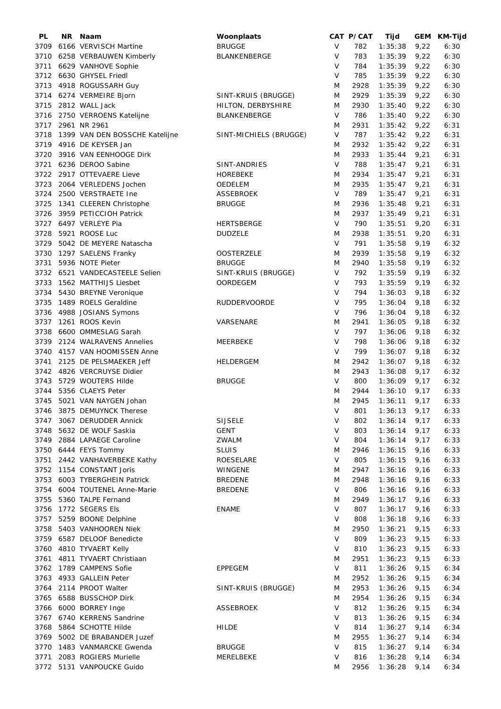| PL   | NR. | Naam                           | Woonplaats             |        | CAT P/CAT | Tijd           |      | GEM KM-Tijd |
|------|-----|--------------------------------|------------------------|--------|-----------|----------------|------|-------------|
| 3709 |     | 6166 VERVISCH Martine          | <b>BRUGGE</b>          | V      | 782       | 1:35:38        | 9,22 | 6:30        |
|      |     | 3710 6258 VERBAUWEN Kimberly   | BLANKENBERGE           | V      | 783       | 1:35:39        | 9,22 | 6:30        |
| 3711 |     | 6629 VANHOVE Sophie            |                        | V      | 784       | 1:35:39        | 9,22 | 6:30        |
|      |     | 3712 6630 GHYSEL Friedl        |                        | V      | 785       | 1:35:39        | 9,22 | 6:30        |
| 3713 |     | 4918 ROGUSSARH Guy             |                        | M      | 2928      | 1:35:39        | 9,22 | 6:30        |
|      |     | 3714 6274 VERMEIRE Bjorn       | SINT-KRUIS (BRUGGE)    | M      | 2929      | 1:35:39        | 9,22 | 6:30        |
|      |     |                                |                        |        |           |                |      |             |
| 3715 |     | 2812 WALL Jack                 | HILTON, DERBYSHIRE     | M      | 2930      | 1:35:40        | 9,22 | 6:30        |
|      |     | 3716 2750 VERROENS Katelijne   | BLANKENBERGE           | V      | 786       | 1:35:40        | 9,22 | 6:30        |
| 3717 |     | 2961 NR 2961                   |                        | M      | 2931      | 1:35:42        | 9,22 | 6:31        |
| 3718 |     | 1399 VAN DEN BOSSCHE Katelijne | SINT-MICHIELS (BRUGGE) | V      | 787       | 1:35:42        | 9,22 | 6:31        |
|      |     | 3719 4916 DE KEYSER Jan        |                        | M      | 2932      | 1:35:42        | 9,22 | 6:31        |
| 3720 |     | 3916 VAN EENHOOGE Dirk         |                        | M      | 2933      | 1:35:44        | 9,21 | 6:31        |
|      |     | 3721 6236 DEROO Sabine         | SINT-ANDRIES           | $\vee$ | 788       | 1:35:47        | 9,21 | 6:31        |
|      |     | 3722 2917 OTTEVAERE Lieve      | <b>HOREBEKE</b>        | M      | 2934      | 1:35:47        | 9,21 | 6:31        |
| 3723 |     | 2064 VERLEDENS Jochen          | <b>OEDELEM</b>         | M      | 2935      | 1:35:47        | 9,21 | 6:31        |
| 3724 |     | 2500 VERSTRAETE Ine            | <b>ASSEBROEK</b>       | $\vee$ | 789       | 1:35:47        | 9,21 | 6:31        |
| 3725 |     | 1341 CLEEREN Christophe        | <b>BRUGGE</b>          | M      | 2936      | 1:35:48        | 9,21 | 6:31        |
| 3726 |     | 3959 PETICCIOH Patrick         |                        | M      | 2937      | 1:35:49        | 9,21 | 6:31        |
|      |     |                                |                        |        |           |                |      |             |
| 3727 |     | 6497 VERLEYE Pia               | <b>HERTSBERGE</b>      | V      | 790       | 1:35:51        | 9,20 | 6:31        |
| 3728 |     | 5921 ROOSE Luc                 | <b>DUDZELE</b>         | M      | 2938      | 1:35:51        | 9,20 | 6:31        |
| 3729 |     | 5042 DE MEYERE Natascha        |                        | $\vee$ | 791       | 1:35:58        | 9,19 | 6:32        |
|      |     | 3730 1297 SAELENS Franky       | <b>OOSTERZELE</b>      | M      | 2939      | 1:35:58        | 9,19 | 6:32        |
| 3731 |     | 5936 NOTE Pieter               | <b>BRUGGE</b>          | M      | 2940      | 1:35:58        | 9,19 | 6:32        |
|      |     | 3732 6521 VANDECASTEELE Selien | SINT-KRUIS (BRUGGE)    | V      | 792       | 1:35:59        | 9,19 | 6:32        |
| 3733 |     | 1562 MATTHIJS Liesbet          | <b>OORDEGEM</b>        | V      | 793       | 1:35:59        | 9,19 | 6:32        |
|      |     | 3734 5430 BREYNE Veronique     |                        | V      | 794       | 1:36:03        | 9,18 | 6:32        |
| 3735 |     | 1489 ROELS Geraldine           | <b>RUDDERVOORDE</b>    | V      | 795       | 1:36:04        | 9,18 | 6:32        |
| 3736 |     | 4988 JOSIANS Symons            |                        | V      | 796       | 1:36:04        | 9,18 | 6:32        |
| 3737 |     | 1261 ROOS Kevin                | VARSENARE              | M      | 2941      | 1:36:05        | 9,18 | 6:32        |
|      |     |                                |                        |        |           |                |      |             |
| 3738 |     | 6600 OMMESLAG Sarah            |                        | V      | 797       | 1:36:06        | 9,18 | 6:32        |
| 3739 |     | 2124 WALRAVENS Annelies        | MEERBEKE               | V      | 798       | 1:36:06        | 9,18 | 6:32        |
|      |     | 3740 4157 VAN HOOMISSEN Anne   |                        | $\vee$ | 799       | 1:36:07        | 9,18 | 6:32        |
| 3741 |     | 2125 DE PELSMAEKER Jeff        | <b>HELDERGEM</b>       | M      | 2942      | 1:36:07        | 9,18 | 6:32        |
|      |     | 3742 4826 VERCRUYSE Didier     |                        | M      | 2943      | 1:36:08        | 9,17 | 6:32        |
| 3743 |     | 5729 WOUTERS Hilde             | <b>BRUGGE</b>          | V      | 800       | 1:36:09        | 9,17 | 6:32        |
| 3744 |     | 5356 CLAEYS Peter              |                        | M      | 2944      | 1:36:10        | 9,17 | 6:33        |
| 3745 |     | 5021 VAN NAYGEN Johan          |                        | M      | 2945      | 1:36:11        | 9,17 | 6:33        |
|      |     | 3746 3875 DEMUYNCK Therese     |                        | V      | 801       | 1:36:13        | 9,17 | 6:33        |
|      |     | 3747 3067 DERUDDER Annick      | <b>SIJSELE</b>         | V      | 802       | 1:36:14        | 9,17 | 6:33        |
| 3748 |     | 5632 DE WOLF Saskia            | <b>GENT</b>            | V      | 803       | 1:36:14        | 9,17 | 6:33        |
| 3749 |     | 2884 LAPAEGE Caroline          | ZWALM                  | V      | 804       | 1:36:14        | 9,17 | 6:33        |
|      |     |                                |                        |        |           |                |      |             |
|      |     | 3750 6444 FEYS Tommy           | <b>SLUIS</b>           | M      | 2946      | 1:36:15        | 9,16 | 6:33        |
|      |     | 3751 2442 VANHAVERBEKE Kathy   | ROESELARE              | V      | 805       | 1:36:15        | 9,16 | 6:33        |
|      |     | 3752 1154 CONSTANT Joris       | WINGENE                | M      | 2947      | 1:36:16        | 9,16 | 6:33        |
| 3753 |     | 6003 TYBERGHEIN Patrick        | <b>BREDENE</b>         | M      | 2948      | 1:36:16        | 9,16 | 6:33        |
| 3754 |     | 6004 TOUTENEL Anne-Marie       | <b>BREDENE</b>         | V      | 806       | 1:36:16        | 9,16 | 6:33        |
| 3755 |     | 5360 TALPE Fernand             |                        | M      | 2949      | 1:36:17        | 9,16 | 6:33        |
|      |     | 3756 1772 SEGERS Els           | <b>ENAME</b>           | V      | 807       | 1:36:17        | 9,16 | 6:33        |
| 3757 |     | 5259 BOONE Delphine            |                        | V      | 808       | 1:36:18        | 9,16 | 6:33        |
|      |     | 3758 5403 VANHOOREN Niek       |                        | M      | 2950      | 1:36:21        | 9,15 | 6:33        |
|      |     | 3759 6587 DELOOF Benedicte     |                        | V      | 809       | 1:36:23        | 9,15 | 6:33        |
|      |     | 3760 4810 TYVAERT Kelly        |                        | V      | 810       | 1:36:23        | 9,15 | 6:33        |
| 3761 |     | 4811 TYVAERT Christiaan        |                        | M      | 2951      | 1:36:23        | 9,15 | 6:33        |
|      |     | 3762 1789 CAMPENS Sofie        | <b>EPPEGEM</b>         | V      | 811       | 1:36:26        |      | 6:34        |
|      |     |                                |                        |        |           |                | 9,15 |             |
|      |     | 3763 4933 GALLEIN Peter        |                        | M      | 2952      | 1:36:26        | 9,15 | 6:34        |
| 3764 |     | 2114 PROOT Walter              | SINT-KRUIS (BRUGGE)    | M      | 2953      | 1:36:26        | 9,15 | 6:34        |
|      |     | 3765 6588 BUSSCHOP Dirk        |                        | M      | 2954      | 1:36:26        | 9,15 | 6:34        |
| 3766 |     | 6000 BORREY Inge               | <b>ASSEBROEK</b>       | V      | 812       | 1:36:26        | 9,15 | 6:34        |
| 3767 |     | 6740 KERRENS Sandrine          |                        | V      | 813       | 1:36:26        | 9,15 | 6:34        |
| 3768 |     | 5864 SCHOTTE Hilde             | <b>HILDE</b>           | V      | 814       | 1:36:27        | 9,14 | 6:34        |
| 3769 |     | 5002 DE BRABANDER Juzef        |                        | M      | 2955      | 1:36:27        | 9,14 | 6:34        |
|      |     | 3770 1483 VANMARCKE Gwenda     | <b>BRUGGE</b>          | V      | 815       | 1:36:27        | 9,14 | 6:34        |
| 3771 |     | 2083 ROGIERS Murielle          | MERELBEKE              | V      | 816       | 1:36:28        | 9,14 | 6:34        |
|      |     | 3772 5131 VANPOUCKE Guido      |                        | M      | 2956      | $1:36:28$ 9,14 |      | 6:34        |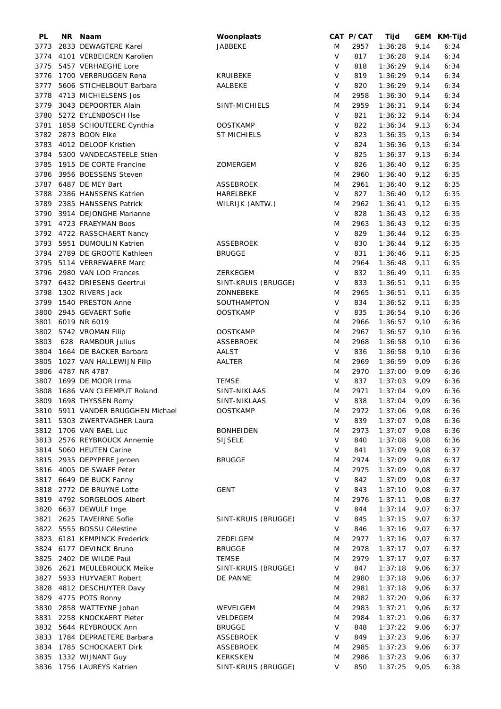| PL   | NR. | Naam                              | Woonplaats          |        | CAT P/CAT | Tijd    |      | GEM KM-Tijd |
|------|-----|-----------------------------------|---------------------|--------|-----------|---------|------|-------------|
| 3773 |     | 2833 DEWAGTERE Karel              | JABBEKE             | M      | 2957      | 1:36:28 | 9,14 | 6:34        |
| 3774 |     | 4101 VERBEIEREN Karolien          |                     | $\vee$ | 817       | 1:36:28 | 9,14 | 6:34        |
| 3775 |     | 5457 VERHAEGHE Lore               |                     | V      | 818       | 1:36:29 | 9,14 | 6:34        |
| 3776 |     | 1700 VERBRUGGEN Rena              | KRUIBEKE            | V      | 819       | 1:36:29 | 9,14 | 6:34        |
|      |     |                                   |                     |        |           |         |      |             |
| 3777 |     | 5606 STICHELBOUT Barbara          | <b>AALBEKE</b>      | V      | 820       | 1:36:29 | 9,14 | 6:34        |
| 3778 |     | 4713 MICHIELSENS Jos              |                     | M      | 2958      | 1:36:30 | 9,14 | 6:34        |
| 3779 |     | 3043 DEPOORTER Alain              | SINT-MICHIELS       | M      | 2959      | 1:36:31 | 9,14 | 6:34        |
| 3780 |     | 5272 EYLENBOSCH IIse              |                     | V      | 821       | 1:36:32 | 9,14 | 6:34        |
| 3781 |     | 1858 SCHOUTEERE Cynthia           | <b>OOSTKAMP</b>     | V      | 822       | 1:36:34 | 9,13 | 6:34        |
| 3782 |     | 2873 BOON Elke                    | <b>ST MICHIELS</b>  | V      | 823       | 1:36:35 | 9,13 | 6:34        |
| 3783 |     | 4012 DELOOF Kristien              |                     | $\vee$ | 824       |         |      | 6:34        |
|      |     |                                   |                     |        |           | 1:36:36 | 9,13 |             |
| 3784 |     | 5300 VANDECASTEELE Stien          |                     | V      | 825       | 1:36:37 | 9,13 | 6:34        |
| 3785 |     | 1915 DE CORTE Francine            | ZOMERGEM            | V      | 826       | 1:36:40 | 9,12 | 6:35        |
| 3786 |     | 3956 BOESSENS Steven              |                     | M      | 2960      | 1:36:40 | 9,12 | 6:35        |
|      |     | 3787 6487 DE MEY Bart             | <b>ASSEBROEK</b>    | M      | 2961      | 1:36:40 | 9,12 | 6:35        |
| 3788 |     | 2386 HANSSENS Katrien             | HARELBEKE           | $\vee$ | 827       | 1:36:40 | 9,12 | 6:35        |
| 3789 |     | 2385 HANSSENS Patrick             | WILRIJK (ANTW.)     | M      | 2962      | 1:36:41 | 9,12 | 6:35        |
| 3790 |     |                                   |                     | V      | 828       |         |      |             |
|      |     | 3914 DEJONGHE Marianne            |                     |        |           | 1:36:43 | 9,12 | 6:35        |
| 3791 |     | 4723 FRAEYMAN Boos                |                     | M      | 2963      | 1:36:43 | 9,12 | 6:35        |
| 3792 |     | 4722 RASSCHAERT Nancy             |                     | V      | 829       | 1:36:44 | 9,12 | 6:35        |
| 3793 |     | 5951 DUMOULIN Katrien             | <b>ASSEBROEK</b>    | V      | 830       | 1:36:44 | 9,12 | 6:35        |
| 3794 |     | 2789 DE GROOTE Kathleen           | <b>BRUGGE</b>       | V      | 831       | 1:36:46 | 9,11 | 6:35        |
| 3795 |     | 5114 VERREWAERE Marc              |                     | M      | 2964      | 1:36:48 | 9,11 | 6:35        |
|      |     | 3796 2980 VAN LOO Frances         | ZERKEGEM            | V      | 832       | 1:36:49 | 9,11 | 6:35        |
|      |     |                                   |                     |        |           |         |      |             |
|      |     | 3797 6432 DRIESENS Geertrui       | SINT-KRUIS (BRUGGE) | V      | 833       | 1:36:51 | 9,11 | 6:35        |
| 3798 |     | 1302 RIVERS Jack                  | ZONNEBEKE           | M      | 2965      | 1:36:51 | 9,11 | 6:35        |
| 3799 |     | 1540 PRESTON Anne                 | SOUTHAMPTON         | V      | 834       | 1:36:52 | 9,11 | 6:35        |
| 3800 |     | 2945 GEVAERT Sofie                | <b>OOSTKAMP</b>     | V      | 835       | 1:36:54 | 9,10 | 6:36        |
| 3801 |     | 6019 NR 6019                      |                     | M      | 2966      | 1:36:57 | 9,10 | 6:36        |
| 3802 |     | 5742 VROMAN Filip                 | <b>OOSTKAMP</b>     | M      | 2967      | 1:36:57 | 9,10 | 6:36        |
| 3803 |     | 628 RAMBOUR Julius                | <b>ASSEBROEK</b>    | M      | 2968      | 1:36:58 | 9,10 | 6:36        |
|      |     |                                   |                     |        |           |         |      |             |
| 3804 |     | 1664 DE BACKER Barbara            | <b>AALST</b>        | V      | 836       | 1:36:58 | 9,10 | 6:36        |
| 3805 |     | 1027 VAN HALLEWIJN Filip          | AALTER              | M      | 2969      | 1:36:59 | 9,09 | 6:36        |
|      |     | 3806 4787 NR 4787                 |                     | M      | 2970      | 1:37:00 | 9,09 | 6:36        |
| 3807 |     | 1699 DE MOOR Irma                 | <b>TEMSE</b>        | V      | 837       | 1:37:03 | 9,09 | 6:36        |
| 3808 |     | 1686 VAN CLEEMPUT Roland          | SINT-NIKLAAS        | M      | 2971      | 1:37:04 | 9,09 | 6:36        |
|      |     | 3809 1698 THYSSEN Romy            | SINT-NIKLAAS        | $\vee$ | 838       | 1:37:04 | 9,09 | 6:36        |
|      |     | 3810 5911 VANDER BRUGGHEN Michael | <b>OOSTKAMP</b>     | M      | 2972      | 1:37:06 | 9,08 | 6:36        |
|      |     |                                   |                     |        |           |         |      |             |
| 3811 |     | 5303 ZWERTVAGHER Laura            |                     | V      | 839       | 1:37:07 | 9,08 | 6:36        |
|      |     | 3812 1706 VAN BAEL Luc            | <b>BONHEIDEN</b>    | M      | 2973      | 1:37:07 | 9,08 | 6:36        |
|      |     | 3813 2576 REYBROUCK Annemie       | <b>SIJSELE</b>      | V      | 840       | 1:37:08 | 9,08 | 6:36        |
|      |     | 3814 5060 HEUTEN Carine           |                     | V      | 841       | 1:37:09 | 9,08 | 6:37        |
|      |     | 3815 2935 DEPYPERE Jeroen         | <b>BRUGGE</b>       | Μ      | 2974      | 1:37:09 | 9,08 | 6:37        |
|      |     | 3816 4005 DE SWAEF Peter          |                     | M      | 2975      | 1:37:09 | 9,08 | 6:37        |
|      |     | 3817 6649 DE BUCK Fanny           |                     | V      | 842       | 1:37:09 | 9,08 | 6:37        |
|      |     |                                   |                     |        |           |         |      |             |
| 3818 |     | 2772 DE BRUYNE Lotte              | <b>GENT</b>         | V      | 843       | 1:37:10 | 9,08 | 6:37        |
|      |     | 3819 4792 SORGELOOS Albert        |                     | M      | 2976      | 1:37:11 | 9,08 | 6:37        |
| 3820 |     | 6637 DEWULF Inge                  |                     | V      | 844       | 1:37:14 | 9,07 | 6:37        |
| 3821 |     | 2625 TAVEIRNE Sofie               | SINT-KRUIS (BRUGGE) | V      | 845       | 1:37:15 | 9,07 | 6:37        |
|      |     | 3822 5555 BOSSU Célestine         |                     | V      | 846       | 1:37:16 | 9,07 | 6:37        |
|      |     | 3823 6181 KEMPINCK Frederick      | ZEDELGEM            | M      | 2977      | 1:37:16 | 9,07 | 6:37        |
|      |     | 3824 6177 DEVINCK Bruno           | <b>BRUGGE</b>       | M      | 2978      | 1:37:17 | 9,07 | 6:37        |
|      |     |                                   |                     |        |           |         |      |             |
|      |     | 3825 2402 DE WILDE Paul           | <b>TEMSE</b>        | M      | 2979      | 1:37:17 | 9,07 | 6:37        |
|      |     | 3826 2621 MEULEBROUCK Meike       | SINT-KRUIS (BRUGGE) | V      | 847       | 1:37:18 | 9,06 | 6:37        |
|      |     | 3827 5933 HUYVAERT Robert         | DE PANNE            | M      | 2980      | 1:37:18 | 9,06 | 6:37        |
|      |     | 3828 4812 DESCHUYTER Davy         |                     | M      | 2981      | 1:37:18 | 9,06 | 6:37        |
|      |     | 3829 4775 POTS Ronny              |                     | M      | 2982      | 1:37:20 | 9,06 | 6:37        |
| 3830 |     | 2858 WATTEYNE Johan               | WEVELGEM            | M      | 2983      | 1:37:21 | 9,06 | 6:37        |
| 3831 |     | 2258 KNOCKAERT Pieter             | VELDEGEM            | M      | 2984      | 1:37:21 | 9,06 | 6:37        |
|      |     | 5644 REYBROUCK Ann                |                     | V      |           |         |      |             |
| 3832 |     |                                   | <b>BRUGGE</b>       |        | 848       | 1:37:22 | 9,06 | 6:37        |
|      |     | 3833 1784 DEPRAETERE Barbara      | <b>ASSEBROEK</b>    | V      | 849       | 1:37:23 | 9,06 | 6:37        |
|      |     | 3834 1785 SCHOCKAERT Dirk         | <b>ASSEBROEK</b>    | Μ      | 2985      | 1:37:23 | 9,06 | 6:37        |
|      |     | 3835 1332 WIJNANT Guy             | <b>KERKSKEN</b>     | M      | 2986      | 1:37:23 | 9,06 | 6:37        |
|      |     | 3836 1756 LAUREYS Katrien         | SINT-KRUIS (BRUGGE) | V      | 850       | 1:37:25 | 9,05 | 6:38        |
|      |     |                                   |                     |        |           |         |      |             |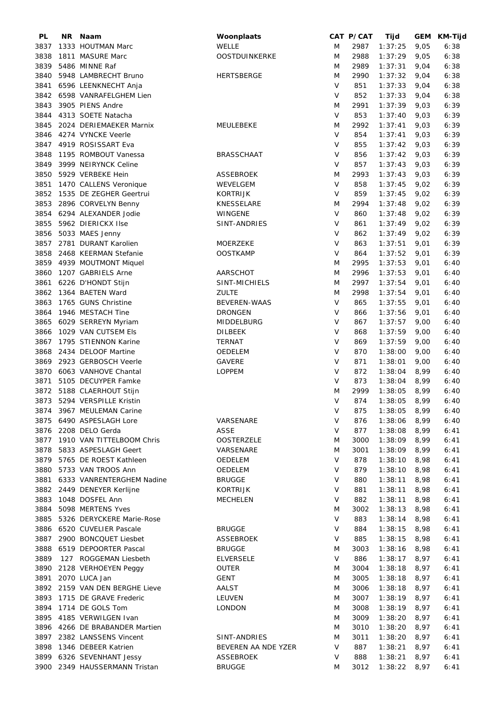| PL   | NR. | Naam                           | Woonplaats          |        | CAT P/CAT | Tijd    |      | GEM KM-Tijd |
|------|-----|--------------------------------|---------------------|--------|-----------|---------|------|-------------|
| 3837 |     | 1333 HOUTMAN Marc              | <b>WELLE</b>        | M      | 2987      | 1:37:25 | 9,05 | 6:38        |
| 3838 |     | 1811 MASURE Marc               | OOSTDUINKERKE       | M      | 2988      | 1:37:29 | 9,05 | 6:38        |
| 3839 |     | 5486 MINNE Raf                 |                     | M      | 2989      | 1:37:31 | 9,04 | 6:38        |
| 3840 |     | 5948 LAMBRECHT Bruno           | <b>HERTSBERGE</b>   | M      | 2990      | 1:37:32 | 9,04 | 6:38        |
| 3841 |     | 6596 LEENKNECHT Anja           |                     | $\vee$ | 851       | 1:37:33 | 9,04 | 6:38        |
| 3842 |     | 6598 VANRAFELGHEM Lien         |                     | V      | 852       | 1:37:33 | 9,04 | 6:38        |
|      |     |                                |                     |        |           |         |      |             |
| 3843 |     | 3905 PIENS Andre               |                     | M      | 2991      | 1:37:39 | 9,03 | 6:39        |
| 3844 |     | 4313 SOETE Natacha             |                     | V      | 853       | 1:37:40 | 9,03 | 6:39        |
| 3845 |     | 2024 DERIEMAEKER Marnix        | MEULEBEKE           | M      | 2992      | 1:37:41 | 9,03 | 6:39        |
| 3846 |     | 4274 VYNCKE Veerle             |                     | V      | 854       | 1:37:41 | 9,03 | 6:39        |
| 3847 |     | 4919 ROSISSART Eva             |                     | $\vee$ | 855       | 1:37:42 | 9,03 | 6:39        |
| 3848 |     | 1195 ROMBOUT Vanessa           | <b>BRASSCHAAT</b>   | V      | 856       | 1:37:42 | 9,03 | 6:39        |
| 3849 |     | 3999 NEIRYNCK Celine           |                     | V      | 857       | 1:37:43 | 9,03 | 6:39        |
| 3850 |     | 5929 VERBEKE Hein              | <b>ASSEBROEK</b>    | M      | 2993      | 1:37:43 | 9,03 | 6:39        |
| 3851 |     | 1470 CALLENS Veronique         | WEVELGEM            | $\vee$ | 858       | 1:37:45 | 9,02 | 6:39        |
| 3852 |     | 1535 DE ZEGHER Geertrui        | <b>KORTRIJK</b>     | V      | 859       | 1:37:45 | 9,02 | 6:39        |
|      |     |                                |                     |        |           |         |      |             |
| 3853 |     | 2896 CORVELYN Benny            | KNESSELARE          | M      | 2994      | 1:37:48 | 9,02 | 6:39        |
| 3854 |     | 6294 ALEXANDER Jodie           | WINGENE             | $\vee$ | 860       | 1:37:48 | 9,02 | 6:39        |
| 3855 |     | 5962 DIERICKX IIse             | SINT-ANDRIES        | V      | 861       | 1:37:49 | 9,02 | 6:39        |
| 3856 |     | 5033 MAES Jenny                |                     | V      | 862       | 1:37:49 | 9,02 | 6:39        |
| 3857 |     | 2781 DURANT Karolien           | <b>MOERZEKE</b>     | V      | 863       | 1:37:51 | 9,01 | 6:39        |
| 3858 |     | 2468 KEERMAN Stefanie          | <b>OOSTKAMP</b>     | V      | 864       | 1:37:52 | 9,01 | 6:39        |
| 3859 |     | 4939 MOUTMONT Miquel           |                     | M      | 2995      | 1:37:53 | 9,01 | 6:40        |
| 3860 |     | 1207 GABRIELS Arne             | AARSCHOT            | M      | 2996      | 1:37:53 | 9,01 | 6:40        |
|      |     |                                |                     | M      | 2997      |         |      |             |
| 3861 |     | 6226 D'HONDT Stijn             | SINT-MICHIELS       |        |           | 1:37:54 | 9,01 | 6:40        |
| 3862 |     | 1364 BAETEN Ward               | <b>ZULTE</b>        | M      | 2998      | 1:37:54 | 9,01 | 6:40        |
| 3863 |     | 1765 GUNS Christine            | <b>BEVEREN-WAAS</b> | V      | 865       | 1:37:55 | 9,01 | 6:40        |
| 3864 |     | 1946 MESTACH Tine              | <b>DRONGEN</b>      | V      | 866       | 1:37:56 | 9,01 | 6:40        |
| 3865 |     | 6029 SERREYN Myriam            | MIDDELBURG          | V      | 867       | 1:37:57 | 9,00 | 6:40        |
| 3866 |     | 1029 VAN CUTSEM Els            | <b>DILBEEK</b>      | V      | 868       | 1:37:59 | 9,00 | 6:40        |
| 3867 |     | 1795 STIENNON Karine           | TERNAT              | $\vee$ | 869       | 1:37:59 | 9,00 | 6:40        |
| 3868 |     | 2434 DELOOF Martine            | OEDELEM             | $\vee$ | 870       | 1:38:00 | 9,00 | 6:40        |
| 3869 |     | 2923 GERBOSCH Veerle           | <b>GAVERE</b>       | V      | 871       | 1:38:01 | 9,00 | 6:40        |
| 3870 |     | 6063 VANHOVE Chantal           | <b>LOPPEM</b>       | V      | 872       | 1:38:04 | 8,99 | 6:40        |
|      |     |                                |                     |        |           |         |      |             |
| 3871 |     | 5105 DECUYPER Famke            |                     | V      | 873       | 1:38:04 | 8,99 | 6:40        |
| 3872 |     | 5188 CLAERHOUT Stijn           |                     | M      | 2999      | 1:38:05 | 8,99 | 6:40        |
|      |     | 3873 5294 VERSPILLE Kristin    |                     | $\vee$ | 874       | 1:38:05 | 8,99 | 6:40        |
|      |     | 3874 3967 MEULEMAN Carine      |                     | V      | 875       | 1:38:05 | 8,99 | 6:40        |
|      |     | 3875 6490 ASPESLAGH Lore       | VARSENARE           | V      | 876       | 1:38:06 | 8,99 | 6:40        |
|      |     | 3876 2208 DELO Gerda           | ASSE                | V      | 877       | 1:38:08 | 8,99 | 6:41        |
|      |     | 3877 1910 VAN TITTELBOOM Chris | <b>OOSTERZELE</b>   | M      | 3000      | 1:38:09 | 8,99 | 6:41        |
|      |     | 3878 5833 ASPESLAGH Geert      | VARSENARE           | M      | 3001      | 1:38:09 | 8,99 | 6:41        |
|      |     | 3879 5765 DE ROEST Kathleen    | OEDELEM             | V      | 878       | 1:38:10 | 8,98 | 6:41        |
|      |     | 3880 5733 VAN TROOS Ann        | OEDELEM             | V      | 879       |         |      |             |
|      |     |                                |                     |        |           | 1:38:10 | 8,98 | 6:41        |
|      |     | 3881 6333 VANRENTERGHEM Nadine | <b>BRUGGE</b>       | V      | 880       | 1:38:11 | 8,98 | 6:41        |
|      |     | 3882 2449 DENEYER Kerlijne     | KORTRIJK            | V      | 881       | 1:38:11 | 8,98 | 6:41        |
|      |     | 3883 1048 DOSFEL Ann           | <b>MECHELEN</b>     | V      | 882       | 1:38:11 | 8,98 | 6:41        |
| 3884 |     | 5098 MERTENS Yves              |                     | M      | 3002      | 1:38:13 | 8,98 | 6:41        |
|      |     | 3885 5326 DERYCKERE Marie-Rose |                     | V      | 883       | 1:38:14 | 8,98 | 6:41        |
|      |     | 3886 6520 CUVELIER Pascale     | <b>BRUGGE</b>       | V      | 884       | 1:38:15 | 8,98 | 6:41        |
|      |     | 3887 2900 BONCQUET Liesbet     | ASSEBROEK           | V      | 885       | 1:38:15 | 8,98 | 6:41        |
|      |     | 3888 6519 DEPOORTER Pascal     | <b>BRUGGE</b>       | M      | 3003      | 1:38:16 | 8,98 | 6:41        |
| 3889 |     | 127 ROGGEMAN Liesbeth          | <b>ELVERSELE</b>    | V      | 886       | 1:38:17 | 8,97 | 6:41        |
|      |     |                                |                     |        |           |         |      |             |
| 3890 |     | 2128 VERHOEYEN Peggy           | OUTER               | M      | 3004      | 1:38:18 | 8,97 | 6:41        |
| 3891 |     | 2070 LUCA Jan                  | <b>GENT</b>         | M      | 3005      | 1:38:18 | 8,97 | 6:41        |
|      |     | 3892 2159 VAN DEN BERGHE Lieve | AALST               | M      | 3006      | 1:38:18 | 8,97 | 6:41        |
|      |     | 3893 1715 DE GRAVE Frederic    | LEUVEN              | M      | 3007      | 1:38:19 | 8,97 | 6:41        |
| 3894 |     | 1714 DE GOLS Tom               | <b>LONDON</b>       | Μ      | 3008      | 1:38:19 | 8,97 | 6:41        |
| 3895 |     | 4185 VERWILGEN Ivan            |                     | M      | 3009      | 1:38:20 | 8,97 | 6:41        |
|      |     | 3896 4266 DE BRABANDER Martien |                     | M      | 3010      | 1:38:20 | 8,97 | 6:41        |
| 3897 |     | 2382 LANSSENS Vincent          | SINT-ANDRIES        | Μ      | 3011      | 1:38:20 | 8,97 | 6:41        |
|      |     | 3898 1346 DEBEER Katrien       | BEVEREN AA NDE YZER | V      | 887       | 1:38:21 | 8,97 | 6:41        |
|      |     |                                |                     |        |           |         |      |             |
|      |     | 3899 6326 SEVENHANT Jessy      | <b>ASSEBROEK</b>    | V      | 888       | 1:38:21 | 8,97 | 6:41        |
|      |     | 3900 2349 HAUSSERMANN Tristan  | <b>BRUGGE</b>       | M      | 3012      | 1:38:22 | 8,97 | 6:41        |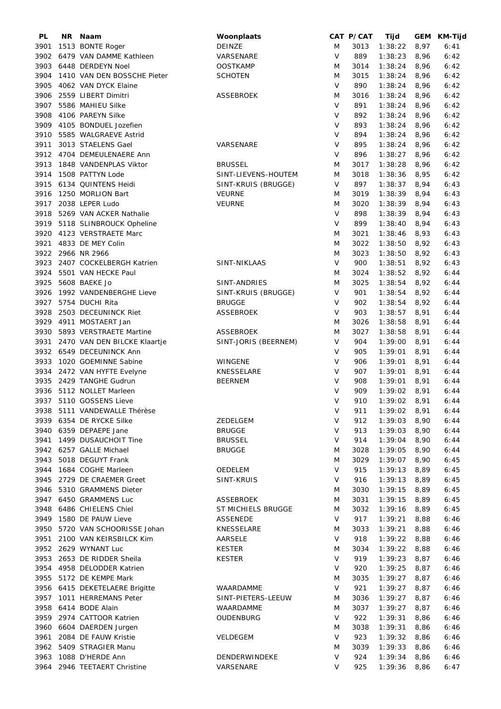| PL   | NR Naam                        | Woonplaats           |        | CAT P/CAT | Tijd           |      | GEM KM-Tijd |
|------|--------------------------------|----------------------|--------|-----------|----------------|------|-------------|
| 3901 | 1513 BONTE Roger               | DEINZE               | M      | 3013      | 1:38:22        | 8,97 | 6:41        |
| 3902 | 6479 VAN DAMME Kathleen        | VARSENARE            | V      | 889       | 1:38:23        | 8,96 | 6:42        |
| 3903 | 6448 DERDEYN Noel              | <b>OOSTKAMP</b>      | M      | 3014      | 1:38:24        | 8,96 | 6:42        |
| 3904 | 1410 VAN DEN BOSSCHE Pieter    | <b>SCHOTEN</b>       | M      | 3015      | 1:38:24        | 8,96 | 6:42        |
| 3905 | 4062 VAN DYCK Elaine           |                      | V      | 890       | 1:38:24        | 8,96 | 6:42        |
| 3906 | 2559 LIBERT Dimitri            | ASSEBROEK            | M      | 3016      | 1:38:24        | 8,96 | 6:42        |
| 3907 | 5586 MAHIEU Silke              |                      | $\vee$ | 891       | 1:38:24        | 8,96 | 6:42        |
| 3908 | 4106 PAREYN Silke              |                      | V      | 892       | 1:38:24        | 8,96 | 6:42        |
| 3909 | 4105 BONDUEL Jozefien          |                      | V      | 893       | 1:38:24        | 8,96 | 6:42        |
|      |                                |                      |        |           |                |      |             |
| 3910 | 5585 WALGRAEVE Astrid          |                      | V      | 894       | 1:38:24        | 8,96 | 6:42        |
| 3911 | 3013 STAELENS Gael             | VARSENARE            | $\vee$ | 895       | 1:38:24        | 8,96 | 6:42        |
| 3912 | 4704 DEMEULENAERE Ann          |                      | V      | 896       | 1:38:27        | 8,96 | 6:42        |
| 3913 | 1848 VANDENPLAS Viktor         | <b>BRUSSEL</b>       | M      | 3017      | 1:38:28        | 8,96 | 6:42        |
| 3914 | 1508 PATTYN Lode               | SINT-LIEVENS-HOUTEM  | M      | 3018      | 1:38:36        | 8,95 | 6:42        |
| 3915 | 6134 QUINTENS Heidi            | SINT-KRUIS (BRUGGE)  | V      | 897       | 1:38:37        | 8,94 | 6:43        |
| 3916 | 1250 MORLION Bart              | <b>VEURNE</b>        | M      | 3019      | 1:38:39        | 8,94 | 6:43        |
| 3917 | 2038 LEPER Ludo                | <b>VEURNE</b>        | M      | 3020      | 1:38:39        | 8,94 | 6:43        |
| 3918 | 5269 VAN ACKER Nathalie        |                      | $\vee$ | 898       | 1:38:39        | 8,94 | 6:43        |
| 3919 | 5118 SLINBROUCK Opheline       |                      | V      | 899       | 1:38:40        | 8,94 | 6:43        |
| 3920 | 4123 VERSTRAETE Marc           |                      | M      | 3021      | 1:38:46        | 8,93 | 6:43        |
| 3921 | 4833 DE MEY Colin              |                      | M      | 3022      | 1:38:50        | 8,92 | 6:43        |
|      | 3922 2966 NR 2966              |                      | M      | 3023      | 1:38:50        | 8,92 | 6:43        |
| 3923 | 2407 COCKELBERGH Katrien       | SINT-NIKLAAS         | V      | 900       | 1:38:51        | 8,92 | 6:43        |
|      |                                |                      |        |           |                |      |             |
| 3924 | 5501 VAN HECKE Paul            |                      | M      | 3024      | 1:38:52        | 8,92 | 6:44        |
| 3925 | 5608 BAEKE Jo                  | SINT-ANDRIES         | M      | 3025      | 1:38:54        | 8,92 | 6:44        |
| 3926 | 1992 VANDENBERGHE Lieve        | SINT-KRUIS (BRUGGE)  | V      | 901       | 1:38:54        | 8,92 | 6:44        |
| 3927 | 5754 DUCHI Rita                | <b>BRUGGE</b>        | V      | 902       | 1:38:54        | 8,92 | 6:44        |
| 3928 | 2503 DECEUNINCK Riet           | <b>ASSEBROEK</b>     | V      | 903       | 1:38:57        | 8,91 | 6:44        |
| 3929 | 4911 MOSTAERT Jan              |                      | M      | 3026      | 1:38:58        | 8,91 | 6:44        |
| 3930 | 5893 VERSTRAETE Martine        | ASSEBROEK            | M      | 3027      | 1:38:58        | 8,91 | 6:44        |
| 3931 | 2470 VAN DEN BILCKE Klaartje   | SINT-JORIS (BEERNEM) | V      | 904       | 1:39:00        | 8,91 | 6:44        |
|      | 3932 6549 DECEUNINCK Ann       |                      | V      | 905       | 1:39:01        | 8,91 | 6:44        |
| 3933 | 1020 GOEMINNE Sabine           | WINGENE              | V      | 906       | 1:39:01        | 8,91 | 6:44        |
|      | 3934 2472 VAN HYFTE Evelyne    | KNESSELARE           | V      | 907       | 1:39:01        | 8,91 | 6:44        |
|      | 3935 2429 TANGHE Gudrun        | <b>BEERNEM</b>       | V      | 908       | 1:39:01        | 8,91 | 6:44        |
|      | 3936 5112 NOLLET Marleen       |                      | V      | 909       | 1:39:02        | 8,91 | 6:44        |
|      | 3937 5110 GOSSENS Lieve        |                      | $\vee$ | 910       | 1:39:02        | 8,91 | 6:44        |
|      | 3938 5111 VANDEWALLE Thérèse   |                      | V      | 911       | $1:39:02$ 8,91 |      | 6:44        |
|      | 3939 6354 DE RYCKE Silke       |                      | V      |           |                |      |             |
|      |                                | ZEDELGEM             |        | 912       | 1:39:03        | 8,90 | 6:44        |
|      | 3940 6359 DEPAEPE Jane         | <b>BRUGGE</b>        | V      | 913       | 1:39:03        | 8,90 | 6:44        |
| 3941 | 1499 DUSAUCHOIT Tine           | <b>BRUSSEL</b>       | V      | 914       | 1:39:04        | 8,90 | 6:44        |
|      | 3942 6257 GALLE Michael        | <b>BRUGGE</b>        | M      | 3028      | 1:39:05        | 8,90 | 6:44        |
| 3943 | 5018 DEGUYT Frank              |                      | M      | 3029      | 1:39:07        | 8,90 | 6:45        |
| 3944 | 1684 COGHE Marleen             | OEDELEM              | V      | 915       | 1:39:13        | 8,89 | 6:45        |
| 3945 | 2729 DE CRAEMER Greet          | SINT-KRUIS           | V      | 916       | 1:39:13        | 8,89 | 6:45        |
| 3946 | 5310 GRAMMENS Dieter           |                      | M      | 3030      | 1:39:15        | 8,89 | 6:45        |
| 3947 | 6450 GRAMMENS Luc              | <b>ASSEBROEK</b>     | M      | 3031      | 1:39:15        | 8,89 | 6:45        |
| 3948 | 6486 CHIELENS Chiel            | ST MICHIELS BRUGGE   | M      | 3032      | 1:39:16        | 8,89 | 6:45        |
| 3949 | 1580 DE PAUW Lieve             | ASSENEDE             | V      | 917       | 1:39:21        | 8,88 | 6:46        |
| 3950 | 5720 VAN SCHOORISSE Johan      | KNESSELARE           | M      | 3033      | 1:39:21        | 8,88 | 6:46        |
| 3951 | 2100 VAN KEIRSBILCK Kim        | AARSELE              | V      | 918       | 1:39:22        | 8,88 | 6:46        |
|      | 3952 2629 WYNANT Luc           | <b>KESTER</b>        | M      | 3034      | 1:39:22        | 8,88 | 6:46        |
| 3953 | 2653 DE RIDDER Sheila          | <b>KESTER</b>        | V      | 919       | 1:39:23        | 8,87 | 6:46        |
|      | 3954 4958 DELODDER Katrien     |                      | V      | 920       | 1:39:25        | 8,87 | 6:46        |
| 3955 | 5172 DE KEMPE Mark             |                      | M      | 3035      | 1:39:27        | 8,87 | 6:46        |
|      | 3956 6415 DEKETELAERE Brigitte | WAARDAMME            | V      | 921       | 1:39:27        | 8,87 | 6:46        |
| 3957 | 1011 HERREMANS Peter           | SINT-PIETERS-LEEUW   |        | 3036      | 1:39:27        |      | 6:46        |
|      |                                |                      | M      |           |                | 8,87 |             |
| 3958 | 6414 BODE Alain                | WAARDAMME            | M      | 3037      | 1:39:27        | 8,87 | 6:46        |
| 3959 | 2974 CATTOOR Katrien           | OUDENBURG            | V      | 922       | 1:39:31        | 8,86 | 6:46        |
| 3960 | 6604 DAERDEN Jurgen            |                      | M      | 3038      | 1:39:31        | 8,86 | 6:46        |
| 3961 | 2084 DE FAUW Kristie           | VELDEGEM             | V      | 923       | 1:39:32        | 8,86 | 6:46        |
|      | 3962 5409 STRAGIER Manu        |                      | M      | 3039      | 1:39:33        | 8,86 | 6:46        |
|      | 3963 1088 D'HERDE Ann          | DENDERWINDEKE        | V      | 924       | 1:39:34        | 8,86 | 6:46        |
|      | 3964 2946 TEETAERT Christine   | VARSENARE            | V      | 925       | 1:39:36        | 8,86 | 6:47        |
|      |                                |                      |        |           |                |      |             |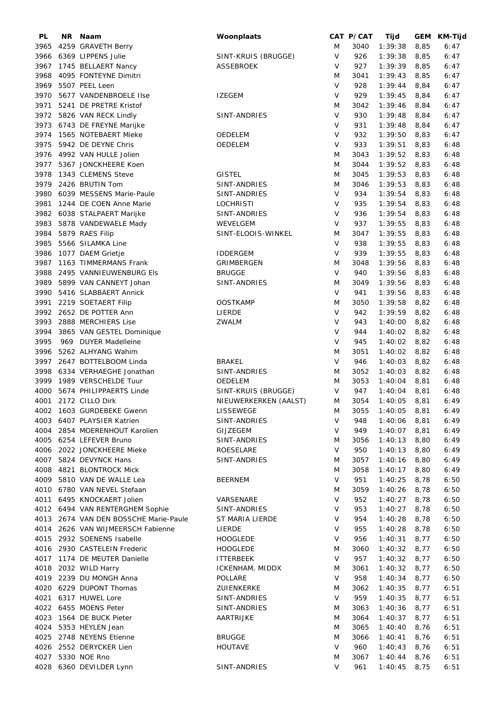| PL   | ΝR | Naam                                  | Woonplaats             |        | CAT P/CAT | Tijd    |      | GEM KM-Tijd |
|------|----|---------------------------------------|------------------------|--------|-----------|---------|------|-------------|
| 3965 |    | 4259 GRAVETH Berry                    |                        | M      | 3040      | 1:39:38 | 8,85 | 6:47        |
| 3966 |    | 6369 LIPPENS Julie                    | SINT-KRUIS (BRUGGE)    | V      | 926       | 1:39:38 | 8,85 | 6:47        |
| 3967 |    | 1745 BELLAERT Nancy                   | <b>ASSEBROEK</b>       | V      | 927       | 1:39:39 | 8,85 | 6:47        |
| 3968 |    | 4095 FONTEYNE Dimitri                 |                        | M      | 3041      | 1:39:43 | 8,85 | 6:47        |
| 3969 |    | 5507 PEEL Leen                        |                        | V      | 928       | 1:39:44 | 8,84 | 6:47        |
| 3970 |    | 5677 VANDENBROELE Ilse                | <b>IZEGEM</b>          | $\vee$ | 929       | 1:39:45 | 8,84 | 6:47        |
| 3971 |    | 5241 DE PRETRE Kristof                |                        | M      | 3042      | 1:39:46 | 8,84 | 6:47        |
| 3972 |    | 5826 VAN RECK Lindly                  | SINT-ANDRIES           | V      | 930       | 1:39:48 | 8,84 | 6:47        |
| 3973 |    | 6743 DE FREYNE Marijke                |                        | V      | 931       | 1:39:48 | 8,84 | 6:47        |
| 3974 |    | 1565 NOTEBAERT Mieke                  | OEDELEM                | V      | 932       | 1:39:50 | 8,83 | 6:47        |
| 3975 |    | 5942 DE DEYNE Chris                   | OEDELEM                | V      | 933       | 1:39:51 | 8,83 | 6:48        |
|      |    | 3976 4992 VAN HULLE Jolien            |                        | M      | 3043      | 1:39:52 | 8,83 | 6:48        |
|      |    | 3977 5367 JONCKHEERE Koen             |                        | M      | 3044      | 1:39:52 | 8,83 | 6:48        |
| 3978 |    | 1343 CLEMENS Steve                    | <b>GISTEL</b>          | M      | 3045      | 1:39:53 | 8,83 | 6:48        |
|      |    | 3979 2426 BRUTIN Tom                  | SINT-ANDRIES           | M      | 3046      | 1:39:53 | 8,83 | 6:48        |
|      |    | 3980 6039 MESSENS Marie-Paule         | SINT-ANDRIES           | $\vee$ | 934       | 1:39:54 | 8,83 | 6:48        |
| 3981 |    | 1244 DE COEN Anne Marie               | <b>LOCHRISTI</b>       | V      | 935       | 1:39:54 | 8,83 | 6:48        |
|      |    |                                       | SINT-ANDRIES           | V      | 936       | 1:39:54 | 8,83 | 6:48        |
|      |    | 3982 6038 STALPAERT Marijke           |                        | V      | 937       |         |      |             |
| 3983 |    | 5878 VANDEWAELE Mady                  | WEVELGEM               |        |           | 1:39:55 | 8,83 | 6:48        |
| 3984 |    | 5879 RAES Filip                       | SINT-ELOOIS-WINKEL     | M      | 3047      | 1:39:55 | 8,83 | 6:48        |
| 3985 |    | 5566 SILAMKA Line                     |                        | V      | 938       | 1:39:55 | 8,83 | 6:48        |
| 3986 |    | 1077 DAEM Grietje                     | <b>IDDERGEM</b>        | V      | 939       | 1:39:55 | 8,83 | 6:48        |
| 3987 |    | 1163 TIMMERMANS Frank                 | GRIMBERGEN             | M      | 3048      | 1:39:56 | 8,83 | 6:48        |
| 3988 |    | 2495 VANNIEUWENBURG Els               | <b>BRUGGE</b>          | V      | 940       | 1:39:56 | 8,83 | 6:48        |
|      |    | 3989 5899 VAN CANNEYT Johan           | SINT-ANDRIES           | M      | 3049      | 1:39:56 | 8,83 | 6:48        |
| 3990 |    | 5416 SLABBAERT Annick                 |                        | V      | 941       | 1:39:56 | 8,83 | 6:48        |
| 3991 |    | 2219 SOETAERT Filip                   | <b>OOSTKAMP</b>        | M      | 3050      | 1:39:58 | 8,82 | 6:48        |
|      |    | 3992 2652 DE POTTER Ann               | LIERDE                 | V      | 942       | 1:39:59 | 8,82 | 6:48        |
|      |    | 3993 2888 MERCHIERS Lise              | ZWALM                  | V      | 943       | 1:40:00 | 8,82 | 6:48        |
| 3994 |    | 3865 VAN GESTEL Dominique             |                        | V      | 944       | 1:40:02 | 8,82 | 6:48        |
| 3995 |    | 969 DUYER Madelleine                  |                        | V      | 945       | 1:40:02 | 8,82 | 6:48        |
| 3996 |    | 5262 ALHYANG Wahim                    |                        | M      | 3051      | 1:40:02 | 8,82 | 6:48        |
|      |    | 3997 2647 BOTTELBOOM Linda            | <b>BRAKEL</b>          | V      | 946       | 1:40:03 | 8,82 | 6:48        |
|      |    | 3998 6334 VERHAEGHE Jonathan          | SINT-ANDRIES           | M      | 3052      | 1:40:03 | 8,82 | 6:48        |
|      |    | 3999 1989 VERSCHELDE Tuur             | OEDELEM                | M      | 3053      | 1:40:04 | 8,81 | 6:48        |
| 4000 |    | 5674 PHILIPPAERTS Linde               | SINT-KRUIS (BRUGGE)    | V      | 947       | 1:40:04 | 8,81 | 6:48        |
|      |    | 4001 2172 CILLO Dirk                  | NIEUWERKERKEN (AALST)  | M      | 3054      | 1:40:05 | 8,81 | 6:49        |
|      |    | 4002 1603 GURDEBEKE Gwenn             | LISSEWEGE              | M      | 3055      | 1:40:05 | 8,81 | 6:49        |
|      |    | 4003 6407 PLAYSIER Katrien            | SINT-ANDRIES           | V      | 948       | 1:40:06 | 8,81 | 6:49        |
|      |    | 4004 2854 MOERENHOUT Karolien         | GIJZEGEM               | V      | 949       | 1:40:07 | 8,81 | 6:49        |
| 4005 |    | 6254 LEFEVER Bruno                    | SINT-ANDRIES           | M      | 3056      | 1:40:13 | 8,80 | 6:49        |
|      |    | 4006 2022 JONCKHEERE Mieke            | ROESELARE              | V      | 950       | 1:40:13 | 8,80 | 6:49        |
| 4007 |    | 5824 DEVYNCK Hans                     | SINT-ANDRIES           | M      | 3057      | 1:40:16 | 8,80 | 6:49        |
| 4008 |    | 4821 BLONTROCK Mick                   |                        | M      | 3058      | 1:40:17 | 8,80 | 6:49        |
| 4009 |    | 5810 VAN DE WALLE Lea                 | <b>BEERNEM</b>         | V      | 951       | 1:40:25 | 8,78 | 6:50        |
|      |    | 4010 6780 VAN NEVEL Stefaan           |                        | M      | 3059      | 1:40:26 | 8,78 | 6:50        |
| 4011 |    | 6495 KNOCKAERT Jolien                 | VARSENARE              | V      | 952       | 1:40:27 | 8,78 | 6:50        |
|      |    | 4012 6494 VAN RENTERGHEM Sophie       | SINT-ANDRIES           | V      | 953       | 1:40:27 | 8,78 | 6:50        |
|      |    | 4013 2674 VAN DEN BOSSCHE Marie-Paule | ST MARIA LIERDE        | V      | 954       | 1:40:28 | 8,78 | 6:50        |
|      |    | 4014 2626 VAN WIJMEERSCH Fabienne     | LIERDE                 | V      | 955       | 1:40:28 | 8,78 | 6:50        |
|      |    | 4015 2932 SOENENS Isabelle            | <b>HOOGLEDE</b>        | V      | 956       | 1:40:31 | 8,77 | 6:50        |
|      |    | 4016 2930 CASTELEIN Frederic          | <b>HOOGLEDE</b>        | M      | 3060      | 1:40:32 | 8,77 | 6:50        |
|      |    | 4017 1174 DE MEUTER Danielle          | <b>ITTERBEEK</b>       | V      | 957       | 1:40:32 | 8,77 | 6:50        |
| 4018 |    | 2032 WILD Harry                       | <b>ICKENHAM, MIDDX</b> | M      | 3061      | 1:40:32 | 8,77 | 6:50        |
|      |    | 4019 2239 DU MONGH Anna               | POLLARE                | V      | 958       | 1:40:34 | 8,77 | 6:50        |
|      |    | 4020 6229 DUPONT Thomas               | ZUIENKERKE             | M      | 3062      | 1:40:35 | 8,77 | 6:51        |
|      |    |                                       |                        | V      |           |         |      |             |
|      |    | 4021 6317 HUWEL Lore                  | SINT-ANDRIES           |        | 959       | 1:40:35 | 8,77 | 6:51        |
|      |    | 4022 6455 MOENS Peter                 | SINT-ANDRIES           | M      | 3063      | 1:40:36 | 8,77 | 6:51        |
|      |    | 4023 1564 DE BUCK Pieter              | AARTRIJKE              | M      | 3064      | 1:40:37 | 8,77 | 6:51        |
|      |    | 4024 5353 HEYLEN Jean                 |                        | M      | 3065      | 1:40:40 | 8,76 | 6:51        |
|      |    | 4025 2748 NEYENS Etienne              | <b>BRUGGE</b>          | M      | 3066      | 1:40:41 | 8,76 | 6:51        |
|      |    | 4026 2552 DERYCKER Lien               | <b>HOUTAVE</b>         | $\vee$ | 960       | 1:40:43 | 8,76 | 6:51        |
|      |    | 4027 5330 NOE Rno                     |                        | M      | 3067      | 1:40:44 | 8,76 | 6:51        |
|      |    | 4028 6360 DEVILDER Lynn               | SINT-ANDRIES           | $\vee$ | 961       | 1:40:45 | 8,75 | 6:51        |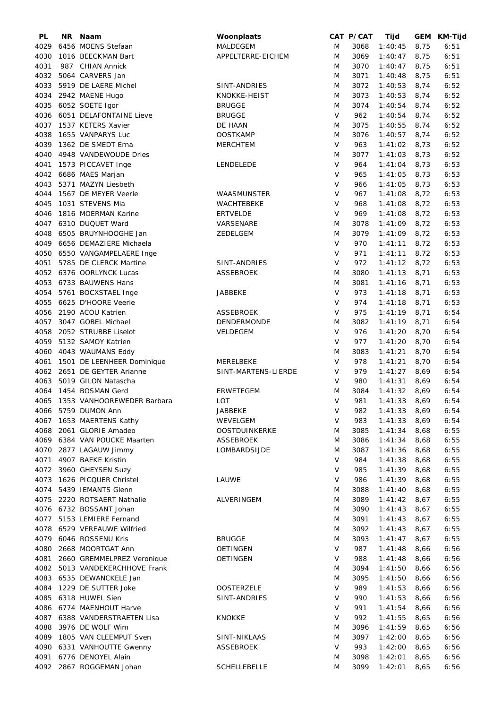| PL   | NR. | Naam                           | Woonplaats           |        | CAT P/CAT | Tijd           |      | GEM KM-Tijd |
|------|-----|--------------------------------|----------------------|--------|-----------|----------------|------|-------------|
| 4029 |     | 6456 MOENS Stefaan             | MALDEGEM             | M      | 3068      | 1:40:45        | 8,75 | 6:51        |
| 4030 |     | 1016 BEECKMAN Bart             | APPELTERRE-EICHEM    | M      | 3069      | 1:40:47        | 8,75 | 6:51        |
| 4031 |     | 987 CHIAN Annick               |                      | M      | 3070      | 1:40:47        | 8,75 | 6:51        |
| 4032 |     | 5064 CARVERS Jan               |                      | M      | 3071      | 1:40:48        | 8,75 | 6:51        |
|      |     |                                |                      |        |           |                |      |             |
| 4033 |     | 5919 DE LAERE Michel           | SINT-ANDRIES         | M      | 3072      | 1:40:53        | 8,74 | 6:52        |
| 4034 |     | 2942 MAENE Hugo                | KNOKKE-HEIST         | M      | 3073      | 1:40:53        | 8,74 | 6:52        |
| 4035 |     | 6052 SOETE Igor                | <b>BRUGGE</b>        | M      | 3074      | 1:40:54        | 8,74 | 6:52        |
| 4036 |     | 6051 DELAFONTAINE Lieve        | <b>BRUGGE</b>        | $\vee$ | 962       | 1:40:54        | 8,74 | 6:52        |
| 4037 |     | 1537 KETERS Xavier             | DE HAAN              | M      | 3075      | 1:40:55        | 8,74 | 6:52        |
| 4038 |     | 1655 VANPARYS Luc              | <b>OOSTKAMP</b>      | M      | 3076      | 1:40:57        | 8,74 | 6:52        |
| 4039 |     | 1362 DE SMEDT Erna             | <b>MERCHTEM</b>      | $\vee$ | 963       | 1:41:02        | 8,73 | 6:52        |
| 4040 |     | 4948 VANDEWOUDE Dries          |                      | M      | 3077      | 1:41:03        | 8,73 | 6:52        |
| 4041 |     | 1573 PICCAVET Inge             | LENDELEDE            | $\vee$ | 964       | 1:41:04        | 8,73 | 6:53        |
| 4042 |     | 6686 MAES Marjan               |                      | V      | 965       | 1:41:05        | 8,73 | 6:53        |
| 4043 |     | 5371 MAZYN Liesbeth            |                      | V      | 966       | 1:41:05        | 8,73 | 6:53        |
|      |     |                                |                      |        |           |                |      |             |
| 4044 |     | 1567 DE MEYER Veerle           | WAASMUNSTER          | $\vee$ | 967       | 1:41:08        | 8,72 | 6:53        |
| 4045 |     | 1031 STEVENS Mia               | WACHTEBEKE           | $\vee$ | 968       | 1:41:08        | 8,72 | 6:53        |
| 4046 |     | 1816 MOERMAN Karine            | <b>ERTVELDE</b>      | V      | 969       | 1:41:08        | 8,72 | 6:53        |
| 4047 |     | 6310 DUQUET Ward               | VARSENARE            | M      | 3078      | 1:41:09        | 8,72 | 6:53        |
| 4048 |     | 6505 BRUYNHOOGHE Jan           | ZEDELGEM             | M      | 3079      | 1:41:09        | 8,72 | 6:53        |
| 4049 |     | 6656 DEMAZIERE Michaela        |                      | $\vee$ | 970       | 1:41:11        | 8,72 | 6:53        |
| 4050 |     | 6550 VANGAMPELAERE Inge        |                      | $\vee$ | 971       | 1:41:11        | 8,72 | 6:53        |
| 4051 |     | 5785 DE CLERCK Martine         | SINT-ANDRIES         | V      | 972       | 1:41:12        | 8,72 | 6:53        |
|      |     | 4052 6376 OORLYNCK Lucas       | <b>ASSEBROEK</b>     | M      | 3080      | 1:41:13        | 8,71 | 6:53        |
| 4053 |     | 6733 BAUWENS Hans              |                      | M      | 3081      |                |      | 6:53        |
|      |     |                                |                      |        |           | 1:41:16        | 8,71 |             |
| 4054 |     | 5761 BOCXSTAEL Inge            | JABBEKE              | $\vee$ | 973       | 1:41:18        | 8,71 | 6:53        |
| 4055 |     | 6625 D'HOORE Veerle            |                      | $\vee$ | 974       | 1:41:18        | 8,71 | 6:53        |
| 4056 |     | 2190 ACOU Katrien              | ASSEBROEK            | V      | 975       | 1:41:19        | 8,71 | 6:54        |
| 4057 |     | 3047 GOBEL Michael             | DENDERMONDE          | M      | 3082      | 1:41:19        | 8,71 | 6:54        |
| 4058 |     | 2052 STRUBBE Liselot           | VELDEGEM             | $\vee$ | 976       | 1:41:20        | 8,70 | 6:54        |
| 4059 |     | 5132 SAMOY Katrien             |                      | $\vee$ | 977       | 1:41:20        | 8,70 | 6:54        |
| 4060 |     | 4043 WAUMANS Eddy              |                      | M      | 3083      | 1:41:21        | 8,70 | 6:54        |
| 4061 |     | 1501 DE LEENHEER Dominique     | MERELBEKE            | $\vee$ | 978       | 1:41:21        | 8,70 | 6:54        |
| 4062 |     | 2651 DE GEYTER Arianne         | SINT-MARTENS-LIERDE  | V      | 979       | 1:41:27        | 8,69 | 6:54        |
| 4063 |     | 5019 GILON Natascha            |                      | V      | 980       | 1:41:31        | 8,69 | 6:54        |
| 4064 |     | 1454 BOSMAN Gerd               | <b>ERWETEGEM</b>     | M      | 3084      | 1:41:32        | 8,69 | 6:54        |
|      |     |                                |                      |        |           |                |      |             |
| 4065 |     | 1353 VANHOOREWEDER Barbara     | <b>LOT</b>           | $\vee$ | 981       | 1:41:33        | 8,69 | 6:54        |
|      |     | 4066 5759 DUMON Ann            | <b>JABBEKE</b>       | $\vee$ | 982       | $1:41:33$ 8,69 |      | 6:54        |
|      |     | 4067 1653 MAERTENS Kathy       | WEVELGEM             | V      | 983       | 1:41:33        | 8,69 | 6:54        |
|      |     | 4068 2061 GLORIE Amadeo        | <b>OOSTDUINKERKE</b> | M      | 3085      | 1:41:34        | 8,68 | 6:55        |
|      |     | 4069 6384 VAN POUCKE Maarten   | <b>ASSEBROEK</b>     | M      | 3086      | 1:41:34        | 8,68 | 6:55        |
|      |     | 4070 2877 LAGAUW Jimmy         | LOMBARDSIJDE         | M      | 3087      | 1:41:36        | 8,68 | 6:55        |
| 4071 |     | 4907 BAEKE Kristin             |                      | V      | 984       | 1:41:38        | 8,68 | 6:55        |
|      |     | 4072 3960 GHEYSEN Suzy         |                      | V      | 985       | 1:41:39        | 8,68 | 6:55        |
| 4073 |     | 1626 PICQUER Christel          | LAUWE                | V      | 986       | 1:41:39        | 8,68 | 6:55        |
| 4074 |     | 5439 IEMANTS Glenn             |                      | M      | 3088      | 1:41:40        | 8,68 | 6:55        |
| 4075 |     | 2220 ROTSAERT Nathalie         | ALVERINGEM           | M      | 3089      | 1:41:42        | 8,67 | 6:55        |
|      |     |                                |                      |        |           |                |      |             |
| 4076 |     | 6732 BOSSANT Johan             |                      | M      | 3090      | 1:41:43        | 8,67 | 6:55        |
| 4077 |     | 5153 LEMIERE Fernand           |                      | M      | 3091      | 1:41:43        | 8,67 | 6:55        |
| 4078 |     | 6529 VEREAUWE Wilfried         |                      | M      | 3092      | 1:41:43        | 8,67 | 6:55        |
|      |     | 4079 6046 ROSSENU Kris         | <b>BRUGGE</b>        | M      | 3093      | 1:41:47        | 8,67 | 6:55        |
| 4080 |     | 2668 MOORTGAT Ann              | <b>OETINGEN</b>      | V      | 987       | 1:41:48        | 8,66 | 6:56        |
| 4081 |     | 2660 GREMMELPREZ Veronique     | <b>OETINGEN</b>      | V      | 988       | 1:41:48        | 8,66 | 6:56        |
|      |     | 4082 5013 VANDEKERCHHOVE Frank |                      | M      | 3094      | 1:41:50        | 8,66 | 6:56        |
|      |     | 4083 6535 DEWANCKELE Jan       |                      | M      | 3095      | 1:41:50        | 8,66 | 6:56        |
| 4084 |     | 1229 DE SUTTER Joke            | <b>OOSTERZELE</b>    | $\vee$ | 989       | 1:41:53        | 8,66 | 6:56        |
| 4085 |     | 6318 HUWEL Sien                | SINT-ANDRIES         | V      | 990       | 1:41:53        | 8,66 | 6:56        |
|      |     | 4086 6774 MAENHOUT Harve       |                      | V      | 991       | 1:41:54        |      |             |
|      |     |                                |                      |        |           |                | 8,66 | 6:56        |
|      |     | 4087 6388 VANDERSTRAETEN Lisa  | <b>KNOKKE</b>        | V      | 992       | 1:41:55        | 8,65 | 6:56        |
| 4088 |     | 3976 DE WOLF Wim               |                      | M      | 3096      | 1:41:59        | 8,65 | 6:56        |
| 4089 |     | 1805 VAN CLEEMPUT Sven         | SINT-NIKLAAS         | M      | 3097      | 1:42:00        | 8,65 | 6:56        |
| 4090 |     | 6331 VANHOUTTE Gwenny          | ASSEBROEK            | V      | 993       | 1:42:00        | 8,65 | 6:56        |
| 4091 |     | 6776 DENOYEL Alain             |                      | M      | 3098      | 1:42:01        | 8,65 | 6:56        |
|      |     | 4092 2867 ROGGEMAN Johan       | SCHELLEBELLE         | M      | 3099      | 1:42:01        | 8,65 | 6:56        |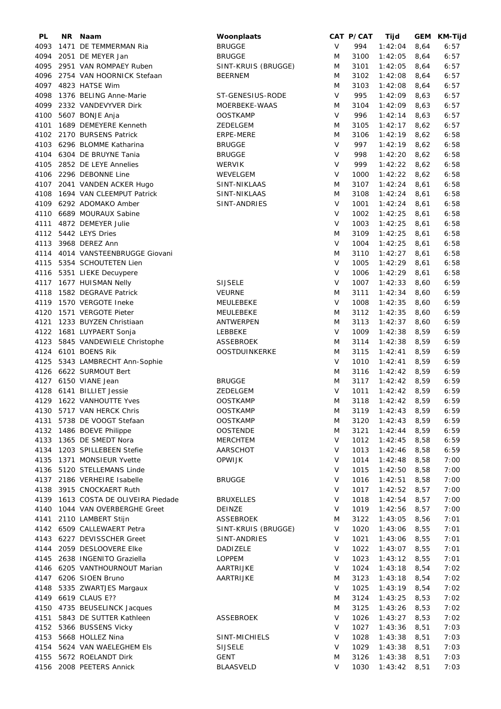| PL   | NR. | Naam                           | Woonplaats           |        | CAT P/CAT | Tijd           |      | GEM KM-Tijd  |
|------|-----|--------------------------------|----------------------|--------|-----------|----------------|------|--------------|
| 4093 |     | 1471 DE TEMMERMAN Ria          | <b>BRUGGE</b>        | V      | 994       | 1:42:04        | 8,64 | 6:57         |
| 4094 |     | 2051 DE MEYER Jan              | <b>BRUGGE</b>        | M      | 3100      | 1:42:05        | 8,64 | 6:57         |
| 4095 |     | 2951 VAN ROMPAEY Ruben         | SINT-KRUIS (BRUGGE)  | M      | 3101      | 1:42:05        | 8,64 | 6:57         |
| 4096 |     | 2754 VAN HOORNICK Stefaan      | <b>BEERNEM</b>       | M      | 3102      | 1:42:08        | 8,64 | 6:57         |
|      |     | 4097 4823 HATSE Wim            |                      | M      | 3103      | 1:42:08        | 8,64 | 6:57         |
| 4098 |     | 1376 BELING Anne-Marie         | ST-GENESIUS-RODE     | $\vee$ | 995       | 1:42:09        | 8,63 | 6:57         |
| 4099 |     | 2332 VANDEVYVER Dirk           | MOERBEKE-WAAS        | M      | 3104      | 1:42:09        | 8,63 | 6:57         |
| 4100 |     | 5607 BONJE Anja                | <b>OOSTKAMP</b>      | V      | 996       | 1:42:14        | 8,63 | 6:57         |
| 4101 |     | 1689 DEMEYERE Kenneth          | ZEDELGEM             | M      | 3105      | 1:42:17        | 8,62 | 6:57         |
| 4102 |     | 2170 BURSENS Patrick           | ERPE-MERE            | M      | 3106      | 1:42:19        | 8,62 | 6:58         |
| 4103 |     | 6296 BLOMME Katharina          | <b>BRUGGE</b>        | $\vee$ | 997       | 1:42:19        | 8,62 | 6:58         |
|      |     | 6304 DE BRUYNE Tania           |                      | $\vee$ | 998       |                |      |              |
| 4104 |     | 2852 DE LEYE Annelies          | <b>BRUGGE</b>        | $\vee$ | 999       | 1:42:20        | 8,62 | 6:58<br>6:58 |
| 4105 |     | 2296 DEBONNE Line              | <b>WERVIK</b>        | $\vee$ |           | 1:42:22        | 8,62 |              |
| 4106 |     |                                | WEVELGEM             |        | 1000      | 1:42:22        | 8,62 | 6:58         |
| 4107 |     | 2041 VANDEN ACKER Hugo         | SINT-NIKLAAS         | M      | 3107      | 1:42:24        | 8,61 | 6:58         |
| 4108 |     | 1694 VAN CLEEMPUT Patrick      | SINT-NIKLAAS         | M      | 3108      | 1:42:24        | 8,61 | 6:58         |
| 4109 |     | 6292 ADOMAKO Amber             | SINT-ANDRIES         | $\vee$ | 1001      | 1:42:24        | 8,61 | 6:58         |
| 4110 |     | 6689 MOURAUX Sabine            |                      | $\vee$ | 1002      | 1:42:25        | 8,61 | 6:58         |
| 4111 |     | 4872 DEMEYER Julie             |                      | V      | 1003      | 1:42:25        | 8,61 | 6:58         |
| 4112 |     | 5442 LEYS Dries                |                      | M      | 3109      | 1:42:25        | 8,61 | 6:58         |
| 4113 |     | 3968 DEREZ Ann                 |                      | $\vee$ | 1004      | 1:42:25        | 8,61 | 6:58         |
| 4114 |     | 4014 VANSTEENBRUGGE Giovani    |                      | M      | 3110      | 1:42:27        | 8,61 | 6:58         |
| 4115 |     | 5354 SCHOUTETEN Lien           |                      | $\vee$ | 1005      | 1:42:29        | 8,61 | 6:58         |
|      |     | 4116 5351 LIEKE Decuypere      |                      | V      | 1006      | 1:42:29        | 8,61 | 6:58         |
| 4117 |     | 1677 HUISMAN Nelly             | <b>SIJSELE</b>       | V      | 1007      | 1:42:33        | 8,60 | 6:59         |
| 4118 |     | 1582 DEGRAVE Patrick           | <b>VEURNE</b>        | M      | 3111      | 1:42:34        | 8,60 | 6:59         |
| 4119 |     | 1570 VERGOTE Ineke             | MEULEBEKE            | V      | 1008      | 1:42:35        | 8,60 | 6:59         |
| 4120 |     | 1571 VERGOTE Pieter            | MEULEBEKE            | M      | 3112      | 1:42:35        | 8,60 | 6:59         |
| 4121 |     | 1233 BUYZEN Christiaan         | ANTWERPEN            | M      | 3113      | 1:42:37        | 8,60 | 6:59         |
| 4122 |     | 1681 LUYPAERT Sonja            | LEBBEKE              | $\vee$ | 1009      | 1:42:38        | 8,59 | 6:59         |
| 4123 |     | 5845 VANDEWIELE Christophe     | <b>ASSEBROEK</b>     | M      | 3114      | 1:42:38        | 8,59 | 6:59         |
| 4124 |     | 6101 BOENS Rik                 | <b>OOSTDUINKERKE</b> | M      | 3115      | 1:42:41        | 8,59 | 6:59         |
| 4125 |     | 5343 LAMBRECHT Ann-Sophie      |                      | $\vee$ | 1010      | 1:42:41        | 8,59 | 6:59         |
|      |     | 4126 6622 SURMOUT Bert         |                      | M      | 3116      | 1:42:42        | 8,59 | 6:59         |
|      |     | 4127 6150 VIANE Jean           | <b>BRUGGE</b>        | M      | 3117      | 1:42:42        | 8,59 | 6:59         |
|      |     | 4128 6141 BILLIET Jessie       | ZEDELGEM             | V      | 1011      | 1:42:42        | 8,59 | 6:59         |
|      |     | 4129 1622 VANHOUTTE Yves       | <b>OOSTKAMP</b>      | M      | 3118      | 1:42:42        | 8,59 | 6:59         |
|      |     | 4130 5717 VAN HERCK Chris      | <b>OOSTKAMP</b>      | M      | 3119      | $1:42:43$ 8,59 |      | 6:59         |
|      |     | 4131 5738 DE VOOGT Stefaan     | <b>OOSTKAMP</b>      | M      | 3120      | 1:42:43        | 8,59 | 6:59         |
|      |     | 4132 1486 BOEVE Philippe       | <b>OOSTENDE</b>      | M      | 3121      | 1:42:44        | 8,59 | 6:59         |
|      |     | 4133 1365 DE SMEDT Nora        | <b>MERCHTEM</b>      | V      | 1012      | 1:42:45        | 8,58 | 6:59         |
|      |     | 4134 1203 SPILLEBEEN Stefie    | AARSCHOT             | $\vee$ | 1013      | 1:42:46        | 8,58 | 6:59         |
| 4135 |     | 1371 MONSIEUR Yvette           | <b>OPWIJK</b>        | $\vee$ | 1014      | 1:42:48        | 8,58 | 7:00         |
|      |     | 4136 5120 STELLEMANS Linde     |                      | $\vee$ | 1015      | 1:42:50        | 8,58 | 7:00         |
|      |     | 4137 2186 VERHEIRE Isabelle    | <b>BRUGGE</b>        | $\vee$ | 1016      | 1:42:51        | 8,58 | 7:00         |
|      |     | 4138 3915 CNOCKAERT Ruth       |                      | V      | 1017      | 1:42:52        | 8,57 | 7:00         |
| 4139 |     | 1613 COSTA DE OLIVEIRA Piedade | <b>BRUXELLES</b>     | $\vee$ | 1018      | 1:42:54        | 8,57 | 7:00         |
| 4140 |     | 1044 VAN OVERBERGHE Greet      | DEINZE               | V      | 1019      | 1:42:56        | 8,57 | 7:00         |
| 4141 |     | 2110 LAMBERT Stijn             | <b>ASSEBROEK</b>     | M      | 3122      | 1:43:05        | 8,56 | 7:01         |
| 4142 |     | 6509 CALLEWAERT Petra          | SINT-KRUIS (BRUGGE)  | $\vee$ | 1020      | 1:43:06        | 8,55 | 7:01         |
| 4143 |     | 6227 DEVISSCHER Greet          | SINT-ANDRIES         | V      | 1021      | 1:43:06        | 8,55 | 7:01         |
| 4144 |     | 2059 DESLOOVERE Elke           | DADIZELE             | $\vee$ | 1022      | 1:43:07        | 8,55 | 7:01         |
| 4145 |     | 2638 INGENITO Graziella        | <b>LOPPEM</b>        | V      | 1023      | 1:43:12        | 8,55 | 7:01         |
|      |     | 4146 6205 VANTHOURNOUT Marian  | AARTRIJKE            | $\vee$ | 1024      | 1:43:18        | 8,54 | 7:02         |
|      |     | 4147 6206 SIOEN Bruno          | AARTRIJKE            | M      | 3123      | 1:43:18        | 8,54 | 7:02         |
| 4148 |     | 5335 ZWARTJES Margaux          |                      | V      | 1025      | 1:43:19        | 8,54 | 7:02         |
|      |     | 4149 6619 CLAUS E??            |                      | M      | 3124      | 1:43:25        | 8,53 | 7:02         |
|      |     | 4150 4735 BEUSELINCK Jacques   |                      | M      | 3125      | 1:43:26        | 8,53 | 7:02         |
| 4151 |     | 5843 DE SUTTER Kathleen        | <b>ASSEBROEK</b>     | $\vee$ | 1026      | 1:43:27        | 8,53 | 7:02         |
|      |     | 4152 5366 BUSSENS Vicky        |                      | $\vee$ | 1027      | 1:43:36        | 8,51 | 7:03         |
|      |     | 4153 5668 HOLLEZ Nina          | SINT-MICHIELS        | $\vee$ | 1028      | 1:43:38        | 8,51 | 7:03         |
|      |     | 4154 5624 VAN WAELEGHEM Els    | <b>SIJSELE</b>       | $\vee$ | 1029      | 1:43:38        | 8,51 | 7:03         |
| 4155 |     | 5672 ROELANDT Dirk             | GENT                 | M      | 3126      | 1:43:38        | 8,51 | 7:03         |
|      |     | 4156 2008 PEETERS Annick       | <b>BLAASVELD</b>     | V      | 1030      | 1:43:42        | 8,51 | 7:03         |
|      |     |                                |                      |        |           |                |      |              |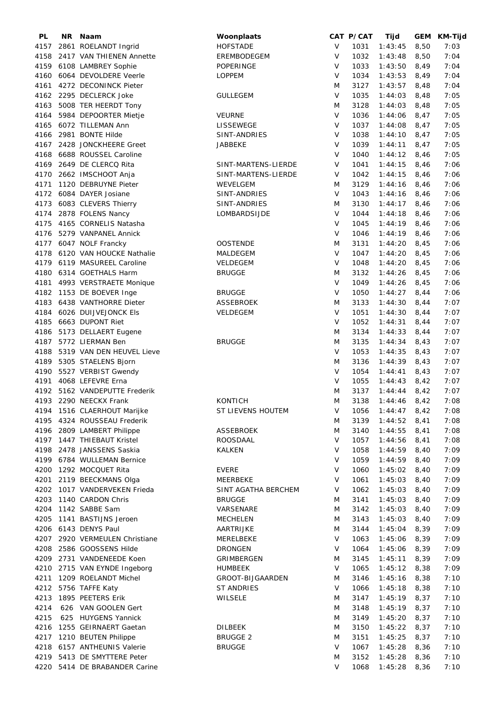| PL   | NR. | Naam                           | Woonplaats          |              | CAT P/CAT | Tijd           | GEM  | KM-Tijd |
|------|-----|--------------------------------|---------------------|--------------|-----------|----------------|------|---------|
| 4157 |     | 2861 ROELANDT Ingrid           | <b>HOFSTADE</b>     | V            | 1031      | 1:43:45        | 8,50 | 7:03    |
| 4158 |     | 2417 VAN THIENEN Annette       | EREMBODEGEM         | $\vee$       | 1032      | 1:43:48        | 8,50 | 7:04    |
|      |     | 4159 6108 LAMBREY Sophie       | POPERINGE           | V            | 1033      | 1:43:50        | 8,49 | 7:04    |
| 4160 |     | 6064 DEVOLDERE Veerle          | <b>LOPPEM</b>       | V            | 1034      | 1:43:53        | 8,49 | 7:04    |
| 4161 |     | 4272 DECONINCK Pieter          |                     | M            | 3127      | 1:43:57        | 8,48 | 7:04    |
| 4162 |     |                                |                     | $\mathsf{V}$ | 1035      |                |      | 7:05    |
|      |     | 2295 DECLERCK Joke             | <b>GULLEGEM</b>     |              |           | 1:44:03        | 8,48 |         |
| 4163 |     | 5008 TER HEERDT Tony           |                     | M            | 3128      | 1:44:03        | 8,48 | 7:05    |
| 4164 |     | 5984 DEPOORTER Mietje          | <b>VEURNE</b>       | V            | 1036      | 1:44:06        | 8,47 | 7:05    |
| 4165 |     | 6072 TILLEMAN Ann              | LISSEWEGE           | $\vee$       | 1037      | 1:44:08        | 8,47 | 7:05    |
| 4166 |     | 2981 BONTE Hilde               | SINT-ANDRIES        | $\vee$       | 1038      | 1:44:10        | 8,47 | 7:05    |
| 4167 |     | 2428 JONCKHEERE Greet          | JABBEKE             | $\vee$       | 1039      | 1:44:11        | 8,47 | 7:05    |
| 4168 |     | 6688 ROUSSEL Caroline          |                     | $\vee$       | 1040      | 1:44:12        | 8,46 | 7:05    |
| 4169 |     | 2649 DE CLERCQ Rita            | SINT-MARTENS-LIERDE | V            | 1041      | 1:44:15        | 8,46 | 7:06    |
| 4170 |     | 2662 IMSCHOOT Anja             | SINT-MARTENS-LIERDE | V            | 1042      | 1:44:15        | 8,46 | 7:06    |
| 4171 |     | 1120 DEBRUYNE Pieter           | WEVELGEM            | M            | 3129      | 1:44:16        | 8,46 | 7:06    |
|      |     | 4172 6084 DAYER Josiane        | SINT-ANDRIES        | $\vee$       | 1043      | 1:44:16        | 8,46 | 7:06    |
| 4173 |     | 6083 CLEVERS Thierry           | SINT-ANDRIES        | M            | 3130      | 1:44:17        | 8,46 | 7:06    |
| 4174 |     |                                | LOMBARDSIJDE        | $\vee$       | 1044      | 1:44:18        | 8,46 | 7:06    |
|      |     | 2878 FOLENS Nancy              |                     | $\vee$       |           |                |      |         |
| 4175 |     | 4165 CORNELIS Natasha          |                     |              | 1045      | 1:44:19        | 8,46 | 7:06    |
| 4176 |     | 5279 VANPANEL Annick           |                     | V            | 1046      | 1:44:19        | 8,46 | 7:06    |
| 4177 |     | 6047 NOLF Francky              | <b>OOSTENDE</b>     | M            | 3131      | 1:44:20        | 8,45 | 7:06    |
|      |     | 4178 6120 VAN HOUCKE Nathalie  | MALDEGEM            | $\vee$       | 1047      | 1:44:20        | 8,45 | 7:06    |
|      |     | 4179 6119 MASUREEL Caroline    | VELDEGEM            | V            | 1048      | 1:44:20        | 8,45 | 7:06    |
|      |     | 4180 6314 GOETHALS Harm        | <b>BRUGGE</b>       | M            | 3132      | 1:44:26        | 8,45 | 7:06    |
| 4181 |     | 4993 VERSTRAETE Monique        |                     | $\vee$       | 1049      | 1:44:26        | 8,45 | 7:06    |
| 4182 |     | 1153 DE BOEVER Inge            | <b>BRUGGE</b>       | V            | 1050      | 1:44:27        | 8,44 | 7:06    |
| 4183 |     | 6438 VANTHORRE Dieter          | <b>ASSEBROEK</b>    | M            | 3133      | 1:44:30        | 8,44 | 7:07    |
| 4184 |     | 6026 DUIJVEJONCK Els           | VELDEGEM            | $\vee$       | 1051      | 1:44:30        | 8,44 | 7:07    |
| 4185 |     | 6663 DUPONT Riet               |                     | $\vee$       | 1052      | 1:44:31        | 8,44 | 7:07    |
| 4186 |     |                                |                     | M            | 3134      | 1:44:33        | 8,44 | 7:07    |
|      |     | 5173 DELLAERT Eugene           |                     |              |           |                |      |         |
| 4187 |     | 5772 LIERMAN Ben               | <b>BRUGGE</b>       | M            | 3135      | 1:44:34        | 8,43 | 7:07    |
| 4188 |     | 5319 VAN DEN HEUVEL Lieve      |                     | $\vee$       | 1053      | 1:44:35        | 8,43 | 7:07    |
|      |     | 4189 5305 STAELENS Bjorn       |                     | M            | 3136      | 1:44:39        | 8,43 | 7:07    |
|      |     | 4190 5527 VERBIST Gwendy       |                     | $\vee$       | 1054      | 1:44:41        | 8,43 | 7:07    |
|      |     | 4191 4068 LEFEVRE Erna         |                     | V            | 1055      | 1:44:43        | 8,42 | 7:07    |
| 4192 |     | 5162 VANDEPUTTE Frederik       |                     | M            | 3137      | 1:44:44        | 8,42 | 7:07    |
|      |     | 4193 2290 NEECKX Frank         | <b>KONTICH</b>      | M            | 3138      | 1:44:46        | 8,42 | 7:08    |
|      |     | 4194 1516 CLAERHOUT Marijke    | ST LIEVENS HOUTEM   | V            | 1056      | $1:44:47$ 8,42 |      | 7:08    |
|      |     | 4195 4324 ROUSSEAU Frederik    |                     | M            | 3139      | 1:44:52        | 8,41 | 7:08    |
|      |     | 4196 2809 LAMBERT Philippe     | ASSEBROEK           | M            | 3140      | 1:44:55        | 8,41 | 7:08    |
|      |     | 4197 1447 THIEBAUT Kristel     | ROOSDAAL            | V            | 1057      | 1:44:56        | 8,41 | 7:08    |
|      |     | 4198 2478 JANSSENS Saskia      | <b>KALKEN</b>       | V            | 1058      | 1:44:59        | 8,40 | 7:09    |
|      |     | 4199 6784 WULLEMAN Bernice     |                     | V            | 1059      | 1:44:59        | 8,40 | 7:09    |
|      |     | 4200 1292 MOCQUET Rita         | <b>EVERE</b>        | V            | 1060      | 1:45:02        | 8,40 | 7:09    |
|      |     |                                |                     |              |           |                |      |         |
| 4201 |     | 2119 BEECKMANS Olga            | MEERBEKE            | V            | 1061      | 1:45:03        | 8,40 | 7:09    |
| 4202 |     | 1017 VANDERVEKEN Frieda        | SINT AGATHA BERCHEM | V            | 1062      | 1:45:03        | 8,40 | 7:09    |
| 4203 |     | 1140 CARDON Chris              | <b>BRUGGE</b>       | M            | 3141      | 1:45:03        | 8,40 | 7:09    |
|      |     | 4204 1142 SABBE Sam            | VARSENARE           | M            | 3142      | 1:45:03        | 8,40 | 7:09    |
|      |     | 4205 1141 BASTIJNS Jeroen      | <b>MECHELEN</b>     | M            | 3143      | 1:45:03        | 8,40 | 7:09    |
|      |     | 4206 6143 DENYS Paul           | AARTRIJKE           | M            | 3144      | 1:45:04        | 8,39 | 7:09    |
|      |     | 4207 2920 VERMEULEN Christiane | MERELBEKE           | V            | 1063      | 1:45:06        | 8,39 | 7:09    |
| 4208 |     | 2586 GOOSSENS Hilde            | <b>DRONGEN</b>      | $\vee$       | 1064      | 1:45:06        | 8,39 | 7:09    |
|      |     | 4209 2731 VANDENEEDE Koen      | GRIMBERGEN          | M            | 3145      | 1:45:11        | 8,39 | 7:09    |
|      |     | 4210 2715 VAN EYNDE Ingeborg   | <b>HUMBEEK</b>      | V            | 1065      | 1:45:12        | 8,38 | 7:09    |
|      |     | 4211 1209 ROELANDT Michel      | GROOT-BIJGAARDEN    | M            | 3146      | 1:45:16        | 8,38 | 7:10    |
| 4212 |     | 5756 TAFFE Katy                | <b>ST ANDRIES</b>   | V            | 1066      | 1:45:18        | 8,38 | 7:10    |
| 4213 |     | 1895 PEETERS Erik              | WILSELE             | M            | 3147      | 1:45:19        | 8,37 | 7:10    |
| 4214 |     | 626 VAN GOOLEN Gert            |                     | M            | 3148      | 1:45:19        | 8,37 | 7:10    |
|      |     |                                |                     |              |           |                |      |         |
| 4215 |     | 625 HUYGENS Yannick            |                     | M            | 3149      | 1:45:20        | 8,37 | 7:10    |
| 4216 |     | 1255 GEIRNAERT Gaetan          | <b>DILBEEK</b>      | M            | 3150      | 1:45:22        | 8,37 | 7:10    |
|      |     | 4217 1210 BEUTEN Philippe      | <b>BRUGGE 2</b>     | M            | 3151      | 1:45:25        | 8,37 | 7:10    |
|      |     | 4218 6157 ANTHEUNIS Valerie    | <b>BRUGGE</b>       | V            | 1067      | 1:45:28        | 8,36 | 7:10    |
|      |     | 4219 5413 DE SMYTTERE Peter    |                     | M            | 3152      | 1:45:28        | 8,36 | 7:10    |
|      |     | 4220 5414 DE BRABANDER Carine  |                     | V            | 1068      | $1:45:28$ 8,36 |      | 7:10    |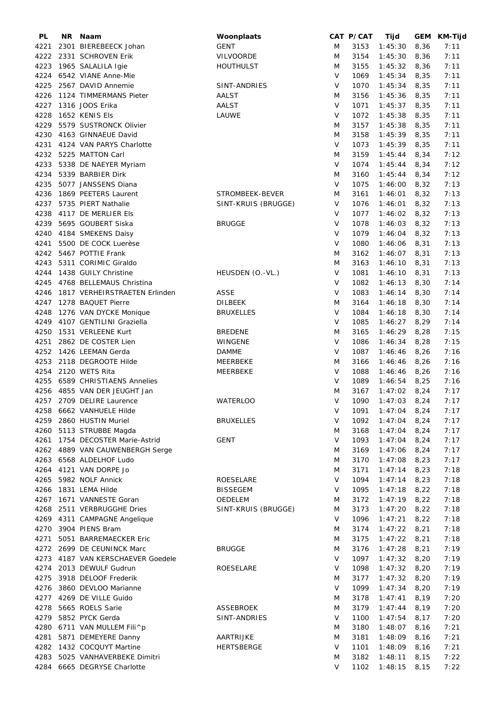| PL   | <b>NR</b> | Naam                            | Woonplaats          |              | CAT P/CAT | Tijd           |      | GEM KM-Tijd |
|------|-----------|---------------------------------|---------------------|--------------|-----------|----------------|------|-------------|
| 4221 |           | 2301 BIEREBEECK Johan           | <b>GENT</b>         | M            | 3153      | 1:45:30        | 8,36 | 7:11        |
| 4222 |           | 2331 SCHROVEN Erik              | <b>VILVOORDE</b>    | M            | 3154      | 1:45:30        | 8,36 | 7:11        |
| 4223 |           | 1965 SALALILA Igie              | <b>HOUTHULST</b>    | M            | 3155      | 1:45:32        | 8,36 | 7:11        |
|      |           | 4224 6542 VIANE Anne-Mie        |                     | V            | 1069      | 1:45:34        | 8,35 | 7:11        |
| 4225 |           | 2567 DAVID Annemie              | SINT-ANDRIES        | $\vee$       | 1070      | 1:45:34        | 8,35 | 7:11        |
| 4226 |           | 1124 TIMMERMANS Pieter          | <b>AALST</b>        | M            | 3156      | 1:45:36        | 8,35 | 7:11        |
|      |           |                                 |                     |              |           |                |      |             |
| 4227 |           | 1316 JOOS Erika                 | AALST               | $\mathsf{V}$ | 1071      | 1:45:37        | 8,35 | 7:11        |
| 4228 |           | 1652 KENIS Els                  | LAUWE               | $\sf V$      | 1072      | 1:45:38        | 8,35 | 7:11        |
| 4229 |           | 5579 SUSTRONCK Olivier          |                     | M            | 3157      | 1:45:38        | 8,35 | 7:11        |
| 4230 |           | 4163 GINNAEUE David             |                     | M            | 3158      | 1:45:39        | 8,35 | 7:11        |
| 4231 |           | 4124 VAN PARYS Charlotte        |                     | V            | 1073      | 1:45:39        | 8,35 | 7:11        |
| 4232 |           | 5225 MATTON Carl                |                     | M            | 3159      | 1:45:44        | 8,34 | 7:12        |
| 4233 |           | 5338 DE NAEYER Myriam           |                     | $\vee$       | 1074      | 1:45:44        | 8,34 | 7:12        |
| 4234 |           | 5339 BARBIER Dirk               |                     | M            | 3160      | 1:45:44        | 8,34 | 7:12        |
| 4235 |           | 5077 JANSSENS Diana             |                     | V            | 1075      | 1:46:00        | 8,32 | 7:13        |
| 4236 |           | 1869 PEETERS Laurent            | STROMBEEK-BEVER     | M            | 3161      | 1:46:01        | 8,32 | 7:13        |
| 4237 |           | 5735 PIERT Nathalie             | SINT-KRUIS (BRUGGE) | $\sf V$      | 1076      | 1:46:01        | 8,32 | 7:13        |
|      |           |                                 |                     | $\vee$       | 1077      |                |      |             |
| 4238 |           | 4117 DE MERLIER EIS             |                     |              |           | 1:46:02        | 8,32 | 7:13        |
| 4239 |           | 5695 GOUBERT Siska              | <b>BRUGGE</b>       | V            | 1078      | 1:46:03        | 8,32 | 7:13        |
| 4240 |           | 4184 SMEKENS Daisy              |                     | $\vee$       | 1079      | 1:46:04        | 8,32 | 7:13        |
| 4241 |           | 5500 DE COCK Luerèse            |                     | $\vee$       | 1080      | 1:46:06        | 8,31 | 7:13        |
|      |           | 4242 5467 POTTIE Frank          |                     | M            | 3162      | 1:46:07        | 8,31 | 7:13        |
| 4243 |           | 5311 CORIMIC Giraldo            |                     | M            | 3163      | 1:46:10        | 8,31 | 7:13        |
|      |           | 4244 1438 GUILY Christine       | HEUSDEN (O.-VL.)    | $\vee$       | 1081      | 1:46:10        | 8,31 | 7:13        |
| 4245 |           | 4768 BELLEMAUS Christina        |                     | $\vee$       | 1082      | 1:46:13        | 8,30 | 7:14        |
| 4246 |           | 1817 VERHEIRSTRAETEN Erlinden   | <b>ASSE</b>         | $\vee$       | 1083      | 1:46:14        | 8,30 | 7:14        |
| 4247 |           | 1278 BAQUET Pierre              | <b>DILBEEK</b>      | M            | 3164      | 1:46:18        | 8,30 | 7:14        |
| 4248 |           | 1276 VAN DYCKE Monique          | <b>BRUXELLES</b>    | $\vee$       | 1084      | 1:46:18        | 8,30 | 7:14        |
|      |           |                                 |                     |              |           |                |      |             |
| 4249 |           | 4107 GENTILINI Graziella        |                     | $\vee$       | 1085      | 1:46:27        | 8,29 | 7:14        |
| 4250 |           | 1531 VERLEENE Kurt              | <b>BREDENE</b>      | M            | 3165      | 1:46:29        | 8,28 | 7:15        |
| 4251 |           | 2862 DE COSTER Lien             | WINGENE             | $\vee$       | 1086      | 1:46:34        | 8,28 | 7:15        |
| 4252 |           | 1426 LEEMAN Gerda               | <b>DAMME</b>        | $\vee$       | 1087      | 1:46:46        | 8,26 | 7:16        |
| 4253 |           | 2118 DEGROOTE Hilde             | MEERBEKE            | M            | 3166      | 1:46:46        | 8,26 | 7:16        |
| 4254 |           | 2120 WETS Rita                  | MEERBEKE            | $\vee$       | 1088      | 1:46:46        | 8,26 | 7:16        |
| 4255 |           | 6589 CHRISTIAENS Annelies       |                     | V            | 1089      | 1:46:54        | 8,25 | 7:16        |
|      |           | 4256 4855 VAN DER JEUGHT Jan    |                     | M            | 3167      | 1:47:02        | 8,24 | 7:17        |
|      |           | 4257 2709 DELIRE Laurence       | <b>WATERLOO</b>     | $\vee$       | 1090      | 1:47:03        | 8,24 | 7:17        |
|      |           | 4258 6662 VANHUELE Hilde        |                     | V            | 1091      | $1:47:04$ 8,24 |      | 7:17        |
|      |           | 4259 2860 HUSTIN Muriel         | <b>BRUXELLES</b>    | V            | 1092      | 1:47:04        | 8,24 | 7:17        |
|      |           |                                 |                     |              |           |                |      |             |
|      |           | 4260 5113 STRUBBE Magda         |                     | M            | 3168      | 1:47:04        | 8,24 | 7:17        |
| 4261 |           | 1754 DECOSTER Marie-Astrid      | <b>GENT</b>         | V            | 1093      | 1:47:04        | 8,24 | 7:17        |
|      |           | 4262 4889 VAN CAUWENBERGH Serge |                     | M            | 3169      | 1:47:06        | 8,24 | 7:17        |
|      |           | 4263 6568 ALDELHOF Ludo         |                     | M            | 3170      | 1:47:08        | 8,23 | 7:17        |
|      |           | 4264 4121 VAN DORPE Jo          |                     | M            | 3171      | 1:47:14        | 8,23 | 7:18        |
|      |           | 4265 5982 NOLF Annick           | ROESELARE           | V            | 1094      | 1:47:14        | 8,23 | 7:18        |
|      |           | 4266 1831 LEMA Hilde            | <b>BISSEGEM</b>     | V            | 1095      | 1:47:18        | 8,22 | 7:18        |
|      |           | 4267 1671 VANNESTE Goran        | OEDELEM             | M            | 3172      | 1:47:19        | 8,22 | 7:18        |
|      |           | 4268 2511 VERBRUGGHE Dries      | SINT-KRUIS (BRUGGE) | M            | 3173      | 1:47:20        | 8,22 | 7:18        |
|      |           | 4269 4311 CAMPAGNE Angelique    |                     | V            | 1096      | 1:47:21        | 8,22 | 7:18        |
| 4270 |           | 3904 PIENS Bram                 |                     | M            | 3174      | 1:47:22        | 8,21 | 7:18        |
| 4271 |           | 5051 BARREMAECKER Eric          |                     |              | 3175      | 1:47:22        |      | 7:18        |
|      |           |                                 |                     | M            |           |                | 8,21 |             |
|      |           | 4272 2699 DE CEUNINCK Marc      | <b>BRUGGE</b>       | M            | 3176      | 1:47:28        | 8,21 | 7:19        |
| 4273 |           | 4187 VAN KERSCHAEVER Goedele    |                     | V            | 1097      | 1:47:32        | 8,20 | 7:19        |
|      |           | 4274 2013 DEWULF Gudrun         | ROESELARE           | $\vee$       | 1098      | 1:47:32        | 8,20 | 7:19        |
| 4275 |           | 3918 DELOOF Frederik            |                     | M            | 3177      | 1:47:32        | 8,20 | 7:19        |
|      |           | 4276 3860 DEVLOO Marianne       |                     | V            | 1099      | 1:47:34        | 8,20 | 7:19        |
|      |           | 4277 4269 DE VILLE Guido        |                     | M            | 3178      | 1:47:41        | 8,19 | 7:20        |
|      |           | 4278 5665 ROELS Sarie           | <b>ASSEBROEK</b>    | M            | 3179      | 1:47:44        | 8,19 | 7:20        |
|      |           | 4279 5852 PYCK Gerda            | SINT-ANDRIES        | $\vee$       | 1100      | 1:47:54        | 8,17 | 7:20        |
| 4280 |           | 6711 VAN MULLEM Fili^p          |                     | M            | 3180      | 1:48:07        | 8,16 | 7:21        |
| 4281 |           | 5871 DEMEYERE Danny             | AARTRIJKE           | M            | 3181      | 1:48:09        | 8,16 | 7:21        |
| 4282 |           | 1432 COCQUYT Martine            | <b>HERTSBERGE</b>   | $\vee$       | 1101      | 1:48:09        | 8,16 | 7:21        |
| 4283 |           | 5025 VANHAVERBEKE Dimitri       |                     | M            | 3182      | 1:48:11        |      | 7:22        |
|      |           |                                 |                     |              |           |                | 8,15 |             |
|      |           | 4284 6665 DEGRYSE Charlotte     |                     | V            | 1102      | 1:48:15        | 8,15 | 7:22        |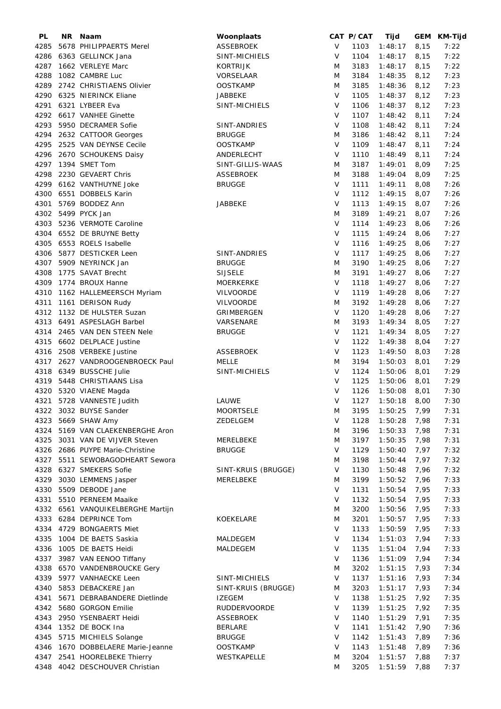| PL   | NR Naam                           | Woonplaats          |              | CAT P/CAT | Tijd           |      | GEM KM-Tijd |
|------|-----------------------------------|---------------------|--------------|-----------|----------------|------|-------------|
| 4285 | 5678 PHILIPPAERTS Merel           | ASSEBROEK           | V            | 1103      | 1:48:17        | 8,15 | 7:22        |
| 4286 | 6363 GELLINCK Jana                | SINT-MICHIELS       | V            | 1104      | 1:48:17        | 8,15 | 7:22        |
| 4287 | 1662 VERLEYE Marc                 | <b>KORTRIJK</b>     | M            | 3183      | 1:48:17        | 8,15 | 7:22        |
| 4288 | 1082 CAMBRE Luc                   | VORSELAAR           | M            | 3184      | 1:48:35        | 8,12 | 7:23        |
| 4289 | 2742 CHRISTIAENS Olivier          | <b>OOSTKAMP</b>     | M            | 3185      | 1:48:36        | 8,12 | 7:23        |
|      | 6325 NIERINCK Eliane              |                     | $\vee$       | 1105      |                |      | 7:23        |
| 4290 |                                   | <b>JABBEKE</b>      |              |           | 1:48:37        | 8,12 |             |
| 4291 | 6321 LYBEER Eva                   | SINT-MICHIELS       | $\vee$       | 1106      | 1:48:37        | 8,12 | 7:23        |
| 4292 | 6617 VANHEE Ginette               |                     | V            | 1107      | 1:48:42        | 8,11 | 7:24        |
| 4293 | 5950 DECRAMER Sofie               | SINT-ANDRIES        | V            | 1108      | 1:48:42        | 8,11 | 7:24        |
| 4294 | 2632 CATTOOR Georges              | <b>BRUGGE</b>       | M            | 3186      | 1:48:42        | 8,11 | 7:24        |
| 4295 | 2525 VAN DEYNSE Cecile            | <b>OOSTKAMP</b>     | $\vee$       | 1109      | 1:48:47        | 8,11 | 7:24        |
| 4296 | 2670 SCHOUKENS Daisy              | ANDERLECHT          | $\vee$       | 1110      | 1:48:49        | 8,11 | 7:24        |
|      | 4297 1394 SMET Tom                | SINT-GILLIS-WAAS    | M            | 3187      | 1:49:01        | 8,09 | 7:25        |
| 4298 | 2230 GEVAERT Chris                | <b>ASSEBROEK</b>    | M            | 3188      | 1:49:04        | 8,09 | 7:25        |
| 4299 | 6162 VANTHUYNE Joke               | <b>BRUGGE</b>       | $\vee$       | 1111      | 1:49:11        | 8,08 | 7:26        |
| 4300 | 6551 DOBBELS Karin                |                     | $\vee$       | 1112      | 1:49:15        | 8,07 | 7:26        |
| 4301 | 5769 BODDEZ Ann                   | JABBEKE             | $\vee$       | 1113      | 1:49:15        | 8,07 | 7:26        |
|      | 4302 5499 PYCK Jan                |                     | M            | 3189      |                | 8,07 | 7:26        |
|      |                                   |                     |              |           | 1:49:21        |      |             |
| 4303 | 5236 VERMOTE Caroline             |                     | $\vee$       | 1114      | 1:49:23        | 8,06 | 7:26        |
|      | 4304 6552 DE BRUYNE Betty         |                     | V            | 1115      | 1:49:24        | 8,06 | 7:27        |
| 4305 | 6553 ROELS Isabelle               |                     | V            | 1116      | 1:49:25        | 8,06 | 7:27        |
| 4306 | 5877 DESTICKER Leen               | SINT-ANDRIES        | V            | 1117      | 1:49:25        | 8,06 | 7:27        |
|      | 4307 5909 NEYRINCK Jan            | <b>BRUGGE</b>       | M            | 3190      | 1:49:25        | 8,06 | 7:27        |
| 4308 | 1775 SAVAT Brecht                 | <b>SIJSELE</b>      | M            | 3191      | 1:49:27        | 8,06 | 7:27        |
| 4309 | 1774 BROUX Hanne                  | <b>MOERKERKE</b>    | V            | 1118      | 1:49:27        | 8,06 | 7:27        |
| 4310 | 1162 HALLEMEERSCH Myriam          | <b>VILVOORDE</b>    | V            | 1119      | 1:49:28        | 8,06 | 7:27        |
| 4311 | 1161 DERISON Rudy                 | VILVOORDE           | M            | 3192      | 1:49:28        | 8,06 | 7:27        |
| 4312 | 1132 DE HULSTER Suzan             | GRIMBERGEN          | $\vee$       | 1120      | 1:49:28        | 8,06 | 7:27        |
| 4313 | 6491 ASPESLAGH Barbel             | VARSENARE           | M            | 3193      | 1:49:34        | 8,05 | 7:27        |
|      | 2465 VAN DEN STEEN Nele           |                     | $\vee$       | 1121      |                |      | 7:27        |
| 4314 |                                   | <b>BRUGGE</b>       |              |           | 1:49:34        | 8,05 |             |
| 4315 | 6602 DELPLACE Justine             |                     | V            | 1122      | 1:49:38        | 8,04 | 7:27        |
| 4316 | 2508 VERBEKE Justine              | ASSEBROEK           | $\mathsf{V}$ | 1123      | 1:49:50        | 8,03 | 7:28        |
| 4317 | 2627 VANDROOGENBROECK Paul        | <b>MELLE</b>        | M            | 3194      | 1:50:03        | 8,01 | 7:29        |
| 4318 | 6349 BUSSCHE Julie                | SINT-MICHIELS       | $\vee$       | 1124      | 1:50:06        | 8,01 | 7:29        |
|      | 4319 5448 CHRISTIAANS Lisa        |                     | V            | 1125      | 1:50:06        | 8,01 | 7:29        |
|      | 4320 5320 VIAENE Magda            |                     | V            | 1126      | 1:50:08        | 8,01 | 7:30        |
| 4321 | 5728 VANNESTE Judith              | LAUWE               | $\vee$       | 1127      | 1:50:18        | 8,00 | 7:30        |
|      | 4322 3032 BUYSE Sander            | <b>MOORTSELE</b>    | M            | 3195      | $1:50:25$ 7,99 |      | 7:31        |
|      | 4323 5669 SHAW Amy                | ZEDELGEM            | V            | 1128      | 1:50:28        | 7,98 | 7:31        |
|      | 4324 5169 VAN CLAEKENBERGHE Aron  |                     | M            | 3196      | 1:50:33        | 7,98 | 7:31        |
|      | 4325 3031 VAN DE VIJVER Steven    | MERELBEKE           | M            | 3197      | 1:50:35        | 7,98 | 7:31        |
|      | 4326 2686 PUYPE Marie-Christine   | <b>BRUGGE</b>       | V            | 1129      | 1:50:40        | 7,97 | 7:32        |
|      | 4327 5511 SEWOBAGODHEART Sewora   |                     | M            | 3198      | 1:50:44        | 7,97 | 7:32        |
|      |                                   |                     | V            |           |                |      |             |
|      | 4328 6327 SMEKERS Sofie           | SINT-KRUIS (BRUGGE) |              | 1130      | 1:50:48        | 7,96 | 7:32        |
| 4329 | 3030 LEMMENS Jasper               | MERELBEKE           | M            | 3199      | 1:50:52        | 7,96 | 7:33        |
|      | 4330 5509 DEBODE Jane             |                     | V            | 1131      | 1:50:54        | 7,95 | 7:33        |
| 4331 | 5510 PERNEEM Maaike               |                     | $\vee$       | 1132      | 1:50:54        | 7,95 | 7:33        |
|      | 4332 6561 VANQUIKELBERGHE Martijn |                     | M            | 3200      | 1:50:56        | 7,95 | 7:33        |
|      | 4333 6284 DEPRINCE Tom            | KOEKELARE           | M            | 3201      | 1:50:57        | 7,95 | 7:33        |
| 4334 | 4729 BONGAERTS Miet               |                     | V            | 1133      | 1:50:59        | 7,95 | 7:33        |
| 4335 | 1004 DE BAETS Saskia              | MALDEGEM            | V            | 1134      | 1:51:03        | 7,94 | 7:33        |
| 4336 | 1005 DE BAETS Heidi               | MALDEGEM            | $\vee$       | 1135      | 1:51:04        | 7,94 | 7:33        |
|      | 4337 3987 VAN EENOO Tiffany       |                     | V            | 1136      | 1:51:09        | 7,94 | 7:34        |
|      | 4338 6570 VANDENBROUCKE Gery      |                     | M            | 3202      | 1:51:15        | 7,93 | 7:34        |
|      | 4339 5977 VANHAECKE Leen          | SINT-MICHIELS       | V            | 1137      | 1:51:16        | 7,93 | 7:34        |
|      | 4340 5853 DEBACKERE Jan           | SINT-KRUIS (BRUGGE) | M            | 3203      | 1:51:17        | 7,93 | 7:34        |
| 4341 | 5671 DEBRABANDERE Dietlinde       | <b>IZEGEM</b>       | V            | 1138      | 1:51:25        | 7,92 | 7:35        |
|      | 4342 5680 GORGON Emilie           | <b>RUDDERVOORDE</b> | V            | 1139      |                |      | 7:35        |
|      |                                   |                     |              |           | 1:51:25        | 7,92 |             |
| 4343 | 2950 YSENBAERT Heidi              | <b>ASSEBROEK</b>    | V            | 1140      | 1:51:29        | 7,91 | 7:35        |
|      | 4344 1352 DE BOCK Ina             | <b>BERLARE</b>      | $\vee$       | 1141      | 1:51:42        | 7,90 | 7:36        |
|      | 4345 5715 MICHIELS Solange        | <b>BRUGGE</b>       | V            | 1142      | 1:51:43        | 7,89 | 7:36        |
| 4346 | 1670 DOBBELAERE Marie-Jeanne      | <b>OOSTKAMP</b>     | V            | 1143      | 1:51:48        | 7,89 | 7:36        |
|      | 4347 2541 HOORELBEKE Thierry      | WESTKAPELLE         | M            | 3204      | 1:51:57        | 7,88 | 7:37        |
|      | 4348 4042 DESCHOUVER Christian    |                     | M            | 3205      | 1:51:59        | 7,88 | 7:37        |